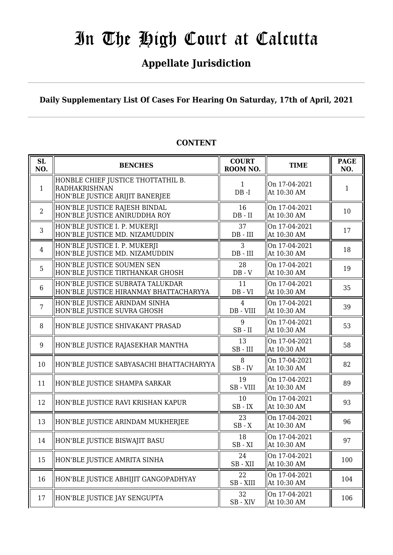### **Appellate Jurisdiction**

**Daily Supplementary List Of Cases For Hearing On Saturday, 17th of April, 2021**

| <b>SL</b><br>NO. | <b>BENCHES</b>                                                                         | <b>COURT</b><br>ROOM NO.    | <b>TIME</b>                  | <b>PAGE</b><br>NO. |
|------------------|----------------------------------------------------------------------------------------|-----------------------------|------------------------------|--------------------|
| $\mathbf{1}$     | HONBLE CHIEF JUSTICE THOTTATHIL B.<br>RADHAKRISHNAN<br>HON'BLE JUSTICE ARIJIT BANERJEE | $\mathbf{1}$<br>$DB - I$    | On 17-04-2021<br>At 10:30 AM | 1                  |
| 2                | HON'BLE JUSTICE RAJESH BINDAL<br>HON'BLE JUSTICE ANIRUDDHA ROY                         | 16<br>$DB - II$             | On 17-04-2021<br>At 10:30 AM | 10                 |
| 3                | HON'BLE JUSTICE I. P. MUKERJI<br>HON'BLE JUSTICE MD. NIZAMUDDIN                        | 37<br>$DB$ - $III$          | On 17-04-2021<br>At 10:30 AM | 17                 |
| $\overline{4}$   | HON'BLE JUSTICE I. P. MUKERJI<br>HON'BLE JUSTICE MD. NIZAMUDDIN                        | 3<br>$DB$ - $III$           | On 17-04-2021<br>At 10:30 AM | 18                 |
| 5                | HON'BLE JUSTICE SOUMEN SEN<br>HON'BLE JUSTICE TIRTHANKAR GHOSH                         | 28<br>$DB - V$              | On 17-04-2021<br>At 10:30 AM | 19                 |
| 6                | HON'BLE JUSTICE SUBRATA TALUKDAR<br>HON'BLE JUSTICE HIRANMAY BHATTACHARYYA             | 11<br>$DB - VI$             | On 17-04-2021<br>At 10:30 AM | 35                 |
| $\overline{7}$   | HON'BLE JUSTICE ARINDAM SINHA<br>HON'BLE JUSTICE SUVRA GHOSH                           | $\overline{4}$<br>DB - VIII | On 17-04-2021<br>At 10:30 AM | 39                 |
| 8                | HON'BLE JUSTICE SHIVAKANT PRASAD                                                       | 9<br>$SB$ - $II$            | On 17-04-2021<br>At 10:30 AM | 53                 |
| 9                | HON'BLE JUSTICE RAJASEKHAR MANTHA                                                      | 13<br>$SB$ - $III$          | On 17-04-2021<br>At 10:30 AM | 58                 |
| 10               | HON'BLE JUSTICE SABYASACHI BHATTACHARYYA                                               | 8<br>$SB$ - $IV$            | On 17-04-2021<br>At 10:30 AM | 82                 |
| 11               | HON'BLE JUSTICE SHAMPA SARKAR                                                          | 19<br>SB - VIII             | On 17-04-2021<br>At 10:30 AM | 89                 |
| 12               | HON'BLE JUSTICE RAVI KRISHAN KAPUR                                                     | 10<br>$SB$ - $IX$           | On 17-04-2021<br>At 10:30 AM | 93                 |
| 13               | HON'BLE JUSTICE ARINDAM MUKHERJEE                                                      | 23<br>$SB - X$              | On 17-04-2021<br>At 10:30 AM | 96                 |
| 14               | HON'BLE JUSTICE BISWAJIT BASU                                                          | 18<br>$SB - XI$             | On 17-04-2021<br>At 10:30 AM | 97                 |
| 15               | HON'BLE JUSTICE AMRITA SINHA                                                           | 24<br>SB-XII                | On 17-04-2021<br>At 10:30 AM | 100                |
| 16               | HON'BLE JUSTICE ABHIJIT GANGOPADHYAY                                                   | 22<br>SB-XIII               | On 17-04-2021<br>At 10:30 AM | 104                |
| 17               | HON'BLE JUSTICE JAY SENGUPTA                                                           | 32<br>$SB - XIV$            | On 17-04-2021<br>At 10:30 AM | 106                |

#### **CONTENT**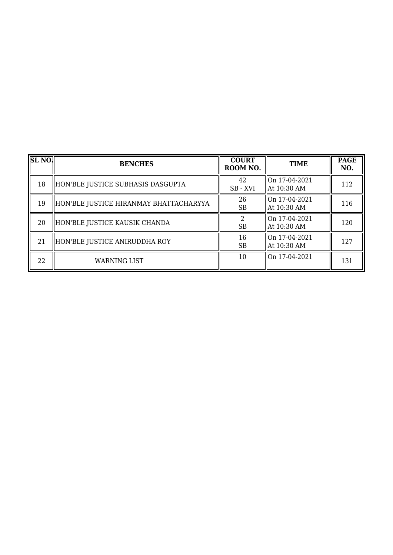| <b>SL NO.</b> | <b>BENCHES</b>                         | <b>COURT</b><br>ROOM NO. | <b>TIME</b>                               | <b>PAGE</b><br>NO. |
|---------------|----------------------------------------|--------------------------|-------------------------------------------|--------------------|
| 18            | HON'BLE JUSTICE SUBHASIS DASGUPTA      | 42<br>SB-XVI             | On 17-04-2021<br>  At 10:30 AM            | 112                |
| 19            | HON'BLE JUSTICE HIRANMAY BHATTACHARYYA | 26<br><b>SB</b>          | $\frac{10n}{17-04-2021}$<br>  At 10:30 AM | 116                |
| 20            | HON'BLE JUSTICE KAUSIK CHANDA          | <b>SB</b>                | On 17-04-2021<br>  At 10:30 AM            | 120                |
| 21            | HON'BLE JUSTICE ANIRUDDHA ROY          | 16<br><b>SB</b>          | lon 17-04-2021<br>  At 10:30 AM           | 127                |
| 22            | <b>WARNING LIST</b>                    | 10                       | On 17-04-2021                             | 131                |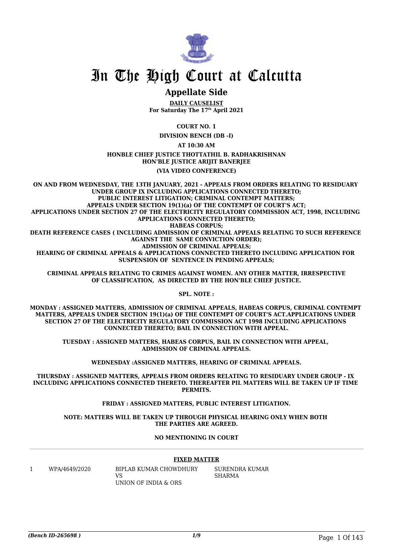

#### **Appellate Side**

**DAILY CAUSELIST For Saturday The 17th April 2021**

**COURT NO. 1**

**DIVISION BENCH (DB -I)**

**AT 10:30 AM**

**HONBLE CHIEF JUSTICE THOTTATHIL B. RADHAKRISHNAN HON'BLE JUSTICE ARIJIT BANERJEE**

**(VIA VIDEO CONFERENCE)**

**ON AND FROM WEDNESDAY, THE 13TH JANUARY, 2021 - APPEALS FROM ORDERS RELATING TO RESIDUARY UNDER GROUP IX INCLUDING APPLICATIONS CONNECTED THERETO; PUBLIC INTEREST LITIGATION; CRIMINAL CONTEMPT MATTERS; APPEALS UNDER SECTION 19(1)(a) OF THE CONTEMPT OF COURT'S ACT; APPLICATIONS UNDER SECTION 27 OF THE ELECTRICITY REGULATORY COMMISSION ACT, 1998, INCLUDING APPLICATIONS CONNECTED THERETO; HABEAS CORPUS; DEATH REFERENCE CASES ( INCLUDING ADMISSION OF CRIMINAL APPEALS RELATING TO SUCH REFERENCE AGAINST THE SAME CONVICTION ORDER); ADMISSION OF CRIMINAL APPEALS; HEARING OF CRIMINAL APPEALS & APPLICATIONS CONNECTED THERETO INCLUDING APPLICATION FOR SUSPENSION OF SENTENCE IN PENDING APPEALS;**

**CRIMINAL APPEALS RELATING TO CRIMES AGAINST WOMEN. ANY OTHER MATTER, IRRESPECTIVE OF CLASSIFICATION, AS DIRECTED BY THE HON'BLE CHIEF JUSTICE.**

**SPL. NOTE :**

**MONDAY : ASSIGNED MATTERS, ADMISSION OF CRIMINAL APPEALS, HABEAS CORPUS, CRIMINAL CONTEMPT MATTERS, APPEALS UNDER SECTION 19(1)(a) OF THE CONTEMPT OF COURT'S ACT.APPLICATIONS UNDER SECTION 27 OF THE ELECTRICITY REGULATORY COMMISSION ACT 1998 INCLUDING APPLICATIONS CONNECTED THERETO; BAIL IN CONNECTION WITH APPEAL.**

**TUESDAY : ASSIGNED MATTERS, HABEAS CORPUS, BAIL IN CONNECTION WITH APPEAL, ADMISSION OF CRIMINAL APPEALS.**

**WEDNESDAY :ASSIGNED MATTERS, HEARING OF CRIMINAL APPEALS.**

**THURSDAY : ASSIGNED MATTERS, APPEALS FROM ORDERS RELATING TO RESIDUARY UNDER GROUP - IX INCLUDING APPLICATIONS CONNECTED THERETO. THEREAFTER PIL MATTERS WILL BE TAKEN UP IF TIME PERMITS.**

**FRIDAY : ASSIGNED MATTERS, PUBLIC INTEREST LITIGATION.**

**NOTE: MATTERS WILL BE TAKEN UP THROUGH PHYSICAL HEARING ONLY WHEN BOTH THE PARTIES ARE AGREED.**

**NO MENTIONING IN COURT**

#### **FIXED MATTER**

1 WPA/4649/2020 BIPLAB KUMAR CHOWDHURY **VS** UNION OF INDIA & ORS

SURENDRA KUMAR SHARMA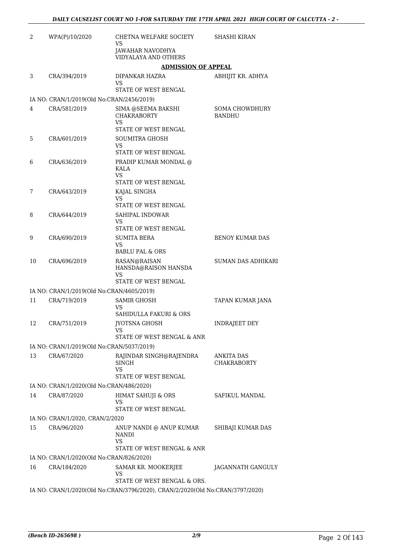| 2  | WPA(P)/10/2020                            | CHETNA WELFARE SOCIETY<br>VS                                                  | <b>SHASHI KIRAN</b>             |
|----|-------------------------------------------|-------------------------------------------------------------------------------|---------------------------------|
|    |                                           | <b>JAWAHAR NAVODHYA</b><br><b>VIDYALAYA AND OTHERS</b>                        |                                 |
|    |                                           | <b>ADMISSION OF APPEAL</b>                                                    |                                 |
| 3  | CRA/394/2019                              | DIPANKAR HAZRA                                                                | ABHIJIT KR. ADHYA               |
|    |                                           | VS<br>STATE OF WEST BENGAL                                                    |                                 |
|    | IA NO: CRAN/1/2019(Old No:CRAN/2456/2019) |                                                                               |                                 |
| 4  | CRA/581/2019                              | SIMA @SEEMA BAKSHI<br><b>CHAKRABORTY</b><br><b>VS</b><br>STATE OF WEST BENGAL | SOMA CHOWDHURY<br><b>BANDHU</b> |
| 5  | CRA/601/2019                              | <b>SOUMITRA GHOSH</b><br>VS                                                   |                                 |
|    |                                           | STATE OF WEST BENGAL                                                          |                                 |
| 6  | CRA/636/2019                              | PRADIP KUMAR MONDAL @<br><b>KALA</b><br>VS                                    |                                 |
|    |                                           | STATE OF WEST BENGAL                                                          |                                 |
| 7  | CRA/643/2019                              | KAJAL SINGHA<br><b>VS</b>                                                     |                                 |
|    |                                           | STATE OF WEST BENGAL                                                          |                                 |
| 8  | CRA/644/2019                              | SAHIPAL INDOWAR                                                               |                                 |
|    |                                           | VS<br>STATE OF WEST BENGAL                                                    |                                 |
| 9  | CRA/690/2019                              | <b>SUMITA BERA</b><br><b>VS</b>                                               | <b>BENOY KUMAR DAS</b>          |
|    |                                           | <b>BABLU PAL &amp; ORS</b>                                                    |                                 |
| 10 | CRA/696/2019                              | RASAN@RAISAN<br>HANSDA@RAISON HANSDA<br>VS                                    | SUMAN DAS ADHIKARI              |
|    |                                           | STATE OF WEST BENGAL                                                          |                                 |
|    | IA NO: CRAN/1/2019(Old No:CRAN/4605/2019) |                                                                               |                                 |
| 11 | CRA/719/2019                              | <b>SAMIR GHOSH</b><br><b>VS</b><br><b>SAHIDULLA FAKURI &amp; ORS</b>          | TAPAN KUMAR JANA                |
| 12 | CRA/751/2019                              | JYOTSNA GHOSH                                                                 | <b>INDRAJEET DEY</b>            |
|    |                                           | VS<br>STATE OF WEST BENGAL & ANR                                              |                                 |
|    | IA NO: CRAN/1/2019(Old No:CRAN/5037/2019) |                                                                               |                                 |
| 13 | CRA/67/2020                               | RAJINDAR SINGH@RAJENDRA                                                       | ANKITA DAS                      |
|    |                                           | <b>SINGH</b><br>VS                                                            | CHAKRABORTY                     |
|    |                                           | STATE OF WEST BENGAL                                                          |                                 |
|    | IA NO: CRAN/1/2020(Old No:CRAN/486/2020)  |                                                                               |                                 |
| 14 | CRA/87/2020                               | <b>HIMAT SAHUJI &amp; ORS</b><br>VS<br>STATE OF WEST BENGAL                   | SAFIKUL MANDAL                  |
|    | IA NO: CRAN/1/2020, CRAN/2/2020           |                                                                               |                                 |
| 15 | CRA/96/2020                               | ANUP NANDI @ ANUP KUMAR                                                       | SHIBAJI KUMAR DAS               |
|    |                                           | <b>NANDI</b><br>VS<br>STATE OF WEST BENGAL & ANR                              |                                 |
|    | IA NO: CRAN/1/2020(Old No:CRAN/826/2020)  |                                                                               |                                 |
| 16 | CRA/184/2020                              | SAMAR KR. MOOKERJEE<br>VS                                                     | JAGANNATH GANGULY               |
|    |                                           | STATE OF WEST BENGAL & ORS.                                                   |                                 |
|    |                                           | IA NO: CRAN/1/2020(Old No:CRAN/3796/2020), CRAN/2/2020(Old No:CRAN/3797/2020) |                                 |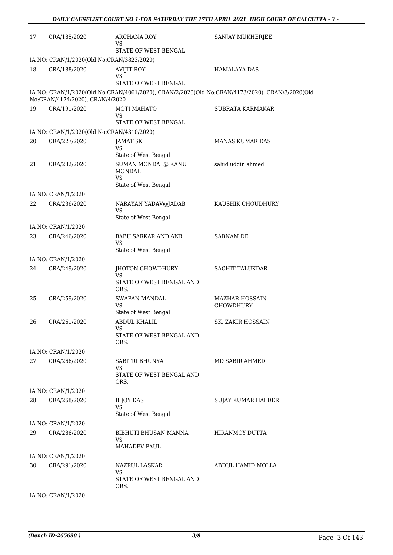| 17 | CRA/185/2020                              | ARCHANA ROY<br>VS                               | SANJAY MUKHERJEE                                                                               |
|----|-------------------------------------------|-------------------------------------------------|------------------------------------------------------------------------------------------------|
|    |                                           | STATE OF WEST BENGAL                            |                                                                                                |
|    | IA NO: CRAN/1/2020(Old No:CRAN/3823/2020) |                                                 |                                                                                                |
| 18 | CRA/188/2020                              | <b>AVIJIT ROY</b><br>VS                         | <b>HAMALAYA DAS</b>                                                                            |
|    |                                           | STATE OF WEST BENGAL                            | IA NO: CRAN/1/2020(Old No:CRAN/4061/2020), CRAN/2/2020(Old No:CRAN/4173/2020), CRAN/3/2020(Old |
|    | No:CRAN/4174/2020), CRAN/4/2020           |                                                 |                                                                                                |
| 19 | CRA/191/2020                              | <b>MOTI MAHATO</b><br>VS                        | <b>SUBRATA KARMAKAR</b>                                                                        |
|    |                                           | STATE OF WEST BENGAL                            |                                                                                                |
|    | IA NO: CRAN/1/2020(Old No:CRAN/4310/2020) |                                                 |                                                                                                |
| 20 | CRA/227/2020                              | <b>JAMAT SK</b><br>VS.<br>State of West Bengal  | <b>MANAS KUMAR DAS</b>                                                                         |
| 21 |                                           | SUMAN MONDAL@ KANU                              | sahid uddin ahmed                                                                              |
|    | CRA/232/2020                              | <b>MONDAL</b><br><b>VS</b>                      |                                                                                                |
|    |                                           | State of West Bengal                            |                                                                                                |
|    | IA NO: CRAN/1/2020                        |                                                 |                                                                                                |
| 22 | CRA/236/2020                              | NARAYAN YADAV@JADAB<br>VS                       | KAUSHIK CHOUDHURY                                                                              |
|    |                                           | State of West Bengal                            |                                                                                                |
|    | IA NO: CRAN/1/2020                        |                                                 |                                                                                                |
| 23 | CRA/246/2020                              | BABU SARKAR AND ANR<br>VS                       | <b>SABNAM DE</b>                                                                               |
|    |                                           | State of West Bengal                            |                                                                                                |
|    | IA NO: CRAN/1/2020                        |                                                 |                                                                                                |
| 24 | CRA/249/2020                              | JHOTON CHOWDHURY                                | <b>SACHIT TALUKDAR</b>                                                                         |
|    |                                           | <b>VS</b><br>STATE OF WEST BENGAL AND<br>ORS.   |                                                                                                |
| 25 | CRA/259/2020                              | <b>SWAPAN MANDAL</b>                            | <b>MAZHAR HOSSAIN</b>                                                                          |
|    |                                           | VS<br>State of West Bengal                      | <b>CHOWDHURY</b>                                                                               |
| 26 | CRA/261/2020                              | <b>ABDUL KHALIL</b><br>VS                       | <b>SK. ZAKIR HOSSAIN</b>                                                                       |
|    |                                           | STATE OF WEST BENGAL AND<br>ORS.                |                                                                                                |
|    | IA NO: CRAN/1/2020                        |                                                 |                                                                                                |
| 27 | CRA/266/2020                              | SABITRI BHUNYA<br>VS                            | MD SABIR AHMED                                                                                 |
|    |                                           | STATE OF WEST BENGAL AND<br>ORS.                |                                                                                                |
|    | IA NO: CRAN/1/2020                        |                                                 |                                                                                                |
| 28 | CRA/268/2020                              | <b>BIJOY DAS</b><br>VS                          | <b>SUJAY KUMAR HALDER</b>                                                                      |
|    |                                           | State of West Bengal                            |                                                                                                |
|    | IA NO: CRAN/1/2020                        |                                                 |                                                                                                |
| 29 | CRA/286/2020                              | BIBHUTI BHUSAN MANNA<br>VS                      | HIRANMOY DUTTA                                                                                 |
|    |                                           | <b>MAHADEV PAUL</b>                             |                                                                                                |
|    | IA NO: CRAN/1/2020                        |                                                 |                                                                                                |
| 30 | CRA/291/2020                              | NAZRUL LASKAR<br>VS<br>STATE OF WEST BENGAL AND | ABDUL HAMID MOLLA                                                                              |
|    |                                           | ORS.                                            |                                                                                                |
|    | IA NO: CRAN/1/2020                        |                                                 |                                                                                                |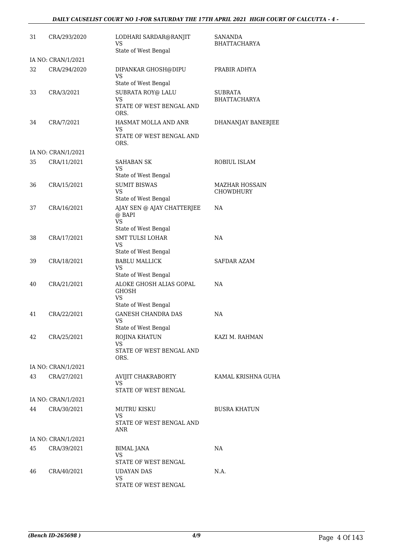#### *DAILY CAUSELIST COURT NO 1-FOR SATURDAY THE 17TH APRIL 2021 HIGH COURT OF CALCUTTA - 4 -*

| 31 | CRA/293/2020       | LODHARI SARDAR@RANJIT<br>VS<br>State of West Bengal                                    | <b>SANANDA</b><br>BHATTACHARYA            |
|----|--------------------|----------------------------------------------------------------------------------------|-------------------------------------------|
|    | IA NO: CRAN/1/2021 |                                                                                        |                                           |
| 32 | CRA/294/2020       | DIPANKAR GHOSH@DIPU<br>VS.                                                             | PRABIR ADHYA                              |
| 33 | CRA/3/2021         | State of West Bengal<br>SUBRATA ROY@ LALU<br>VS<br>STATE OF WEST BENGAL AND<br>ORS.    | SUBRATA<br>BHATTACHARYA                   |
| 34 | CRA/7/2021         | HASMAT MOLLA AND ANR<br>VS<br>STATE OF WEST BENGAL AND<br>ORS.                         | DHANANJAY BANERJEE                        |
|    | IA NO: CRAN/1/2021 |                                                                                        |                                           |
| 35 | CRA/11/2021        | <b>SAHABAN SK</b><br>VS.<br>State of West Bengal                                       | ROBIUL ISLAM                              |
| 36 | CRA/15/2021        | <b>SUMIT BISWAS</b><br><b>VS</b><br>State of West Bengal                               | <b>MAZHAR HOSSAIN</b><br><b>CHOWDHURY</b> |
| 37 | CRA/16/2021        | AJAY SEN @ AJAY CHATTERJEE<br>@ BAPI<br><b>VS</b>                                      | NA                                        |
| 38 | CRA/17/2021        | State of West Bengal<br><b>SMT TULSI LOHAR</b><br>VS<br>State of West Bengal           | NA                                        |
| 39 | CRA/18/2021        | <b>BABLU MALLICK</b><br><b>VS</b>                                                      | SAFDAR AZAM                               |
| 40 | CRA/21/2021        | State of West Bengal<br>ALOKE GHOSH ALIAS GOPAL<br><b>GHOSH</b><br><b>VS</b>           | NA                                        |
| 41 | CRA/22/2021        | State of West Bengal<br><b>GANESH CHANDRA DAS</b><br><b>VS</b><br>State of West Bengal | NA                                        |
| 42 | CRA/25/2021        | ROJINA KHATUN<br>VS<br>STATE OF WEST BENGAL AND<br>ORS.                                | KAZI M. RAHMAN                            |
|    | IA NO: CRAN/1/2021 |                                                                                        |                                           |
| 43 | CRA/27/2021        | AVIJIT CHAKRABORTY<br>VS<br>STATE OF WEST BENGAL                                       | KAMAL KRISHNA GUHA                        |
|    | IA NO: CRAN/1/2021 |                                                                                        |                                           |
| 44 | CRA/30/2021        | <b>MUTRU KISKU</b>                                                                     | <b>BUSRA KHATUN</b>                       |
|    |                    | VS.<br>STATE OF WEST BENGAL AND<br>ANR                                                 |                                           |
|    | IA NO: CRAN/1/2021 |                                                                                        |                                           |
| 45 | CRA/39/2021        | BIMAL JANA<br><b>VS</b><br>STATE OF WEST BENGAL                                        | NA                                        |
| 46 | CRA/40/2021        | <b>UDAYAN DAS</b><br>VS<br>STATE OF WEST BENGAL                                        | N.A.                                      |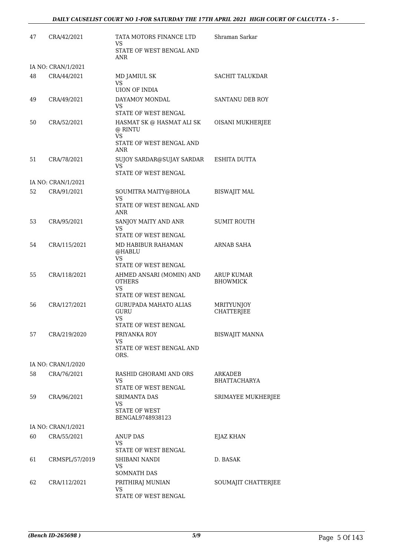| 47 | CRA/42/2021        | TATA MOTORS FINANCE LTD<br>VS                                             | Shraman Sarkar                       |
|----|--------------------|---------------------------------------------------------------------------|--------------------------------------|
|    |                    | STATE OF WEST BENGAL AND<br>ANR                                           |                                      |
|    | IA NO: CRAN/1/2021 |                                                                           |                                      |
| 48 | CRA/44/2021        | MD JAMIUL SK<br><b>VS</b><br><b>UION OF INDIA</b>                         | <b>SACHIT TALUKDAR</b>               |
| 49 | CRA/49/2021        | DAYAMOY MONDAL<br>VS.                                                     | SANTANU DEB ROY                      |
|    |                    | STATE OF WEST BENGAL                                                      |                                      |
| 50 | CRA/52/2021        | HASMAT SK @ HASMAT ALI SK<br>@ RINTU<br><b>VS</b>                         | <b>OISANI MUKHERJEE</b>              |
|    |                    | STATE OF WEST BENGAL AND<br>ANR                                           |                                      |
| 51 | CRA/78/2021        | SUJOY SARDAR@SUJAY SARDAR<br><b>VS</b>                                    | ESHITA DUTTA                         |
|    |                    | STATE OF WEST BENGAL                                                      |                                      |
|    | IA NO: CRAN/1/2021 |                                                                           |                                      |
| 52 | CRA/91/2021        | SOUMITRA MAITY@BHOLA<br>VS<br>STATE OF WEST BENGAL AND<br>ANR             | <b>BISWAJIT MAL</b>                  |
| 53 | CRA/95/2021        | SANJOY MAITY AND ANR                                                      | <b>SUMIT ROUTH</b>                   |
|    |                    | VS<br>STATE OF WEST BENGAL                                                |                                      |
| 54 | CRA/115/2021       | MD HABIBUR RAHAMAN                                                        | ARNAB SAHA                           |
|    |                    | @HABLU<br>VS.<br>STATE OF WEST BENGAL                                     |                                      |
| 55 | CRA/118/2021       | AHMED ANSARI (MOMIN) AND<br><b>OTHERS</b><br>VS.                          | <b>ARUP KUMAR</b><br><b>BHOWMICK</b> |
|    |                    | STATE OF WEST BENGAL                                                      |                                      |
| 56 | CRA/127/2021       | <b>GURUPADA MAHATO ALIAS</b><br>GURU<br><b>VS</b><br>STATE OF WEST BENGAL | MRITYUNJOY<br><b>CHATTERJEE</b>      |
| 57 | CRA/219/2020       | PRIYANKA ROY                                                              | <b>BISWAJIT MANNA</b>                |
|    |                    | VS.<br>STATE OF WEST BENGAL AND<br>ORS.                                   |                                      |
|    | IA NO: CRAN/1/2020 |                                                                           |                                      |
| 58 | CRA/76/2021        | RASHID GHORAMI AND ORS<br>VS.<br>STATE OF WEST BENGAL                     | ARKADEB<br>BHATTACHARYA              |
| 59 | CRA/96/2021        | <b>SRIMANTA DAS</b>                                                       | SRIMAYEE MUKHERJEE                   |
|    |                    | <b>VS</b><br>STATE OF WEST<br>BENGAL9748938123                            |                                      |
|    | IA NO: CRAN/1/2021 |                                                                           |                                      |
| 60 | CRA/55/2021        | <b>ANUP DAS</b>                                                           | EJAZ KHAN                            |
|    |                    | VS<br>STATE OF WEST BENGAL                                                |                                      |
| 61 | CRMSPL/57/2019     | SHIBANI NANDI<br>VS<br><b>SOMNATH DAS</b>                                 | D. BASAK                             |
| 62 | CRA/112/2021       | PRITHIRAJ MUNIAN                                                          | SOUMAJIT CHATTERJEE                  |
|    |                    | VS<br>STATE OF WEST BENGAL                                                |                                      |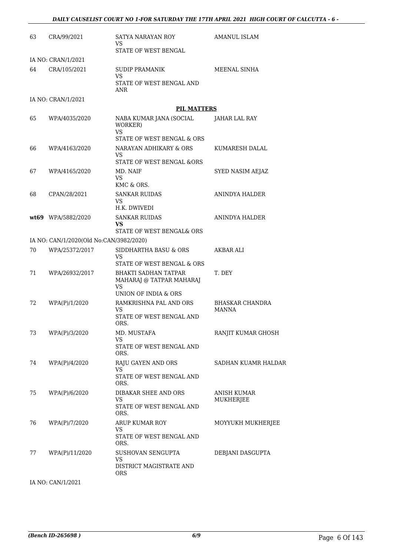| 63 | CRA/99/2021                             | SATYA NARAYAN ROY<br>VS                                              | <b>AMANUL ISLAM</b>    |
|----|-----------------------------------------|----------------------------------------------------------------------|------------------------|
|    |                                         | STATE OF WEST BENGAL                                                 |                        |
|    | IA NO: CRAN/1/2021<br>CRA/105/2021      |                                                                      | MEENAL SINHA           |
| 64 |                                         | SUDIP PRAMANIK<br>VS.                                                |                        |
|    |                                         | STATE OF WEST BENGAL AND<br>ANR                                      |                        |
|    | IA NO: CRAN/1/2021                      |                                                                      |                        |
|    |                                         | <b>PIL MATTERS</b>                                                   |                        |
| 65 | WPA/4035/2020                           | NABA KUMAR JANA (SOCIAL<br>WORKER)<br><b>VS</b>                      | <b>JAHAR LAL RAY</b>   |
|    |                                         | STATE OF WEST BENGAL & ORS                                           |                        |
| 66 | WPA/4163/2020                           | NARAYAN ADHIKARY & ORS<br>VS.                                        | KUMARESH DALAL         |
|    |                                         | STATE OF WEST BENGAL &ORS                                            |                        |
| 67 | WPA/4165/2020                           | MD. NAIF<br>VS.<br>KMC & ORS.                                        | SYED NASIM AEJAZ       |
| 68 | CPAN/28/2021                            | <b>SANKAR RUIDAS</b>                                                 | <b>ANINDYA HALDER</b>  |
|    |                                         | VS.                                                                  |                        |
|    |                                         | H.K. DWIVEDI                                                         |                        |
|    | wt69 WPA/5882/2020                      | <b>SANKAR RUIDAS</b><br><b>VS</b><br>STATE OF WEST BENGAL& ORS       | ANINDYA HALDER         |
|    | IA NO: CAN/1/2020(Old No:CAN/3982/2020) |                                                                      |                        |
| 70 | WPA/25372/2017                          | SIDDHARTHA BASU & ORS<br>VS                                          | AKBAR ALI              |
|    |                                         | STATE OF WEST BENGAL & ORS                                           |                        |
| 71 | WPA/26932/2017                          | <b>BHAKTI SADHAN TATPAR</b><br>MAHARAJ @ TATPAR MAHARAJ<br><b>VS</b> | T. DEY                 |
|    |                                         | UNION OF INDIA & ORS                                                 |                        |
| 72 | WPA(P)/1/2020                           | RAMKRISHNA PAL AND ORS<br>VS.                                        | <b>BHASKAR CHANDRA</b> |
|    |                                         | STATE OF WEST BENGAL AND<br>ORS.                                     | <b>MANNA</b>           |
| 73 | WPA(P)/3/2020                           | MD. MUSTAFA<br>VS                                                    | RANJIT KUMAR GHOSH     |
|    |                                         | STATE OF WEST BENGAL AND<br>ORS.                                     |                        |
| 74 | WPA(P)/4/2020                           | RAJU GAYEN AND ORS                                                   | SADHAN KUAMR HALDAR    |
|    |                                         | <b>VS</b><br>STATE OF WEST BENGAL AND<br>ORS.                        |                        |
| 75 | WPA(P)/6/2020                           | DIBAKAR SHEE AND ORS                                                 | ANISH KUMAR            |
|    |                                         | VS<br>STATE OF WEST BENGAL AND<br>ORS.                               | MUKHERJEE              |
| 76 | WPA(P)/7/2020                           | ARUP KUMAR ROY                                                       | MOYYUKH MUKHERJEE      |
|    |                                         | VS<br>STATE OF WEST BENGAL AND<br>ORS.                               |                        |
| 77 | WPA(P)/11/2020                          | SUSHOVAN SENGUPTA                                                    | DEBJANI DASGUPTA       |
|    |                                         | VS<br>DISTRICT MAGISTRATE AND<br><b>ORS</b>                          |                        |
|    | IA NO: CAN/1/2021                       |                                                                      |                        |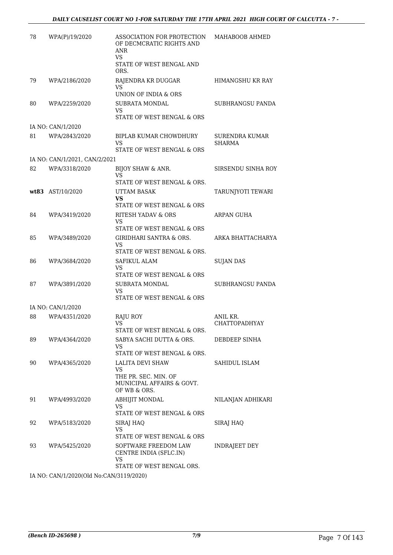| 78 | WPA(P)/19/2020                | ASSOCIATION FOR PROTECTION<br>OF DECMCRATIC RIGHTS AND<br>ANR<br><b>VS</b>               | MAHABOOB AHMED                  |
|----|-------------------------------|------------------------------------------------------------------------------------------|---------------------------------|
|    |                               | STATE OF WEST BENGAL AND<br>ORS.                                                         |                                 |
| 79 | WPA/2186/2020                 | RAJENDRA KR DUGGAR<br>VS                                                                 | HIMANGSHU KR RAY                |
|    |                               | UNION OF INDIA & ORS                                                                     |                                 |
| 80 | WPA/2259/2020                 | <b>SUBRATA MONDAL</b><br>VS.<br>STATE OF WEST BENGAL & ORS                               | <b>SUBHRANGSU PANDA</b>         |
|    | IA NO: CAN/1/2020             |                                                                                          |                                 |
| 81 | WPA/2843/2020                 | <b>BIPLAB KUMAR CHOWDHURY</b><br>VS                                                      | <b>SURENDRA KUMAR</b><br>SHARMA |
|    |                               | STATE OF WEST BENGAL & ORS                                                               |                                 |
|    | IA NO: CAN/1/2021, CAN/2/2021 |                                                                                          |                                 |
| 82 | WPA/3318/2020                 | BIJOY SHAW & ANR.<br>VS<br>STATE OF WEST BENGAL & ORS.                                   | SIRSENDU SINHA ROY              |
|    | wt83 AST/10/2020              | <b>UTTAM BASAK</b>                                                                       | TARUNJYOTI TEWARI               |
|    |                               | <b>VS</b><br>STATE OF WEST BENGAL & ORS                                                  |                                 |
| 84 | WPA/3419/2020                 | <b>RITESH YADAV &amp; ORS</b>                                                            | ARPAN GUHA                      |
|    |                               | VS                                                                                       |                                 |
|    |                               | STATE OF WEST BENGAL & ORS                                                               |                                 |
| 85 | WPA/3489/2020                 | GIRIDHARI SANTRA & ORS.<br>VS<br>STATE OF WEST BENGAL & ORS.                             | ARKA BHATTACHARYA               |
| 86 | WPA/3684/2020                 | SAFIKUL ALAM                                                                             | <b>SUJAN DAS</b>                |
|    |                               | VS<br>STATE OF WEST BENGAL & ORS                                                         |                                 |
| 87 | WPA/3891/2020                 | <b>SUBRATA MONDAL</b>                                                                    | SUBHRANGSU PANDA                |
|    |                               | VS.<br>STATE OF WEST BENGAL & ORS                                                        |                                 |
|    | IA NO: CAN/1/2020             |                                                                                          |                                 |
| 88 | WPA/4351/2020                 | RAJU ROY                                                                                 | ANIL KR.                        |
|    |                               | VS<br>STATE OF WEST BENGAL & ORS.                                                        | <b>CHATTOPADHYAY</b>            |
| 89 | WPA/4364/2020                 | SABYA SACHI DUTTA & ORS.                                                                 | DEBDEEP SINHA                   |
|    |                               | VS<br>STATE OF WEST BENGAL & ORS.                                                        |                                 |
| 90 | WPA/4365/2020                 | LALITA DEVI SHAW                                                                         | SAHIDUL ISLAM                   |
|    |                               | VS<br>THE PR. SEC. MIN. OF                                                               |                                 |
|    |                               | MUNICIPAL AFFAIRS & GOVT.<br>OF WB & ORS.                                                |                                 |
| 91 | WPA/4993/2020                 | <b>ABHIJIT MONDAL</b><br>VS                                                              | NILANJAN ADHIKARI               |
| 92 | WPA/5183/2020                 | STATE OF WEST BENGAL & ORS                                                               | SIRAJ HAQ                       |
|    |                               | SIRAJ HAQ<br>VS.<br>STATE OF WEST BENGAL & ORS                                           |                                 |
| 93 | WPA/5425/2020                 | SOFTWARE FREEDOM LAW<br>CENTRE INDIA (SFLC.IN)<br><b>VS</b><br>STATE OF WEST BENGAL ORS. | INDRAJEET DEY                   |
|    |                               |                                                                                          |                                 |

IA NO: CAN/1/2020(Old No:CAN/3119/2020)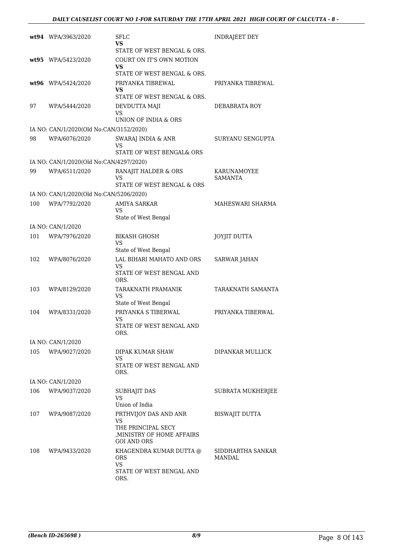|     | wt94 WPA/3963/2020                      | <b>SFLC</b><br>VS<br>STATE OF WEST BENGAL & ORS.                                                     | <b>INDRAJEET DEY</b>                 |
|-----|-----------------------------------------|------------------------------------------------------------------------------------------------------|--------------------------------------|
|     | wt95 WPA/5423/2020                      | COURT ON IT'S OWN MOTION<br>VS                                                                       |                                      |
|     | wt96 WPA/5424/2020                      | STATE OF WEST BENGAL & ORS.<br>PRIYANKA TIBREWAL                                                     | PRIYANKA TIBREWAL                    |
|     |                                         | VS<br>STATE OF WEST BENGAL & ORS.                                                                    |                                      |
| 97  | WPA/5444/2020                           | DEVDUTTA MAJI<br>VS<br>UNION OF INDIA & ORS                                                          | DEBABRATA ROY                        |
|     | IA NO: CAN/1/2020(Old No:CAN/3152/2020) |                                                                                                      |                                      |
| 98  | WPA/6076/2020                           | SWARAJ INDIA & ANR<br>VS<br>STATE OF WEST BENGAL& ORS                                                | SURYANU SENGUPTA                     |
|     | IA NO: CAN/1/2020(Old No:CAN/4297/2020) |                                                                                                      |                                      |
| 99  | WPA/6511/2020                           | RANAJIT HALDER & ORS<br>VS<br>STATE OF WEST BENGAL & ORS                                             | <b>KARUNAMOYEE</b><br><b>SAMANTA</b> |
|     | IA NO: CAN/1/2020(Old No:CAN/5206/2020) |                                                                                                      |                                      |
| 100 | WPA/7792/2020                           | <b>AMIYA SARKAR</b><br>VS<br>State of West Bengal                                                    | MAHESWARI SHARMA                     |
|     | IA NO: CAN/1/2020                       |                                                                                                      |                                      |
| 101 | WPA/7976/2020                           | <b>BIKASH GHOSH</b><br>VS<br>State of West Bengal                                                    | JOYJIT DUTTA                         |
| 102 | WPA/8076/2020                           | LAL BIHARI MAHATO AND ORS<br>VS<br>STATE OF WEST BENGAL AND<br>ORS.                                  | <b>SARWAR JAHAN</b>                  |
| 103 | WPA/8129/2020                           | TARAKNATH PRAMANIK<br>VS<br>State of West Bengal                                                     | TARAKNATH SAMANTA                    |
| 104 | WPA/8331/2020                           | PRIYANKA S TIBERWAL<br>VS<br>STATE OF WEST BENGAL AND<br>ORS.                                        | PRIYANKA TIBERWAL                    |
|     | IA NO: CAN/1/2020                       |                                                                                                      |                                      |
| 105 | WPA/9027/2020                           | DIPAK KUMAR SHAW<br>VS<br>STATE OF WEST BENGAL AND<br>ORS.                                           | DIPANKAR MULLICK                     |
|     | IA NO: CAN/1/2020                       |                                                                                                      |                                      |
| 106 | WPA/9037/2020                           | SUBHAJIT DAS                                                                                         | SUBRATA MUKHERJEE                    |
|     |                                         | VS<br>Union of India                                                                                 |                                      |
| 107 | WPA/9087/2020                           | PRTHVIJOY DAS AND ANR<br>VS<br>THE PRINCIPAL SECY<br>MINISTRY OF HOME AFFAIRS,<br><b>GOI AND ORS</b> | <b>BISWAJIT DUTTA</b>                |
| 108 | WPA/9433/2020                           | KHAGENDRA KUMAR DUTTA @<br><b>ORS</b><br>VS.<br>STATE OF WEST BENGAL AND<br>ORS.                     | SIDDHARTHA SANKAR<br>MANDAL          |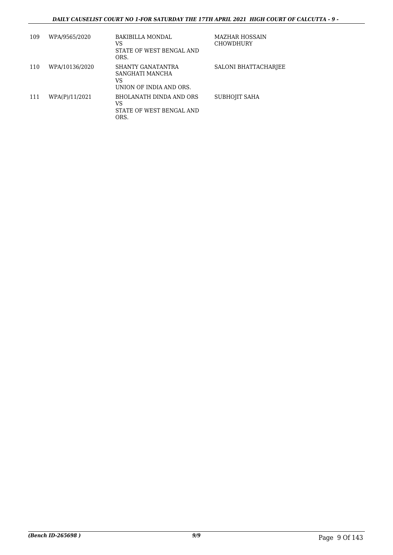#### *DAILY CAUSELIST COURT NO 1-FOR SATURDAY THE 17TH APRIL 2021 HIGH COURT OF CALCUTTA - 9 -*

| 109 | WPA/9565/2020  | BAKIBILLA MONDAL<br>VS<br>STATE OF WEST BENGAL AND<br>ORS.            | <b>MAZHAR HOSSAIN</b><br><b>CHOWDHURY</b> |
|-----|----------------|-----------------------------------------------------------------------|-------------------------------------------|
| 110 | WPA/10136/2020 | SHANTY GANATANTRA<br>SANGHATI MANCHA<br>VS<br>UNION OF INDIA AND ORS. | SALONI BHATTACHARJEE                      |
| 111 | WPA(P)/11/2021 | BHOLANATH DINDA AND ORS<br>VS<br>STATE OF WEST BENGAL AND<br>ORS.     | SUBHOJIT SAHA                             |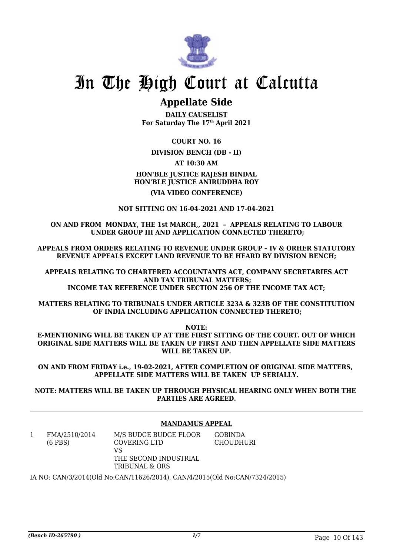

### **Appellate Side**

**DAILY CAUSELIST For Saturday The 17th April 2021**

**COURT NO. 16**

**DIVISION BENCH (DB - II)**

**AT 10:30 AM**

**HON'BLE JUSTICE RAJESH BINDAL HON'BLE JUSTICE ANIRUDDHA ROY (VIA VIDEO CONFERENCE)**

**NOT SITTING ON 16-04-2021 AND 17-04-2021**

#### **ON AND FROM MONDAY, THE 1st MARCH,, 2021 – APPEALS RELATING TO LABOUR UNDER GROUP III AND APPLICATION CONNECTED THERETO;**

**APPEALS FROM ORDERS RELATING TO REVENUE UNDER GROUP – IV & ORHER STATUTORY REVENUE APPEALS EXCEPT LAND REVENUE TO BE HEARD BY DIVISION BENCH;**

**APPEALS RELATING TO CHARTERED ACCOUNTANTS ACT, COMPANY SECRETARIES ACT AND TAX TRIBUNAL MATTERS; INCOME TAX REFERENCE UNDER SECTION 256 OF THE INCOME TAX ACT;**

**MATTERS RELATING TO TRIBUNALS UNDER ARTICLE 323A & 323B OF THE CONSTITUTION OF INDIA INCLUDING APPLICATION CONNECTED THERETO;**

**NOTE:**

**E-MENTIONING WILL BE TAKEN UP AT THE FIRST SITTING OF THE COURT. OUT OF WHICH ORIGINAL SIDE MATTERS WILL BE TAKEN UP FIRST AND THEN APPELLATE SIDE MATTERS WILL BE TAKEN UP.**

**ON AND FROM FRIDAY i.e., 19-02-2021, AFTER COMPLETION OF ORIGINAL SIDE MATTERS, APPELLATE SIDE MATTERS WILL BE TAKEN UP SERIALLY.**

**NOTE: MATTERS WILL BE TAKEN UP THROUGH PHYSICAL HEARING ONLY WHEN BOTH THE PARTIES ARE AGREED.**

#### **MANDAMUS APPEAL**

| FMA/2510/2014<br>$(6$ PBS) | M/S BUDGE BUDGE FLOOR<br>COVERING LTD<br>VS | <b>GOBINDA</b><br><b>CHOUDHURI</b> |  |
|----------------------------|---------------------------------------------|------------------------------------|--|
|                            | THE SECOND INDUSTRIAL<br>TRIBUNAL & ORS     |                                    |  |

IA NO: CAN/3/2014(Old No:CAN/11626/2014), CAN/4/2015(Old No:CAN/7324/2015)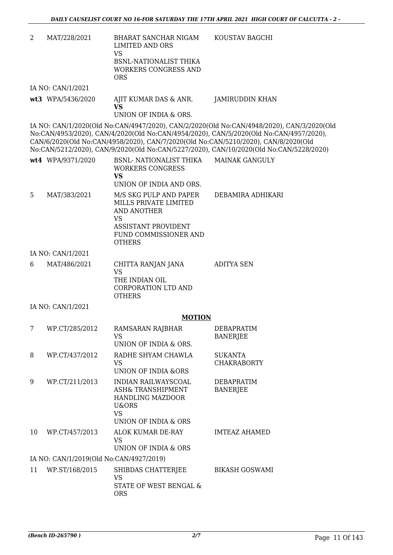| 2 | MAT/228/2021      | <b>BHARAT SANCHAR NIGAM</b><br><b>LIMITED AND ORS</b><br><b>VS</b><br>BSNL-NATIONALIST THIKA<br><b>WORKERS CONGRESS AND</b><br><b>ORS</b>                         | KOUSTAV BAGCHI                                                                                                                                                                                                                                                                                                                                                      |
|---|-------------------|-------------------------------------------------------------------------------------------------------------------------------------------------------------------|---------------------------------------------------------------------------------------------------------------------------------------------------------------------------------------------------------------------------------------------------------------------------------------------------------------------------------------------------------------------|
|   | IA NO: CAN/1/2021 |                                                                                                                                                                   |                                                                                                                                                                                                                                                                                                                                                                     |
|   | wt3 WPA/5436/2020 | AJIT KUMAR DAS & ANR.<br><b>VS</b><br>UNION OF INDIA & ORS.                                                                                                       | JAMIRUDDIN KHAN                                                                                                                                                                                                                                                                                                                                                     |
|   |                   |                                                                                                                                                                   | IA NO: CAN/1/2020(Old No:CAN/4947/2020), CAN/2/2020(Old No:CAN/4948/2020), CAN/3/2020(Old<br>No:CAN/4953/2020), CAN/4/2020(Old No:CAN/4954/2020), CAN/5/2020(Old No:CAN/4957/2020),<br>CAN/6/2020(Old No:CAN/4958/2020), CAN/7/2020(Old No:CAN/5210/2020), CAN/8/2020(Old<br>No:CAN/5212/2020), CAN/9/2020(Old No:CAN/5227/2020), CAN/10/2020(Old No:CAN/5228/2020) |
|   | wt4 WPA/9371/2020 | BSNL- NATIONALIST THIKA<br><b>WORKERS CONGRESS</b><br><b>VS</b><br>UNION OF INDIA AND ORS.                                                                        | <b>MAINAK GANGULY</b>                                                                                                                                                                                                                                                                                                                                               |
| 5 | MAT/383/2021      | M/S SKG PULP AND PAPER<br>MILLS PRIVATE LIMITED<br><b>AND ANOTHER</b><br><b>VS</b><br><b>ASSISTANT PROVIDENT</b><br><b>FUND COMMISSIONER AND</b><br><b>OTHERS</b> | DEBAMIRA ADHIKARI                                                                                                                                                                                                                                                                                                                                                   |
|   | IA NO: CAN/1/2021 |                                                                                                                                                                   |                                                                                                                                                                                                                                                                                                                                                                     |
|   |                   |                                                                                                                                                                   |                                                                                                                                                                                                                                                                                                                                                                     |

| 6 | MAT/486/2021 | CHITTA RANJAN JANA  | ADITYA SEN |
|---|--------------|---------------------|------------|
|   |              | VS.                 |            |
|   |              | THE INDIAN OIL      |            |
|   |              | CORPORATION LTD AND |            |
|   |              | <b>OTHERS</b>       |            |

IA NO: CAN/1/2021

#### **MOTION**

| 7  | WP.CT/285/2012                          | RAMSARAN RAJBHAR<br>VS.<br>UNION OF INDIA & ORS.                                                     | <b>DEBAPRATIM</b><br><b>BANERJEE</b> |
|----|-----------------------------------------|------------------------------------------------------------------------------------------------------|--------------------------------------|
| 8  | WP.CT/437/2012                          | RADHE SHYAM CHAWLA<br>VS.<br>UNION OF INDIA &ORS                                                     | <b>SUKANTA</b><br><b>CHAKRABORTY</b> |
| 9  | WP.CT/211/2013                          | INDIAN RAILWAYSCOAL<br>ASH& TRANSHIPMENT<br>HANDLING MAZDOOR<br>U&ORS<br>VS.<br>UNION OF INDIA & ORS | <b>DEBAPRATIM</b><br><b>BANERJEE</b> |
| 10 | WP.CT/457/2013                          | ALOK KUMAR DE-RAY<br>VS.<br>UNION OF INDIA & ORS                                                     | <b>IMTEAZ AHAMED</b>                 |
|    | IA NO: CAN/1/2019(Old No:CAN/4927/2019) |                                                                                                      |                                      |
| 11 | WP.ST/168/2015                          | SHIBDAS CHATTERJEE<br>VS.<br>STATE OF WEST BENGAL &<br><b>ORS</b>                                    | <b>BIKASH GOSWAMI</b>                |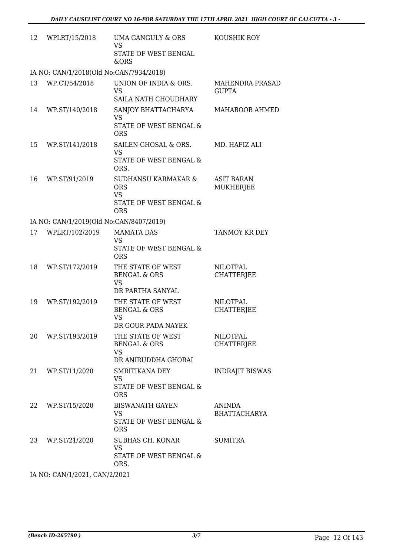| 12 | WPLRT/15/2018                           | UMA GANGULY & ORS<br><b>VS</b>                                                         | KOUSHIK ROY                            |
|----|-----------------------------------------|----------------------------------------------------------------------------------------|----------------------------------------|
|    |                                         | STATE OF WEST BENGAL<br>&ORS                                                           |                                        |
|    | IA NO: CAN/1/2018(Old No:CAN/7934/2018) |                                                                                        |                                        |
| 13 | WP.CT/54/2018                           | UNION OF INDIA & ORS.<br>VS<br>SAILA NATH CHOUDHARY                                    | <b>MAHENDRA PRASAD</b><br><b>GUPTA</b> |
| 14 | WP.ST/140/2018                          | SANJOY BHATTACHARYA<br>VS<br><b>STATE OF WEST BENGAL &amp;</b>                         | MAHABOOB AHMED                         |
| 15 | WP.ST/141/2018                          | <b>ORS</b><br>SAILEN GHOSAL & ORS.<br><b>VS</b><br>STATE OF WEST BENGAL &<br>ORS.      | MD. HAFIZ ALI                          |
| 16 | WP.ST/91/2019                           | SUDHANSU KARMAKAR &<br><b>ORS</b><br><b>VS</b><br>STATE OF WEST BENGAL &<br><b>ORS</b> | <b>ASIT BARAN</b><br>MUKHERJEE         |
|    | IA NO: CAN/1/2019(Old No:CAN/8407/2019) |                                                                                        |                                        |
| 17 | WPLRT/102/2019                          | <b>MAMATA DAS</b><br>VS<br>STATE OF WEST BENGAL &<br><b>ORS</b>                        | TANMOY KR DEY                          |
| 18 | WP.ST/172/2019                          | THE STATE OF WEST<br><b>BENGAL &amp; ORS</b><br><b>VS</b><br>DR PARTHA SANYAL          | <b>NILOTPAL</b><br><b>CHATTERJEE</b>   |
| 19 | WP.ST/192/2019                          | THE STATE OF WEST<br><b>BENGAL &amp; ORS</b><br>VS<br>DR GOUR PADA NAYEK               | <b>NILOTPAL</b><br><b>CHATTERJEE</b>   |
| 20 | WP.ST/193/2019                          | THE STATE OF WEST<br><b>BENGAL &amp; ORS</b><br>VS<br>DR ANIRUDDHA GHORAI              | NILOTPAL<br><b>CHATTERJEE</b>          |
| 21 | WP.ST/11/2020                           | SMRITIKANA DEY<br><b>VS</b><br>STATE OF WEST BENGAL &<br><b>ORS</b>                    | <b>INDRAJIT BISWAS</b>                 |
| 22 | WP.ST/15/2020                           | <b>BISWANATH GAYEN</b><br>VS<br>STATE OF WEST BENGAL &<br><b>ORS</b>                   | ANINDA<br><b>BHATTACHARYA</b>          |
| 23 | WP.ST/21/2020                           | SUBHAS CH. KONAR<br><b>VS</b><br>STATE OF WEST BENGAL &<br>ORS.                        | <b>SUMITRA</b>                         |
|    | IA NO: CAN/1/2021, CAN/2/2021           |                                                                                        |                                        |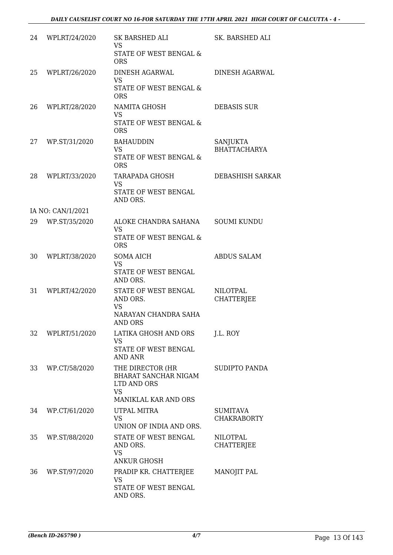| 24 | WPLRT/24/2020     | SK BARSHED ALI<br><b>VS</b><br>STATE OF WEST BENGAL &<br><b>ORS</b>                          | SK. BARSHED ALI                       |
|----|-------------------|----------------------------------------------------------------------------------------------|---------------------------------------|
| 25 | WPLRT/26/2020     | <b>DINESH AGARWAL</b><br><b>VS</b><br>STATE OF WEST BENGAL &<br><b>ORS</b>                   | <b>DINESH AGARWAL</b>                 |
| 26 | WPLRT/28/2020     | NAMITA GHOSH<br><b>VS</b><br>STATE OF WEST BENGAL &<br><b>ORS</b>                            | <b>DEBASIS SUR</b>                    |
| 27 | WP.ST/31/2020     | <b>BAHAUDDIN</b><br><b>VS</b><br>STATE OF WEST BENGAL &<br><b>ORS</b>                        | SANJUKTA<br><b>BHATTACHARYA</b>       |
| 28 | WPLRT/33/2020     | <b>TARAPADA GHOSH</b><br><b>VS</b><br>STATE OF WEST BENGAL<br>AND ORS.                       | <b>DEBASHISH SARKAR</b>               |
|    | IA NO: CAN/1/2021 |                                                                                              |                                       |
| 29 | WP.ST/35/2020     | ALOKE CHANDRA SAHANA<br><b>VS</b><br>STATE OF WEST BENGAL &<br><b>ORS</b>                    | <b>SOUMI KUNDU</b>                    |
| 30 | WPLRT/38/2020     | <b>SOMA AICH</b><br><b>VS</b><br>STATE OF WEST BENGAL<br>AND ORS.                            | <b>ABDUS SALAM</b>                    |
| 31 | WPLRT/42/2020     | STATE OF WEST BENGAL<br>AND ORS.<br><b>VS</b><br>NARAYAN CHANDRA SAHA<br><b>AND ORS</b>      | <b>NILOTPAL</b><br><b>CHATTERJEE</b>  |
| 32 | WPLRT/51/2020     | LATIKA GHOSH AND ORS<br><b>VS</b><br>STATE OF WEST BENGAL<br><b>AND ANR</b>                  | J.L. ROY                              |
| 33 | WP.CT/58/2020     | THE DIRECTOR (HR<br>BHARAT SANCHAR NIGAM<br>LTD AND ORS<br><b>VS</b><br>MANIKLAL KAR AND ORS | SUDIPTO PANDA                         |
| 34 | WP.CT/61/2020     | UTPAL MITRA<br><b>VS</b><br>UNION OF INDIA AND ORS.                                          | <b>SUMITAVA</b><br><b>CHAKRABORTY</b> |
| 35 | WP.ST/88/2020     | STATE OF WEST BENGAL<br>AND ORS.<br><b>VS</b><br>ANKUR GHOSH                                 | NILOTPAL<br><b>CHATTERJEE</b>         |
| 36 | WP.ST/97/2020     | PRADIP KR. CHATTERJEE<br><b>VS</b><br>STATE OF WEST BENGAL<br>AND ORS.                       | MANOJIT PAL                           |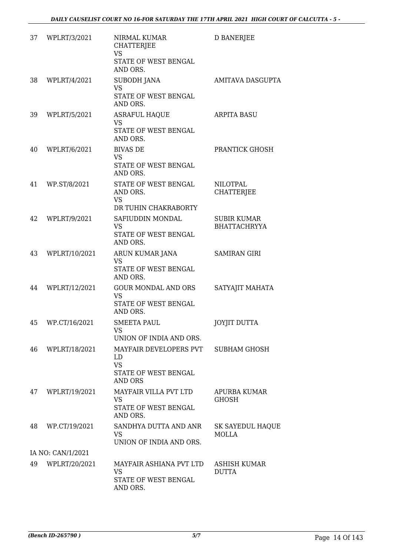| WPLRT/3/2021      | NIRMAL KUMAR<br><b>CHATTERJEE</b><br><b>VS</b><br>STATE OF WEST BENGAL<br>AND ORS.  | <b>D BANERJEE</b>                         |
|-------------------|-------------------------------------------------------------------------------------|-------------------------------------------|
| WPLRT/4/2021      | <b>SUBODH JANA</b><br><b>VS</b><br>STATE OF WEST BENGAL                             | AMITAVA DASGUPTA                          |
| WPLRT/5/2021      | <b>ASRAFUL HAQUE</b><br><b>VS</b><br><b>STATE OF WEST BENGAL</b><br>AND ORS.        | <b>ARPITA BASU</b>                        |
| WPLRT/6/2021      | <b>BIVAS DE</b><br><b>VS</b><br>STATE OF WEST BENGAL<br>AND ORS.                    | PRANTICK GHOSH                            |
| WP.ST/8/2021      | STATE OF WEST BENGAL<br>AND ORS.<br><b>VS</b><br>DR TUHIN CHAKRABORTY               | <b>NILOTPAL</b><br><b>CHATTERJEE</b>      |
| WPLRT/9/2021      | SAFIUDDIN MONDAL<br><b>VS</b><br>STATE OF WEST BENGAL<br>AND ORS.                   | <b>SUBIR KUMAR</b><br><b>BHATTACHRYYA</b> |
| WPLRT/10/2021     | ARUN KUMAR JANA<br><b>VS</b><br>STATE OF WEST BENGAL<br>AND ORS.                    | <b>SAMIRAN GIRI</b>                       |
| WPLRT/12/2021     | <b>GOUR MONDAL AND ORS</b><br><b>VS</b><br>STATE OF WEST BENGAL<br>AND ORS.         | SATYAJIT MAHATA                           |
| WP.CT/16/2021     | <b>SMEETA PAUL</b><br>VS<br>UNION OF INDIA AND ORS.                                 | <b>JOYJIT DUTTA</b>                       |
| WPLRT/18/2021     | MAYFAIR DEVELOPERS PVT<br>LD<br><b>VS</b><br>STATE OF WEST BENGAL<br><b>AND ORS</b> | SUBHAM GHOSH                              |
| WPLRT/19/2021     | MAYFAIR VILLA PVT LTD<br><b>VS</b><br>STATE OF WEST BENGAL<br>AND ORS.              | <b>APURBA KUMAR</b><br><b>GHOSH</b>       |
| WP.CT/19/2021     | SANDHYA DUTTA AND ANR<br><b>VS</b><br>UNION OF INDIA AND ORS.                       | SK SAYEDUL HAQUE<br><b>MOLLA</b>          |
| IA NO: CAN/1/2021 |                                                                                     |                                           |
| WPLRT/20/2021     | MAYFAIR ASHIANA PVT LTD<br><b>VS</b><br>STATE OF WEST BENGAL                        | ASHISH KUMAR<br><b>DUTTA</b>              |
|                   |                                                                                     | AND ORS.<br>AND ORS.                      |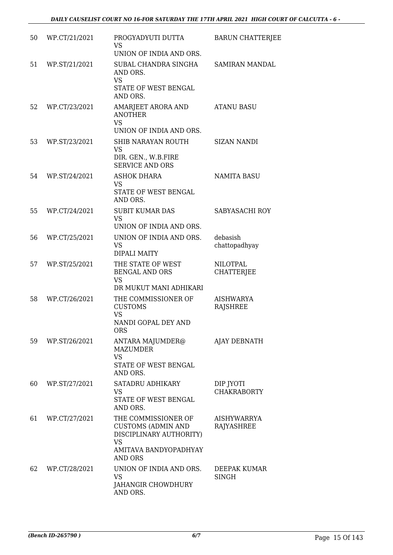| 50 | WP.CT/21/2021 | PROGYADYUTI DUTTA<br><b>VS</b><br>UNION OF INDIA AND ORS.                                                                           | <b>BARUN CHATTERJEE</b>                 |
|----|---------------|-------------------------------------------------------------------------------------------------------------------------------------|-----------------------------------------|
| 51 | WP.ST/21/2021 | SUBAL CHANDRA SINGHA<br>AND ORS.<br><b>VS</b><br>STATE OF WEST BENGAL<br>AND ORS.                                                   | <b>SAMIRAN MANDAL</b>                   |
| 52 | WP.CT/23/2021 | AMARJEET ARORA AND<br><b>ANOTHER</b><br><b>VS</b><br>UNION OF INDIA AND ORS.                                                        | <b>ATANU BASU</b>                       |
| 53 | WP.ST/23/2021 | SHIB NARAYAN ROUTH<br><b>VS</b><br>DIR. GEN., W.B.FIRE<br><b>SERVICE AND ORS</b>                                                    | <b>SIZAN NANDI</b>                      |
| 54 | WP.ST/24/2021 | <b>ASHOK DHARA</b><br><b>VS</b><br>STATE OF WEST BENGAL<br>AND ORS.                                                                 | <b>NAMITA BASU</b>                      |
| 55 | WP.CT/24/2021 | <b>SUBIT KUMAR DAS</b><br><b>VS</b><br>UNION OF INDIA AND ORS.                                                                      | SABYASACHI ROY                          |
| 56 | WP.CT/25/2021 | UNION OF INDIA AND ORS.<br><b>VS</b><br><b>DIPALI MAITY</b>                                                                         | debasish<br>chattopadhyay               |
| 57 | WP.ST/25/2021 | THE STATE OF WEST<br><b>BENGAL AND ORS</b><br><b>VS</b><br>DR MUKUT MANI ADHIKARI                                                   | <b>NILOTPAL</b><br><b>CHATTERJEE</b>    |
| 58 | WP.CT/26/2021 | THE COMMISSIONER OF<br><b>CUSTOMS</b><br><b>VS</b><br>NANDI GOPAL DEY AND<br>ORS                                                    | <b>AISHWARYA</b><br><b>RAJSHREE</b>     |
| 59 | WP.ST/26/2021 | ANTARA MAJUMDER@<br><b>MAZUMDER</b><br><b>VS</b><br>STATE OF WEST BENGAL<br>AND ORS.                                                | AJAY DEBNATH                            |
| 60 | WP.ST/27/2021 | SATADRU ADHIKARY<br><b>VS</b><br>STATE OF WEST BENGAL<br>AND ORS.                                                                   | DIP JYOTI<br><b>CHAKRABORTY</b>         |
| 61 | WP.CT/27/2021 | THE COMMISSIONER OF<br><b>CUSTOMS (ADMIN AND</b><br>DISCIPLINARY AUTHORITY)<br><b>VS</b><br>AMITAVA BANDYOPADHYAY<br><b>AND ORS</b> | <b>AISHYWARRYA</b><br><b>RAJYASHREE</b> |
| 62 | WP.CT/28/2021 | UNION OF INDIA AND ORS.<br><b>VS</b><br>JAHANGIR CHOWDHURY<br>AND ORS.                                                              | DEEPAK KUMAR<br><b>SINGH</b>            |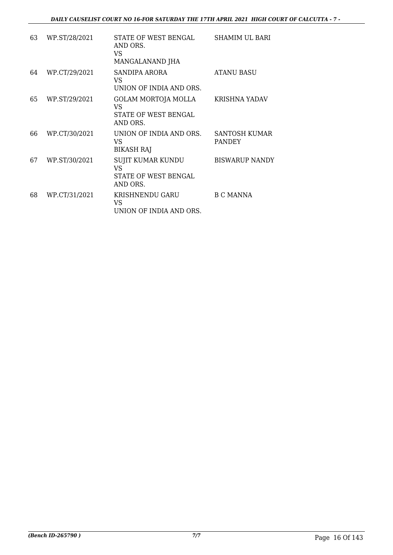| 63 | WP.ST/28/2021 | STATE OF WEST BENGAL<br>AND ORS.<br>VS.<br>MANGALANAND JHA                | SHAMIM UL BARI                        |
|----|---------------|---------------------------------------------------------------------------|---------------------------------------|
| 64 | WP.CT/29/2021 | SANDIPA ARORA<br>VS.<br>UNION OF INDIA AND ORS.                           | <b>ATANU BASU</b>                     |
| 65 | WP.ST/29/2021 | GOLAM MORTOJA MOLLA<br>VS.<br>STATE OF WEST BENGAL<br>AND ORS.            | KRISHNA YADAV                         |
| 66 | WP.CT/30/2021 | UNION OF INDIA AND ORS.<br>VS.<br><b>BIKASH RAJ</b>                       | <b>SANTOSH KUMAR</b><br><b>PANDEY</b> |
| 67 | WP.ST/30/2021 | <b>SUJIT KUMAR KUNDU</b><br><b>VS</b><br>STATE OF WEST BENGAL<br>AND ORS. | <b>BISWARUP NANDY</b>                 |
| 68 | WP.CT/31/2021 | KRISHNENDU GARU<br>VS.<br>UNION OF INDIA AND ORS.                         | <b>B C MANNA</b>                      |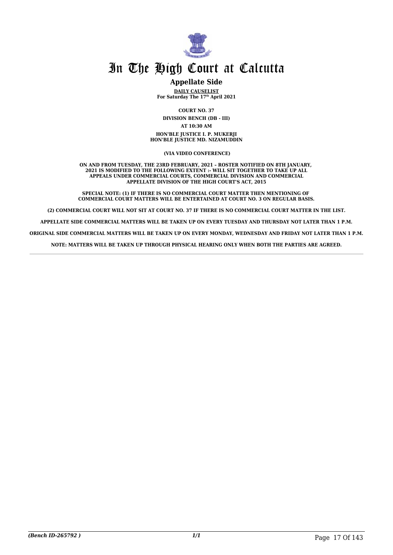

#### **Appellate Side**

**DAILY CAUSELIST For Saturday The 17th April 2021**

**COURT NO. 37 DIVISION BENCH (DB - III) AT 10:30 AM HON'BLE JUSTICE I. P. MUKERJI HON'BLE JUSTICE MD. NIZAMUDDIN**

 **(VIA VIDEO CONFERENCE)**

**ON AND FROM TUESDAY, THE 23RD FEBRUARY, 2021 – ROSTER NOTIFIED ON 8TH JANUARY, 2021 IS MODIFIED TO THE FOLLOWING EXTENT :- WILL SIT TOGETHER TO TAKE UP ALL APPEALS UNDER COMMERCIAL COURTS, COMMERCIAL DIVISION AND COMMERCIAL APPELLATE DIVISION OF THE HIGH COURT'S ACT, 2015**

**SPECIAL NOTE: (1) IF THERE IS NO COMMERCIAL COURT MATTER THEN MENTIONING OF COMMERCIAL COURT MATTERS WILL BE ENTERTAINED AT COURT NO. 3 ON REGULAR BASIS.**

**(2) COMMERCIAL COURT WILL NOT SIT AT COURT NO. 37 IF THERE IS NO COMMERCIAL COURT MATTER IN THE LIST.**

**APPELLATE SIDE COMMERCIAL MATTERS WILL BE TAKEN UP ON EVERY TUESDAY AND THURSDAY NOT LATER THAN 1 P.M.**

**ORIGINAL SIDE COMMERCIAL MATTERS WILL BE TAKEN UP ON EVERY MONDAY, WEDNESDAY AND FRIDAY NOT LATER THAN 1 P.M.**

**NOTE: MATTERS WILL BE TAKEN UP THROUGH PHYSICAL HEARING ONLY WHEN BOTH THE PARTIES ARE AGREED.**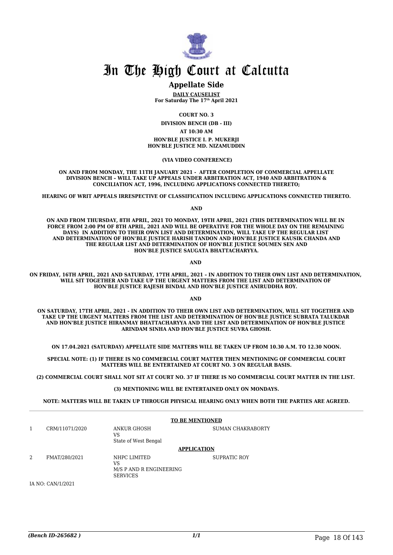

#### **Appellate Side**

**DAILY CAUSELIST For Saturday The 17th April 2021**

**COURT NO. 3**

**DIVISION BENCH (DB - III)**

**AT 10:30 AM**

**HON'BLE JUSTICE I. P. MUKERJI HON'BLE JUSTICE MD. NIZAMUDDIN**

 **(VIA VIDEO CONFERENCE)**

**ON AND FROM MONDAY, THE 11TH JANUARY 2021 - AFTER COMPLETION OF COMMERCIAL APPELLATE DIVISION BENCH – WILL TAKE UP APPEALS UNDER ARBITRATION ACT, 1940 AND ARBITRATION & CONCILIATION ACT, 1996, INCLUDING APPLICATIONS CONNECTED THERETO;**

**HEARING OF WRIT APPEALS IRRESPECTIVE OF CLASSIFICATION INCLUDING APPLICATIONS CONNECTED THERETO.**

**AND**

**ON AND FROM THURSDAY, 8TH APRIL, 2021 TO MONDAY, 19TH APRIL, 2021 (THIS DETERMINATION WILL BE IN FORCE FROM 2:00 PM OF 8TH APRIL, 2021 AND WILL BE OPERATIVE FOR THE WHOLE DAY ON THE REMAINING DAYS) IN ADDITION TO THEIR OWN LIST AND DETERMINATION, WILL TAKE UP THE REGULAR LIST AND DETERMINATION OF HON'BLE JUSTICE HARISH TANDON AND HON'BLE JUSTICE KAUSIK CHANDA AND THE REGULAR LIST AND DETERMINATION OF HON'BLE JUSTICE SOUMEN SEN AND HON'BLE JUSTICE SAUGATA BHATTACHARYYA.**

**AND** 

**ON FRIDAY, 16TH APRIL, 2021 AND SATURDAY, 17TH APRIL, 2021 – IN ADDITION TO THEIR OWN LIST AND DETERMINATION, WILL SIT TOGETHER AND TAKE UP THE URGENT MATTERS FROM THE LIST AND DETERMINATION OF HON'BLE JUSTICE RAJESH BINDAL AND HON'BLE JUSTICE ANIRUDDHA ROY.** 

**AND** 

**ON SATURDAY, 17TH APRIL, 2021 - IN ADDITION TO THEIR OWN LIST AND DETERMINATION, WILL SIT TOGETHER AND TAKE UP THE URGENT MATTERS FROM THE LIST AND DETERMINATION OF HON'BLE JUSTICE SUBRATA TALUKDAR AND HON'BLE JUSTICE HIRANMAY BHATTACHARYYA AND THE LIST AND DETERMINATION OF HON'BLE JUSTICE ARINDAM SINHA AND HON'BLE JUSTICE SUVRA GHOSH.**

**ON 17.04.2021 (SATURDAY) APPELLATE SIDE MATTERS WILL BE TAKEN UP FROM 10.30 A.M. TO 12.30 NOON.**

**SPECIAL NOTE: (1) IF THERE IS NO COMMERCIAL COURT MATTER THEN MENTIONING OF COMMERCIAL COURT MATTERS WILL BE ENTERTAINED AT COURT NO. 3 ON REGULAR BASIS.**

**(2) COMMERCIAL COURT SHALL NOT SIT AT COURT NO. 37 IF THERE IS NO COMMERCIAL COURT MATTER IN THE LIST.** 

**(3) MENTIONING WILL BE ENTERTAINED ONLY ON MONDAYS.**

**NOTE: MATTERS WILL BE TAKEN UP THROUGH PHYSICAL HEARING ONLY WHEN BOTH THE PARTIES ARE AGREED.**

|   |                   |                                                                  | <b>TO BE MENTIONED</b>   |
|---|-------------------|------------------------------------------------------------------|--------------------------|
| 1 | CRM/11071/2020    | ANKUR GHOSH<br>VS<br>State of West Bengal                        | <b>SUMAN CHAKRABORTY</b> |
|   |                   |                                                                  | <b>APPLICATION</b>       |
| 2 | FMAT/280/2021     | NHPC LIMITED<br>VS<br>M/S P AND R ENGINEERING<br><b>SERVICES</b> | SUPRATIC ROY             |
|   | IA NO: CAN/1/2021 |                                                                  |                          |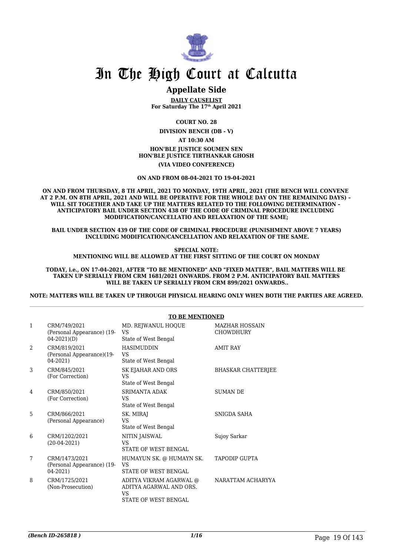

### **Appellate Side**

**DAILY CAUSELIST For Saturday The 17th April 2021**

**COURT NO. 28**

**DIVISION BENCH (DB - V)**

**AT 10:30 AM**

**HON'BLE JUSTICE SOUMEN SEN HON'BLE JUSTICE TIRTHANKAR GHOSH**

**(VIA VIDEO CONFERENCE)**

**ON AND FROM 08-04-2021 TO 19-04-2021**

**ON AND FROM THURSDAY, 8 TH APRIL, 2021 TO MONDAY, 19TH APRIL, 2021 (THE BENCH WILL CONVENE AT 2 P.M. ON 8TH APRIL, 2021 AND WILL BE OPERATIVE FOR THE WHOLE DAY ON THE REMAINING DAYS) – WILL SIT TOGETHER AND TAKE UP THE MATTERS RELATED TO THE FOLLOWING DETERMINATION – ANTICIPATORY BAIL UNDER SECTION 438 OF THE CODE OF CRIMINAL PROCEDURE INCLUDING MODIFICATION/CANCELLATIO AND RELAXATION OF THE SAME;**

**BAIL UNDER SECTION 439 OF THE CODE OF CRIMINAL PROCEDURE (PUNISHMENT ABOVE 7 YEARS) INCLUDING MODIFICATION/CANCELLATION AND RELAXATION OF THE SAME.**

**SPECIAL NOTE: MENTIONING WILL BE ALLOWED AT THE FIRST SITTING OF THE COURT ON MONDAY**

**TODAY, i.e., ON 17-04-2021, AFTER "TO BE MENTIONED" AND "FIXED MATTER", BAIL MATTERS WILL BE TAKEN UP SERIALLY FROM CRM 1681/2021 ONWARDS. FROM 2 P.M. ANTICIPATORY BAIL MATTERS WILL BE TAKEN UP SERIALLY FROM CRM 899/2021 ONWARDS..**

**NOTE: MATTERS WILL BE TAKEN UP THROUGH PHYSICAL HEARING ONLY WHEN BOTH THE PARTIES ARE AGREED.**

|                |                                                               | <b>TO BE MENTIONED</b>                                                                         |                                           |
|----------------|---------------------------------------------------------------|------------------------------------------------------------------------------------------------|-------------------------------------------|
| $\mathbf{1}$   | CRM/749/2021<br>(Personal Appearance) (19-<br>$04 - 2021($ D) | MD. REJWANUL HOQUE<br>VS<br>State of West Bengal                                               | <b>MAZHAR HOSSAIN</b><br><b>CHOWDHURY</b> |
| $\overline{2}$ | CRM/819/2021<br>(Personal Appearance)(19-<br>$04 - 2021$      | <b>HASIMUDDIN</b><br>VS<br>State of West Bengal                                                | <b>AMIT RAY</b>                           |
| 3              | CRM/845/2021<br>(For Correction)                              | SK EJAHAR AND ORS<br><b>VS</b><br>State of West Bengal                                         | <b>BHASKAR CHATTERJEE</b>                 |
| 4              | CRM/850/2021<br>(For Correction)                              | <b>SRIMANTA ADAK</b><br>VS<br>State of West Bengal                                             | <b>SUMAN DE</b>                           |
| 5              | CRM/866/2021<br>(Personal Appearance)                         | SK. MIRAJ<br>VS<br>State of West Bengal                                                        | SNIGDA SAHA                               |
| 6              | CRM/1202/2021<br>$(20-04-2021)$                               | NITIN JAISWAL<br><b>VS</b><br><b>STATE OF WEST BENGAL</b>                                      | Sujoy Sarkar                              |
| 7              | CRM/1473/2021<br>(Personal Appearance) (19-<br>04-2021)       | HUMAYUN SK. @ HUMAYN SK.<br>VS<br>STATE OF WEST BENGAL                                         | <b>TAPODIP GUPTA</b>                      |
| 8              | CRM/1725/2021<br>(Non-Prosecution)                            | ADITYA VIKRAM AGARWAL @<br>ADITYA AGARWAL AND ORS.<br><b>VS</b><br><b>STATE OF WEST BENGAL</b> | NARATTAM ACHARYYA                         |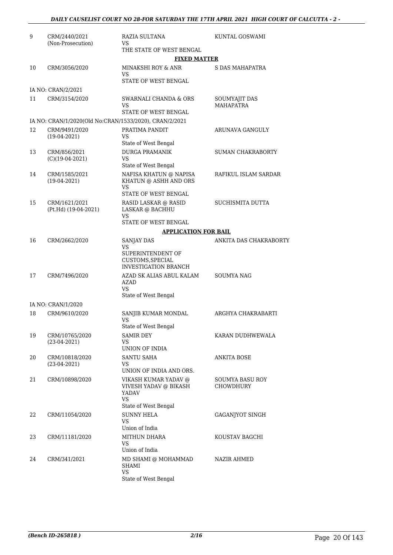| 9  | CRM/2440/2021<br>(Non-Prosecution)    | RAZIA SULTANA<br>VS                                                  | KUNTAL GOSWAMI                      |
|----|---------------------------------------|----------------------------------------------------------------------|-------------------------------------|
|    |                                       | THE STATE OF WEST BENGAL                                             |                                     |
|    |                                       | <b>FIXED MATTER</b>                                                  |                                     |
| 10 | CRM/3056/2020                         | MINAKSHI ROY & ANR<br>VS                                             | S DAS MAHAPATRA                     |
|    |                                       | STATE OF WEST BENGAL                                                 |                                     |
|    | IA NO: CRAN/2/2021                    |                                                                      |                                     |
| 11 | CRM/3154/2020                         | SWARNALI CHANDA & ORS<br>VS                                          | SOUMYAJIT DAS<br><b>MAHAPATRA</b>   |
|    |                                       | STATE OF WEST BENGAL                                                 |                                     |
|    |                                       | IA NO: CRAN/1/2020(Old No:CRAN/1533/2020), CRAN/2/2021               |                                     |
| 12 | CRM/9491/2020<br>$(19-04-2021)$       | PRATIMA PANDIT<br>VS<br>State of West Bengal                         | ARUNAVA GANGULY                     |
| 13 | CRM/856/2021                          | <b>DURGA PRAMANIK</b>                                                | SUMAN CHAKRABORTY                   |
|    | $(C)(19-04-2021)$                     | <b>VS</b><br>State of West Bengal                                    |                                     |
| 14 | CRM/1585/2021<br>$(19-04-2021)$       | NAFISA KHATUN @ NAPISA<br>KHATUN @ ASHH AND ORS                      | RAFIKUL ISLAM SARDAR                |
|    |                                       | VS                                                                   |                                     |
|    |                                       | STATE OF WEST BENGAL                                                 |                                     |
| 15 | CRM/1621/2021<br>(Pt.Hd) (19-04-2021) | RASID LASKAR @ RASID<br>LASKAR @ BACHHU<br>VS                        | <b>SUCHISMITA DUTTA</b>             |
|    |                                       | STATE OF WEST BENGAL                                                 |                                     |
|    |                                       | <b>APPLICATION FOR BAIL</b>                                          |                                     |
| 16 | CRM/2662/2020                         | <b>SANJAY DAS</b>                                                    | ANKITA DAS CHAKRABORTY              |
|    |                                       | VS                                                                   |                                     |
|    |                                       | SUPERINTENDENT OF<br>CUSTOMS, SPECIAL<br><b>INVESTIGATION BRANCH</b> |                                     |
| 17 | CRM/7496/2020                         | AZAD SK ALIAS ABUL KALAM                                             | <b>SOUMYA NAG</b>                   |
|    |                                       | AZAD<br>VS                                                           |                                     |
|    |                                       | State of West Bengal                                                 |                                     |
|    | IA NO: CRAN/1/2020                    |                                                                      |                                     |
| 18 | CRM/9610/2020                         | SANJIB KUMAR MONDAL<br>VS                                            | ARGHYA CHAKRABARTI                  |
|    |                                       | State of West Bengal                                                 |                                     |
| 19 | CRM/10765/2020<br>$(23-04-2021)$      | <b>SAMIR DEY</b><br>VS                                               | KARAN DUDHWEWALA                    |
|    |                                       | UNION OF INDIA                                                       |                                     |
| 20 | CRM/10818/2020                        | <b>SANTU SAHA</b>                                                    | ANKITA BOSE                         |
|    | $(23-04-2021)$                        | VS<br>UNION OF INDIA AND ORS.                                        |                                     |
| 21 | CRM/10898/2020                        | VIKASH KUMAR YADAV @<br>VIVESH YADAV @ BIKASH                        | SOUMYA BASU ROY<br><b>CHOWDHURY</b> |
|    |                                       | <b>YADAV</b><br><b>VS</b>                                            |                                     |
| 22 |                                       | State of West Bengal<br><b>SUNNY HELA</b>                            |                                     |
|    | CRM/11054/2020                        | VS<br>Union of India                                                 | GAGANJYOT SINGH                     |
| 23 | CRM/11181/2020                        | MITHUN DHARA                                                         | KOUSTAV BAGCHI                      |
|    |                                       | VS                                                                   |                                     |
|    |                                       | Union of India                                                       |                                     |
| 24 | CRM/341/2021                          | MD SHAMI @ MOHAMMAD<br><b>SHAMI</b><br><b>VS</b>                     | NAZIR AHMED                         |
|    |                                       | State of West Bengal                                                 |                                     |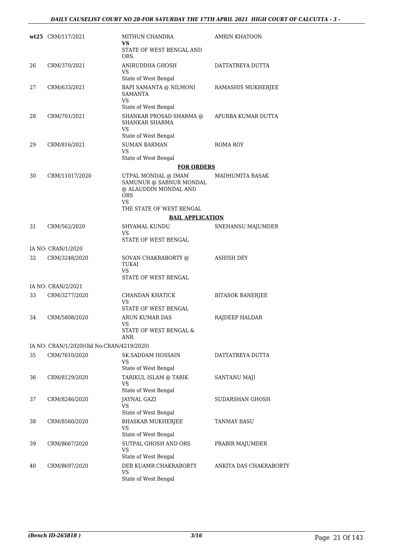|    | wt25 CRM/117/2021                         | MITHUN CHANDRA<br>VS                                                                        | <b>AMRIN KHATOON</b>    |
|----|-------------------------------------------|---------------------------------------------------------------------------------------------|-------------------------|
|    |                                           | STATE OF WEST BENGAL AND<br>ORS.                                                            |                         |
| 26 | CRM/370/2021                              | ANIRUDDHA GHOSH<br>VS                                                                       | DATTATREYA DUTTA        |
| 27 | CRM/633/2021                              | State of West Bengal                                                                        |                         |
|    |                                           | BAPI SAMANTA @ NILMONI<br><b>SAMANTA</b><br>VS<br>State of West Bengal                      | RAMASHIS MUKHERJEE      |
| 28 | CRM/701/2021                              | SHANKAR PROSAD SHARMA @<br><b>SHANKAR SHARMA</b><br><b>VS</b>                               | APURBA KUMAR DUTTA      |
|    |                                           | State of West Bengal                                                                        |                         |
| 29 | CRM/816/2021                              | <b>SUMAN BARMAN</b><br><b>VS</b>                                                            | ROMA ROY                |
|    |                                           | State of West Bengal                                                                        |                         |
|    |                                           | <b>FOR ORDERS</b>                                                                           |                         |
| 30 | CRM/11017/2020                            | UTPAL MONDAL @ IMAM<br>SAMUNUR @ SABNUR MONDAL<br>@ ALAUDDIN MONDAL AND<br><b>ORS</b><br>VS | <b>MADHUMITA BASAK</b>  |
|    |                                           | THE STATE OF WEST BENGAL                                                                    |                         |
|    |                                           | <b>BAIL APPLICATION</b>                                                                     |                         |
| 31 | CRM/562/2020                              | SHYAMAL KUNDU<br>VS<br>STATE OF WEST BENGAL                                                 | SNEHANSU MAJUMDER       |
|    | IA NO: CRAN/1/2020                        |                                                                                             |                         |
| 32 | CRM/3248/2020                             | SOVAN CHAKRABORTY @<br>TUKAI<br><b>VS</b><br>STATE OF WEST BENGAL                           | <b>ASHISH DEY</b>       |
|    | IA NO: CRAN/2/2021                        |                                                                                             |                         |
| 33 | CRM/3277/2020                             | CHANDAN KHATICK<br>VS                                                                       | <b>BITASOK BANERJEE</b> |
|    |                                           | STATE OF WEST BENGAL                                                                        |                         |
| 34 | CRM/5808/2020                             | ARUN KUMAR DAS<br>VS                                                                        | RAJDEEP HALDAR          |
|    |                                           | STATE OF WEST BENGAL &<br>ANR                                                               |                         |
|    | IA NO: CRAN/1/2020(Old No:CRAN/4219/2020) |                                                                                             |                         |
| 35 | CRM/7610/2020                             | SK.SADDAM HOSSAIN<br><b>VS</b>                                                              | DATTATREYA DUTTA        |
|    |                                           | State of West Bengal                                                                        |                         |
| 36 | CRM/8129/2020                             | TARIKUL ISLAM @ TARIK<br>VS<br>State of West Bengal                                         | SANTANU MAJI            |
| 37 | CRM/8246/2020                             | JAYNAL GAZI                                                                                 | SUDARSHAN GHOSH         |
|    |                                           | VS<br>State of West Bengal                                                                  |                         |
| 38 | CRM/8560/2020                             | BHASKAR MUKHERJEE<br>VS                                                                     | TANMAY BASU             |
|    |                                           | State of West Bengal                                                                        |                         |
| 39 | CRM/8667/2020                             | SUTPAL GHOSH AND ORS<br>VS<br>State of West Bengal                                          | PRABIR MAJUMDER         |
| 40 | CRM/8697/2020                             | DEB KUAMR CHAKRABORTY                                                                       | ANKITA DAS CHAKRABORTY  |
|    |                                           | VS<br>State of West Bengal                                                                  |                         |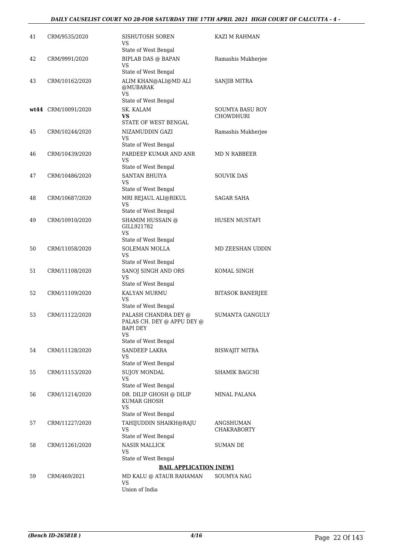| CRM/9535/2020  | SISHUTOSH SOREN<br>VS                                                                                                                                                               | KAZI M RAHMAN                                                                                                                                                                                                                                                                                                                                                                                                                                                                                                                                                                             |
|----------------|-------------------------------------------------------------------------------------------------------------------------------------------------------------------------------------|-------------------------------------------------------------------------------------------------------------------------------------------------------------------------------------------------------------------------------------------------------------------------------------------------------------------------------------------------------------------------------------------------------------------------------------------------------------------------------------------------------------------------------------------------------------------------------------------|
|                | State of West Bengal                                                                                                                                                                |                                                                                                                                                                                                                                                                                                                                                                                                                                                                                                                                                                                           |
| CRM/9991/2020  | <b>BIPLAB DAS @ BAPAN</b><br>VS                                                                                                                                                     | Ramashis Mukherjee                                                                                                                                                                                                                                                                                                                                                                                                                                                                                                                                                                        |
| CRM/10162/2020 | ALIM KHAN@ALI@MD ALI<br>@MUBARAK                                                                                                                                                    | SANJIB MITRA                                                                                                                                                                                                                                                                                                                                                                                                                                                                                                                                                                              |
|                |                                                                                                                                                                                     |                                                                                                                                                                                                                                                                                                                                                                                                                                                                                                                                                                                           |
|                |                                                                                                                                                                                     | SOUMYA BASU ROY                                                                                                                                                                                                                                                                                                                                                                                                                                                                                                                                                                           |
|                | VS.<br>STATE OF WEST BENGAL                                                                                                                                                         | <b>CHOWDHURI</b>                                                                                                                                                                                                                                                                                                                                                                                                                                                                                                                                                                          |
| CRM/10244/2020 | NIZAMUDDIN GAZI<br>VS.                                                                                                                                                              | Ramashis Mukherjee                                                                                                                                                                                                                                                                                                                                                                                                                                                                                                                                                                        |
|                | State of West Bengal                                                                                                                                                                |                                                                                                                                                                                                                                                                                                                                                                                                                                                                                                                                                                                           |
| CRM/10439/2020 | PARDEEP KUMAR AND ANR<br>VS                                                                                                                                                         | MD N RABBEER                                                                                                                                                                                                                                                                                                                                                                                                                                                                                                                                                                              |
|                |                                                                                                                                                                                     |                                                                                                                                                                                                                                                                                                                                                                                                                                                                                                                                                                                           |
|                | VS                                                                                                                                                                                  | <b>SOUVIK DAS</b>                                                                                                                                                                                                                                                                                                                                                                                                                                                                                                                                                                         |
|                |                                                                                                                                                                                     | SAGAR SAHA                                                                                                                                                                                                                                                                                                                                                                                                                                                                                                                                                                                |
|                | VS                                                                                                                                                                                  |                                                                                                                                                                                                                                                                                                                                                                                                                                                                                                                                                                                           |
|                |                                                                                                                                                                                     |                                                                                                                                                                                                                                                                                                                                                                                                                                                                                                                                                                                           |
|                | GILL921782<br>VS.                                                                                                                                                                   | HUSEN MUSTAFI                                                                                                                                                                                                                                                                                                                                                                                                                                                                                                                                                                             |
|                | State of West Bengal                                                                                                                                                                |                                                                                                                                                                                                                                                                                                                                                                                                                                                                                                                                                                                           |
| CRM/11058/2020 | <b>SOLEMAN MOLLA</b><br>VS                                                                                                                                                          | MD ZEESHAN UDDIN                                                                                                                                                                                                                                                                                                                                                                                                                                                                                                                                                                          |
|                |                                                                                                                                                                                     | KOMAL SINGH                                                                                                                                                                                                                                                                                                                                                                                                                                                                                                                                                                               |
|                | VS                                                                                                                                                                                  |                                                                                                                                                                                                                                                                                                                                                                                                                                                                                                                                                                                           |
|                | <b>KALYAN MURMU</b>                                                                                                                                                                 | <b>BITASOK BANERJEE</b>                                                                                                                                                                                                                                                                                                                                                                                                                                                                                                                                                                   |
|                | VS                                                                                                                                                                                  |                                                                                                                                                                                                                                                                                                                                                                                                                                                                                                                                                                                           |
| CRM/11122/2020 | PALASH CHANDRA DEY @<br>PALAS CH. DEY @ APPU DEY @<br>BAPI DEY<br>VS                                                                                                                | <b>SUMANTA GANGULY</b>                                                                                                                                                                                                                                                                                                                                                                                                                                                                                                                                                                    |
|                |                                                                                                                                                                                     |                                                                                                                                                                                                                                                                                                                                                                                                                                                                                                                                                                                           |
|                | VS                                                                                                                                                                                  | BISWAJIT MITRA                                                                                                                                                                                                                                                                                                                                                                                                                                                                                                                                                                            |
|                |                                                                                                                                                                                     | SHAMIK BAGCHI                                                                                                                                                                                                                                                                                                                                                                                                                                                                                                                                                                             |
|                | VS<br>State of West Bengal                                                                                                                                                          |                                                                                                                                                                                                                                                                                                                                                                                                                                                                                                                                                                                           |
| CRM/11214/2020 | DR. DILIP GHOSH @ DILIP<br>KUMAR GHOSH<br>VS                                                                                                                                        | MINAL PALANA                                                                                                                                                                                                                                                                                                                                                                                                                                                                                                                                                                              |
|                |                                                                                                                                                                                     |                                                                                                                                                                                                                                                                                                                                                                                                                                                                                                                                                                                           |
|                | VS                                                                                                                                                                                  | ANGSHUMAN<br>CHAKRABORTY                                                                                                                                                                                                                                                                                                                                                                                                                                                                                                                                                                  |
| CRM/11261/2020 | <b>NASIR MALLICK</b>                                                                                                                                                                | SUMAN DE                                                                                                                                                                                                                                                                                                                                                                                                                                                                                                                                                                                  |
|                | VS                                                                                                                                                                                  |                                                                                                                                                                                                                                                                                                                                                                                                                                                                                                                                                                                           |
|                |                                                                                                                                                                                     |                                                                                                                                                                                                                                                                                                                                                                                                                                                                                                                                                                                           |
|                |                                                                                                                                                                                     | SOUMYA NAG                                                                                                                                                                                                                                                                                                                                                                                                                                                                                                                                                                                |
|                | VS                                                                                                                                                                                  |                                                                                                                                                                                                                                                                                                                                                                                                                                                                                                                                                                                           |
|                | wt44 CRM/10091/2020<br>CRM/10486/2020<br>CRM/10687/2020<br>CRM/10910/2020<br>CRM/11108/2020<br>CRM/11109/2020<br>CRM/11128/2020<br>CRM/11153/2020<br>CRM/11227/2020<br>CRM/469/2021 | State of West Bengal<br><b>VS</b><br>State of West Bengal<br>SK. KALAM<br>State of West Bengal<br>SANTAN BHUIYA<br>State of West Bengal<br>MRI REJAUL ALI@RIKUL<br>State of West Bengal<br>SHAMIM HUSSAIN @<br>State of West Bengal<br>SANOJ SINGH AND ORS<br>State of West Bengal<br>State of West Bengal<br>State of West Bengal<br><b>SANDEEP LAKRA</b><br>State of West Bengal<br><b>SUJOY MONDAL</b><br>State of West Bengal<br>TAHIJUDDIN SHAIKH@RAJU<br>State of West Bengal<br>State of West Bengal<br><b>BAIL APPLICATION [NEW]</b><br>MD KALU @ ATAUR RAHAMAN<br>Union of India |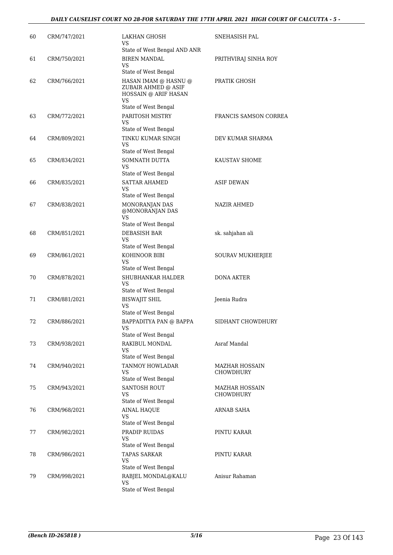| 60 | CRM/747/2021 | LAKHAN GHOSH<br>VS<br>State of West Bengal AND ANR                        | SNEHASISH PAL         |
|----|--------------|---------------------------------------------------------------------------|-----------------------|
| 61 | CRM/750/2021 | <b>BIREN MANDAL</b><br>VS                                                 | PRITHVIRAJ SINHA ROY  |
|    |              | State of West Bengal                                                      |                       |
| 62 | CRM/766/2021 | HASAN IMAM @ HASNU @<br>ZUBAIR AHMED @ ASIF<br>HOSSAIN @ ARIF HASAN<br>VS | PRATIK GHOSH          |
|    |              | State of West Bengal                                                      |                       |
| 63 | CRM/772/2021 | PARITOSH MISTRY<br>VS<br>State of West Bengal                             | FRANCIS SAMSON CORREA |
| 64 | CRM/809/2021 | TINKU KUMAR SINGH                                                         | DEV KUMAR SHARMA      |
|    |              | VS<br>State of West Bengal                                                |                       |
| 65 | CRM/834/2021 | SOMNATH DUTTA                                                             | KAUSTAV SHOME         |
|    |              | VS<br>State of West Bengal                                                |                       |
| 66 | CRM/835/2021 | <b>SATTAR AHAMED</b>                                                      | <b>ASIF DEWAN</b>     |
|    |              | VS<br>State of West Bengal                                                |                       |
| 67 | CRM/838/2021 | MONORANJAN DAS                                                            | <b>NAZIR AHMED</b>    |
|    |              | @MONORANJAN DAS<br>VS<br>State of West Bengal                             |                       |
| 68 | CRM/851/2021 | DEBASISH BAR                                                              | sk. sahjahan ali      |
|    |              | VS                                                                        |                       |
|    |              | State of West Bengal                                                      |                       |
| 69 | CRM/861/2021 | KOHINOOR BIBI<br>VS                                                       | SOURAV MUKHERJEE      |
|    |              | State of West Bengal                                                      |                       |
| 70 | CRM/878/2021 | SHUBHANKAR HALDER<br><b>VS</b><br>State of West Bengal                    | <b>DONA AKTER</b>     |
| 71 | CRM/881/2021 | <b>BISWAJIT SHIL</b>                                                      | Jeenia Rudra          |
|    |              | <b>VS</b><br>State of West Bengal                                         |                       |
| 72 | CRM/886/2021 | BAPPADITYA PAN @ BAPPA                                                    | SIDHANT CHOWDHURY     |
|    |              | VS<br>State of West Bengal                                                |                       |
| 73 | CRM/938/2021 | RAKIBUL MONDAL                                                            | Asraf Mandal          |
|    |              | <b>VS</b><br>State of West Bengal                                         |                       |
| 74 | CRM/940/2021 | TANMOY HOWLADAR                                                           | <b>MAZHAR HOSSAIN</b> |
|    |              | VS<br>State of West Bengal                                                | CHOWDHURY             |
| 75 | CRM/943/2021 | <b>SANTOSH ROUT</b>                                                       | <b>MAZHAR HOSSAIN</b> |
|    |              | VS                                                                        | <b>CHOWDHURY</b>      |
|    |              | State of West Bengal                                                      |                       |
| 76 | CRM/968/2021 | <b>AINAL HAQUE</b><br><b>VS</b>                                           | ARNAB SAHA            |
|    |              | State of West Bengal                                                      |                       |
| 77 | CRM/982/2021 | PRADIP RUIDAS<br>VS                                                       | PINTU KARAR           |
|    |              | State of West Bengal                                                      |                       |
| 78 | CRM/986/2021 | <b>TAPAS SARKAR</b><br>VS<br>State of West Bengal                         | PINTU KARAR           |
| 79 | CRM/998/2021 | RABJEL MONDAL@KALU                                                        | Anisur Rahaman        |
|    |              | VS                                                                        |                       |
|    |              | State of West Bengal                                                      |                       |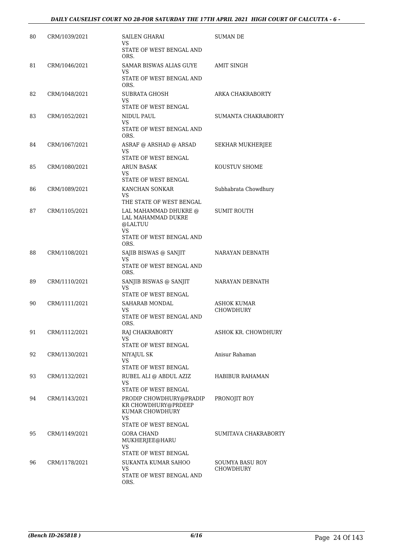| 80 | CRM/1039/2021 | SAILEN GHARAI<br>VS                                                            | SUMAN DE                     |
|----|---------------|--------------------------------------------------------------------------------|------------------------------|
|    |               | STATE OF WEST BENGAL AND<br>ORS.                                               |                              |
| 81 | CRM/1046/2021 | SAMAR BISWAS ALIAS GUYE<br>VS                                                  | AMIT SINGH                   |
|    |               | STATE OF WEST BENGAL AND<br>ORS.                                               |                              |
| 82 | CRM/1048/2021 | SUBRATA GHOSH<br>VS<br>STATE OF WEST BENGAL                                    | ARKA CHAKRABORTY             |
| 83 | CRM/1052/2021 | NIDUL PAUL                                                                     | <b>SUMANTA CHAKRABORTY</b>   |
|    |               | VS<br>STATE OF WEST BENGAL AND<br>ORS.                                         |                              |
| 84 | CRM/1067/2021 | ASRAF @ ARSHAD @ ARSAD<br><b>VS</b>                                            | SEKHAR MUKHERJEE             |
|    |               | STATE OF WEST BENGAL                                                           | KOUSTUV SHOME                |
| 85 | CRM/1080/2021 | <b>ARUN BASAK</b><br>VS<br>STATE OF WEST BENGAL                                |                              |
| 86 | CRM/1089/2021 | KANCHAN SONKAR<br>VS                                                           | Subhabrata Chowdhury         |
| 87 | CRM/1105/2021 | THE STATE OF WEST BENGAL<br>LAL MAHAMMAD DHUKRE @                              | <b>SUMIT ROUTH</b>           |
|    |               | LAL MAHAMMAD DUKRE<br>@LALTUU<br><b>VS</b>                                     |                              |
|    |               | STATE OF WEST BENGAL AND<br>ORS.                                               |                              |
| 88 | CRM/1108/2021 | SAJIB BISWAS @ SANJIT<br>VS<br>STATE OF WEST BENGAL AND<br>ORS.                | NARAYAN DEBNATH              |
| 89 | CRM/1110/2021 | SANJIB BISWAS @ SANJIT<br>VS<br>STATE OF WEST BENGAL                           | NARAYAN DEBNATH              |
| 90 | CRM/1111/2021 | SAHARAB MONDAL                                                                 | <b>ASHOK KUMAR</b>           |
|    |               | VS<br>STATE OF WEST BENGAL AND<br>ORS.                                         | <b>CHOWDHURY</b>             |
| 91 | CRM/1112/2021 | RAJ CHAKRABORTY<br>VS                                                          | ASHOK KR. CHOWDHURY          |
| 92 | CRM/1130/2021 | STATE OF WEST BENGAL<br>NIYAJUL SK                                             | Anisur Rahaman               |
|    |               | <b>VS</b><br>STATE OF WEST BENGAL                                              |                              |
| 93 | CRM/1132/2021 | RUBEL ALI @ ABDUL AZIZ                                                         | HABIBUR RAHAMAN              |
|    |               | VS<br>STATE OF WEST BENGAL                                                     |                              |
| 94 | CRM/1143/2021 | PRODIP CHOWDHURY@PRADIP<br>KR CHOWDHURY@PRDEEP<br>KUMAR CHOWDHURY<br><b>VS</b> | PRONOJIT ROY                 |
|    |               | STATE OF WEST BENGAL                                                           |                              |
| 95 | CRM/1149/2021 | <b>GORA CHAND</b><br>MUKHERJEE@HARU<br>VS                                      | SUMITAVA CHAKRABORTY         |
|    |               | STATE OF WEST BENGAL                                                           |                              |
| 96 | CRM/1178/2021 | SUKANTA KUMAR SAHOO<br>VS<br>STATE OF WEST BENGAL AND<br>ORS.                  | SOUMYA BASU ROY<br>CHOWDHURY |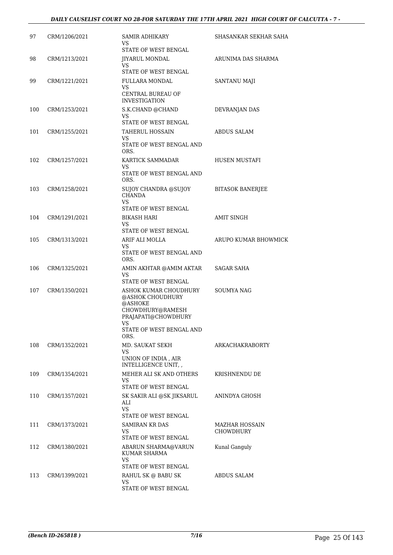| 97  | CRM/1206/2021 | SAMIR ADHIKARY<br>VS<br>STATE OF WEST BENGAL                                                                                                     | SHASANKAR SEKHAR SAHA              |
|-----|---------------|--------------------------------------------------------------------------------------------------------------------------------------------------|------------------------------------|
| 98  | CRM/1213/2021 | <b>JIYARUL MONDAL</b><br>VS<br>STATE OF WEST BENGAL                                                                                              | ARUNIMA DAS SHARMA                 |
| 99  | CRM/1221/2021 | FULLARA MONDAL<br><b>VS</b><br>CENTRAL BUREAU OF                                                                                                 | <b>SANTANU MAJI</b>                |
| 100 | CRM/1253/2021 | <b>INVESTIGATION</b><br>S.K.CHAND @CHAND<br><b>VS</b>                                                                                            | DEVRANJAN DAS                      |
| 101 | CRM/1255/2021 | STATE OF WEST BENGAL<br><b>TAHERUL HOSSAIN</b><br><b>VS</b><br>STATE OF WEST BENGAL AND<br>ORS.                                                  | ABDUS SALAM                        |
| 102 | CRM/1257/2021 | KARTICK SAMMADAR<br><b>VS</b><br>STATE OF WEST BENGAL AND<br>ORS.                                                                                | HUSEN MUSTAFI                      |
| 103 | CRM/1258/2021 | SUJOY CHANDRA @SUJOY<br><b>CHANDA</b><br><b>VS</b><br>STATE OF WEST BENGAL                                                                       | <b>BITASOK BANERJEE</b>            |
| 104 | CRM/1291/2021 | BIKASH HARI<br>VS<br>STATE OF WEST BENGAL                                                                                                        | <b>AMIT SINGH</b>                  |
| 105 | CRM/1313/2021 | ARIF ALI MOLLA<br><b>VS</b><br>STATE OF WEST BENGAL AND<br>ORS.                                                                                  | ARUPO KUMAR BHOWMICK               |
| 106 | CRM/1325/2021 | AMIN AKHTAR @AMIM AKTAR<br>VS<br>STATE OF WEST BENGAL                                                                                            | SAGAR SAHA                         |
| 107 | CRM/1350/2021 | ASHOK KUMAR CHOUDHURY<br>@ASHOK CHOUDHURY<br>@ASHOKE<br>CHOWDHURY@RAMESH<br>PRAJAPATI@CHOWDHURY<br><b>VS</b><br>STATE OF WEST BENGAL AND<br>ORS. | SOUMYA NAG                         |
| 108 | CRM/1352/2021 | MD. SAUKAT SEKH<br>VS<br>UNION OF INDIA, AIR<br>INTELLIGENCE UNIT, ,                                                                             | ARKACHAKRABORTY                    |
| 109 | CRM/1354/2021 | MEHER ALI SK AND OTHERS<br>VS.<br>STATE OF WEST BENGAL                                                                                           | KRISHNENDU DE                      |
| 110 | CRM/1357/2021 | SK SAKIR ALI @SK JIKSARUL<br>ALI<br><b>VS</b><br>STATE OF WEST BENGAL                                                                            | ANINDYA GHOSH                      |
| 111 | CRM/1373/2021 | SAMIRAN KR DAS<br>VS.<br>STATE OF WEST BENGAL                                                                                                    | MAZHAR HOSSAIN<br><b>CHOWDHURY</b> |
| 112 | CRM/1380/2021 | ABARUN SHARMA@VARUN<br>KUMAR SHARMA<br>VS<br>STATE OF WEST BENGAL                                                                                | Kunal Ganguly                      |
| 113 | CRM/1399/2021 | RAHUL SK @ BABU SK<br><b>VS</b><br>STATE OF WEST BENGAL                                                                                          | ABDUS SALAM                        |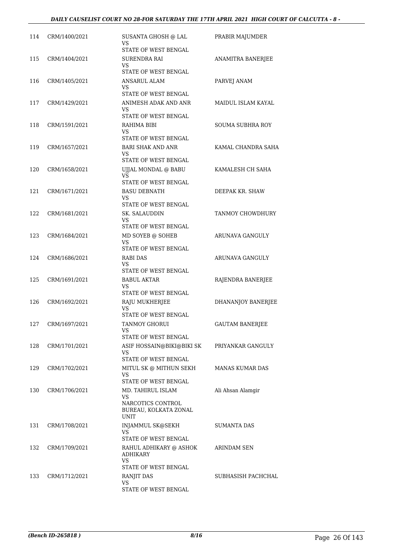| 114 | CRM/1400/2021 | SUSANTA GHOSH @ LAL<br>VS<br>STATE OF WEST BENGAL                                | PRABIR MAJUMDER           |
|-----|---------------|----------------------------------------------------------------------------------|---------------------------|
| 115 | CRM/1404/2021 | SURENDRA RAI<br>VS<br>STATE OF WEST BENGAL                                       | ANAMITRA BANERJEE         |
| 116 | CRM/1405/2021 | ANSARUL ALAM<br>VS<br>STATE OF WEST BENGAL                                       | PARVEJ ANAM               |
| 117 | CRM/1429/2021 | ANIMESH ADAK AND ANR<br>VS<br>STATE OF WEST BENGAL                               | <b>MAIDUL ISLAM KAYAL</b> |
| 118 | CRM/1591/2021 | RAHIMA BIBI<br>VS<br>STATE OF WEST BENGAL                                        | <b>SOUMA SUBHRA ROY</b>   |
| 119 | CRM/1657/2021 | <b>BARI SHAK AND ANR</b><br>VS                                                   | KAMAL CHANDRA SAHA        |
| 120 | CRM/1658/2021 | STATE OF WEST BENGAL<br>UJJAL MONDAL @ BABU<br><b>VS</b><br>STATE OF WEST BENGAL | KAMALESH CH SAHA          |
| 121 | CRM/1671/2021 | <b>BASU DEBNATH</b><br>VS<br>STATE OF WEST BENGAL                                | DEEPAK KR. SHAW           |
| 122 | CRM/1681/2021 | SK. SALAUDDIN<br>VS.<br>STATE OF WEST BENGAL                                     | TANMOY CHOWDHURY          |
| 123 | CRM/1684/2021 | MD SOYEB @ SOHEB<br>VS                                                           | ARUNAVA GANGULY           |
| 124 | CRM/1686/2021 | STATE OF WEST BENGAL<br>RABI DAS<br>VS<br>STATE OF WEST BENGAL                   | ARUNAVA GANGULY           |
| 125 | CRM/1691/2021 | BABUL AKTAR<br>VS<br>STATE OF WEST BENGAL                                        | RAJENDRA BANERJEE         |
| 126 | CRM/1692/2021 | RAJU MUKHERJEE<br>VS<br>STATE OF WEST BENGAL                                     | DHANANJOY BANERJEE        |
| 127 | CRM/1697/2021 | TANMOY GHORUI<br>VS<br>STATE OF WEST BENGAL                                      | <b>GAUTAM BANERJEE</b>    |
| 128 | CRM/1701/2021 | ASIF HOSSAIN@BIKI@BIKI SK<br>VS<br><b>STATE OF WEST BENGAL</b>                   | PRIYANKAR GANGULY         |
| 129 | CRM/1702/2021 | MITUL SK @ MITHUN SEKH<br>VS<br>STATE OF WEST BENGAL                             | <b>MANAS KUMAR DAS</b>    |
| 130 | CRM/1706/2021 | MD. TAHIRUL ISLAM<br>VS<br>NARCOTICS CONTROL<br>BUREAU, KOLKATA ZONAL            | Ali Ahsan Alamgir         |
| 131 | CRM/1708/2021 | <b>UNIT</b><br><b>INJAMMUL SK@SEKH</b><br>VS                                     | SUMANTA DAS               |
| 132 | CRM/1709/2021 | STATE OF WEST BENGAL<br>RAHUL ADHIKARY @ ASHOK<br>ADHIKARY<br>VS                 | ARINDAM SEN               |
|     |               | STATE OF WEST BENGAL                                                             |                           |
| 133 | CRM/1712/2021 | RANJIT DAS<br>VS<br>STATE OF WEST BENGAL                                         | SUBHASISH PACHCHAL        |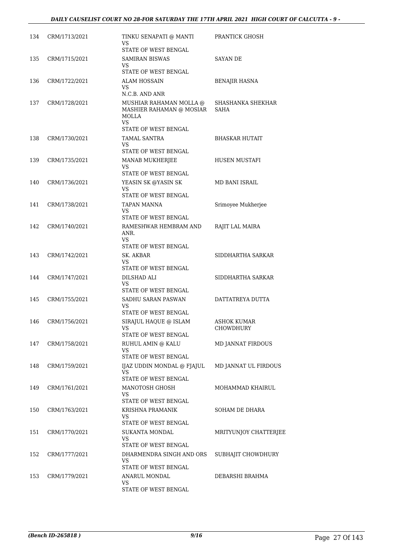| 134 | CRM/1713/2021 | TINKU SENAPATI @ MANTI<br>VS<br>STATE OF WEST BENGAL                                       | PRANTICK GHOSH                   |
|-----|---------------|--------------------------------------------------------------------------------------------|----------------------------------|
| 135 | CRM/1715/2021 | <b>SAMIRAN BISWAS</b><br>VS<br>STATE OF WEST BENGAL                                        | <b>SAYAN DE</b>                  |
| 136 | CRM/1722/2021 | ALAM HOSSAIN<br>VS<br>N.C.B. AND ANR                                                       | BENAJIR HASNA                    |
| 137 | CRM/1728/2021 | MUSHIAR RAHAMAN MOLLA @<br>MASHIER RAHAMAN @ MOSIAR<br>MOLLA<br>VS<br>STATE OF WEST BENGAL | SHASHANKA SHEKHAR<br><b>SAHA</b> |
| 138 | CRM/1730/2021 | TAMAL SANTRA<br>VS<br>STATE OF WEST BENGAL                                                 | BHASKAR HUTAIT                   |
| 139 | CRM/1735/2021 | MANAB MUKHERJEE<br>VS<br>STATE OF WEST BENGAL                                              | <b>HUSEN MUSTAFI</b>             |
| 140 | CRM/1736/2021 | YEASIN SK @YASIN SK<br>VS<br>STATE OF WEST BENGAL                                          | MD BANI ISRAIL                   |
| 141 | CRM/1738/2021 | TAPAN MANNA<br>VS                                                                          | Srimoyee Mukherjee               |
| 142 | CRM/1740/2021 | STATE OF WEST BENGAL<br>RAMESHWAR HEMBRAM AND<br>ANR.<br>VS<br>STATE OF WEST BENGAL        | RAJIT LAL MAIRA                  |
| 143 | CRM/1742/2021 | SK. AKBAR<br>VS<br>STATE OF WEST BENGAL                                                    | SIDDHARTHA SARKAR                |
| 144 | CRM/1747/2021 | DILSHAD ALI<br>VS<br>STATE OF WEST BENGAL                                                  | SIDDHARTHA SARKAR                |
| 145 | CRM/1755/2021 | SADHU SARAN PASWAN<br>VS<br>STATE OF WEST BENGAL                                           | DATTATREYA DUTTA                 |
| 146 | CRM/1756/2021 | SIRAJUL HAQUE @ ISLAM<br>VS<br>STATE OF WEST BENGAL                                        | ASHOK KUMAR<br>CHOWDHURY         |
| 147 | CRM/1758/2021 | RUHUL AMIN @ KALU<br>VS<br>STATE OF WEST BENGAL                                            | <b>MD JANNAT FIRDOUS</b>         |
| 148 | CRM/1759/2021 | IJAZ UDDIN MONDAL @ FJAJUL<br>VS<br>STATE OF WEST BENGAL                                   | MD JANNAT UL FIRDOUS             |
| 149 | CRM/1761/2021 | MANOTOSH GHOSH<br>VS<br>STATE OF WEST BENGAL                                               | MOHAMMAD KHAIRUL                 |
| 150 | CRM/1763/2021 | KRISHNA PRAMANIK<br>VS<br>STATE OF WEST BENGAL                                             | SOHAM DE DHARA                   |
| 151 | CRM/1770/2021 | SUKANTA MONDAL<br>VS<br>STATE OF WEST BENGAL                                               | MRITYUNJOY CHATTERJEE            |
| 152 | CRM/1777/2021 | DHARMENDRA SINGH AND ORS<br>VS<br>STATE OF WEST BENGAL                                     | SUBHAJIT CHOWDHURY               |
| 153 | CRM/1779/2021 | ANARUL MONDAL<br>VS<br>STATE OF WEST BENGAL                                                | DEBARSHI BRAHMA                  |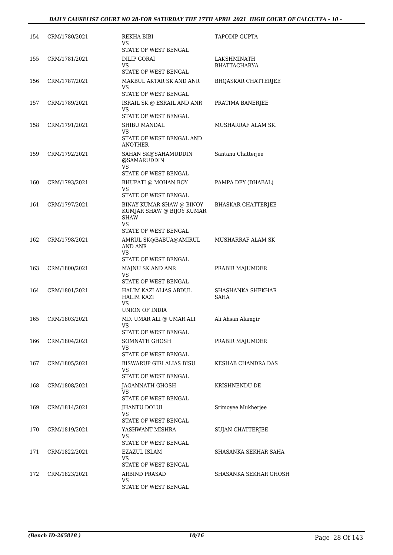| 154 | CRM/1780/2021 | REKHA BIBI<br>VS<br>STATE OF WEST BENGAL                                         | TAPODIP GUPTA                      |
|-----|---------------|----------------------------------------------------------------------------------|------------------------------------|
| 155 | CRM/1781/2021 | DILIP GORAI<br>VS<br>STATE OF WEST BENGAL                                        | LAKSHMINATH<br><b>BHATTACHARYA</b> |
| 156 | CRM/1787/2021 | MAKBUL AKTAR SK AND ANR<br>VS<br>STATE OF WEST BENGAL                            | <b>BHQASKAR CHATTERJEE</b>         |
| 157 | CRM/1789/2021 | ISRAIL SK @ ESRAIL AND ANR<br>VS<br>STATE OF WEST BENGAL                         | PRATIMA BANERJEE                   |
| 158 | CRM/1791/2021 | SHIBU MANDAL<br>VS<br>STATE OF WEST BENGAL AND<br>ANOTHER                        | MUSHARRAF ALAM SK.                 |
| 159 | CRM/1792/2021 | SAHAN SK@SAHAMUDDIN<br>@SAMARUDDIN<br><b>VS</b>                                  | Santanu Chatterjee                 |
| 160 | CRM/1793/2021 | STATE OF WEST BENGAL<br>BHUPATI @ MOHAN ROY<br><b>VS</b><br>STATE OF WEST BENGAL | PAMPA DEY (DHABAL)                 |
| 161 | CRM/1797/2021 | BINAY KUMAR SHAW @ BINOY<br>KUMJAR SHAW @ BIJOY KUMAR<br><b>SHAW</b><br>VS.      | <b>BHASKAR CHATTERJEE</b>          |
| 162 | CRM/1798/2021 | STATE OF WEST BENGAL<br>AMRUL SK@BABUA@AMIRUL<br>AND ANR<br>VS                   | MUSHARRAF ALAM SK                  |
| 163 | CRM/1800/2021 | STATE OF WEST BENGAL<br>MAJNU SK AND ANR<br>VS<br>STATE OF WEST BENGAL           | PRABIR MAJUMDER                    |
| 164 | CRM/1801/2021 | HALIM KAZI ALIAS ABDUL<br><b>HALIM KAZI</b><br>VS<br>UNION OF INDIA              | SHASHANKA SHEKHAR<br>SAHA          |
| 165 | CRM/1803/2021 | MD. UMAR ALI @ UMAR ALI<br>VS.<br>STATE OF WEST BENGAL                           | Ali Ahsan Alamgir                  |
| 166 | CRM/1804/2021 | SOMNATH GHOSH<br>VS<br>STATE OF WEST BENGAL                                      | PRABIR MAJUMDER                    |
| 167 | CRM/1805/2021 | <b>BISWARUP GIRI ALIAS BISU</b><br>VS<br>STATE OF WEST BENGAL                    | KESHAB CHANDRA DAS                 |
| 168 | CRM/1808/2021 | <b>JAGANNATH GHOSH</b><br><b>VS</b><br>STATE OF WEST BENGAL                      | KRISHNENDU DE                      |
| 169 | CRM/1814/2021 | JHANTU DOLUI<br>VS.<br>STATE OF WEST BENGAL                                      | Srimoyee Mukherjee                 |
| 170 | CRM/1819/2021 | YASHWANT MISHRA<br>VS<br>STATE OF WEST BENGAL                                    | <b>SUJAN CHATTERJEE</b>            |
| 171 | CRM/1822/2021 | EZAZUL ISLAM<br>VS<br>STATE OF WEST BENGAL                                       | SHASANKA SEKHAR SAHA               |
| 172 | CRM/1823/2021 | <b>ARBIND PRASAD</b><br>VS<br>STATE OF WEST BENGAL                               | SHASANKA SEKHAR GHOSH              |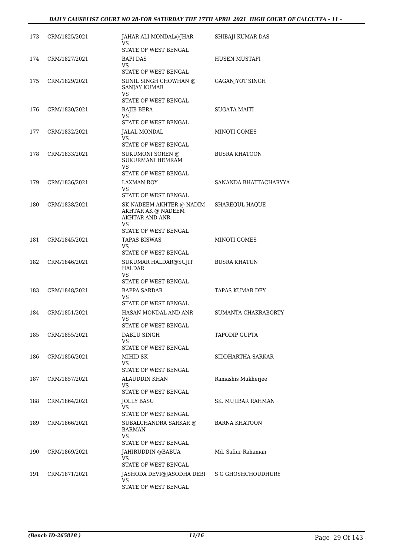| 173 | CRM/1825/2021 | JAHAR ALI MONDAL@JHAR<br>VS.<br>STATE OF WEST BENGAL                              | SHIBAJI KUMAR DAS      |
|-----|---------------|-----------------------------------------------------------------------------------|------------------------|
| 174 | CRM/1827/2021 | BAPI DAS<br>VS.<br>STATE OF WEST BENGAL                                           | HUSEN MUSTAFI          |
| 175 | CRM/1829/2021 | SUNIL SINGH CHOWHAN @<br><b>SANJAY KUMAR</b><br><b>VS</b><br>STATE OF WEST BENGAL | <b>GAGANJYOT SINGH</b> |
| 176 | CRM/1830/2021 | RAJIB BERA                                                                        | SUGATA MAITI           |
|     |               | VS.<br>STATE OF WEST BENGAL                                                       |                        |
| 177 | CRM/1832/2021 | JALAL MONDAL<br><b>VS</b><br>STATE OF WEST BENGAL                                 | MINOTI GOMES           |
| 178 | CRM/1833/2021 | SUKUMONI SOREN @<br>SUKURMANI HEMRAM<br>VS                                        | <b>BUSRA KHATOON</b>   |
|     |               | STATE OF WEST BENGAL                                                              |                        |
| 179 | CRM/1836/2021 | LAXMAN ROY<br>VS<br>STATE OF WEST BENGAL                                          | SANANDA BHATTACHARYYA  |
| 180 | CRM/1838/2021 | SK NADEEM AKHTER @ NADIM<br>AKHTAR AK @ NADEEM<br><b>AKHTAR AND ANR</b><br>VS.    | SHAREQUL HAQUE         |
|     |               | STATE OF WEST BENGAL                                                              |                        |
| 181 | CRM/1845/2021 | <b>TAPAS BISWAS</b><br><b>VS</b><br>STATE OF WEST BENGAL                          | MINOTI GOMES           |
| 182 | CRM/1846/2021 | SUKUMAR HALDAR@SUJIT<br><b>HALDAR</b><br><b>VS</b>                                | <b>BUSRA KHATUN</b>    |
| 183 | CRM/1848/2021 | STATE OF WEST BENGAL<br><b>BAPPA SARDAR</b>                                       | TAPAS KUMAR DEY        |
|     |               | VS                                                                                |                        |
| 184 | CRM/1851/2021 | STATE OF WEST BENGAL<br>HASAN MONDAL AND ANR                                      | SUMANTA CHAKRABORTY    |
|     |               | VS<br>STATE OF WEST BENGAL                                                        |                        |
| 185 | CRM/1855/2021 | DABLU SINGH<br>VS<br>STATE OF WEST BENGAL                                         | TAPODIP GUPTA          |
| 186 | CRM/1856/2021 | MIHID SK<br>VS.<br>STATE OF WEST BENGAL                                           | SIDDHARTHA SARKAR      |
| 187 | CRM/1857/2021 | <b>ALAUDDIN KHAN</b><br><b>VS</b>                                                 | Ramashis Mukherjee     |
| 188 | CRM/1864/2021 | STATE OF WEST BENGAL<br><b>JOLLY BASU</b>                                         | SK. MUJIBAR RAHMAN     |
|     |               | VS<br>STATE OF WEST BENGAL                                                        |                        |
| 189 | CRM/1866/2021 | SUBALCHANDRA SARKAR @<br>BARMAN<br><b>VS</b><br>STATE OF WEST BENGAL              | <b>BARNA KHATOON</b>   |
| 190 | CRM/1869/2021 | JAHIRUDDIN @BABUA<br>VS<br>STATE OF WEST BENGAL                                   | Md. Safiur Rahaman     |
| 191 | CRM/1871/2021 | JASHODA DEVI@JASODHA DEBI<br>VS.<br>STATE OF WEST BENGAL                          | S G GHOSHCHOUDHURY     |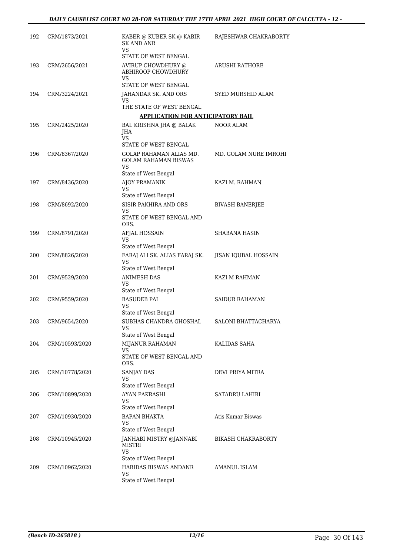| 192 | CRM/1873/2021  | KABER @ KUBER SK @ KABIR<br><b>SK AND ANR</b><br>VS                                  | RAJESHWAR CHAKRABORTY  |
|-----|----------------|--------------------------------------------------------------------------------------|------------------------|
|     |                | STATE OF WEST BENGAL                                                                 |                        |
| 193 | CRM/2656/2021  | AVIRUP CHOWDHURY @<br>ABHIROOP CHOWDHURY                                             | ARUSHI RATHORE         |
|     |                | VS<br>STATE OF WEST BENGAL                                                           |                        |
| 194 | CRM/3224/2021  | JAHANDAR SK. AND ORS<br>VS                                                           | SYED MURSHID ALAM      |
|     |                | THE STATE OF WEST BENGAL                                                             |                        |
|     |                | <b>APPLICATION FOR ANTICIPATORY BAIL</b>                                             |                        |
| 195 | CRM/2425/2020  | BAL KRISHNA JHA @ BALAK<br>JHA<br>VS                                                 | NOOR ALAM              |
| 196 | CRM/8367/2020  | STATE OF WEST BENGAL<br>GOLAP RAHAMAN ALIAS MD.<br><b>GOLAM RAHAMAN BISWAS</b><br>VS | MD. GOLAM NURE IMROHI  |
|     |                | State of West Bengal                                                                 |                        |
| 197 | CRM/8436/2020  | AJOY PRAMANIK<br><b>VS</b>                                                           | KAZI M. RAHMAN         |
| 198 | CRM/8692/2020  | State of West Bengal<br>SISIR PAKHIRA AND ORS                                        | <b>BIVASH BANERJEE</b> |
|     |                | VS<br>STATE OF WEST BENGAL AND<br>ORS.                                               |                        |
| 199 | CRM/8791/2020  | AFJAL HOSSAIN<br>VS                                                                  | SHABANA HASIN          |
| 200 | CRM/8826/2020  | State of West Bengal<br>FARAJ ALI SK. ALIAS FARAJ SK.<br>VS                          | JISAN IQUBAL HOSSAIN   |
|     |                | State of West Bengal                                                                 |                        |
| 201 | CRM/9529/2020  | <b>ANIMESH DAS</b><br>VS                                                             | KAZI M RAHMAN          |
| 202 | CRM/9559/2020  | State of West Bengal<br><b>BASUDEB PAL</b><br>VS<br>State of West Bengal             | <b>SAIDUR RAHAMAN</b>  |
| 203 | CRM/9654/2020  | SUBHAS CHANDRA GHOSHAL<br>VS<br>State of West Bengal                                 | SALONI BHATTACHARYA    |
| 204 | CRM/10593/2020 | MIJANUR RAHAMAN                                                                      | KALIDAS SAHA           |
|     |                | VS<br>STATE OF WEST BENGAL AND<br>ORS.                                               |                        |
| 205 | CRM/10778/2020 | SANJAY DAS<br>VS                                                                     | DEVI PRIYA MITRA       |
|     |                | State of West Bengal                                                                 |                        |
| 206 | CRM/10899/2020 | AYAN PAKRASHI<br>VS<br>State of West Bengal                                          | SATADRU LAHIRI         |
| 207 | CRM/10930/2020 | <b>BAPAN BHAKTA</b><br>VS<br>State of West Bengal                                    | Atis Kumar Biswas      |
| 208 | CRM/10945/2020 | JANHABI MISTRY @JANNABI<br>MISTRI<br>VS                                              | BIKASH CHAKRABORTY     |
|     |                | State of West Bengal                                                                 |                        |
| 209 | CRM/10962/2020 | HARIDAS BISWAS ANDANR<br>VS<br>State of West Bengal                                  | AMANUL ISLAM           |
|     |                |                                                                                      |                        |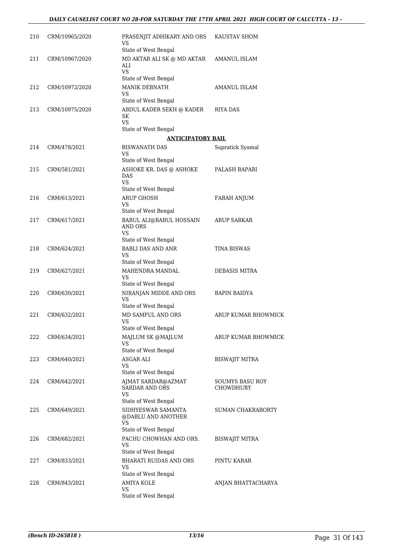| 210 | CRM/10965/2020 | PRASENJIT ADHIKARY AND ORS<br>VS<br>State of West Bengal                                    | KAUSTAV SHOM                 |
|-----|----------------|---------------------------------------------------------------------------------------------|------------------------------|
| 211 | CRM/10967/2020 | MD AKTAR ALI SK @ MD AKTAR<br>ALI<br>VS                                                     | AMANUL ISLAM                 |
| 212 | CRM/10972/2020 | State of West Bengal<br>MANIK DEBNATH<br>VS                                                 | AMANUL ISLAM                 |
| 213 | CRM/10975/2020 | State of West Bengal<br>ABDUL KADER SEKH @ KADER<br>SK<br><b>VS</b><br>State of West Bengal | RIYA DAS                     |
|     |                | <b>ANTICIPATORY BAIL</b>                                                                    |                              |
| 214 | CRM/478/2021   | <b>BISWANATH DAS</b><br>VS                                                                  | Supratick Syamal             |
| 215 | CRM/581/2021   | State of West Bengal<br>ASHOKE KR. DAS @ ASHOKE<br>DAS<br>VS                                | PALASH BAPARI                |
| 216 | CRM/613/2021   | State of West Bengal<br><b>ARUP GHOSH</b><br>VS                                             | <b>FARAH ANJUM</b>           |
| 217 | CRM/617/2021   | State of West Bengal<br>BABUL ALI@BABUL HOSSAIN<br><b>AND ORS</b>                           | ARUP SARKAR                  |
|     |                | VS<br>State of West Bengal                                                                  |                              |
| 218 | CRM/624/2021   | <b>BABLI DAS AND ANR</b><br>VS                                                              | TINA BISWAS                  |
|     |                | State of West Bengal                                                                        |                              |
| 219 | CRM/627/2021   | MAHENDRA MANDAL<br>VS<br>State of West Bengal                                               | DEBASIS MITRA                |
| 220 | CRM/630/2021   | NIRANJAN MIDDE AND ORS<br>VS                                                                | BAPIN BAIDYA                 |
| 221 | CRM/632/2021   | State of West Bengal<br>MD SAMFUL AND ORS<br>VS                                             | ARUP KUMAR BHOWMICK          |
| 222 | CRM/634/2021   | State of West Bengal<br>MAJLUM SK @MAJLUM<br>VS                                             | ARUP KUMAR BHOWMICK          |
| 223 | CRM/640/2021   | State of West Bengal<br>ASGAR ALI<br>VS                                                     | BISWAJIT MITRA               |
|     |                | State of West Bengal                                                                        |                              |
| 224 | CRM/642/2021   | AJMAT SARDAR@AZMAT<br><b>SARDAR AND ORS</b><br>VS<br>State of West Bengal                   | SOUMYS BASU ROY<br>CHOWDHURY |
| 225 | CRM/649/2021   | SIDHYESWAR SAMANTA<br>@DABLU AND ANOTHER<br>VS<br>State of West Bengal                      | <b>SUMAN CHAKRABORTY</b>     |
| 226 | CRM/682/2021   | PACHU CHOWHAN AND ORS.<br>VS                                                                | BISWAJIT MITRA               |
| 227 | CRM/833/2021   | State of West Bengal<br><b>BHARATI RUIDAS AND ORS</b><br>VS                                 | PINTU KARAR                  |
| 228 | CRM/843/2021   | State of West Bengal<br><b>AMIYA KOLE</b><br><b>VS</b><br>State of West Bengal              | ANJAN BHATTACHARYA           |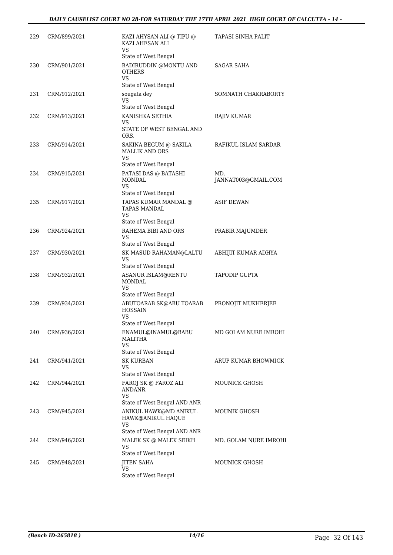| 229 | CRM/899/2021 | KAZI AHYSAN ALI @ TIPU @<br>KAZI AHESAN ALI<br>VS                           | TAPASI SINHA PALIT         |
|-----|--------------|-----------------------------------------------------------------------------|----------------------------|
| 230 | CRM/901/2021 | State of West Bengal<br>BADIRUDDIN @MONTU AND<br><b>OTHERS</b><br><b>VS</b> | SAGAR SAHA                 |
| 231 | CRM/912/2021 | State of West Bengal<br>sougata dey<br>VS                                   | SOMNATH CHAKRABORTY        |
|     |              | State of West Bengal                                                        |                            |
| 232 | CRM/913/2021 | KANISHKA SETHIA<br>VS<br>STATE OF WEST BENGAL AND<br>ORS.                   | RAJIV KUMAR                |
| 233 | CRM/914/2021 | SAKINA BEGUM @ SAKILA<br><b>MALLIK AND ORS</b><br><b>VS</b>                 | RAFIKUL ISLAM SARDAR       |
|     |              | State of West Bengal                                                        |                            |
| 234 | CRM/915/2021 | PATASI DAS @ BATASHI<br><b>MONDAL</b><br>VS                                 | MD.<br>JANNAT003@GMAIL.COM |
|     |              | State of West Bengal                                                        |                            |
| 235 | CRM/917/2021 | TAPAS KUMAR MANDAL @<br>TAPAS MANDAL<br><b>VS</b>                           | ASIF DEWAN                 |
|     |              | State of West Bengal                                                        |                            |
| 236 | CRM/924/2021 | RAHEMA BIBI AND ORS<br>VS<br>State of West Bengal                           | PRABIR MAJUMDER            |
| 237 | CRM/930/2021 | SK MASUD RAHAMAN@LALTU<br>VS                                                | ABHIJIT KUMAR ADHYA        |
| 238 | CRM/932/2021 | State of West Bengal<br>ASANUR ISLAM@RENTU<br><b>MONDAL</b><br>VS           | TAPODIP GUPTA              |
| 239 | CRM/934/2021 | State of West Bengal<br>ABUTOARAB SK@ABU TOARAB<br><b>HOSSAIN</b><br>VS     | PRONOJIT MUKHERJEE         |
|     |              | State of West Bengal                                                        |                            |
| 240 | CRM/936/2021 | ENAMUL@INAMUL@BABU<br>MALITHA<br><b>VS</b>                                  | MD GOLAM NURE IMROHI       |
|     |              | State of West Bengal                                                        |                            |
| 241 | CRM/941/2021 | <b>SK KURBAN</b><br>VS<br>State of West Bengal                              | ARUP KUMAR BHOWMICK        |
| 242 | CRM/944/2021 | FAROJ SK @ FAROZ ALI<br><b>ANDANR</b><br>VS<br>State of West Bengal AND ANR | MOUNICK GHOSH              |
| 243 | CRM/945/2021 | ANIKUL HAWK@MD ANIKUL<br>HAWK@ANIKUL HAQUE<br>VS                            | MOUNIK GHOSH               |
| 244 | CRM/946/2021 | State of West Bengal AND ANR<br>MALEK SK @ MALEK SEIKH<br>VS                | MD. GOLAM NURE IMROHI      |
| 245 | CRM/948/2021 | State of West Bengal<br><b>JITEN SAHA</b>                                   | <b>MOUNICK GHOSH</b>       |
|     |              | <b>VS</b><br>State of West Bengal                                           |                            |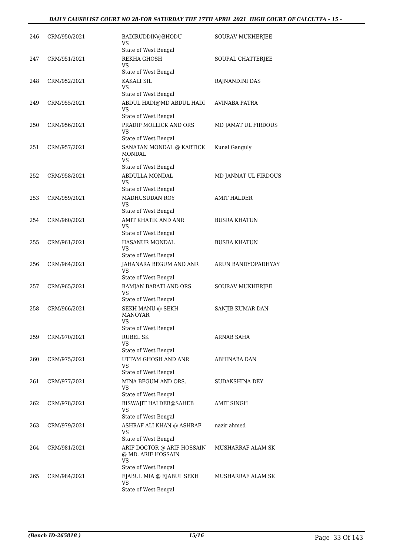| 246 | CRM/950/2021 | BADIRUDDIN@BHODU<br>VS<br>State of West Bengal                                            | SOURAV MUKHERJEE     |
|-----|--------------|-------------------------------------------------------------------------------------------|----------------------|
| 247 | CRM/951/2021 | REKHA GHOSH<br>VS.<br>State of West Bengal                                                | SOUPAL CHATTERJEE    |
| 248 | CRM/952/2021 | KAKALI SIL<br>VS<br>State of West Bengal                                                  | RAJNANDINI DAS       |
| 249 | CRM/955/2021 | ABDUL HADI@MD ABDUL HADI<br>VS<br>State of West Bengal                                    | AVINABA PATRA        |
| 250 | CRM/956/2021 | PRADIP MOLLICK AND ORS<br>VS                                                              | MD JAMAT UL FIRDOUS  |
| 251 | CRM/957/2021 | State of West Bengal<br>SANATAN MONDAL @ KARTICK<br>MONDAL<br>VS.<br>State of West Bengal | Kunal Ganguly        |
| 252 | CRM/958/2021 | ABDULLA MONDAL<br>VS                                                                      | MD JANNAT UL FIRDOUS |
| 253 | CRM/959/2021 | State of West Bengal<br>MADHUSUDAN ROY<br>VS<br>State of West Bengal                      | <b>AMIT HALDER</b>   |
| 254 | CRM/960/2021 | AMIT KHATIK AND ANR<br>VS<br>State of West Bengal                                         | <b>BUSRA KHATUN</b>  |
| 255 | CRM/961/2021 | HASANUR MONDAL<br>VS<br>State of West Bengal                                              | <b>BUSRA KHATUN</b>  |
| 256 | CRM/964/2021 | JAHANARA BEGUM AND ANR<br>VS<br>State of West Bengal                                      | ARUN BANDYOPADHYAY   |
| 257 | CRM/965/2021 | RAMJAN BARATI AND ORS<br><b>VS</b><br>State of West Bengal                                | SOURAV MUKHERJEE     |
| 258 | CRM/966/2021 | SEKH MANU @ SEKH<br><b>MANOYAR</b><br><b>VS</b><br>State of West Bengal                   | SANJIB KUMAR DAN     |
| 259 | CRM/970/2021 | <b>RUBEL SK</b><br>VS                                                                     | ARNAB SAHA           |
| 260 | CRM/975/2021 | State of West Bengal<br>UTTAM GHOSH AND ANR<br>VS                                         | ABHINABA DAN         |
| 261 | CRM/977/2021 | State of West Bengal<br>MINA BEGUM AND ORS.<br>VS<br>State of West Bengal                 | SUDAKSHINA DEY       |
| 262 | CRM/978/2021 | <b>BISWAJIT HALDER@SAHEB</b><br>VS<br>State of West Bengal                                | AMIT SINGH           |
| 263 | CRM/979/2021 | ASHRAF ALI KHAN @ ASHRAF<br>VS<br>State of West Bengal                                    | nazir ahmed          |
| 264 | CRM/981/2021 | ARIF DOCTOR @ ARIF HOSSAIN<br>@ MD. ARIF HOSSAIN<br>VS                                    | MUSHARRAF ALAM SK    |
| 265 | CRM/984/2021 | State of West Bengal<br>EJABUL MIA @ EJABUL SEKH<br>VS<br>State of West Bengal            | MUSHARRAF ALAM SK    |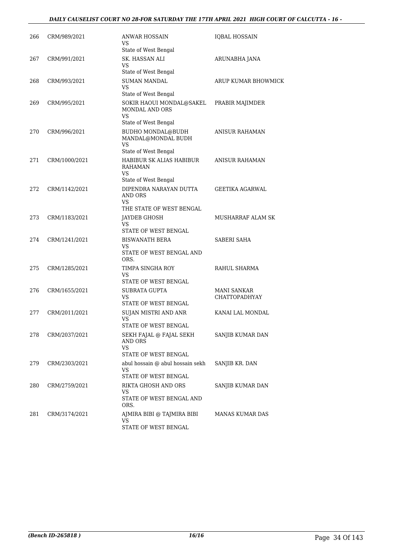| 266 | CRM/989/2021  | <b>ANWAR HOSSAIN</b><br>VS                              | <b>IQBAL HOSSAIN</b>                |
|-----|---------------|---------------------------------------------------------|-------------------------------------|
|     |               | State of West Bengal                                    |                                     |
| 267 | CRM/991/2021  | SK. HASSAN ALI<br>VS<br>State of West Bengal            | ARUNABHA JANA                       |
|     |               | <b>SUMAN MANDAL</b>                                     | ARUP KUMAR BHOWMICK                 |
| 268 | CRM/993/2021  | VS<br>State of West Bengal                              |                                     |
| 269 | CRM/995/2021  | SOKIR HAOUI MONDAL@SAKEL<br><b>MONDAL AND ORS</b><br>VS | PRABIR MAJIMDER                     |
|     |               | State of West Bengal                                    |                                     |
| 270 | CRM/996/2021  | <b>BUDHO MONDAL@BUDH</b><br>MANDAL@MONDAL BUDH<br>VS    | ANISUR RAHAMAN                      |
|     |               | State of West Bengal                                    |                                     |
| 271 | CRM/1000/2021 | HABIBUR SK ALIAS HABIBUR<br>RAHAMAN<br>VS               | <b>ANISUR RAHAMAN</b>               |
|     |               | State of West Bengal                                    |                                     |
| 272 | CRM/1142/2021 | DIPENDRA NARAYAN DUTTA<br><b>AND ORS</b><br><b>VS</b>   | <b>GEETIKA AGARWAL</b>              |
|     |               | THE STATE OF WEST BENGAL                                |                                     |
| 273 | CRM/1183/2021 | JAYDEB GHOSH<br>VS<br>STATE OF WEST BENGAL              | MUSHARRAF ALAM SK                   |
|     |               |                                                         |                                     |
| 274 | CRM/1241/2021 | <b>BISWANATH BERA</b><br>VS<br>STATE OF WEST BENGAL AND | <b>SABERI SAHA</b>                  |
|     |               | ORS.                                                    |                                     |
| 275 | CRM/1285/2021 | TIMPA SINGHA ROY<br>VS                                  | RAHUL SHARMA                        |
|     |               | STATE OF WEST BENGAL                                    |                                     |
| 276 | CRM/1655/2021 | SUBRATA GUPTA<br>VS<br>STATE OF WEST BENGAL             | <b>MANI SANKAR</b><br>CHATTOPADHYAY |
|     |               |                                                         |                                     |
| 277 | CRM/2011/2021 | SUJAN MISTRI AND ANR<br>VS<br>STATE OF WEST BENGAL      | KANAI LAL MONDAL                    |
| 278 | CRM/2037/2021 | SEKH FAJAL @ FAJAL SEKH                                 |                                     |
|     |               | AND ORS<br>VS                                           | SANJIB KUMAR DAN                    |
|     |               | STATE OF WEST BENGAL                                    |                                     |
| 279 | CRM/2303/2021 | abul hossain @ abul hossain sekh<br><b>VS</b>           | SANJIB KR. DAN                      |
|     |               | STATE OF WEST BENGAL                                    |                                     |
| 280 | CRM/2759/2021 | RIKTA GHOSH AND ORS<br>VS<br>STATE OF WEST BENGAL AND   | SANJIB KUMAR DAN                    |
|     |               | ORS.                                                    |                                     |
| 281 | CRM/3174/2021 | AJMIRA BIBI @ TAJMIRA BIBI<br>VS.                       | MANAS KUMAR DAS                     |
|     |               | STATE OF WEST BENGAL                                    |                                     |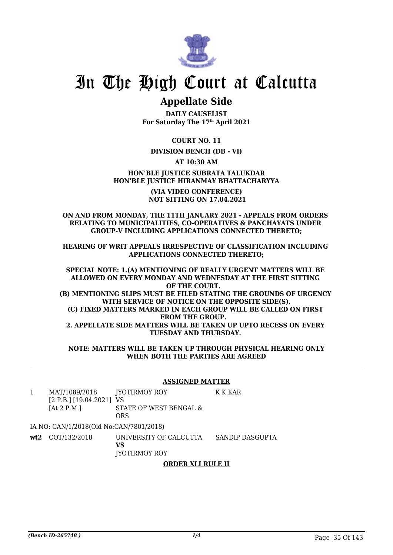

## **Appellate Side**

**DAILY CAUSELIST For Saturday The 17th April 2021**

**COURT NO. 11**

#### **DIVISION BENCH (DB - VI)**

**AT 10:30 AM**

#### **HON'BLE JUSTICE SUBRATA TALUKDAR HON'BLE JUSTICE HIRANMAY BHATTACHARYYA**

**(VIA VIDEO CONFERENCE) NOT SITTING ON 17.04.2021**

#### **ON AND FROM MONDAY, THE 11TH JANUARY 2021 - APPEALS FROM ORDERS RELATING TO MUNICIPALITIES, CO-OPERATIVES & PANCHAYATS UNDER GROUP-V INCLUDING APPLICATIONS CONNECTED THERETO;**

**HEARING OF WRIT APPEALS IRRESPECTIVE OF CLASSIFICATION INCLUDING APPLICATIONS CONNECTED THERETO;**

**SPECIAL NOTE: 1.(A) MENTIONING OF REALLY URGENT MATTERS WILL BE ALLOWED ON EVERY MONDAY AND WEDNESDAY AT THE FIRST SITTING OF THE COURT. (B) MENTIONING SLIPS MUST BE FILED STATING THE GROUNDS OF URGENCY WITH SERVICE OF NOTICE ON THE OPPOSITE SIDE(S). (C) FIXED MATTERS MARKED IN EACH GROUP WILL BE CALLED ON FIRST FROM THE GROUP. 2. APPELLATE SIDE MATTERS WILL BE TAKEN UP UPTO RECESS ON EVERY TUESDAY AND THURSDAY.** 

**NOTE: MATTERS WILL BE TAKEN UP THROUGH PHYSICAL HEARING ONLY WHEN BOTH THE PARTIES ARE AGREED**

#### **ASSIGNED MATTER**

1 MAT/1089/2018 [2 P.B.] [19.04.2021] VS [At 2 P.M.] JYOTIRMOY ROY STATE OF WEST BENGAL & ORS K K KAR

IA NO: CAN/1/2018(Old No:CAN/7801/2018)

**wt2** COT/132/2018 UNIVERSITY OF CALCUTTA **VS** JYOTIRMOY ROY SANDIP DASGUPTA

#### **ORDER XLI RULE II**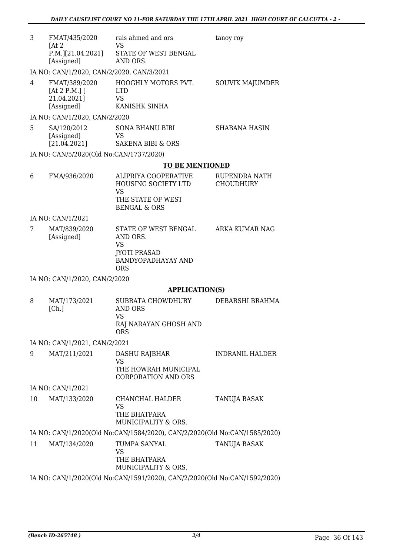| 3  | FMAT/435/2020<br>[At 2]<br>P.M. [21.04.2021]<br>[Assigned]                                                 | rais ahmed and ors<br>VS<br>STATE OF WEST BENGAL<br>AND ORS.                                                    | tanoy roy                         |
|----|------------------------------------------------------------------------------------------------------------|-----------------------------------------------------------------------------------------------------------------|-----------------------------------|
| 4  | IA NO: CAN/1/2020, CAN/2/2020, CAN/3/2021<br>FMAT/389/2020<br>[At 2 P.M.] $[$<br>21.04.2021]<br>[Assigned] | HOOGHLY MOTORS PVT.<br><b>LTD</b><br><b>VS</b><br>KANISHK SINHA                                                 | <b>SOUVIK MAJUMDER</b>            |
|    | IA NO: CAN/1/2020, CAN/2/2020                                                                              |                                                                                                                 |                                   |
| 5  | SA/120/2012<br>[Assigned]<br>[21.04.2021]                                                                  | <b>SONA BHANU BIBI</b><br>VS<br><b>SAKENA BIBI &amp; ORS</b>                                                    | <b>SHABANA HASIN</b>              |
|    | IA NO: CAN/5/2020(Old No:CAN/1737/2020)                                                                    |                                                                                                                 |                                   |
|    |                                                                                                            | <b>TO BE MENTIONED</b>                                                                                          |                                   |
| 6  | FMA/936/2020                                                                                               | ALIPRIYA COOPERATIVE<br>HOUSING SOCIETY LTD<br><b>VS</b><br>THE STATE OF WEST<br><b>BENGAL &amp; ORS</b>        | RUPENDRA NATH<br><b>CHOUDHURY</b> |
|    | IA NO: CAN/1/2021                                                                                          |                                                                                                                 |                                   |
| 7  | MAT/839/2020<br>[Assigned]                                                                                 | STATE OF WEST BENGAL<br>AND ORS.<br><b>VS</b><br><b>JYOTI PRASAD</b><br><b>BANDYOPADHAYAY AND</b><br><b>ORS</b> | ARKA KUMAR NAG                    |
|    | IA NO: CAN/1/2020, CAN/2/2020                                                                              |                                                                                                                 |                                   |
|    |                                                                                                            | <b>APPLICATION(S)</b>                                                                                           |                                   |
| 8  | MAT/173/2021<br>[Ch.]                                                                                      | SUBRATA CHOWDHURY<br><b>AND ORS</b><br><b>VS</b><br>RAJ NARAYAN GHOSH AND<br>ORS                                | DEBARSHI BRAHMA                   |
|    | IA NO: CAN/1/2021, CAN/2/2021                                                                              |                                                                                                                 |                                   |
| 9  | MAT/211/2021                                                                                               | DASHU RAJBHAR<br><b>VS</b><br>THE HOWRAH MUNICIPAL<br><b>CORPORATION AND ORS</b>                                | INDRANIL HALDER                   |
|    | IA NO: CAN/1/2021                                                                                          |                                                                                                                 |                                   |
| 10 | MAT/133/2020                                                                                               | CHANCHAL HALDER<br>VS<br>THE BHATPARA<br>MUNICIPALITY & ORS.                                                    | TANUJA BASAK                      |
|    |                                                                                                            | IA NO: CAN/1/2020(Old No:CAN/1584/2020), CAN/2/2020(Old No:CAN/1585/2020)                                       |                                   |
| 11 | MAT/134/2020                                                                                               | TUMPA SANYAL<br><b>VS</b><br>THE BHATPARA<br>MUNICIPALITY & ORS.                                                | <b>TANUJA BASAK</b>               |

IA NO: CAN/1/2020(Old No:CAN/1591/2020), CAN/2/2020(Old No:CAN/1592/2020)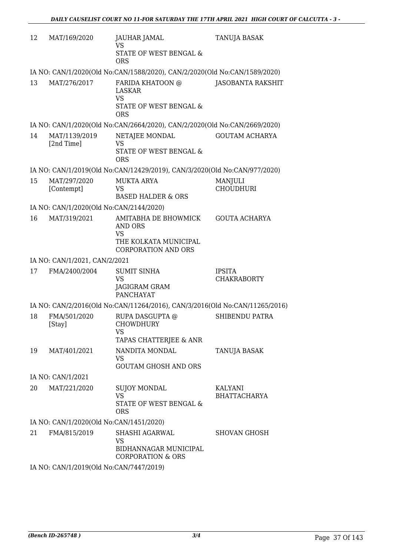| 12 | MAT/169/2020                            | JAUHAR JAMAL<br>VS                                                                                  | TANUJA BASAK                          |
|----|-----------------------------------------|-----------------------------------------------------------------------------------------------------|---------------------------------------|
|    |                                         | STATE OF WEST BENGAL &<br><b>ORS</b>                                                                |                                       |
|    |                                         | IA NO: CAN/1/2020(Old No:CAN/1588/2020), CAN/2/2020(Old No:CAN/1589/2020)                           |                                       |
| 13 | MAT/276/2017                            | FARIDA KHATOON @<br>LASKAR<br><b>VS</b><br>STATE OF WEST BENGAL &<br><b>ORS</b>                     | JASOBANTA RAKSHIT                     |
|    |                                         | IA NO: CAN/1/2020(Old No:CAN/2664/2020), CAN/2/2020(Old No:CAN/2669/2020)                           |                                       |
| 14 | MAT/1139/2019<br>[2nd Time]             | NETAJEE MONDAL<br><b>VS</b><br>STATE OF WEST BENGAL &<br><b>ORS</b>                                 | <b>GOUTAM ACHARYA</b>                 |
|    |                                         | IA NO: CAN/1/2019(Old No:CAN/12429/2019), CAN/3/2020(Old No:CAN/977/2020)                           |                                       |
| 15 | MAT/297/2020<br>[Contempt]              | <b>MUKTA ARYA</b><br><b>VS</b><br><b>BASED HALDER &amp; ORS</b>                                     | MANJULI<br><b>CHOUDHURI</b>           |
|    | IA NO: CAN/1/2020(Old No:CAN/2144/2020) |                                                                                                     |                                       |
| 16 | MAT/319/2021                            | AMITABHA DE BHOWMICK<br>AND ORS<br><b>VS</b><br>THE KOLKATA MUNICIPAL<br><b>CORPORATION AND ORS</b> | <b>GOUTA ACHARYA</b>                  |
|    | IA NO: CAN/1/2021, CAN/2/2021           |                                                                                                     |                                       |
| 17 | FMA/2400/2004                           | <b>SUMIT SINHA</b><br><b>VS</b><br>JAGIGRAM GRAM<br>PANCHAYAT                                       | <b>IPSITA</b><br><b>CHAKRABORTY</b>   |
|    |                                         | IA NO: CAN/2/2016(Old No:CAN/11264/2016), CAN/3/2016(Old No:CAN/11265/2016)                         |                                       |
| 18 | FMA/501/2020<br>[Stay]                  | RUPA DASGUPTA @<br>CHOWDHURY<br>VS<br>TAPAS CHATTERJEE & ANR                                        | <b>SHIBENDU PATRA</b>                 |
| 19 | MAT/401/2021                            | NANDITA MONDAL<br>VS<br><b>GOUTAM GHOSH AND ORS</b>                                                 | TANUJA BASAK                          |
|    | IA NO: CAN/1/2021                       |                                                                                                     |                                       |
| 20 | MAT/221/2020                            | <b>SUJOY MONDAL</b><br><b>VS</b><br>STATE OF WEST BENGAL &<br><b>ORS</b>                            | <b>KALYANI</b><br><b>BHATTACHARYA</b> |
|    | IA NO: CAN/1/2020(Old No:CAN/1451/2020) |                                                                                                     |                                       |
| 21 | FMA/815/2019                            | SHASHI AGARWAL<br>VS<br>BIDHANNAGAR MUNICIPAL<br><b>CORPORATION &amp; ORS</b>                       | <b>SHOVAN GHOSH</b>                   |
|    | IA NO. CANILLOOLOOLA No.CANITAATIO010)  |                                                                                                     |                                       |

IA NO: CAN/1/2019(Old No:CAN/7447/2019)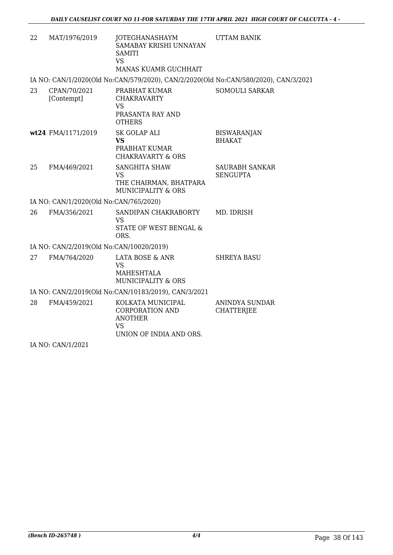| 22 | MAT/1976/2019                            | JOTEGHANASHAYM<br>SAMABAY KRISHI UNNAYAN<br><b>SAMITI</b><br><b>VS</b><br>MANAS KUAMR GUCHHAIT | <b>UTTAM BANIK</b>                         |
|----|------------------------------------------|------------------------------------------------------------------------------------------------|--------------------------------------------|
|    |                                          | IA NO: CAN/1/2020(Old No:CAN/579/2020), CAN/2/2020(Old No:CAN/580/2020), CAN/3/2021            |                                            |
| 23 | CPAN/70/2021<br>[Contempt]               | PRABHAT KUMAR<br><b>CHAKRAVARTY</b><br><b>VS</b><br>PRASANTA RAY AND<br><b>OTHERS</b>          | <b>SOMOULI SARKAR</b>                      |
|    | wt24 FMA/1171/2019                       | SK GOLAP ALI<br><b>VS</b><br>PRABHAT KUMAR<br><b>CHAKRAVARTY &amp; ORS</b>                     | <b>BISWARANJAN</b><br><b>BHAKAT</b>        |
| 25 | FMA/469/2021                             | <b>SANGHITA SHAW</b><br><b>VS</b><br>THE CHAIRMAN, BHATPARA<br><b>MUNICIPALITY &amp; ORS</b>   | <b>SAURABH SANKAR</b><br><b>SENGUPTA</b>   |
|    | IA NO: CAN/1/2020(Old No:CAN/765/2020)   |                                                                                                |                                            |
| 26 | FMA/356/2021                             | SANDIPAN CHAKRABORTY<br><b>VS</b><br>STATE OF WEST BENGAL &<br>ORS.                            | MD. IDRISH                                 |
|    | IA NO: CAN/2/2019(Old No:CAN/10020/2019) |                                                                                                |                                            |
| 27 | FMA/764/2020                             | LATA BOSE & ANR<br><b>VS</b><br>MAHESHTALA<br><b>MUNICIPALITY &amp; ORS</b>                    | <b>SHREYA BASU</b>                         |
|    |                                          | IA NO: CAN/2/2019(Old No:CAN/10183/2019), CAN/3/2021                                           |                                            |
| 28 | FMA/459/2021                             | KOLKATA MUNICIPAL<br>CORPORATION AND<br><b>ANOTHER</b><br><b>VS</b><br>UNION OF INDIA AND ORS. | <b>ANINDYA SUNDAR</b><br><b>CHATTERJEE</b> |
|    | IA NO: CAN/1/2021                        |                                                                                                |                                            |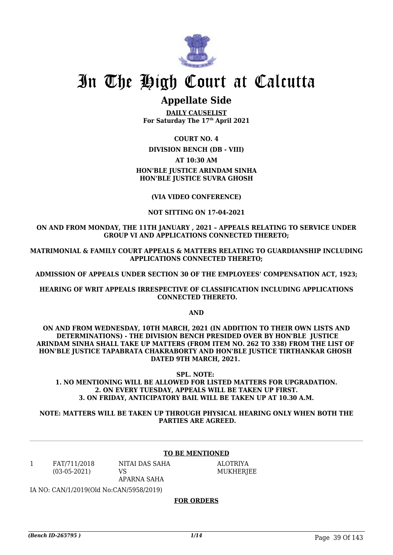

## **Appellate Side**

**DAILY CAUSELIST For Saturday The 17th April 2021**

**COURT NO. 4**

**DIVISION BENCH (DB - VIII)**

#### **AT 10:30 AM**

**HON'BLE JUSTICE ARINDAM SINHA HON'BLE JUSTICE SUVRA GHOSH**

**(VIA VIDEO CONFERENCE)**

#### **NOT SITTING ON 17-04-2021**

**ON AND FROM MONDAY, THE 11TH JANUARY , 2021 – APPEALS RELATING TO SERVICE UNDER GROUP VI AND APPLICATIONS CONNECTED THERETO;**

**MATRIMONIAL & FAMILY COURT APPEALS & MATTERS RELATING TO GUARDIANSHIP INCLUDING APPLICATIONS CONNECTED THERETO;**

**ADMISSION OF APPEALS UNDER SECTION 30 OF THE EMPLOYEES' COMPENSATION ACT, 1923;**

**HEARING OF WRIT APPEALS IRRESPECTIVE OF CLASSIFICATION INCLUDING APPLICATIONS CONNECTED THERETO.**

**AND**

**ON AND FROM WEDNESDAY, 10TH MARCH, 2021 (IN ADDITION TO THEIR OWN LISTS AND DETERMINATIONS) - THE DIVISION BENCH PRESIDED OVER BY HON'BLE JUSTICE ARINDAM SINHA SHALL TAKE UP MATTERS (FROM ITEM NO. 262 TO 338) FROM THE LIST OF HON'BLE JUSTICE TAPABRATA CHAKRABORTY AND HON'BLE JUSTICE TIRTHANKAR GHOSH DATED 9TH MARCH, 2021.** 

**SPL. NOTE: 1. NO MENTIONING WILL BE ALLOWED FOR LISTED MATTERS FOR UPGRADATION. 2. ON EVERY TUESDAY, APPEALS WILL BE TAKEN UP FIRST. 3. ON FRIDAY, ANTICIPATORY BAIL WILL BE TAKEN UP AT 10.30 A.M.**

**NOTE: MATTERS WILL BE TAKEN UP THROUGH PHYSICAL HEARING ONLY WHEN BOTH THE PARTIES ARE AGREED.**

#### **TO BE MENTIONED**

1 FAT/711/2018 (03-05-2021)

NITAI DAS SAHA VS APARNA SAHA

ALOTRIYA MUKHERJEE

IA NO: CAN/1/2019(Old No:CAN/5958/2019)

#### **FOR ORDERS**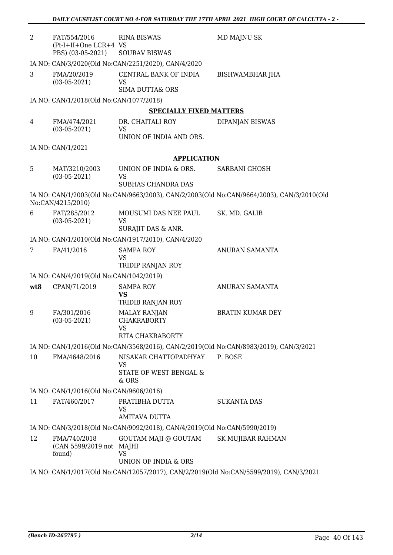| 2<br>FAT/554/2016<br>(Pt-I+II+One LCR+4 VS<br>PBS) (03-05-2021) | <b>RINA BISWAS</b><br><b>SOURAV BISWAS</b>                                                        | MD MAJNU SK                                                                               |  |  |  |
|-----------------------------------------------------------------|---------------------------------------------------------------------------------------------------|-------------------------------------------------------------------------------------------|--|--|--|
|                                                                 | IA NO: CAN/3/2020(Old No:CAN/2251/2020), CAN/4/2020                                               |                                                                                           |  |  |  |
| 3<br>FMA/20/2019<br>$(03-05-2021)$                              | CENTRAL BANK OF INDIA<br>VS<br><b>SIMA DUTTA&amp; ORS</b>                                         | BISHWAMBHAR JHA                                                                           |  |  |  |
| IA NO: CAN/1/2018(Old No:CAN/1077/2018)                         |                                                                                                   |                                                                                           |  |  |  |
|                                                                 | <b>SPECIALLY FIXED MATTERS</b>                                                                    |                                                                                           |  |  |  |
| 4<br>FMA/474/2021<br>$(03-05-2021)$                             | DR. CHAITALI ROY<br><b>VS</b><br>UNION OF INDIA AND ORS.                                          | DIPANJAN BISWAS                                                                           |  |  |  |
| IA NO: CAN/1/2021                                               |                                                                                                   |                                                                                           |  |  |  |
|                                                                 | <b>APPLICATION</b>                                                                                |                                                                                           |  |  |  |
| 5<br>MAT/3210/2003<br>$(03-05-2021)$                            | UNION OF INDIA & ORS.<br>VS                                                                       | <b>SARBANI GHOSH</b>                                                                      |  |  |  |
|                                                                 | <b>SUBHAS CHANDRA DAS</b>                                                                         |                                                                                           |  |  |  |
| No:CAN/4215/2010)                                               |                                                                                                   | IA NO: CAN/1/2003(Old No:CAN/9663/2003), CAN/2/2003(Old No:CAN/9664/2003), CAN/3/2010(Old |  |  |  |
| FAT/285/2012<br>6<br>$(03-05-2021)$                             | MOUSUMI DAS NEE PAUL<br>VS<br>SURAJIT DAS & ANR.                                                  | SK. MD. GALIB                                                                             |  |  |  |
|                                                                 | IA NO: CAN/1/2010(Old No:CAN/1917/2010), CAN/4/2020                                               |                                                                                           |  |  |  |
| FA/41/2016<br>7                                                 | <b>SAMPA ROY</b><br>VS<br>TRIDIP RANJAN ROY                                                       | ANURAN SAMANTA                                                                            |  |  |  |
| IA NO: CAN/4/2019(Old No:CAN/1042/2019)                         |                                                                                                   |                                                                                           |  |  |  |
| wt8<br>CPAN/71/2019                                             | <b>SAMPA ROY</b>                                                                                  | ANURAN SAMANTA                                                                            |  |  |  |
|                                                                 | <b>VS</b><br>TRIDIB RANJAN ROY                                                                    |                                                                                           |  |  |  |
| 9<br>FA/301/2016<br>$(03-05-2021)$                              | <b>MALAY RANJAN</b><br><b>CHAKRABORTY</b><br>VS                                                   | <b>BRATIN KUMAR DEY</b>                                                                   |  |  |  |
|                                                                 | RITA CHAKRABORTY                                                                                  |                                                                                           |  |  |  |
|                                                                 |                                                                                                   | IA NO: CAN/1/2016(Old No:CAN/3568/2016), CAN/2/2019(Old No:CAN/8983/2019), CAN/3/2021     |  |  |  |
| 10<br>FMA/4648/2016                                             | NISAKAR CHATTOPADHYAY<br><b>VS</b><br>STATE OF WEST BENGAL &<br>& ORS                             | P. BOSE                                                                                   |  |  |  |
| IA NO: CAN/1/2016(Old No:CAN/9606/2016)                         |                                                                                                   |                                                                                           |  |  |  |
| 11<br>FAT/460/2017                                              | PRATIBHA DUTTA<br><b>VS</b>                                                                       | <b>SUKANTA DAS</b>                                                                        |  |  |  |
|                                                                 | <b>AMITAVA DUTTA</b><br>IA NO: CAN/3/2018(Old No:CAN/9092/2018), CAN/4/2019(Old No:CAN/5990/2019) |                                                                                           |  |  |  |
| 12<br>FMA/740/2018                                              | GOUTAM MAJI @ GOUTAM                                                                              | <b>SK MUJIBAR RAHMAN</b>                                                                  |  |  |  |
| (CAN 5599/2019 not MAJHI<br>found)                              | <b>VS</b><br>UNION OF INDIA & ORS                                                                 |                                                                                           |  |  |  |
|                                                                 |                                                                                                   | IA NO: CAN/1/2017(Old No:CAN/12057/2017), CAN/2/2019(Old No:CAN/5599/2019), CAN/3/2021    |  |  |  |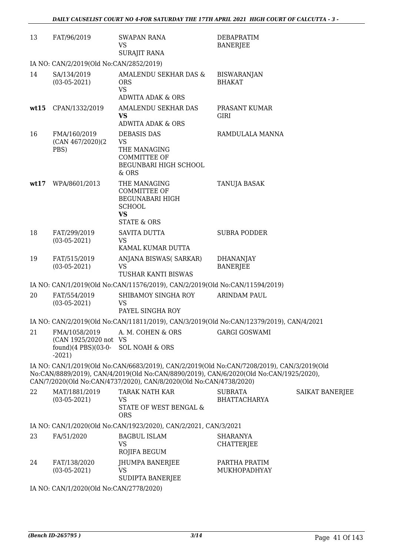| 13   | FAT/96/2019                                                                    | <b>SWAPAN RANA</b><br>VS<br><b>SURAJIT RANA</b>                                                                                                                                                                                                           | <b>DEBAPRATIM</b><br><b>BANERJEE</b>  |                 |  |
|------|--------------------------------------------------------------------------------|-----------------------------------------------------------------------------------------------------------------------------------------------------------------------------------------------------------------------------------------------------------|---------------------------------------|-----------------|--|
|      | IA NO: CAN/2/2019(Old No:CAN/2852/2019)                                        |                                                                                                                                                                                                                                                           |                                       |                 |  |
| 14   | SA/134/2019<br>$(03-05-2021)$                                                  | AMALENDU SEKHAR DAS &<br><b>ORS</b><br><b>VS</b><br><b>ADWITA ADAK &amp; ORS</b>                                                                                                                                                                          | <b>BISWARANJAN</b><br><b>BHAKAT</b>   |                 |  |
| wt15 | CPAN/1332/2019                                                                 | AMALENDU SEKHAR DAS<br>VS<br><b>ADWITA ADAK &amp; ORS</b>                                                                                                                                                                                                 | PRASANT KUMAR<br><b>GIRI</b>          |                 |  |
| 16   | FMA/160/2019<br>(CAN 467/2020)(2)<br>PBS)                                      | <b>DEBASIS DAS</b><br><b>VS</b><br>THE MANAGING<br>COMMITTEE OF<br>BEGUNBARI HIGH SCHOOL<br>& ORS                                                                                                                                                         | RAMDULALA MANNA                       |                 |  |
| wt17 | WPA/8601/2013                                                                  | THE MANAGING<br><b>COMMITTEE OF</b><br><b>BEGUNABARI HIGH</b><br><b>SCHOOL</b><br><b>VS</b><br><b>STATE &amp; ORS</b>                                                                                                                                     | TANUJA BASAK                          |                 |  |
| 18   | FAT/299/2019<br>$(03-05-2021)$                                                 | SAVITA DUTTA<br>VS<br>KAMAL KUMAR DUTTA                                                                                                                                                                                                                   | <b>SUBRA PODDER</b>                   |                 |  |
| 19   | FAT/515/2019<br>$(03-05-2021)$                                                 | ANJANA BISWAS(SARKAR)<br><b>VS</b><br>TUSHAR KANTI BISWAS                                                                                                                                                                                                 | <b>DHANANJAY</b><br><b>BANERJEE</b>   |                 |  |
|      |                                                                                | IA NO: CAN/1/2019(Old No:CAN/11576/2019), CAN/2/2019(Old No:CAN/11594/2019)                                                                                                                                                                               |                                       |                 |  |
| 20   | FAT/554/2019<br>$(03-05-2021)$                                                 | SHIBAMOY SINGHA ROY<br>VS<br>PAYEL SINGHA ROY                                                                                                                                                                                                             | <b>ARINDAM PAUL</b>                   |                 |  |
|      |                                                                                | IA NO: CAN/2/2019(Old No:CAN/11811/2019), CAN/3/2019(Old No:CAN/12379/2019), CAN/4/2021                                                                                                                                                                   |                                       |                 |  |
| 21   | FMA/1058/2019<br>(CAN 1925/2020 not VS<br>found) $(4$ PBS $)(03-0-$<br>$-2021$ | A. M. COHEN & ORS<br><b>SOL NOAH &amp; ORS</b>                                                                                                                                                                                                            | <b>GARGI GOSWAMI</b>                  |                 |  |
|      |                                                                                | IA NO: CAN/1/2019(Old No:CAN/6683/2019), CAN/2/2019(Old No:CAN/7208/2019), CAN/3/2019(Old<br>No:CAN/8889/2019), CAN/4/2019(Old No:CAN/8890/2019), CAN/6/2020(Old No:CAN/1925/2020),<br>CAN/7/2020(Old No:CAN/4737/2020), CAN/8/2020(Old No:CAN/4738/2020) |                                       |                 |  |
| 22   | MAT/1881/2019<br>$(03-05-2021)$                                                | <b>TARAK NATH KAR</b><br><b>VS</b><br>STATE OF WEST BENGAL &<br><b>ORS</b>                                                                                                                                                                                | <b>SUBRATA</b><br><b>BHATTACHARYA</b> | SAIKAT BANERJEE |  |
|      |                                                                                | IA NO: CAN/1/2020(Old No:CAN/1923/2020), CAN/2/2021, CAN/3/2021                                                                                                                                                                                           |                                       |                 |  |
| 23   | FA/51/2020                                                                     | <b>BAGBUL ISLAM</b><br>VS<br>ROJIFA BEGUM                                                                                                                                                                                                                 | <b>SHARANYA</b><br><b>CHATTERJEE</b>  |                 |  |
| 24   | FAT/138/2020<br>$(03-05-2021)$                                                 | JHUMPA BANERJEE<br><b>VS</b><br>SUDIPTA BANERJEE                                                                                                                                                                                                          | PARTHA PRATIM<br>MUKHOPADHYAY         |                 |  |
|      | IA NO: CAN/1/2020(Old No:CAN/2778/2020)                                        |                                                                                                                                                                                                                                                           |                                       |                 |  |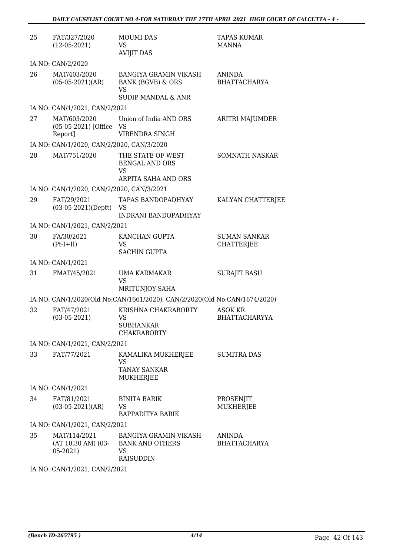| 25 | FAT/327/2020<br>$(12-05-2021)$                     | <b>MOUMI DAS</b><br>VS<br><b>AVIJIT DAS</b>                                                         | TAPAS KUMAR<br>MANNA                     |
|----|----------------------------------------------------|-----------------------------------------------------------------------------------------------------|------------------------------------------|
|    | IA NO: CAN/2/2020                                  |                                                                                                     |                                          |
| 26 | MAT/403/2020<br>$(05-05-2021)(AR)$                 | <b>BANGIYA GRAMIN VIKASH</b><br><b>BANK (BGVB) &amp; ORS</b><br>VS<br><b>SUDIP MANDAL &amp; ANR</b> | ANINDA<br><b>BHATTACHARYA</b>            |
|    | IA NO: CAN/1/2021, CAN/2/2021                      |                                                                                                     |                                          |
| 27 | MAT/603/2020<br>(05-05-2021) [Office VS<br>Report] | Union of India AND ORS<br>VIRENDRA SINGH                                                            | ARITRI MAJUMDER                          |
|    | IA NO: CAN/1/2020, CAN/2/2020, CAN/3/2020          |                                                                                                     |                                          |
| 28 | MAT/751/2020                                       | THE STATE OF WEST<br><b>BENGAL AND ORS</b><br>VS<br>ARPITA SAHA AND ORS                             | SOMNATH NASKAR                           |
|    | IA NO: CAN/1/2020, CAN/2/2020, CAN/3/2021          |                                                                                                     |                                          |
| 29 | FAT/29/2021<br>$(03-05-2021)$ (Deptt)              | <b>TAPAS BANDOPADHYAY</b><br>VS<br>INDRANI BANDOPADHYAY                                             | KALYAN CHATTERJEE                        |
|    | IA NO: CAN/1/2021, CAN/2/2021                      |                                                                                                     |                                          |
| 30 | FA/30/2021<br>$(Pt-I+II)$                          | KANCHAN GUPTA<br>VS<br><b>SACHIN GUPTA</b>                                                          | <b>SUMAN SANKAR</b><br><b>CHATTERJEE</b> |
|    | IA NO: CAN/1/2021                                  |                                                                                                     |                                          |
| 31 | FMAT/45/2021                                       | UMA KARMAKAR<br>VS<br>MRITUNJOY SAHA                                                                | <b>SURAJIT BASU</b>                      |
|    |                                                    | IA NO: CAN/1/2020(Old No:CAN/1661/2020), CAN/2/2020(Old No:CAN/1674/2020)                           |                                          |
| 32 | FAT/47/2021<br>$(03-05-2021)$                      | KRISHNA CHAKRABORTY<br>VS<br><b>SUBHANKAR</b><br><b>CHAKRABORTY</b>                                 | ASOK KR.<br><b>BHATTACHARYYA</b>         |
|    | IA NO: CAN/1/2021, CAN/2/2021                      |                                                                                                     |                                          |
| 33 | FAT/77/2021                                        | KAMALIKA MUKHERJEE<br>VS<br><b>TANAY SANKAR</b><br>MUKHERJEE                                        | <b>SUMITRA DAS</b>                       |
|    | IA NO: CAN/1/2021                                  |                                                                                                     |                                          |
| 34 | FAT/81/2021<br>$(03-05-2021)(AR)$                  | <b>BINITA BARIK</b><br>VS<br>BAPPADITYA BARIK                                                       | PROSENJIT<br><b>MUKHERJEE</b>            |
|    | IA NO: CAN/1/2021, CAN/2/2021                      |                                                                                                     |                                          |
| 35 | MAT/114/2021<br>$(AT 10.30 AM)$ (03-<br>$05-2021$  | <b>BANGIYA GRAMIN VIKASH</b><br><b>BANK AND OTHERS</b><br>VS<br><b>RAISUDDIN</b>                    | ANINDA<br><b>BHATTACHARYA</b>            |
|    |                                                    |                                                                                                     |                                          |

IA NO: CAN/1/2021, CAN/2/2021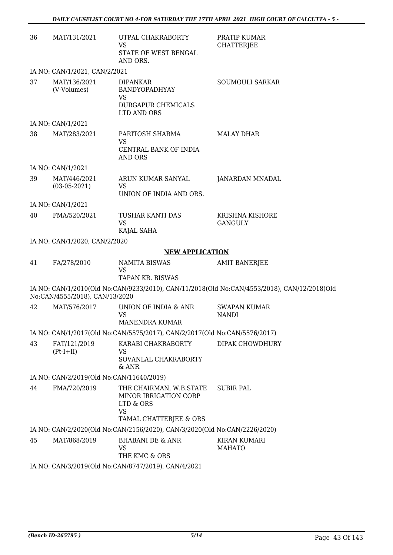| 36 | MAT/131/2021                             | UTPAL CHAKRABORTY<br>VS                                                                              | PRATIP KUMAR<br><b>CHATTERJEE</b>                                                           |
|----|------------------------------------------|------------------------------------------------------------------------------------------------------|---------------------------------------------------------------------------------------------|
|    |                                          | STATE OF WEST BENGAL<br>AND ORS.                                                                     |                                                                                             |
|    | IA NO: CAN/1/2021, CAN/2/2021            |                                                                                                      |                                                                                             |
| 37 | MAT/136/2021<br>(V-Volumes)              | <b>DIPANKAR</b><br>BANDYOPADHYAY<br><b>VS</b><br>DURGAPUR CHEMICALS<br>LTD AND ORS                   | SOUMOULI SARKAR                                                                             |
|    | IA NO: CAN/1/2021                        |                                                                                                      |                                                                                             |
| 38 | MAT/283/2021                             | PARITOSH SHARMA<br><b>VS</b><br>CENTRAL BANK OF INDIA<br>AND ORS                                     | <b>MALAY DHAR</b>                                                                           |
|    | IA NO: CAN/1/2021                        |                                                                                                      |                                                                                             |
| 39 | MAT/446/2021<br>$(03-05-2021)$           | ARUN KUMAR SANYAL<br><b>VS</b>                                                                       | <b>JANARDAN MNADAL</b>                                                                      |
|    |                                          | UNION OF INDIA AND ORS.                                                                              |                                                                                             |
|    | IA NO: CAN/1/2021                        |                                                                                                      |                                                                                             |
| 40 | FMA/520/2021                             | TUSHAR KANTI DAS<br><b>VS</b><br>KAJAL SAHA                                                          | <b>KRISHNA KISHORE</b><br><b>GANGULY</b>                                                    |
|    | IA NO: CAN/1/2020, CAN/2/2020            |                                                                                                      |                                                                                             |
|    |                                          | <b>NEW APPLICATION</b>                                                                               |                                                                                             |
| 41 | FA/278/2010                              | <b>NAMITA BISWAS</b><br><b>VS</b><br>TAPAN KR. BISWAS                                                | <b>AMIT BANERJEE</b>                                                                        |
|    | No:CAN/4555/2018), CAN/13/2020           |                                                                                                      | IA NO: CAN/1/2010(Old No:CAN/9233/2010), CAN/11/2018(Old No:CAN/4553/2018), CAN/12/2018(Old |
| 42 | MAT/576/2017                             | UNION OF INDIA & ANR<br><b>VS</b>                                                                    | <b>SWAPAN KUMAR</b><br><b>NANDI</b>                                                         |
|    |                                          | MANENDRA KUMAR                                                                                       |                                                                                             |
|    |                                          | IA NO: CAN/1/2017(Old No:CAN/5575/2017), CAN/2/2017(Old No:CAN/5576/2017)                            |                                                                                             |
| 43 | FAT/121/2019<br>$(Pt-I+II)$              | KARABI CHAKRABORTY<br>VS<br>SOVANLAL CHAKRABORTY<br>& ANR                                            | DIPAK CHOWDHURY                                                                             |
|    | IA NO: CAN/2/2019(Old No:CAN/11640/2019) |                                                                                                      |                                                                                             |
| 44 | FMA/720/2019                             | THE CHAIRMAN, W.B.STATE<br>MINOR IRRIGATION CORP<br>LTD & ORS<br><b>VS</b><br>TAMAL CHATTERJEE & ORS | <b>SUBIR PAL</b>                                                                            |
|    |                                          | IA NO: CAN/2/2020(Old No:CAN/2156/2020), CAN/3/2020(Old No:CAN/2226/2020)                            |                                                                                             |
| 45 | MAT/868/2019                             | <b>BHABANI DE &amp; ANR</b><br><b>VS</b><br>THE KMC & ORS                                            | <b>KIRAN KUMARI</b><br><b>MAHATO</b>                                                        |
|    |                                          | IA NO: CAN/3/2019(Old No:CAN/8747/2019), CAN/4/2021                                                  |                                                                                             |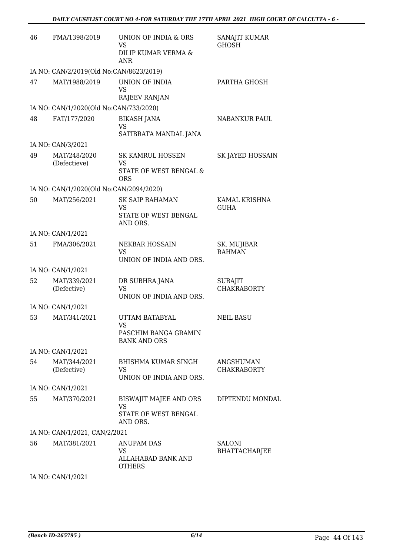| 46 | FMA/1398/2019                           | UNION OF INDIA & ORS<br>VS<br>DILIP KUMAR VERMA &<br><b>ANR</b>         | SANAJIT KUMAR<br><b>GHOSH</b>         |
|----|-----------------------------------------|-------------------------------------------------------------------------|---------------------------------------|
|    | IA NO: CAN/2/2019(Old No:CAN/8623/2019) |                                                                         |                                       |
| 47 | MAT/1988/2019                           | UNION OF INDIA<br><b>VS</b><br>RAJEEV RANJAN                            | PARTHA GHOSH                          |
|    | IA NO: CAN/1/2020(Old No:CAN/733/2020)  |                                                                         |                                       |
| 48 | FAT/177/2020                            | <b>BIKASH JANA</b><br>VS<br>SATIBRATA MANDAL JANA                       | NABANKUR PAUL                         |
|    | IA NO: CAN/3/2021                       |                                                                         |                                       |
| 49 | MAT/248/2020<br>(Defectieve)            | <b>SK KAMRUL HOSSEN</b><br>VS<br>STATE OF WEST BENGAL &<br><b>ORS</b>   | SK JAYED HOSSAIN                      |
|    | IA NO: CAN/1/2020(Old No:CAN/2094/2020) |                                                                         |                                       |
| 50 | MAT/256/2021                            | <b>SK SAIP RAHAMAN</b><br><b>VS</b><br>STATE OF WEST BENGAL             | KAMAL KRISHNA<br><b>GUHA</b>          |
|    |                                         | AND ORS.                                                                |                                       |
| 51 | IA NO: CAN/1/2021<br>FMA/306/2021       | NEKBAR HOSSAIN                                                          | SK. MUJIBAR                           |
|    |                                         | <b>VS</b><br>UNION OF INDIA AND ORS.                                    | <b>RAHMAN</b>                         |
|    | IA NO: CAN/1/2021                       |                                                                         |                                       |
| 52 | MAT/339/2021<br>(Defective)             | DR SUBHRA JANA<br>VS<br>UNION OF INDIA AND ORS.                         | <b>SURAJIT</b><br><b>CHAKRABORTY</b>  |
|    | IA NO: CAN/1/2021                       |                                                                         |                                       |
| 53 | MAT/341/2021                            | UTTAM BATABYAL<br>VS.<br>PASCHIM BANGA GRAMIN                           | <b>NEIL BASU</b>                      |
|    | IA NO: CAN/1/2021                       | <b>BANK AND ORS</b>                                                     |                                       |
| 54 | MAT/344/2021                            | BHISHMA KUMAR SINGH                                                     | ANGSHUMAN                             |
|    | (Defective)                             | VS<br>UNION OF INDIA AND ORS.                                           | <b>CHAKRABORTY</b>                    |
|    | IA NO: CAN/1/2021                       |                                                                         |                                       |
| 55 | MAT/370/2021                            | BISWAJIT MAJEE AND ORS<br><b>VS</b><br>STATE OF WEST BENGAL<br>AND ORS. | DIPTENDU MONDAL                       |
|    | IA NO: CAN/1/2021, CAN/2/2021           |                                                                         |                                       |
| 56 | MAT/381/2021                            | ANUPAM DAS<br>VS<br>ALLAHABAD BANK AND<br>OTHERS                        | <b>SALONI</b><br><b>BHATTACHARJEE</b> |

IA NO: CAN/1/2021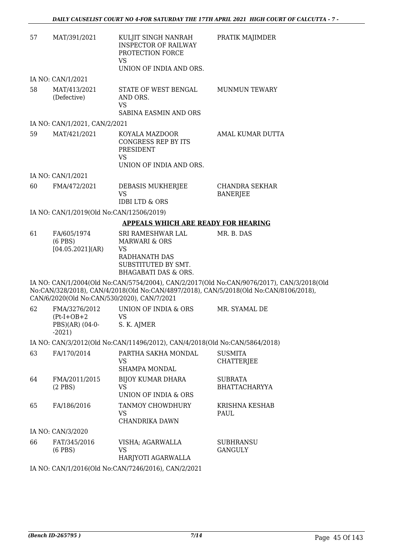| 57 | MAT/391/2021                                                 | KULJIT SINGH NANRAH<br><b>INSPECTOR OF RAILWAY</b><br>PROTECTION FORCE<br>VS<br>UNION OF INDIA AND ORS.                    | PRATIK MAJIMDER                                                                                                                                                                    |
|----|--------------------------------------------------------------|----------------------------------------------------------------------------------------------------------------------------|------------------------------------------------------------------------------------------------------------------------------------------------------------------------------------|
|    | IA NO: CAN/1/2021                                            |                                                                                                                            |                                                                                                                                                                                    |
| 58 | MAT/413/2021<br>(Defective)                                  | STATE OF WEST BENGAL<br>AND ORS.<br><b>VS</b><br>SABINA EASMIN AND ORS                                                     | <b>MUNMUN TEWARY</b>                                                                                                                                                               |
|    | IA NO: CAN/1/2021, CAN/2/2021                                |                                                                                                                            |                                                                                                                                                                                    |
| 59 | MAT/421/2021                                                 | KOYALA MAZDOOR<br><b>CONGRESS REP BY ITS</b><br>PRESIDENT<br>VS<br>UNION OF INDIA AND ORS.                                 | AMAL KUMAR DUTTA                                                                                                                                                                   |
|    | IA NO: CAN/1/2021                                            |                                                                                                                            |                                                                                                                                                                                    |
| 60 | FMA/472/2021                                                 | DEBASIS MUKHERJEE<br>VS                                                                                                    | CHANDRA SEKHAR<br><b>BANERJEE</b>                                                                                                                                                  |
|    |                                                              | <b>IDBI LTD &amp; ORS</b>                                                                                                  |                                                                                                                                                                                    |
|    | IA NO: CAN/1/2019(Old No:CAN/12506/2019)                     |                                                                                                                            |                                                                                                                                                                                    |
|    |                                                              | <b>APPEALS WHICH ARE READY FOR HEARING</b>                                                                                 |                                                                                                                                                                                    |
| 61 | FA/605/1974<br>$(6$ PBS $)$<br>[04.05.2021](AR)              | SRI RAMESHWAR LAL<br><b>MARWARI &amp; ORS</b><br><b>VS</b><br>RADHANATH DAS<br>SUBSTITUTED BY SMT.<br>BHAGABATI DAS & ORS. | MR. B. DAS                                                                                                                                                                         |
|    | CAN/6/2020(Old No:CAN/530/2020), CAN/7/2021                  |                                                                                                                            | IA NO: CAN/1/2004(Old No:CAN/5754/2004), CAN/2/2017(Old No:CAN/9076/2017), CAN/3/2018(Old<br>No:CAN/328/2018), CAN/4/2018(Old No:CAN/4897/2018), CAN/5/2018(Old No:CAN/8106/2018), |
| 62 | FMA/3276/2012<br>$(Pt-I+OB+2)$<br>PBS)(AR) (04-0-<br>$-2021$ | UNION OF INDIA & ORS<br><b>VS</b><br>S. K. AJMER                                                                           | MR. SYAMAL DE                                                                                                                                                                      |
|    |                                                              | IA NO: CAN/3/2012(Old No:CAN/11496/2012), CAN/4/2018(Old No:CAN/5864/2018)                                                 |                                                                                                                                                                                    |
| 63 | FA/170/2014                                                  | PARTHA SAKHA MONDAL<br><b>VS</b><br><b>SHAMPA MONDAL</b>                                                                   | <b>SUSMITA</b><br><b>CHATTERJEE</b>                                                                                                                                                |
| 64 | FMA/2011/2015<br>$(2$ PBS)                                   | <b>BIJOY KUMAR DHARA</b><br>VS<br>UNION OF INDIA & ORS                                                                     | <b>SUBRATA</b><br><b>BHATTACHARYYA</b>                                                                                                                                             |
| 65 | FA/186/2016                                                  | TANMOY CHOWDHURY<br>VS<br>CHANDRIKA DAWN                                                                                   | KRISHNA KESHAB<br>PAUL                                                                                                                                                             |
|    | IA NO: CAN/3/2020                                            |                                                                                                                            |                                                                                                                                                                                    |
| 66 | FAT/345/2016<br>$(6$ PBS $)$                                 | VISHA; AGARWALLA<br>VS<br>HARJYOTI AGARWALLA                                                                               | <b>SUBHRANSU</b><br><b>GANGULY</b>                                                                                                                                                 |
|    |                                                              | IA NO: CAN/1/2016(Old No:CAN/7246/2016), CAN/2/2021                                                                        |                                                                                                                                                                                    |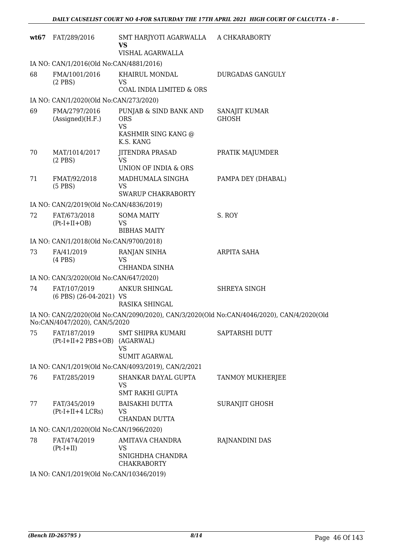| wt67 | FAT/289/2016                                 | SMT HARJYOTI AGARWALLA A CHKARABORTY<br>VS                                            |                                                                                           |
|------|----------------------------------------------|---------------------------------------------------------------------------------------|-------------------------------------------------------------------------------------------|
|      |                                              | VISHAL AGARWALLA                                                                      |                                                                                           |
|      | IA NO: CAN/1/2016(Old No:CAN/4881/2016)      |                                                                                       |                                                                                           |
| 68   | FMA/1001/2016<br>$(2$ PBS $)$                | KHAIRUL MONDAL<br><b>VS</b><br>COAL INDIA LIMITED & ORS                               | DURGADAS GANGULY                                                                          |
|      | IA NO: CAN/1/2020(Old No:CAN/273/2020)       |                                                                                       |                                                                                           |
| 69   | FMA/2797/2016<br>(Associated)(H.F.)          | PUNJAB & SIND BANK AND<br><b>ORS</b><br><b>VS</b><br>KASHMIR SING KANG @<br>K.S. KANG | SANAJIT KUMAR<br><b>GHOSH</b>                                                             |
| 70   | MAT/1014/2017<br>$(2$ PBS)                   | <b>JITENDRA PRASAD</b><br>VS                                                          | PRATIK MAJUMDER                                                                           |
|      |                                              | <b>UNION OF INDIA &amp; ORS</b>                                                       |                                                                                           |
| 71   | FMAT/92/2018<br>$(5$ PBS)                    | MADHUMALA SINGHA<br><b>VS</b>                                                         | PAMPA DEY (DHABAL)                                                                        |
|      |                                              | SWARUP CHAKRABORTY                                                                    |                                                                                           |
|      | IA NO: CAN/2/2019(Old No:CAN/4836/2019)      |                                                                                       |                                                                                           |
| 72   | FAT/673/2018<br>$(Pt-I+II+OB)$               | <b>SOMA MAITY</b><br>VS                                                               | S. ROY                                                                                    |
|      |                                              | <b>BIBHAS MAITY</b>                                                                   |                                                                                           |
|      | IA NO: CAN/1/2018(Old No:CAN/9700/2018)      |                                                                                       |                                                                                           |
| 73   | FA/41/2019<br>$(4$ PBS $)$                   | RANJAN SINHA<br><b>VS</b><br>CHHANDA SINHA                                            | ARPITA SAHA                                                                               |
|      | IA NO: CAN/3/2020(Old No:CAN/647/2020)       |                                                                                       |                                                                                           |
| 74   | FAT/107/2019                                 | ANKUR SHINGAL                                                                         | SHREYA SINGH                                                                              |
|      | (6 PBS) (26-04-2021) VS                      | RASIKA SHINGAL                                                                        |                                                                                           |
|      | No:CAN/4047/2020), CAN/5/2020                |                                                                                       | IA NO: CAN/2/2020(Old No:CAN/2090/2020), CAN/3/2020(Old No:CAN/4046/2020), CAN/4/2020(Old |
| 75   | FAT/187/2019<br>(Pt-I+II+2 PBS+OB) (AGARWAL) | <b>SMT SHIPRA KUMARI</b><br>VS<br><b>SUMIT AGARWAL</b>                                | SAPTARSHI DUTT                                                                            |
|      |                                              | IA NO: CAN/1/2019(Old No:CAN/4093/2019), CAN/2/2021                                   |                                                                                           |
| 76   | FAT/285/2019                                 | SHANKAR DAYAL GUPTA<br>VS<br><b>SMT RAKHI GUPTA</b>                                   | TANMOY MUKHERJEE                                                                          |
| 77   | FAT/345/2019<br>$(Pt-I+II+4 LCRs)$           | <b>BAISAKHI DUTTA</b><br><b>VS</b><br>CHANDAN DUTTA                                   | SURANJIT GHOSH                                                                            |
|      | IA NO: CAN/1/2020(Old No:CAN/1966/2020)      |                                                                                       |                                                                                           |
| 78   | FAT/474/2019<br>$(Pt-I+II)$                  | AMITAVA CHANDRA<br>VS<br>SNIGHDHA CHANDRA<br><b>CHAKRABORTY</b>                       | RAJNANDINI DAS                                                                            |
|      | $\overline{1}$ $\overline{1}$ $\overline{1}$ |                                                                                       |                                                                                           |

IA NO: CAN/1/2019(Old No:CAN/10346/2019)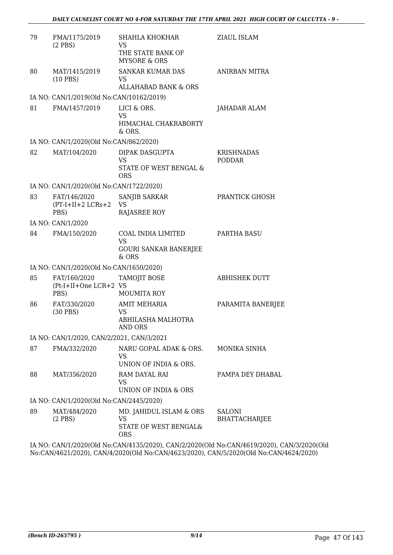| 79 | FMA/1175/2019<br>$(2$ PBS $)$                 | SHAHLA KHOKHAR<br>VS                                                 | ZIAUL ISLAM                    |
|----|-----------------------------------------------|----------------------------------------------------------------------|--------------------------------|
|    |                                               | THE STATE BANK OF<br><b>MYSORE &amp; ORS</b>                         |                                |
| 80 | MAT/1415/2019<br>$(10$ PBS)                   | <b>SANKAR KUMAR DAS</b><br>VS                                        | ANIRBAN MITRA                  |
|    |                                               | <b>ALLAHABAD BANK &amp; ORS</b>                                      |                                |
|    | IA NO: CAN/1/2019(Old No:CAN/10162/2019)      |                                                                      |                                |
| 81 | FMA/1457/2019                                 | LICI & ORS.<br>VS<br>HIMACHAL CHAKRABORTY<br>& ORS.                  | JAHADAR ALAM                   |
|    | IA NO: CAN/1/2020(Old No:CAN/862/2020)        |                                                                      |                                |
| 82 | MAT/104/2020                                  | DIPAK DASGUPTA<br><b>VS</b><br>STATE OF WEST BENGAL &<br><b>ORS</b>  | KRISHNADAS<br><b>PODDAR</b>    |
|    | IA NO: CAN/1/2020(Old No:CAN/1722/2020)       |                                                                      |                                |
| 83 | FAT/146/2020<br>$(PT-I+II+2 LCRs+2$<br>PBS)   | SANJIB SARKAR<br>VS<br><b>RAJASREE ROY</b>                           | PRANTICK GHOSH                 |
|    | IA NO: CAN/1/2020                             |                                                                      |                                |
| 84 | FMA/150/2020                                  | COAL INDIA LIMITED                                                   | PARTHA BASU                    |
|    |                                               | <b>VS</b><br><b>GOURI SANKAR BANERJEE</b><br>$&$ ORS                 |                                |
|    | IA NO: CAN/1/2020(Old No:CAN/1650/2020)       |                                                                      |                                |
| 85 | FAT/160/2020<br>(Pt-I+II+One LCR+2 VS<br>PBS) | TAMOJIT BOSE<br>MOUMITA ROY                                          | <b>ABHISHEK DUTT</b>           |
| 86 | FAT/330/2020                                  | <b>AMIT MEHARIA</b>                                                  | PARAMITA BANERJEE              |
|    | $(30$ PBS)                                    | VS                                                                   |                                |
|    |                                               | ABHILASHA MALHOTRA<br>AND ORS                                        |                                |
|    | IA NO: CAN/1/2020, CAN/2/2021, CAN/3/2021     |                                                                      |                                |
| 87 | FMA/332/2020                                  | NARU GOPAL ADAK & ORS.<br>VS<br>UNION OF INDIA & ORS.                | <b>MONIKA SINHA</b>            |
| 88 | MAT/356/2020                                  | RAM DAYAL RAI<br>VS<br>UNION OF INDIA & ORS                          | PAMPA DEY DHABAL               |
|    | IA NO: CAN/1/2020(Old No:CAN/2445/2020)       |                                                                      |                                |
| 89 | MAT/484/2020<br>$(2$ PBS)                     | MD. JAHIDUL ISLAM & ORS<br>VS<br>STATE OF WEST BENGAL&<br><b>ORS</b> | SALONI<br><b>BHATTACHARJEE</b> |

IA NO: CAN/1/2020(Old No:CAN/4135/2020), CAN/2/2020(Old No:CAN/4619/2020), CAN/3/2020(Old No:CAN/4621/2020), CAN/4/2020(Old No:CAN/4623/2020), CAN/5/2020(Old No:CAN/4624/2020)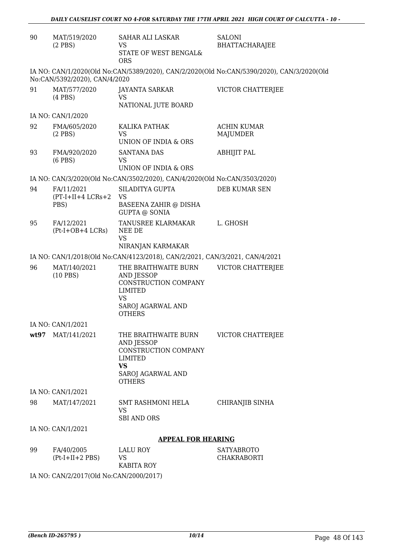| 90   | MAT/519/2020<br>$(2$ PBS)        | SAHAR ALI LASKAR<br>VS<br>STATE OF WEST BENGAL&<br><b>ORS</b>                                                            | <b>SALONI</b><br><b>BHATTACHARAJEE</b>                                                    |
|------|----------------------------------|--------------------------------------------------------------------------------------------------------------------------|-------------------------------------------------------------------------------------------|
|      | No:CAN/5392/2020), CAN/4/2020    |                                                                                                                          | IA NO: CAN/1/2020(Old No:CAN/5389/2020), CAN/2/2020(Old No:CAN/5390/2020), CAN/3/2020(Old |
| 91   | MAT/577/2020<br>$(4$ PBS $)$     | JAYANTA SARKAR<br><b>VS</b><br>NATIONAL JUTE BOARD                                                                       | VICTOR CHATTERJEE                                                                         |
|      | IA NO: CAN/1/2020                |                                                                                                                          |                                                                                           |
| 92   | FMA/605/2020<br>$(2$ PBS $)$     | KALIKA PATHAK<br>VS                                                                                                      | <b>ACHIN KUMAR</b><br>MAJUMDER                                                            |
| 93   | FMA/920/2020<br>$(6$ PBS $)$     | UNION OF INDIA & ORS<br><b>SANTANA DAS</b><br>VS                                                                         | ABHIJIT PAL                                                                               |
|      |                                  | UNION OF INDIA & ORS                                                                                                     |                                                                                           |
| 94   | FA/11/2021                       | IA NO: CAN/3/2020(Old No:CAN/3502/2020), CAN/4/2020(Old No:CAN/3503/2020)<br>SILADITYA GUPTA                             | DEB KUMAR SEN                                                                             |
|      | $(PT-I+II+4 LCRs+2$<br>PBS)      | <b>VS</b><br>BASEENA ZAHIR @ DISHA<br>GUPTA @ SONIA                                                                      |                                                                                           |
| 95   | FA/12/2021<br>$(Pt-I+OB+4 LCRs)$ | TANUSREE KLARMAKAR<br>NEE DE<br><b>VS</b><br>NIRANJAN KARMAKAR                                                           | L. GHOSH                                                                                  |
|      |                                  | IA NO: CAN/1/2018(Old No:CAN/4123/2018), CAN/2/2021, CAN/3/2021, CAN/4/2021                                              |                                                                                           |
| 96   | MAT/140/2021<br>$(10$ PBS)       | THE BRAITHWAITE BURN<br>AND JESSOP<br>CONSTRUCTION COMPANY<br><b>LIMITED</b><br>VS<br>SAROJ AGARWAL AND<br><b>OTHERS</b> | VICTOR CHATTERJEE                                                                         |
|      | IA NO: CAN/1/2021                |                                                                                                                          |                                                                                           |
| wt97 | MAT/141/2021                     | THE BRAITHWAITE BURN<br>AND JESSOP<br>CONSTRUCTION COMPANY<br>LIMITED<br>VS<br>SAROJ AGARWAL AND<br><b>OTHERS</b>        | VICTOR CHATTERJEE                                                                         |
|      | IA NO: CAN/1/2021                |                                                                                                                          |                                                                                           |
| 98   | MAT/147/2021                     | SMT RASHMONI HELA<br>VS<br><b>SBI AND ORS</b>                                                                            | CHIRANJIB SINHA                                                                           |
|      | IA NO: CAN/1/2021                |                                                                                                                          |                                                                                           |
|      |                                  | <b>APPEAL FOR HEARING</b>                                                                                                |                                                                                           |
| 99   | FA/40/2005<br>$(Pt-I+II+2 PBS)$  | LALU ROY<br>VS<br>KABITA ROY                                                                                             | <b>SATYABROTO</b><br>CHAKRABORTI                                                          |

IA NO: CAN/2/2017(Old No:CAN/2000/2017)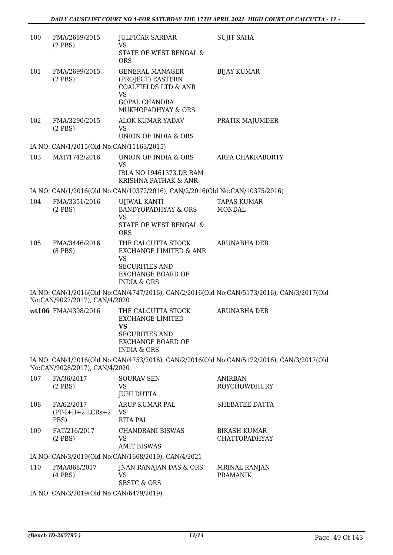| 100 | FMA/2689/2015<br>$(2$ PBS)                 | <b>JULFICAR SARDAR</b><br>VS<br>STATE OF WEST BENGAL &<br><b>ORS</b>                                                                      | <b>SUJIT SAHA</b>                                                                         |  |
|-----|--------------------------------------------|-------------------------------------------------------------------------------------------------------------------------------------------|-------------------------------------------------------------------------------------------|--|
| 101 | FMA/2699/2015<br>$(2$ PBS)                 | <b>GENERAL MANAGER</b><br>(PROJECT) EASTERN<br><b>COALFIELDS LTD &amp; ANR</b><br><b>VS</b><br><b>GOPAL CHANDRA</b><br>MUKHOPADHYAY & ORS | <b>BIJAY KUMAR</b>                                                                        |  |
| 102 | FMA/3290/2015<br>$(2$ PBS)                 | ALOK KUMAR YADAV<br>VS.<br>UNION OF INDIA & ORS                                                                                           | PRATIK MAJUMDER                                                                           |  |
|     | IA NO: CAN/1/2015(Old No:CAN/11163/2015)   |                                                                                                                                           |                                                                                           |  |
| 103 | MAT/1742/2016                              | UNION OF INDIA & ORS<br><b>VS</b><br>IRLA NO 19461373, DR RAM<br>KRISHNA PATHAK & ANR                                                     | ARPA CHAKRABORTY                                                                          |  |
|     |                                            | IA NO: CAN/1/2016(Old No:CAN/10372/2016), CAN/2/2016(Old No:CAN/10375/2016)                                                               |                                                                                           |  |
| 104 | FMA/3351/2016<br>$(2$ PBS $)$              | UJJWAL KANTI<br><b>BANDYOPADHYAY &amp; ORS</b><br><b>VS</b><br>STATE OF WEST BENGAL &<br><b>ORS</b>                                       | <b>TAPAS KUMAR</b><br><b>MONDAL</b>                                                       |  |
| 105 | FMA/3446/2016<br>$(8$ PBS $)$              | THE CALCUTTA STOCK<br>EXCHANGE LIMITED & ANR<br><b>VS</b><br><b>SECURITIES AND</b><br><b>EXCHANGE BOARD OF</b><br><b>INDIA &amp; ORS</b>  | ARUNABHA DEB                                                                              |  |
|     | No:CAN/9027/2017), CAN/4/2020              |                                                                                                                                           | IA NO: CAN/1/2016(Old No:CAN/4747/2016), CAN/2/2016(Old No:CAN/5173/2016), CAN/3/2017(Old |  |
|     | wt106 FMA/4398/2016                        | THE CALCUTTA STOCK<br><b>EXCHANGE LIMITED</b><br><b>VS</b><br><b>SECURITIES AND</b><br><b>EXCHANGE BOARD OF</b><br><b>INDIA &amp; ORS</b> | <b>ARUNABHA DEB</b>                                                                       |  |
|     | No:CAN/9028/2017), CAN/4/2020              |                                                                                                                                           | IA NO: CAN/1/2016(Old No:CAN/4753/2016), CAN/2/2016(Old No:CAN/5172/2016), CAN/3/2017(Old |  |
| 107 | FA/36/2017<br>$(2$ PBS)                    | <b>SOURAV SEN</b><br>VS<br><b>JUHI DUTTA</b>                                                                                              | <b>ANIRBAN</b><br><b>ROYCHOWDHURY</b>                                                     |  |
| 108 | FA/62/2017<br>$(PT-I+II+2 LCRs+2)$<br>PBS) | ARUP KUMAR PAL<br>VS<br><b>RITA PAL</b>                                                                                                   | SHEBATEE DATTA                                                                            |  |
| 109 | FAT/216/2017<br>$(2$ PBS)                  | <b>CHANDRANI BISWAS</b><br>VS<br><b>AMIT BISWAS</b>                                                                                       | <b>BIKASH KUMAR</b><br><b>CHATTOPADHYAY</b>                                               |  |
|     |                                            | IA NO: CAN/3/2019(Old No:CAN/1668/2019), CAN/4/2021                                                                                       |                                                                                           |  |
| 110 | FMA/868/2017<br>$(4$ PBS $)$               | JNAN RANAJAN DAS & ORS<br>VS<br><b>SBSTC &amp; ORS</b>                                                                                    | MRINAL RANJAN<br><b>PRAMANIK</b>                                                          |  |
|     | IA NO: CAN/3/2019(Old No:CAN/6479/2019)    |                                                                                                                                           |                                                                                           |  |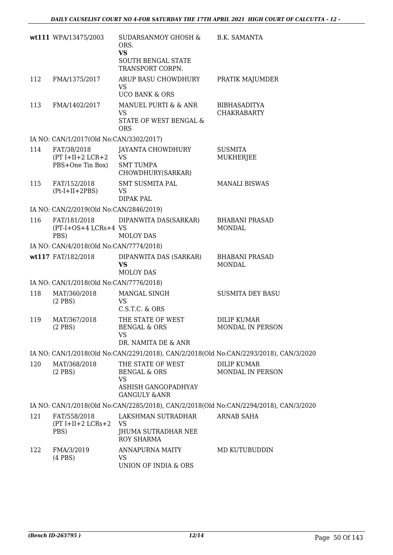|     | wt111 WPA/13475/2003                                  | SUDARSANMOY GHOSH &<br>ORS.<br><b>VS</b><br><b>SOUTH BENGAL STATE</b><br>TRANSPORT CORPN.                   | B.K. SAMANTA                                                                          |
|-----|-------------------------------------------------------|-------------------------------------------------------------------------------------------------------------|---------------------------------------------------------------------------------------|
| 112 | FMA/1375/2017                                         | ARUP BASU CHOWDHURY<br>VS.<br><b>UCO BANK &amp; ORS</b>                                                     | PRATIK MAJUMDER                                                                       |
| 113 | FMA/1402/2017                                         | MANUEL PURTI & & ANR<br>VS<br>STATE OF WEST BENGAL &<br><b>ORS</b>                                          | <b>BIBHASADITYA</b><br><b>CHAKRABARTY</b>                                             |
|     | IA NO: CAN/1/2017(Old No:CAN/3302/2017)               |                                                                                                             |                                                                                       |
| 114 | FAT/38/2018<br>$(PT I+II+2 LCR+2$<br>PBS+One Tin Box) | JAYANTA CHOWDHURY<br>VS<br><b>SMT TUMPA</b><br>CHOWDHURY(SARKAR)                                            | <b>SUSMITA</b><br>MUKHERJEE                                                           |
| 115 | FAT/152/2018<br>$(Pt-I+II+2PBS)$                      | <b>SMT SUSMITA PAL</b><br>VS<br><b>DIPAK PAL</b>                                                            | <b>MANALI BISWAS</b>                                                                  |
|     | IA NO: CAN/2/2019(Old No:CAN/2846/2019)               |                                                                                                             |                                                                                       |
| 116 | FAT/181/2018<br>(PT-I+OS+4 LCRs+4 VS<br>PBS)          | DIPANWITA DAS(SARKAR)<br><b>MOLOY DAS</b>                                                                   | <b>BHABANI PRASAD</b><br><b>MONDAL</b>                                                |
|     | IA NO: CAN/4/2018(Old No:CAN/7774/2018)               |                                                                                                             |                                                                                       |
|     | wt117 FAT/182/2018                                    | DIPANWITA DAS (SARKAR)<br><b>VS</b><br><b>MOLOY DAS</b>                                                     | <b>BHABANI PRASAD</b><br>MONDAL                                                       |
|     | IA NO: CAN/1/2018(Old No:CAN/7776/2018)               |                                                                                                             |                                                                                       |
| 118 | MAT/360/2018<br>$(2$ PBS)                             | MANGAL SINGH<br><b>VS</b><br>C.S.T.C. & ORS                                                                 | <b>SUSMITA DEY BASU</b>                                                               |
| 119 | MAT/367/2018<br>$(2$ PBS)                             | THE STATE OF WEST<br>BENGAL & ORS<br>VS<br>DR. NAMITA DE & ANR                                              | DILIP KUMAR<br><b>MONDAL IN PERSON</b>                                                |
|     |                                                       |                                                                                                             | IA NO: CAN/1/2018(Old No:CAN/2291/2018), CAN/2/2018(Old No:CAN/2293/2018), CAN/3/2020 |
| 120 | MAT/368/2018<br>$(2$ PBS)                             | THE STATE OF WEST<br><b>BENGAL &amp; ORS</b><br><b>VS</b><br>ASHISH GANGOPADHYAY<br><b>GANGULY &amp;ANR</b> | <b>DILIP KUMAR</b><br>MONDAL IN PERSON                                                |
|     |                                                       |                                                                                                             | IA NO: CAN/1/2018(Old No:CAN/2285/2018), CAN/2/2018(Old No:CAN/2294/2018), CAN/3/2020 |
| 121 | FAT/558/2018<br>$(PT I+II+2 LCRs+2$<br>PBS)           | LAKSHMAN SUTRADHAR<br>VS<br>JHUMA SUTRADHAR NEE<br><b>ROY SHARMA</b>                                        | ARNAB SAHA                                                                            |
| 122 | FMA/3/2019<br>$(4$ PBS $)$                            | ANNAPURNA MAITY<br>VS<br>UNION OF INDIA & ORS                                                               | MD KUTUBUDDIN                                                                         |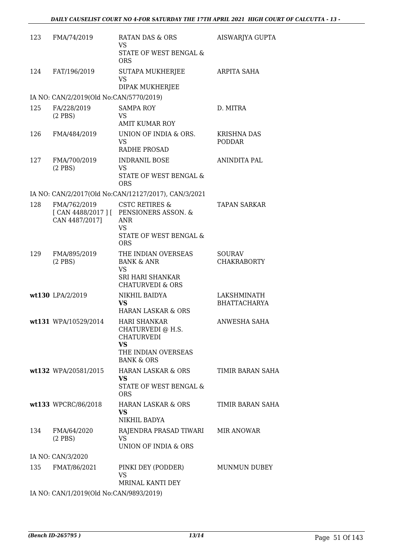| 123 | FMA/74/2019                                          | <b>RATAN DAS &amp; ORS</b><br>VS.                                                                                          | AISWARJYA GUPTA                     |
|-----|------------------------------------------------------|----------------------------------------------------------------------------------------------------------------------------|-------------------------------------|
|     |                                                      | STATE OF WEST BENGAL &<br><b>ORS</b>                                                                                       |                                     |
| 124 | FAT/196/2019                                         | SUTAPA MUKHERJEE<br><b>VS</b><br>DIPAK MUKHERJEE                                                                           | ARPITA SAHA                         |
|     | IA NO: CAN/2/2019(Old No:CAN/5770/2019)              |                                                                                                                            |                                     |
| 125 | FA/228/2019<br>$(2$ PBS)                             | <b>SAMPA ROY</b><br>VS                                                                                                     | D. MITRA                            |
| 126 | FMA/484/2019                                         | <b>AMIT KUMAR ROY</b><br>UNION OF INDIA & ORS.<br><b>VS</b><br>RADHE PROSAD                                                | <b>KRISHNA DAS</b><br>PODDAR        |
| 127 | FMA/700/2019<br>$(2$ PBS $)$                         | <b>INDRANIL BOSE</b><br><b>VS</b><br>STATE OF WEST BENGAL &<br><b>ORS</b>                                                  | ANINDITA PAL                        |
|     |                                                      | IA NO: CAN/2/2017(Old No:CAN/12127/2017), CAN/3/2021                                                                       |                                     |
| 128 | FMA/762/2019<br>CAN 4487/2017]                       | <b>CSTC RETIRES &amp;</b><br>[CAN 4488/2017 ] [ PENSIONERS ASSON. &<br><b>ANR</b><br><b>VS</b>                             | <b>TAPAN SARKAR</b>                 |
|     |                                                      | STATE OF WEST BENGAL &<br><b>ORS</b>                                                                                       |                                     |
| 129 | FMA/895/2019<br>$(2$ PBS)                            | THE INDIAN OVERSEAS<br><b>BANK &amp; ANR</b><br><b>VS</b><br><b>SRI HARI SHANKAR</b>                                       | <b>SOURAV</b><br><b>CHAKRABORTY</b> |
|     | wt130 LPA/2/2019                                     | <b>CHATURVEDI &amp; ORS</b><br>NIKHIL BAIDYA<br>VS.<br><b>HARAN LASKAR &amp; ORS</b>                                       | LAKSHMINATH<br><b>BHATTACHARYA</b>  |
|     | wt131 WPA/10529/2014                                 | <b>HARI SHANKAR</b><br>CHATURVEDI @ H.S.<br><b>CHATURVEDI</b><br><b>VS</b><br>THE INDIAN OVERSEAS<br><b>BANK &amp; ORS</b> | ANWESHA SAHA                        |
|     | wt132 WPA/20581/2015                                 | HARAN LASKAR & ORS<br>VS.<br>STATE OF WEST BENGAL &<br><b>ORS</b>                                                          | TIMIR BARAN SAHA                    |
|     | wt133 WPCRC/86/2018                                  | HARAN LASKAR & ORS<br>VS.<br>NIKHIL BADYA                                                                                  | TIMIR BARAN SAHA                    |
| 134 | FMA/64/2020<br>$(2$ PBS)                             | RAJENDRA PRASAD TIWARI MIR ANOWAR<br><b>VS</b><br>UNION OF INDIA & ORS                                                     |                                     |
|     | IA NO: CAN/3/2020                                    |                                                                                                                            |                                     |
| 135 | FMAT/86/2021                                         | PINKI DEY (PODDER)<br><b>VS</b>                                                                                            | MUNMUN DUBEY                        |
|     | IA NO CANTA (2010) OLI N <sub>o</sub> CANTO002(2010) | MRINAL KANTI DEY                                                                                                           |                                     |

IA NO: CAN/1/2019(Old No:CAN/9893/2019)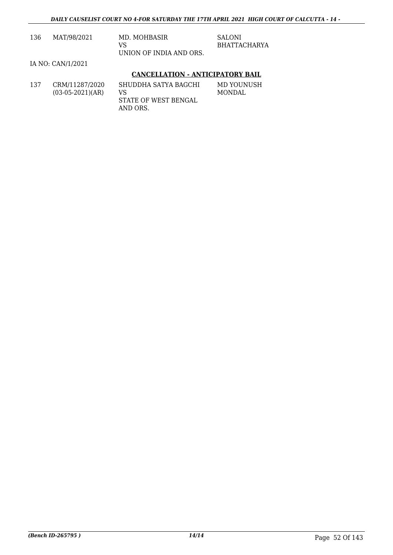| 136 | MAT/98/2021                          | MD. MOHBASIR<br>VS<br>UNION OF INDIA AND ORS.                  | <b>SALONI</b><br><b>BHATTACHARYA</b> |
|-----|--------------------------------------|----------------------------------------------------------------|--------------------------------------|
|     | IA NO: CAN/1/2021                    |                                                                |                                      |
|     |                                      | <b>CANCELLATION - ANTICIPATORY BAIL</b>                        |                                      |
| 137 | CRM/11287/2020<br>$(03-05-2021)(AR)$ | SHUDDHA SATYA BAGCHI<br>VS<br>STATE OF WEST BENGAL<br>AND ORS. | MD YOUNUSH<br><b>MONDAL</b>          |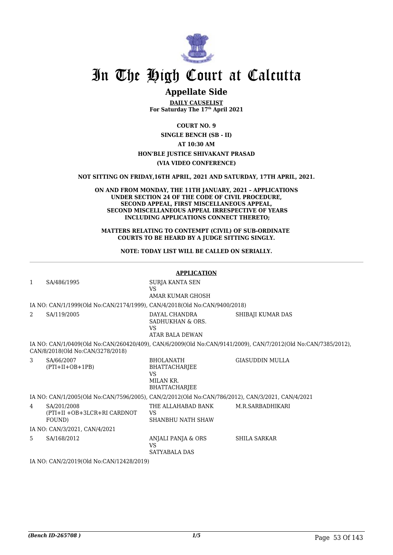

### **Appellate Side**

**DAILY CAUSELIST For Saturday The 17th April 2021**

**COURT NO. 9 SINGLE BENCH (SB - II) AT 10:30 AM HON'BLE JUSTICE SHIVAKANT PRASAD (VIA VIDEO CONFERENCE)**

**NOT SITTING ON FRIDAY,16TH APRIL, 2021 AND SATURDAY, 17TH APRIL, 2021.**

#### **ON AND FROM MONDAY, THE 11TH JANUARY, 2021 – APPLICATIONS UNDER SECTION 24 OF THE CODE OF CIVIL PROCEDURE, SECOND APPEAL, FIRST MISCELLANEOUS APPEAL, SECOND MISCELLANEOUS APPEAL IRRESPECTIVE OF YEARS INCLUDING APPLICATIONS CONNECT THERETO;**

**MATTERS RELATING TO CONTEMPT (CIVIL) OF SUB-ORDINATE COURTS TO BE HEARD BY A JUDGE SITTING SINGLY.**

**NOTE: TODAY LIST WILL BE CALLED ON SERIALLY.**

|                                                                                                                                                   | <b>APPLICATION</b>                                                                                                                                                                                                                                                                                                      |                                                                              |                        |  |  |
|---------------------------------------------------------------------------------------------------------------------------------------------------|-------------------------------------------------------------------------------------------------------------------------------------------------------------------------------------------------------------------------------------------------------------------------------------------------------------------------|------------------------------------------------------------------------------|------------------------|--|--|
| $\mathbf{1}$                                                                                                                                      | SA/486/1995                                                                                                                                                                                                                                                                                                             | SURJA KANTA SEN<br>VS.                                                       |                        |  |  |
|                                                                                                                                                   |                                                                                                                                                                                                                                                                                                                         | AMAR KUMAR GHOSH                                                             |                        |  |  |
|                                                                                                                                                   | IA NO: CAN/1/1999(Old No:CAN/2174/1999), CAN/4/2018(Old No:CAN/9400/2018)                                                                                                                                                                                                                                               |                                                                              |                        |  |  |
| 2                                                                                                                                                 | SA/119/2005                                                                                                                                                                                                                                                                                                             | DAYAL CHANDRA<br>SADHUKHAN & ORS.<br>VS<br><b>ATAR BALA DEWAN</b>            | SHIBAJI KUMAR DAS      |  |  |
| IA NO: CAN/1/0409(Old No:CAN/260420/409), CAN/6/2009(Old No:CAN/9141/2009), CAN/7/2012(Old No:CAN/7385/2012),<br>CAN/8/2018(Old No:CAN/3278/2018) |                                                                                                                                                                                                                                                                                                                         |                                                                              |                        |  |  |
| 3                                                                                                                                                 | SA/66/2007<br>$(PTI+II+OB+1PB)$                                                                                                                                                                                                                                                                                         | <b>BHOLANATH</b><br>BHATTACHARJEE<br><b>VS</b><br>MILAN KR.<br>BHATTACHARJEE | <b>GIASUDDIN MULLA</b> |  |  |
|                                                                                                                                                   | IA NO: CAN/1/2005(Old No:CAN/7596/2005), CAN/2/2012(Old No:CAN/786/2012), CAN/3/2021, CAN/4/2021                                                                                                                                                                                                                        |                                                                              |                        |  |  |
| 4                                                                                                                                                 | SA/201/2008<br>(PTI+II +OB+3LCR+RI CARDNOT<br>FOUND)                                                                                                                                                                                                                                                                    | THE ALLAHABAD BANK<br>VS<br><b>SHANBHU NATH SHAW</b>                         | M.R.SARBADHIKARI       |  |  |
|                                                                                                                                                   | IA NO: CAN/3/2021, CAN/4/2021                                                                                                                                                                                                                                                                                           |                                                                              |                        |  |  |
| 5                                                                                                                                                 | SA/168/2012                                                                                                                                                                                                                                                                                                             | ANJALI PANJA & ORS<br><b>VS</b><br><b>SATYABALA DAS</b>                      | <b>SHILA SARKAR</b>    |  |  |
|                                                                                                                                                   | $\overline{11}$ $\overline{10}$ $\overline{0}$ $\overline{11}$ $\overline{0}$ $\overline{0}$ $\overline{10}$ $\overline{0}$ $\overline{11}$ $\overline{11}$ $\overline{0}$ $\overline{11}$ $\overline{11}$ $\overline{10}$ $\overline{10}$ $\overline{0}$ $\overline{0}$ $\overline{0}$ $\overline{10}$ $\overline{10}$ |                                                                              |                        |  |  |

IA NO: CAN/2/2019(Old No:CAN/12428/2019)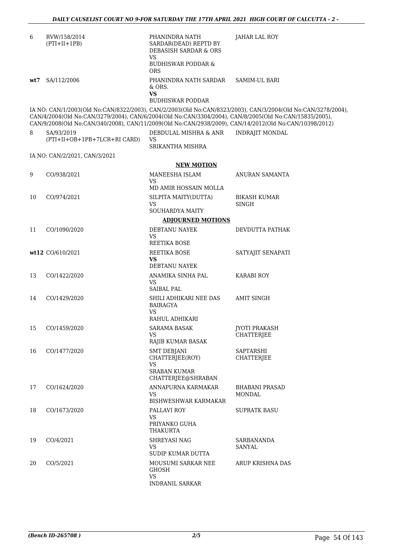| 6   | RVW/158/2014<br>$(PTI+II+1PB)$                                                                                                                                                                                   | PHANINDRA NATH<br>SARDAR(DEAD) REPTD BY<br><b>DEBASISH SARDAR &amp; ORS</b><br>VS. | <b>JAHAR LAL ROY</b>                                                                                         |
|-----|------------------------------------------------------------------------------------------------------------------------------------------------------------------------------------------------------------------|------------------------------------------------------------------------------------|--------------------------------------------------------------------------------------------------------------|
|     |                                                                                                                                                                                                                  | <b>BUDHISWAR PODDAR &amp;</b><br><b>ORS</b>                                        |                                                                                                              |
| wt7 | SA/112/2006                                                                                                                                                                                                      | PHANINDRA NATH SARDAR<br>& ORS.<br><b>VS</b><br><b>BUDHISWAR PODDAR</b>            | SAMIM-UL BARI                                                                                                |
|     | CAN/4/2004(Old No:CAN/3279/2004), CAN/6/2004(Old No:CAN/3304/2004), CAN/8/2005(Old No:CAN/15835/2005),<br>CAN/9/2008(Old No:CAN/340/2008), CAN/11/2009(Old No:CAN/2938/2009), CAN/14/2012(Old No:CAN/10398/2012) |                                                                                    | IA NO: CAN/1/2003(Old No:CAN/8322/2003), CAN/2/2003(Old No:CAN/8323/2003), CAN/3/2004(Old No:CAN/3278/2004), |
| 8   | SA/93/2019<br>(PTI+II+OB+1PB+7LCR+RI CARD)                                                                                                                                                                       | DEBDULAL MISHRA & ANR<br>VS<br>SRIKANTHA MISHRA                                    | <b>INDRAJIT MONDAL</b>                                                                                       |
|     | IA NO: CAN/2/2021, CAN/3/2021                                                                                                                                                                                    |                                                                                    |                                                                                                              |
|     |                                                                                                                                                                                                                  | <b>NEW MOTION</b>                                                                  |                                                                                                              |
| 9   | CO/938/2021                                                                                                                                                                                                      | MANEESHA ISLAM<br><b>VS</b>                                                        | ANURAN SAMANTA                                                                                               |
|     |                                                                                                                                                                                                                  | MD AMIR HOSSAIN MOLLA                                                              |                                                                                                              |
| 10  | CO/974/2021                                                                                                                                                                                                      | SILPITA MAITY(DUTTA)<br><b>VS</b><br><b>SOUHARDYA MAITY</b>                        | <b>BIKASH KUMAR</b><br><b>SINGH</b>                                                                          |
|     |                                                                                                                                                                                                                  | <b>ADJOURNED MOTIONS</b>                                                           |                                                                                                              |
| 11  | CO/1090/2020                                                                                                                                                                                                     | DEBTANU NAYEK<br>VS<br><b>REETIKA BOSE</b>                                         | DEVDUTTA PATHAK                                                                                              |
|     | wt12 CO/610/2021                                                                                                                                                                                                 | REETIKA BOSE<br><b>VS</b>                                                          | SATYAJIT SENAPATI                                                                                            |
| 13  | CO/1422/2020                                                                                                                                                                                                     | DEBTANU NAYEK<br>ANAMIKA SINHA PAL<br><b>VS</b><br><b>SAIBAL PAL</b>               | <b>KARABI ROY</b>                                                                                            |
| 14  | CO/1429/2020                                                                                                                                                                                                     | SHILI ADHIKARI NEE DAS<br><b>BAIRAGYA</b><br>VS.<br>RAHUL ADHIKARI                 | <b>AMIT SINGH</b>                                                                                            |
|     | 15 CO/1459/2020                                                                                                                                                                                                  | <b>SARAMA BASAK</b><br>VS.                                                         | <b>JYOTI PRAKASH</b><br><b>CHATTERJEE</b>                                                                    |
| 16  | CO/1477/2020                                                                                                                                                                                                     | RAJIB KUMAR BASAK<br><b>SMT DEBJANI</b>                                            | SAPTARSHI                                                                                                    |
|     |                                                                                                                                                                                                                  | CHATTERJEE(ROY)<br><b>VS</b><br><b>SRABAN KUMAR</b><br>CHATTERJEE@SHRABAN          | <b>CHATTERJEE</b>                                                                                            |
| 17  | CO/1624/2020                                                                                                                                                                                                     | ANNAPURNA KARMAKAR<br><b>VS</b><br><b>BISHWESHWAR KARMAKAR</b>                     | <b>BHABANI PRASAD</b><br>MONDAL                                                                              |
| 18  | CO/1673/2020                                                                                                                                                                                                     | PALLAVI ROY<br><b>VS</b><br>PRIYANKO GUHA<br>THAKURTA                              | <b>SUPRATK BASU</b>                                                                                          |
| 19  | CO/4/2021                                                                                                                                                                                                        | SHREYASI NAG<br><b>VS</b><br>SUDIP KUMAR DUTTA                                     | SARBANANDA<br><b>SANYAL</b>                                                                                  |
| 20  | CO/5/2021                                                                                                                                                                                                        | MOUSUMI SARKAR NEE<br><b>GHOSH</b><br><b>VS</b><br><b>INDRANIL SARKAR</b>          | ARUP KRISHNA DAS                                                                                             |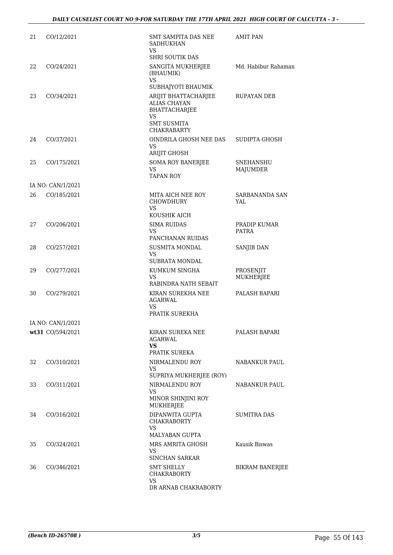| 21 | CO/12/2021        | SMT SAMPITA DAS NEE<br><b>SADHUKHAN</b><br>VS.                     | <b>AMIT PAN</b>              |
|----|-------------------|--------------------------------------------------------------------|------------------------------|
|    |                   | <b>SHRI SOUTIK DAS</b>                                             |                              |
| 22 | CO/24/2021        | SANGITA MUKHERJEE<br>(BHAUMIK)<br>VS                               | Md. Habibur Rahaman          |
|    |                   | SUBHAJYOTI BHAUMIK                                                 |                              |
| 23 | CO/34/2021        | ARIJIT BHATTACHARJEE<br><b>ALIAS CHAYAN</b><br>BHATTACHARJEE<br>VS | <b>RUPAYAN DEB</b>           |
|    |                   | <b>SMT SUSMITA</b><br><b>CHAKRABARTY</b>                           |                              |
| 24 | CO/37/2021        | OINDRILA GHOSH NEE DAS<br><b>VS</b><br>ARIJIT GHOSH                | SUDIPTA GHOSH                |
| 25 | CO/175/2021       | <b>SOMA ROY BANERJEE</b><br>VS.<br><b>TAPAN ROY</b>                | <b>SNEHANSHU</b><br>MAJUMDER |
|    | IA NO: CAN/1/2021 |                                                                    |                              |
| 26 | CO/185/2021       | MITA AICH NEE ROY<br><b>CHOWDHURY</b><br>VS.<br>KOUSHIK AICH       | SARBANANDA SAN<br>YAL        |
| 27 | CO/206/2021       | <b>SIMA RUIDAS</b>                                                 | PRADIP KUMAR                 |
|    |                   | VS.                                                                | <b>PATRA</b>                 |
|    |                   | PANCHANAN RUIDAS                                                   |                              |
| 28 | CO/257/2021       | <b>SUSMITA MONDAL</b><br>VS<br><b>SUBRATA MONDAL</b>               | SANJIB DAN                   |
| 29 | CO/277/2021       | KUMKUM SINGHA                                                      | PROSENJIT                    |
|    |                   | VS<br>RABINDRA NATH SEBAIT                                         | MUKHERJEE                    |
| 30 | CO/279/2021       | KIRAN SUREKHA NEE<br><b>AGARWAL</b><br>VS.                         | PALASH BAPARI                |
|    |                   | PRATIK SUREKHA                                                     |                              |
|    | IA NO: CAN/1/2021 |                                                                    |                              |
|    | wt31 CO/594/2021  | KIRAN SUREKA NEE<br>AGARWAL<br>VS                                  | PALASH BAPARI                |
|    |                   | PRATIK SUREKA                                                      |                              |
| 32 | CO/310/2021       | NIRMALENDU ROY<br><b>VS</b><br>SUPRIYA MUKHERJEE (ROY)             | NABANKUR PAUL                |
| 33 | CO/311/2021       | NIRMALENDU ROY                                                     | <b>NABANKUR PAUL</b>         |
|    |                   | <b>VS</b><br>MINOR SHINJINI ROY<br>MUKHERJEE                       |                              |
| 34 | CO/316/2021       | DIPANWITA GUPTA<br><b>CHAKRABORTY</b><br>VS.<br>MALYABAN GUPTA     | <b>SUMITRA DAS</b>           |
| 35 | CO/324/2021       | MRS AMRITA GHOSH<br>VS                                             | Kausik Biswas                |
| 36 | CO/346/2021       | SINCHAN SARKAR<br><b>SMT SHELLY</b><br>CHAKRABORTY                 | <b>BIKRAM BANERJEE</b>       |
|    |                   | VS<br>DR ARNAB CHAKRABORTY                                         |                              |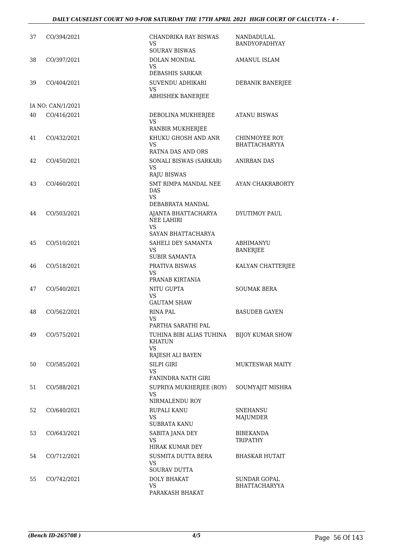| 37 | CO/394/2021       | <b>CHANDRIKA RAY BISWAS</b><br>VS<br><b>SOURAV BISWAS</b>                                | NANDADULAL<br><b>BANDYOPADHYAY</b>          |
|----|-------------------|------------------------------------------------------------------------------------------|---------------------------------------------|
| 38 | CO/397/2021       | DOLAN MONDAL<br>VS<br><b>DEBASHIS SARKAR</b>                                             | <b>AMANUL ISLAM</b>                         |
| 39 | CO/404/2021       | SUVENDU ADHIKARI<br><b>VS</b><br>ABHISHEK BANERJEE                                       | DEBANIK BANERJEE                            |
|    | IA NO: CAN/1/2021 |                                                                                          |                                             |
| 40 | CO/416/2021       | DEBOLINA MUKHERJEE<br><b>VS</b><br>RANBIR MUKHERJEE                                      | <b>ATANU BISWAS</b>                         |
| 41 | CO/432/2021       | KHUKU GHOSH AND ANR<br>VS.<br><b>RATNA DAS AND ORS</b>                                   | CHINMOYEE ROY<br><b>BHATTACHARYYA</b>       |
| 42 | CO/450/2021       | SONALI BISWAS (SARKAR)<br>VS                                                             | <b>ANIRBAN DAS</b>                          |
| 43 | CO/460/2021       | <b>RAJU BISWAS</b><br>SMT RIMPA MANDAL NEE<br><b>DAS</b><br>VS.                          | AYAN CHAKRABORTY                            |
| 44 | CO/503/2021       | DEBABRATA MANDAL<br>AJANTA BHATTACHARYA<br><b>NEE LAHIRI</b><br>VS<br>SAYAN BHATTACHARYA | DYUTIMOY PAUL                               |
| 45 | CO/510/2021       | SAHELI DEY SAMANTA<br>VS<br><b>SUBIR SAMANTA</b>                                         | ABHIMANYU<br><b>BANERJEE</b>                |
| 46 | CO/518/2021       | PRATIVA BISWAS<br>VS                                                                     | KALYAN CHATTERJEE                           |
| 47 | CO/540/2021       | PRANAB KIRTANIA<br><b>NITU GUPTA</b><br>VS<br><b>GAUTAM SHAW</b>                         | <b>SOUMAK BERA</b>                          |
| 48 | CO/562/2021       | RINA PAL<br>VS<br>PARTHA SARATHI PAL                                                     | <b>BASUDEB GAYEN</b>                        |
| 49 | CO/575/2021       | TUHINA BIBI ALIAS TUHINA<br><b>KHATUN</b><br>VS.                                         | <b>BIJOY KUMAR SHOW</b>                     |
|    |                   | RAJESH ALI BAYEN                                                                         |                                             |
| 50 | CO/585/2021       | SILPI GIRI<br>VS.<br>FANINDRA NATH GIRI                                                  | <b>MUKTESWAR MAITY</b>                      |
| 51 | CO/588/2021       | SUPRIYA MUKHERJEE (ROY)<br><b>VS</b><br>NIRMALENDU ROY                                   | SOUMYAJIT MISHRA                            |
| 52 | CO/640/2021       | RUPALI KANU<br><b>VS</b><br><b>SUBRATA KANU</b>                                          | <b>SNEHANSU</b><br>MAJUMDER                 |
| 53 | CO/643/2021       | SABITA JANA DEY<br>VS.<br>HIRAK KUMAR DEY                                                | <b>BIBEKANDA</b><br>TRIPATHY                |
| 54 | CO/712/2021       | SUSMITA DUTTA BERA<br>VS<br><b>SOURAV DUTTA</b>                                          | <b>BHASKAR HUTAIT</b>                       |
| 55 | CO/742/2021       | <b>DOLY BHAKAT</b><br><b>VS</b><br>PARAKASH BHAKAT                                       | <b>SUNDAR GOPAL</b><br><b>BHATTACHARYYA</b> |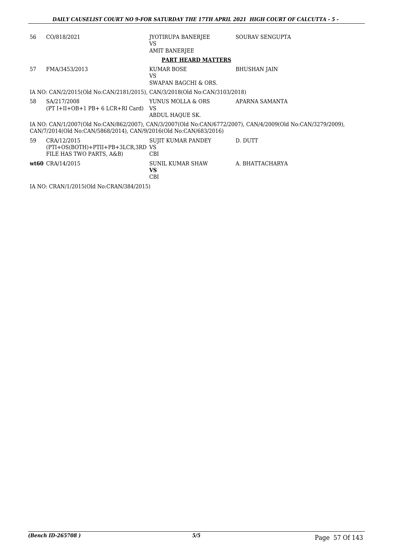| 56 | CO/818/2021                                                                  | JYOTIRUPA BANERJEE<br>VS                             | SOURAV SENGUPTA                                                                                             |
|----|------------------------------------------------------------------------------|------------------------------------------------------|-------------------------------------------------------------------------------------------------------------|
|    |                                                                              | <b>AMIT BANERJEE</b>                                 |                                                                                                             |
|    |                                                                              | <b>PART HEARD MATTERS</b>                            |                                                                                                             |
| 57 | FMA/3453/2013                                                                | KUMAR BOSE<br>VS.<br><b>SWAPAN BAGCHI &amp; ORS.</b> | <b>BHUSHAN JAIN</b>                                                                                         |
|    | IA NO: CAN/2/2015(Old No:CAN/2181/2015), CAN/3/2018(Old No:CAN/3103/2018)    |                                                      |                                                                                                             |
| 58 | SA/217/2008<br>(PT I+II+OB+1 PB+ 6 LCR+RI Card)                              | YUNUS MOLLA & ORS<br>VS<br>ABDUL HAOUE SK.           | APARNA SAMANTA                                                                                              |
|    | CAN/7/2014(Old No:CAN/5868/2014), CAN/9/2016(Old No:CAN/683/2016)            |                                                      | IA NO: CAN/1/2007(Old No:CAN/862/2007), CAN/3/2007(Old No:CAN/6772/2007), CAN/4/2009(Old No:CAN/3279/2009), |
| 59 | CRA/12/2015<br>(PTI+OS(BOTH)+PTII+PB+3LCR,3RD VS<br>FILE HAS TWO PARTS, A&B) | SUJIT KUMAR PANDEY<br>CBI                            | D. DUTT                                                                                                     |
|    | wt60 CRA/14/2015                                                             | SUNIL KUMAR SHAW<br>VS.<br><b>CBI</b>                | A. BHATTACHARYA                                                                                             |
|    | IA NO: CRAN/1/2015(Old No:CRAN/384/2015)                                     |                                                      |                                                                                                             |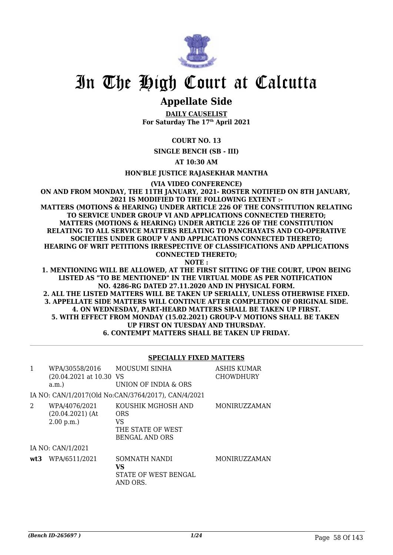

## **Appellate Side**

**DAILY CAUSELIST For Saturday The 17th April 2021**

**COURT NO. 13**

**SINGLE BENCH (SB - III)**

**AT 10:30 AM**

**HON'BLE JUSTICE RAJASEKHAR MANTHA**

**(VIA VIDEO CONFERENCE)**

**ON AND FROM MONDAY, THE 11TH JANUARY, 2021- ROSTER NOTIFIED ON 8TH JANUARY, 2021 IS MODIFIED TO THE FOLLOWING EXTENT :- MATTERS (MOTIONS & HEARING) UNDER ARTICLE 226 OF THE CONSTITUTION RELATING TO SERVICE UNDER GROUP VI AND APPLICATIONS CONNECTED THERETO; MATTERS (MOTIONS & HEARING) UNDER ARTICLE 226 OF THE CONSTITUTION RELATING TO ALL SERVICE MATTERS RELATING TO PANCHAYATS AND CO-OPERATIVE SOCIETIES UNDER GROUP V AND APPLICATIONS CONNECTED THERETO; HEARING OF WRIT PETITIONS IRRESPECTIVE OF CLASSIFICATIONS AND APPLICATIONS CONNECTED THERETO; NOTE :**

**1. MENTIONING WILL BE ALLOWED, AT THE FIRST SITTING OF THE COURT, UPON BEING LISTED AS "TO BE MENTIONED" IN THE VIRTUAL MODE AS PER NOTIFICATION NO. 4286-RG DATED 27.11.2020 AND IN PHYSICAL FORM. 2. ALL THE LISTED MATTERS WILL BE TAKEN UP SERIALLY, UNLESS OTHERWISE FIXED. 3. APPELLATE SIDE MATTERS WILL CONTINUE AFTER COMPLETION OF ORIGINAL SIDE. 4. ON WEDNESDAY, PART-HEARD MATTERS SHALL BE TAKEN UP FIRST. 5. WITH EFFECT FROM MONDAY (15.02.2021) GROUP-V MOTIONS SHALL BE TAKEN UP FIRST ON TUESDAY AND THURSDAY. 6. CONTEMPT MATTERS SHALL BE TAKEN UP FRIDAY.**

#### **SPECIALLY FIXED MATTERS**

| $\mathbf{1}$ | WPA/30558/2016<br>(20.04.2021 at 10.30 VS<br>a.m. | <b>MOUSUMI SINHA</b><br>UNION OF INDIA & ORS                                         | <b>ASHIS KUMAR</b><br><b>CHOWDHURY</b> |
|--------------|---------------------------------------------------|--------------------------------------------------------------------------------------|----------------------------------------|
|              |                                                   | IA NO: CAN/1/2017(Old No:CAN/3764/2017), CAN/4/2021                                  |                                        |
| 2            | WPA/4076/2021<br>$(20.04.2021)$ (At<br>2.00 p.m.  | KOUSHIK MGHOSH AND<br><b>ORS</b><br>VS<br>THE STATE OF WEST<br><b>BENGAL AND ORS</b> | <b>MONIRUZZAMAN</b>                    |
|              | IA NO: CAN/1/2021                                 |                                                                                      |                                        |
| wt3          | WPA/6511/2021                                     | SOMNATH NANDI<br>VS<br>STATE OF WEST BENGAL<br>AND ORS.                              | <b>MONIRUZZAMAN</b>                    |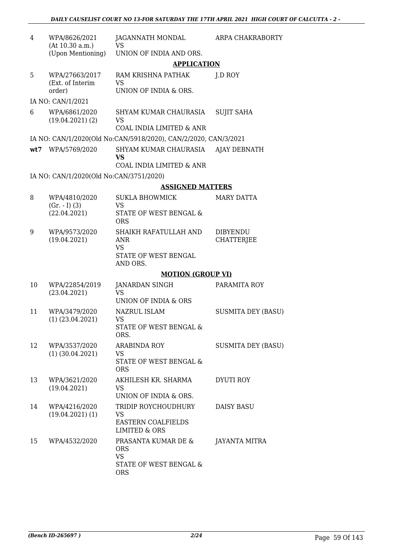| 4   | WPA/8626/2021<br>(At 10.30 a.m.)        | JAGANNATH MONDAL<br><b>VS</b>                                             | ARPA CHAKRABORTY          |
|-----|-----------------------------------------|---------------------------------------------------------------------------|---------------------------|
|     | (Upon Mentioning)                       | UNION OF INDIA AND ORS.                                                   |                           |
|     |                                         | <b>APPLICATION</b>                                                        |                           |
| 5   | WPA/27663/2017<br>(Ext. of Interim      | RAM KRISHNA PATHAK<br><b>VS</b>                                           | J.D ROY                   |
|     | order)                                  | UNION OF INDIA & ORS.                                                     |                           |
|     | IA NO: CAN/1/2021                       |                                                                           |                           |
| 6   | WPA/6861/2020<br>(19.04.2021)(2)        | SHYAM KUMAR CHAURASIA<br><b>VS</b><br><b>COAL INDIA LIMITED &amp; ANR</b> | <b>SUJIT SAHA</b>         |
|     |                                         | IA NO: CAN/1/2020(Old No:CAN/5918/2020), CAN/2/2020, CAN/3/2021           |                           |
| wt7 | WPA/5769/2020                           | SHYAM KUMAR CHAURASIA<br>VS                                               | AJAY DEBNATH              |
|     |                                         | COAL INDIA LIMITED & ANR                                                  |                           |
|     | IA NO: CAN/1/2020(Old No:CAN/3751/2020) |                                                                           |                           |
|     |                                         | <b>ASSIGNED MATTERS</b>                                                   |                           |
| 8   | WPA/4810/2020                           | <b>SUKLA BHOWMICK</b>                                                     | <b>MARY DATTA</b>         |
|     | $(Gr. - I) (3)$                         | <b>VS</b>                                                                 |                           |
|     | (22.04.2021)                            | STATE OF WEST BENGAL &<br><b>ORS</b>                                      |                           |
| 9   | WPA/9573/2020                           | SHAIKH RAFATULLAH AND                                                     | <b>DIBYENDU</b>           |
|     | (19.04.2021)                            | <b>ANR</b><br><b>VS</b>                                                   | CHATTERJEE                |
|     |                                         | STATE OF WEST BENGAL<br>AND ORS.                                          |                           |
|     |                                         | <b>MOTION (GROUP VI)</b>                                                  |                           |
| 10  | WPA/22854/2019                          | JANARDAN SINGH                                                            | PARAMITA ROY              |
|     | (23.04.2021)                            | <b>VS</b><br>UNION OF INDIA & ORS                                         |                           |
| 11  | WPA/3479/2020                           | <b>NAZRUL ISLAM</b>                                                       | <b>SUSMITA DEY (BASU)</b> |
|     | $(1)$ $(23.04.2021)$                    | VS                                                                        |                           |
|     |                                         | STATE OF WEST BENGAL &<br>ORS.                                            |                           |
| 12  | WPA/3537/2020                           | <b>ARABINDA ROY</b>                                                       | <b>SUSMITA DEY (BASU)</b> |
|     | $(1)$ $(30.04.2021)$                    | <b>VS</b><br>STATE OF WEST BENGAL &<br><b>ORS</b>                         |                           |
| 13  | WPA/3621/2020                           | AKHILESH KR. SHARMA                                                       | DYUTI ROY                 |
|     | (19.04.2021)                            | VS<br>UNION OF INDIA & ORS.                                               |                           |
| 14  | WPA/4216/2020                           | TRIDIP ROYCHOUDHURY                                                       | DAISY BASU                |
|     | (19.04.2021)(1)                         | VS                                                                        |                           |
|     |                                         | EASTERN COALFIELDS<br><b>LIMITED &amp; ORS</b>                            |                           |
| 15  | WPA/4532/2020                           | PRASANTA KUMAR DE &                                                       | JAYANTA MITRA             |
|     |                                         | <b>ORS</b><br><b>VS</b>                                                   |                           |
|     |                                         | STATE OF WEST BENGAL &<br><b>ORS</b>                                      |                           |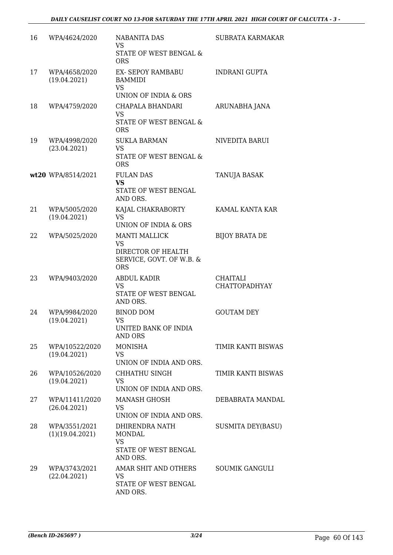| 16 | WPA/4624/2020                    | <b>NABANITA DAS</b><br><b>VS</b>                                         | <b>SUBRATA KARMAKAR</b>                 |
|----|----------------------------------|--------------------------------------------------------------------------|-----------------------------------------|
|    |                                  | STATE OF WEST BENGAL &<br><b>ORS</b>                                     |                                         |
| 17 | WPA/4658/2020<br>(19.04.2021)    | EX- SEPOY RAMBABU<br><b>BAMMIDI</b><br><b>VS</b>                         | <b>INDRANI GUPTA</b>                    |
|    |                                  | UNION OF INDIA & ORS                                                     |                                         |
| 18 | WPA/4759/2020                    | CHAPALA BHANDARI<br><b>VS</b><br>STATE OF WEST BENGAL &<br><b>ORS</b>    | ARUNABHA JANA                           |
| 19 | WPA/4998/2020<br>(23.04.2021)    | <b>SUKLA BARMAN</b><br><b>VS</b><br>STATE OF WEST BENGAL &<br><b>ORS</b> | NIVEDITA BARUI                          |
|    | wt20 WPA/8514/2021               | <b>FULAN DAS</b><br><b>VS</b><br>STATE OF WEST BENGAL<br>AND ORS.        | <b>TANUJA BASAK</b>                     |
| 21 | WPA/5005/2020<br>(19.04.2021)    | KAJAL CHAKRABORTY<br><b>VS</b><br>UNION OF INDIA & ORS                   | KAMAL KANTA KAR                         |
| 22 | WPA/5025/2020                    | <b>MANTI MALLICK</b><br><b>VS</b>                                        | <b>BIJOY BRATA DE</b>                   |
|    |                                  | DIRECTOR OF HEALTH<br>SERVICE, GOVT. OF W.B. &<br><b>ORS</b>             |                                         |
| 23 | WPA/9403/2020                    | ABDUL KADIR<br><b>VS</b><br>STATE OF WEST BENGAL<br>AND ORS.             | <b>CHAITALI</b><br><b>CHATTOPADHYAY</b> |
| 24 | WPA/9984/2020<br>(19.04.2021)    | <b>BINOD DOM</b><br>VS<br>UNITED BANK OF INDIA<br>AND ORS                | <b>GOUTAM DEY</b>                       |
| 25 | WPA/10522/2020<br>(19.04.2021)   | <b>MONISHA</b><br><b>VS</b><br>UNION OF INDIA AND ORS.                   | TIMIR KANTI BISWAS                      |
| 26 | WPA/10526/2020<br>(19.04.2021)   | CHHATHU SINGH<br><b>VS</b><br>UNION OF INDIA AND ORS.                    | TIMIR KANTI BISWAS                      |
| 27 | WPA/11411/2020<br>(26.04.2021)   | <b>MANASH GHOSH</b><br>VS                                                | DEBABRATA MANDAL                        |
|    |                                  | UNION OF INDIA AND ORS.                                                  |                                         |
| 28 | WPA/3551/2021<br>(1)(19.04.2021) | DHIRENDRA NATH<br><b>MONDAL</b><br><b>VS</b>                             | SUSMITA DEY(BASU)                       |
|    |                                  | STATE OF WEST BENGAL<br>AND ORS.                                         |                                         |
| 29 | WPA/3743/2021<br>(22.04.2021)    | AMAR SHIT AND OTHERS<br><b>VS</b>                                        | SOUMIK GANGULI                          |
|    |                                  | STATE OF WEST BENGAL<br>AND ORS.                                         |                                         |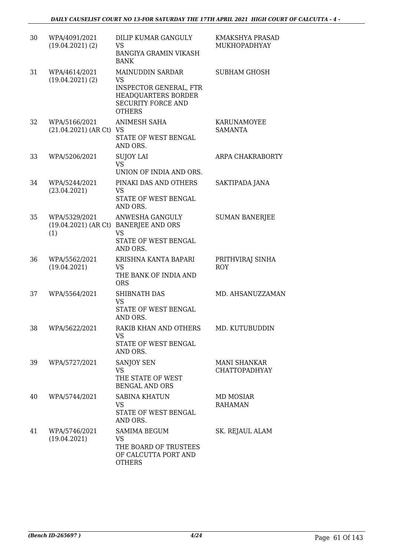| 30 | WPA/4091/2021<br>(19.04.2021)(2)         | DILIP KUMAR GANGULY<br><b>VS</b><br><b>BANGIYA GRAMIN VIKASH</b><br><b>BANK</b>                                                            | KMAKSHYA PRASAD<br>MUKHOPADHYAY             |
|----|------------------------------------------|--------------------------------------------------------------------------------------------------------------------------------------------|---------------------------------------------|
| 31 | WPA/4614/2021<br>(19.04.2021)(2)         | <b>MAINUDDIN SARDAR</b><br><b>VS</b><br><b>INSPECTOR GENERAL, FTR</b><br>HEADQUARTERS BORDER<br><b>SECURITY FORCE AND</b><br><b>OTHERS</b> | SUBHAM GHOSH                                |
| 32 | WPA/5166/2021<br>(21.04.2021) (AR Ct) VS | ANIMESH SAHA<br>STATE OF WEST BENGAL<br>AND ORS.                                                                                           | <b>KARUNAMOYEE</b><br><b>SAMANTA</b>        |
| 33 | WPA/5206/2021                            | <b>SUJOY LAI</b><br><b>VS</b><br>UNION OF INDIA AND ORS.                                                                                   | ARPA CHAKRABORTY                            |
| 34 | WPA/5244/2021<br>(23.04.2021)            | PINAKI DAS AND OTHERS<br><b>VS</b><br>STATE OF WEST BENGAL<br>AND ORS.                                                                     | SAKTIPADA JANA                              |
| 35 | WPA/5329/2021<br>(1)                     | ANWESHA GANGULY<br>(19.04.2021) (AR Ct) BANERJEE AND ORS<br>VS<br>STATE OF WEST BENGAL<br>AND ORS.                                         | <b>SUMAN BANERJEE</b>                       |
| 36 | WPA/5562/2021<br>(19.04.2021)            | KRISHNA KANTA BAPARI<br><b>VS</b><br>THE BANK OF INDIA AND<br><b>ORS</b>                                                                   | PRITHVIRAJ SINHA<br><b>ROY</b>              |
| 37 | WPA/5564/2021                            | <b>SHIBNATH DAS</b><br><b>VS</b><br>STATE OF WEST BENGAL<br>AND ORS.                                                                       | MD. AHSANUZZAMAN                            |
| 38 | WPA/5622/2021                            | RAKIB KHAN AND OTHERS<br>VS<br>STATE OF WEST BENGAL<br>AND ORS.                                                                            | MD. KUTUBUDDIN                              |
| 39 | WPA/5727/2021                            | SANJOY SEN<br><b>VS</b><br>THE STATE OF WEST<br><b>BENGAL AND ORS</b>                                                                      | <b>MANI SHANKAR</b><br><b>CHATTOPADHYAY</b> |
| 40 | WPA/5744/2021                            | <b>SABINA KHATUN</b><br><b>VS</b><br>STATE OF WEST BENGAL<br>AND ORS.                                                                      | <b>MD MOSIAR</b><br><b>RAHAMAN</b>          |
| 41 | WPA/5746/2021<br>(19.04.2021)            | <b>SAMIMA BEGUM</b><br><b>VS</b><br>THE BOARD OF TRUSTEES<br>OF CALCUTTA PORT AND<br><b>OTHERS</b>                                         | SK. REJAUL ALAM                             |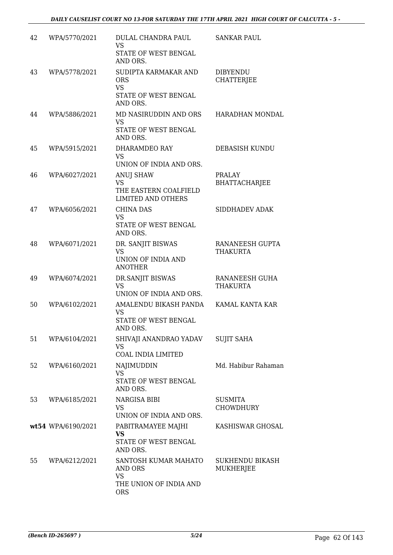| 42 | WPA/5770/2021      | <b>DULAL CHANDRA PAUL</b><br><b>VS</b><br>STATE OF WEST BENGAL<br>AND ORS.                  | <b>SANKAR PAUL</b>                    |
|----|--------------------|---------------------------------------------------------------------------------------------|---------------------------------------|
| 43 | WPA/5778/2021      | SUDIPTA KARMAKAR AND<br><b>ORS</b><br><b>VS</b><br>STATE OF WEST BENGAL<br>AND ORS.         | <b>DIBYENDU</b><br><b>CHATTERJEE</b>  |
| 44 | WPA/5886/2021      | MD NASIRUDDIN AND ORS<br><b>VS</b><br>STATE OF WEST BENGAL<br>AND ORS.                      | HARADHAN MONDAL                       |
| 45 | WPA/5915/2021      | DHARAMDEO RAY<br><b>VS</b><br>UNION OF INDIA AND ORS.                                       | DEBASISH KUNDU                        |
| 46 | WPA/6027/2021      | <b>ANUJ SHAW</b><br><b>VS</b><br>THE EASTERN COALFIELD<br><b>LIMITED AND OTHERS</b>         | <b>PRALAY</b><br><b>BHATTACHARJEE</b> |
| 47 | WPA/6056/2021      | <b>CHINA DAS</b><br><b>VS</b><br>STATE OF WEST BENGAL<br>AND ORS.                           | SIDDHADEV ADAK                        |
| 48 | WPA/6071/2021      | DR. SANJIT BISWAS<br><b>VS</b><br>UNION OF INDIA AND<br><b>ANOTHER</b>                      | RANANEESH GUPTA<br>THAKURTA           |
| 49 | WPA/6074/2021      | DR.SANJIT BISWAS<br><b>VS</b><br>UNION OF INDIA AND ORS.                                    | RANANEESH GUHA<br><b>THAKURTA</b>     |
| 50 | WPA/6102/2021      | AMALENDU BIKASH PANDA<br><b>VS</b><br>STATE OF WEST BENGAL<br>AND ORS.                      | KAMAL KANTA KAR                       |
| 51 | WPA/6104/2021      | SHIVAJI ANANDRAO YADAV<br><b>VS</b><br><b>COAL INDIA LIMITED</b>                            | <b>SUJIT SAHA</b>                     |
| 52 | WPA/6160/2021      | NAJIMUDDIN<br><b>VS</b><br>STATE OF WEST BENGAL<br>AND ORS.                                 | Md. Habibur Rahaman                   |
| 53 | WPA/6185/2021      | NARGISA BIBI<br><b>VS</b><br>UNION OF INDIA AND ORS.                                        | <b>SUSMITA</b><br><b>CHOWDHURY</b>    |
|    | wt54 WPA/6190/2021 | PABITRAMAYEE MAJHI<br><b>VS</b><br>STATE OF WEST BENGAL<br>AND ORS.                         | KASHISWAR GHOSAL                      |
| 55 | WPA/6212/2021      | SANTOSH KUMAR MAHATO<br><b>AND ORS</b><br><b>VS</b><br>THE UNION OF INDIA AND<br><b>ORS</b> | <b>SUKHENDU BIKASH</b><br>MUKHERJEE   |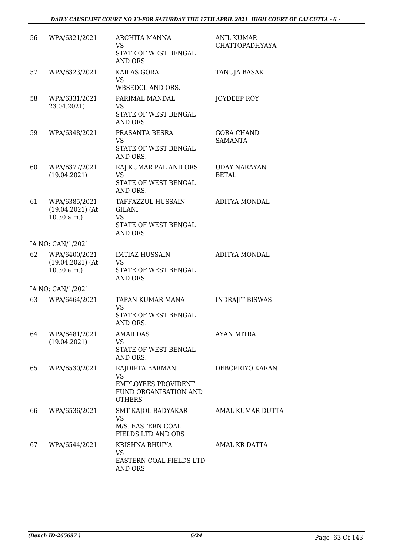| 56 | WPA/6321/2021                                     | <b>ARCHITA MANNA</b><br>VS<br>STATE OF WEST BENGAL<br>AND ORS.                                       | <b>ANIL KUMAR</b><br><b>CHATTOPADHYAYA</b> |
|----|---------------------------------------------------|------------------------------------------------------------------------------------------------------|--------------------------------------------|
| 57 | WPA/6323/2021                                     | KAILAS GORAI<br><b>VS</b><br>WBSEDCL AND ORS.                                                        | <b>TANUJA BASAK</b>                        |
| 58 | WPA/6331/2021<br>23.04.2021)                      | PARIMAL MANDAL<br><b>VS</b><br>STATE OF WEST BENGAL<br>AND ORS.                                      | JOYDEEP ROY                                |
| 59 | WPA/6348/2021                                     | PRASANTA BESRA<br>VS<br>STATE OF WEST BENGAL<br>AND ORS.                                             | <b>GORA CHAND</b><br><b>SAMANTA</b>        |
| 60 | WPA/6377/2021<br>(19.04.2021)                     | RAJ KUMAR PAL AND ORS<br><b>VS</b><br>STATE OF WEST BENGAL<br>AND ORS.                               | <b>UDAY NARAYAN</b><br><b>BETAL</b>        |
| 61 | WPA/6385/2021<br>$(19.04.2021)$ (At<br>10.30 a.m. | TAFFAZZUL HUSSAIN<br>GILANI<br><b>VS</b><br>STATE OF WEST BENGAL<br>AND ORS.                         | ADITYA MONDAL                              |
|    | IA NO: CAN/1/2021                                 |                                                                                                      |                                            |
| 62 | WPA/6400/2021<br>$(19.04.2021)$ (At<br>10.30 a.m. | <b>IMTIAZ HUSSAIN</b><br>VS<br>STATE OF WEST BENGAL<br>AND ORS.                                      | ADITYA MONDAL                              |
|    | IA NO: CAN/1/2021                                 |                                                                                                      |                                            |
| 63 | WPA/6464/2021                                     | TAPAN KUMAR MANA<br><b>VS</b><br>STATE OF WEST BENGAL<br>AND ORS.                                    | <b>INDRAJIT BISWAS</b>                     |
| 64 | WPA/6481/2021<br>(19.04.2021)                     | <b>AMAR DAS</b><br>VS<br>STATE OF WEST BENGAL<br>AND ORS.                                            | AYAN MITRA                                 |
| 65 | WPA/6530/2021                                     | RAJDIPTA BARMAN<br><b>VS</b><br><b>EMPLOYEES PROVIDENT</b><br>FUND ORGANISATION AND<br><b>OTHERS</b> | DEBOPRIYO KARAN                            |
| 66 | WPA/6536/2021                                     | SMT KAJOL BADYAKAR<br>VS.<br>M/S. EASTERN COAL<br><b>FIELDS LTD AND ORS</b>                          | AMAL KUMAR DUTTA                           |
| 67 | WPA/6544/2021                                     | KRISHNA BHUIYA<br>VS<br>EASTERN COAL FIELDS LTD<br>AND ORS                                           | AMAL KR DATTA                              |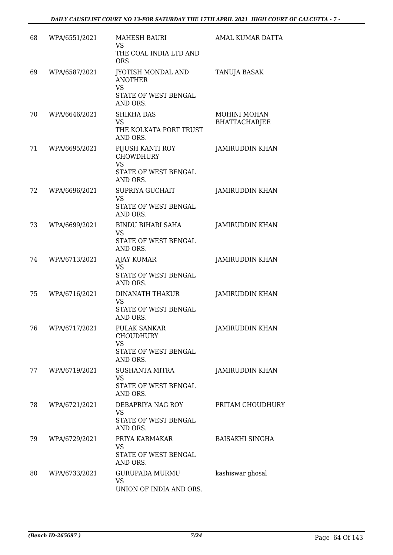| 68 | WPA/6551/2021 | <b>MAHESH BAURI</b><br><b>VS</b>                                                  | AMAL KUMAR DATTA                            |
|----|---------------|-----------------------------------------------------------------------------------|---------------------------------------------|
|    |               | THE COAL INDIA LTD AND<br><b>ORS</b>                                              |                                             |
| 69 | WPA/6587/2021 | <b>JYOTISH MONDAL AND</b><br><b>ANOTHER</b><br><b>VS</b>                          | TANUJA BASAK                                |
|    |               | STATE OF WEST BENGAL<br>AND ORS.                                                  |                                             |
| 70 | WPA/6646/2021 | <b>SHIKHA DAS</b><br><b>VS</b><br>THE KOLKATA PORT TRUST<br>AND ORS.              | <b>MOHINI MOHAN</b><br><b>BHATTACHARJEE</b> |
| 71 | WPA/6695/2021 | PIJUSH KANTI ROY<br><b>CHOWDHURY</b><br><b>VS</b><br>STATE OF WEST BENGAL         | <b>JAMIRUDDIN KHAN</b>                      |
|    |               | AND ORS.                                                                          |                                             |
| 72 | WPA/6696/2021 | SUPRIYA GUCHAIT<br>VS<br>STATE OF WEST BENGAL<br>AND ORS.                         | <b>JAMIRUDDIN KHAN</b>                      |
| 73 | WPA/6699/2021 | <b>BINDU BIHARI SAHA</b>                                                          | JAMIRUDDIN KHAN                             |
|    |               | <b>VS</b><br>STATE OF WEST BENGAL<br>AND ORS.                                     |                                             |
| 74 | WPA/6713/2021 | AJAY KUMAR<br>VS.<br>STATE OF WEST BENGAL<br>AND ORS.                             | <b>JAMIRUDDIN KHAN</b>                      |
| 75 | WPA/6716/2021 | <b>DINANATH THAKUR</b><br><b>VS</b><br>STATE OF WEST BENGAL<br>AND ORS.           | <b>JAMIRUDDIN KHAN</b>                      |
| 76 | WPA/6717/2021 | <b>PULAK SANKAR</b><br><b>CHOUDHURY</b><br>VS<br>STATE OF WEST BENGAL<br>AND ORS. | <b>JAMIRUDDIN KHAN</b>                      |
| 77 | WPA/6719/2021 | <b>SUSHANTA MITRA</b><br><b>VS</b><br>STATE OF WEST BENGAL<br>AND ORS.            | JAMIRUDDIN KHAN                             |
| 78 | WPA/6721/2021 | DEBAPRIYA NAG ROY<br><b>VS</b><br>STATE OF WEST BENGAL<br>AND ORS.                | PRITAM CHOUDHURY                            |
| 79 | WPA/6729/2021 | PRIYA KARMAKAR<br>VS<br>STATE OF WEST BENGAL<br>AND ORS.                          | <b>BAISAKHI SINGHA</b>                      |
| 80 | WPA/6733/2021 | <b>GURUPADA MURMU</b><br><b>VS</b><br>UNION OF INDIA AND ORS.                     | kashiswar ghosal                            |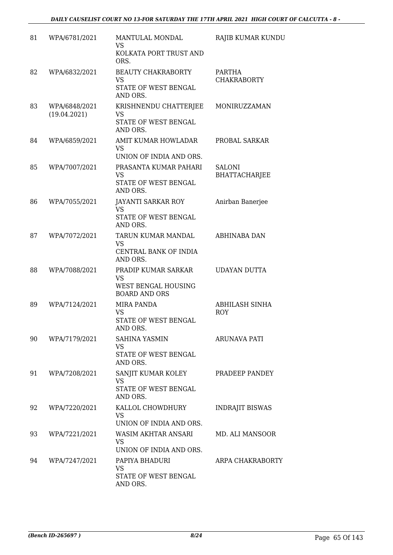| 81 | WPA/6781/2021                 | MANTULAL MONDAL<br><b>VS</b>                                                    | RAJIB KUMAR KUNDU                     |
|----|-------------------------------|---------------------------------------------------------------------------------|---------------------------------------|
|    |                               | KOLKATA PORT TRUST AND<br>ORS.                                                  |                                       |
| 82 | WPA/6832/2021                 | <b>BEAUTY CHAKRABORTY</b><br><b>VS</b><br>STATE OF WEST BENGAL<br>AND ORS.      | <b>PARTHA</b><br><b>CHAKRABORTY</b>   |
| 83 | WPA/6848/2021<br>(19.04.2021) | KRISHNENDU CHATTERJEE<br>VS<br>STATE OF WEST BENGAL<br>AND ORS.                 | MONIRUZZAMAN                          |
| 84 | WPA/6859/2021                 | AMIT KUMAR HOWLADAR<br>VS<br>UNION OF INDIA AND ORS.                            | PROBAL SARKAR                         |
| 85 | WPA/7007/2021                 | PRASANTA KUMAR PAHARI<br><b>VS</b><br>STATE OF WEST BENGAL<br>AND ORS.          | <b>SALONI</b><br><b>BHATTACHARJEE</b> |
| 86 | WPA/7055/2021                 | JAYANTI SARKAR ROY<br><b>VS</b><br><b>STATE OF WEST BENGAL</b><br>AND ORS.      | Anirban Banerjee                      |
| 87 | WPA/7072/2021                 | TARUN KUMAR MANDAL<br><b>VS</b><br>CENTRAL BANK OF INDIA<br>AND ORS.            | ABHINABA DAN                          |
| 88 | WPA/7088/2021                 | PRADIP KUMAR SARKAR<br><b>VS</b><br>WEST BENGAL HOUSING<br><b>BOARD AND ORS</b> | <b>UDAYAN DUTTA</b>                   |
| 89 | WPA/7124/2021                 | <b>MIRA PANDA</b><br>VS<br><b>STATE OF WEST BENGAL</b><br>AND ORS.              | ABHILASH SINHA<br><b>ROY</b>          |
| 90 | WPA/7179/2021                 | <b>SAHINA YASMIN</b><br><b>VS</b><br>STATE OF WEST BENGAL<br>AND ORS.           | ARUNAVA PATI                          |
| 91 | WPA/7208/2021                 | SANJIT KUMAR KOLEY<br><b>VS</b><br>STATE OF WEST BENGAL<br>AND ORS.             | PRADEEP PANDEY                        |
| 92 | WPA/7220/2021                 | KALLOL CHOWDHURY<br>VS<br>UNION OF INDIA AND ORS.                               | <b>INDRAJIT BISWAS</b>                |
| 93 | WPA/7221/2021                 | WASIM AKHTAR ANSARI<br><b>VS</b><br>UNION OF INDIA AND ORS.                     | MD. ALI MANSOOR                       |
| 94 | WPA/7247/2021                 | PAPIYA BHADURI<br>VS<br>STATE OF WEST BENGAL<br>AND ORS.                        | ARPA CHAKRABORTY                      |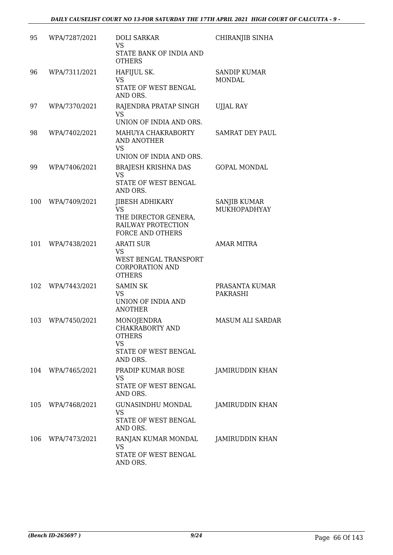| 95  | WPA/7287/2021     | <b>DOLI SARKAR</b><br><b>VS</b><br>STATE BANK OF INDIA AND<br><b>OTHERS</b>                                  | CHIRANJIB SINHA                      |
|-----|-------------------|--------------------------------------------------------------------------------------------------------------|--------------------------------------|
| 96  | WPA/7311/2021     | HAFIJUL SK.<br><b>VS</b><br>STATE OF WEST BENGAL<br>AND ORS.                                                 | <b>SANDIP KUMAR</b><br><b>MONDAL</b> |
| 97  | WPA/7370/2021     | RAJENDRA PRATAP SINGH<br>VS.<br>UNION OF INDIA AND ORS.                                                      | <b>UJJAL RAY</b>                     |
| 98  | WPA/7402/2021     | MAHUYA CHAKRABORTY<br><b>AND ANOTHER</b><br><b>VS</b><br>UNION OF INDIA AND ORS.                             | SAMRAT DEY PAUL                      |
| 99  | WPA/7406/2021     | <b>BRAJESH KRISHNA DAS</b><br><b>VS</b><br>STATE OF WEST BENGAL<br>AND ORS.                                  | <b>GOPAL MONDAL</b>                  |
| 100 | WPA/7409/2021     | <b>JIBESH ADHIKARY</b><br><b>VS</b><br>THE DIRECTOR GENERA,<br>RAILWAY PROTECTION<br><b>FORCE AND OTHERS</b> | <b>SANJIB KUMAR</b><br>MUKHOPADHYAY  |
| 101 | WPA/7438/2021     | <b>ARATI SUR</b><br>VS<br>WEST BENGAL TRANSPORT<br><b>CORPORATION AND</b><br><b>OTHERS</b>                   | <b>AMAR MITRA</b>                    |
| 102 | WPA/7443/2021     | <b>SAMIN SK</b><br><b>VS</b><br>UNION OF INDIA AND<br><b>ANOTHER</b>                                         | PRASANTA KUMAR<br><b>PAKRASHI</b>    |
| 103 | WPA/7450/2021     | MONOJENDRA<br>CHAKRABORTY AND<br><b>OTHERS</b><br><b>VS</b><br>STATE OF WEST BENGAL<br>AND ORS.              | <b>MASUM ALI SARDAR</b>              |
|     | 104 WPA/7465/2021 | PRADIP KUMAR BOSE<br>VS<br>STATE OF WEST BENGAL<br>AND ORS.                                                  | JAMIRUDDIN KHAN                      |
| 105 | WPA/7468/2021     | <b>GUNASINDHU MONDAL</b><br>VS<br>STATE OF WEST BENGAL<br>AND ORS.                                           | JAMIRUDDIN KHAN                      |
| 106 | WPA/7473/2021     | RANJAN KUMAR MONDAL<br><b>VS</b><br>STATE OF WEST BENGAL<br>AND ORS.                                         | JAMIRUDDIN KHAN                      |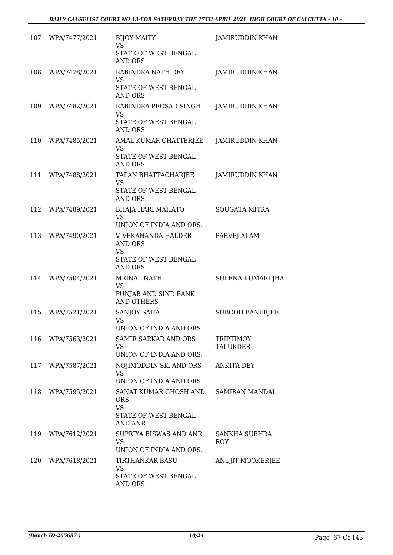| 107 | WPA/7477/2021 | <b>BIJOY MAITY</b><br>VS<br>STATE OF WEST BENGAL<br>AND ORS.                                 | JAMIRUDDIN KHAN              |
|-----|---------------|----------------------------------------------------------------------------------------------|------------------------------|
| 108 | WPA/7478/2021 | RABINDRA NATH DEY<br><b>VS</b><br>STATE OF WEST BENGAL<br>AND ORS.                           | <b>JAMIRUDDIN KHAN</b>       |
| 109 | WPA/7482/2021 | RABINDRA PROSAD SINGH<br><b>VS</b><br>STATE OF WEST BENGAL<br>AND ORS.                       | JAMIRUDDIN KHAN              |
| 110 | WPA/7485/2021 | AMAL KUMAR CHATTERJEE<br>VS<br>STATE OF WEST BENGAL<br>AND ORS.                              | JAMIRUDDIN KHAN              |
| 111 | WPA/7488/2021 | TAPAN BHATTACHARJEE<br><b>VS</b><br>STATE OF WEST BENGAL<br>AND ORS.                         | JAMIRUDDIN KHAN              |
| 112 | WPA/7489/2021 | <b>BHAJA HARI MAHATO</b><br><b>VS</b><br>UNION OF INDIA AND ORS.                             | <b>SOUGATA MITRA</b>         |
| 113 | WPA/7490/2021 | <b>VIVEKANANDA HALDER</b><br><b>AND ORS</b><br><b>VS</b><br>STATE OF WEST BENGAL<br>AND ORS. | PARVEJ ALAM                  |
| 114 | WPA/7504/2021 | <b>MRINAL NATH</b><br><b>VS</b><br>PUNJAB AND SIND BANK<br><b>AND OTHERS</b>                 | SULENA KUMARI JHA            |
| 115 | WPA/7521/2021 | SANJOY SAHA<br>VS<br>UNION OF INDIA AND ORS.                                                 | <b>SUBODH BANERJEE</b>       |
| 116 | WPA/7563/2021 | <b>SAMIR SARKAR AND ORS</b><br><b>VS</b><br>UNION OF INDIA AND ORS.                          | TRIPTIMOY<br><b>TALUKDER</b> |
| 117 | WPA/7587/2021 | NOJIMODDIN SK. AND ORS<br><b>VS</b><br>UNION OF INDIA AND ORS.                               | ANKITA DEY                   |
| 118 | WPA/7595/2021 | SANAT KUMAR GHOSH AND<br><b>ORS</b><br><b>VS</b><br>STATE OF WEST BENGAL<br><b>AND ANR</b>   | <b>SAMIRAN MANDAL</b>        |
| 119 | WPA/7612/2021 | SUPRIYA BISWAS AND ANR<br><b>VS</b><br>UNION OF INDIA AND ORS.                               | SANKHA SUBHRA<br>ROY         |
| 120 | WPA/7618/2021 | TIRTHANKAR BASU<br>VS<br>STATE OF WEST BENGAL<br>AND ORS.                                    | <b>ANUJIT MOOKERJEE</b>      |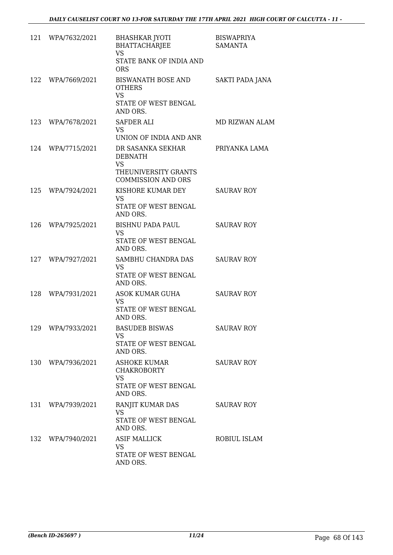|     | 121 WPA/7632/2021 | <b>BHASHKAR JYOTI</b><br><b>BHATTACHARJEE</b><br><b>VS</b><br>STATE BANK OF INDIA AND<br><b>ORS</b>   | <b>BISWAPRIYA</b><br><b>SAMANTA</b> |
|-----|-------------------|-------------------------------------------------------------------------------------------------------|-------------------------------------|
| 122 | WPA/7669/2021     | BISWANATH BOSE AND<br><b>OTHERS</b><br><b>VS</b><br>STATE OF WEST BENGAL<br>AND ORS.                  | SAKTI PADA JANA                     |
| 123 | WPA/7678/2021     | SAFDER ALI<br>VS.<br>UNION OF INDIA AND ANR                                                           | MD RIZWAN ALAM                      |
|     | 124 WPA/7715/2021 | DR SASANKA SEKHAR<br><b>DEBNATH</b><br><b>VS</b><br>THEUNIVERSITY GRANTS<br><b>COMMISSION AND ORS</b> | PRIYANKA LAMA                       |
|     | 125 WPA/7924/2021 | KISHORE KUMAR DEY<br><b>VS</b><br>STATE OF WEST BENGAL<br>AND ORS.                                    | <b>SAURAV ROY</b>                   |
| 126 | WPA/7925/2021     | BISHNU PADA PAUL<br><b>VS</b><br>STATE OF WEST BENGAL<br>AND ORS.                                     | <b>SAURAV ROY</b>                   |
| 127 | WPA/7927/2021     | SAMBHU CHANDRA DAS<br><b>VS</b><br>STATE OF WEST BENGAL<br>AND ORS.                                   | <b>SAURAV ROY</b>                   |
| 128 | WPA/7931/2021     | ASOK KUMAR GUHA<br>VS<br>STATE OF WEST BENGAL<br>AND ORS.                                             | <b>SAURAV ROY</b>                   |
|     | 129 WPA/7933/2021 | <b>BASUDEB BISWAS</b><br>VS<br>STATE OF WEST BENGAL<br>AND ORS.                                       | <b>SAURAV ROY</b>                   |
| 130 | WPA/7936/2021     | <b>ASHOKE KUMAR</b><br><b>CHAKROBORTY</b><br><b>VS</b><br>STATE OF WEST BENGAL<br>AND ORS.            | <b>SAURAV ROY</b>                   |
|     | 131 WPA/7939/2021 | RANJIT KUMAR DAS<br>VS.<br>STATE OF WEST BENGAL<br>AND ORS.                                           | <b>SAURAV ROY</b>                   |
|     | 132 WPA/7940/2021 | <b>ASIF MALLICK</b><br>VS<br>STATE OF WEST BENGAL<br>AND ORS.                                         | ROBIUL ISLAM                        |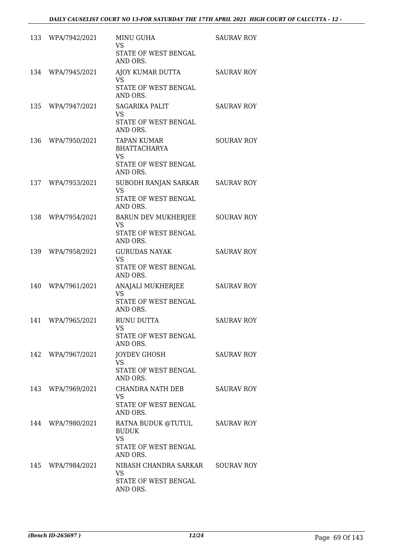|     | 133 WPA/7942/2021 | <b>MINU GUHA</b><br><b>VS</b><br>STATE OF WEST BENGAL<br>AND ORS.                          | <b>SAURAV ROY</b> |
|-----|-------------------|--------------------------------------------------------------------------------------------|-------------------|
| 134 | WPA/7945/2021     | AJOY KUMAR DUTTA<br>VS<br>STATE OF WEST BENGAL<br>AND ORS.                                 | <b>SAURAV ROY</b> |
| 135 | WPA/7947/2021     | <b>SAGARIKA PALIT</b><br><b>VS</b><br>STATE OF WEST BENGAL<br>AND ORS.                     | <b>SAURAV ROY</b> |
| 136 | WPA/7950/2021     | <b>TAPAN KUMAR</b><br><b>BHATTACHARYA</b><br><b>VS</b><br>STATE OF WEST BENGAL<br>AND ORS. | <b>SOURAV ROY</b> |
| 137 | WPA/7953/2021     | SUBODH RANJAN SARKAR<br><b>VS</b><br>STATE OF WEST BENGAL<br>AND ORS.                      | <b>SAURAV ROY</b> |
| 138 | WPA/7954/2021     | <b>BARUN DEV MUKHERJEE</b><br><b>VS</b><br>STATE OF WEST BENGAL<br>AND ORS.                | <b>SOURAV ROY</b> |
| 139 | WPA/7958/2021     | <b>GURUDAS NAYAK</b><br><b>VS</b><br>STATE OF WEST BENGAL<br>AND ORS.                      | <b>SAURAV ROY</b> |
| 140 | WPA/7961/2021     | ANAJALI MUKHERJEE<br>VS.<br>STATE OF WEST BENGAL<br>AND ORS.                               | <b>SAURAV ROY</b> |
| 141 | WPA/7965/2021     | <b>RUNU DUTTA</b><br><b>VS</b><br>STATE OF WEST BENGAL<br>AND ORS.                         | <b>SAURAV ROY</b> |
| 142 | WPA/7967/2021     | JOYDEV GHOSH<br><b>VS</b><br>STATE OF WEST BENGAL<br>AND ORS.                              | <b>SAURAV ROY</b> |
|     | 143 WPA/7969/2021 | CHANDRA NATH DEB<br>VS.<br>STATE OF WEST BENGAL<br>AND ORS.                                | <b>SAURAV ROY</b> |
| 144 | WPA/7980/2021     | RATNA BUDUK @TUTUL<br><b>BUDUK</b><br><b>VS</b><br>STATE OF WEST BENGAL<br>AND ORS.        | <b>SAURAV ROY</b> |
| 145 | WPA/7984/2021     | NIBASH CHANDRA SARKAR SOURAV ROY<br><b>VS</b><br>STATE OF WEST BENGAL<br>AND ORS.          |                   |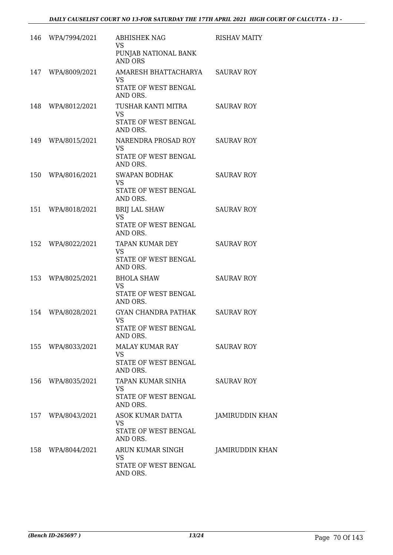|     | 146 WPA/7994/2021 | <b>ABHISHEK NAG</b><br><b>VS</b><br>PUNJAB NATIONAL BANK                               | <b>RISHAV MAITY</b> |
|-----|-------------------|----------------------------------------------------------------------------------------|---------------------|
| 147 | WPA/8009/2021     | <b>AND ORS</b><br>AMARESH BHATTACHARYA SAURAV ROY<br><b>VS</b><br>STATE OF WEST BENGAL |                     |
|     | 148 WPA/8012/2021 | AND ORS.<br>TUSHAR KANTI MITRA<br><b>VS</b><br>STATE OF WEST BENGAL                    | <b>SAURAV ROY</b>   |
| 149 | WPA/8015/2021     | AND ORS.<br>NARENDRA PROSAD ROY<br>VS<br>STATE OF WEST BENGAL<br>AND ORS.              | <b>SAURAV ROY</b>   |
| 150 | WPA/8016/2021     | SWAPAN BODHAK<br><b>VS</b><br>STATE OF WEST BENGAL<br>AND ORS.                         | <b>SAURAV ROY</b>   |
|     | 151 WPA/8018/2021 | <b>BRIJ LAL SHAW</b><br><b>VS</b><br>STATE OF WEST BENGAL<br>AND ORS.                  | <b>SAURAV ROY</b>   |
| 152 | WPA/8022/2021     | TAPAN KUMAR DEY<br><b>VS</b><br>STATE OF WEST BENGAL<br>AND ORS.                       | <b>SAURAV ROY</b>   |
| 153 | WPA/8025/2021     | <b>BHOLA SHAW</b><br><b>VS</b><br>STATE OF WEST BENGAL<br>AND ORS.                     | <b>SAURAV ROY</b>   |
| 154 | WPA/8028/2021     | GYAN CHANDRA PATHAK<br><b>VS</b><br>STATE OF WEST BENGAL<br>AND ORS.                   | <b>SAURAV ROY</b>   |
|     | 155 WPA/8033/2021 | MALAY KUMAR RAY<br><b>VS</b><br>STATE OF WEST BENGAL<br>AND ORS.                       | <b>SAURAV ROY</b>   |
|     | 156 WPA/8035/2021 | TAPAN KUMAR SINHA<br>VS<br>STATE OF WEST BENGAL<br>AND ORS.                            | <b>SAURAV ROY</b>   |
|     | 157 WPA/8043/2021 | ASOK KUMAR DATTA<br><b>VS</b><br>STATE OF WEST BENGAL<br>AND ORS.                      | JAMIRUDDIN KHAN     |
|     | 158 WPA/8044/2021 | ARUN KUMAR SINGH<br><b>VS</b><br>STATE OF WEST BENGAL<br>AND ORS.                      | JAMIRUDDIN KHAN     |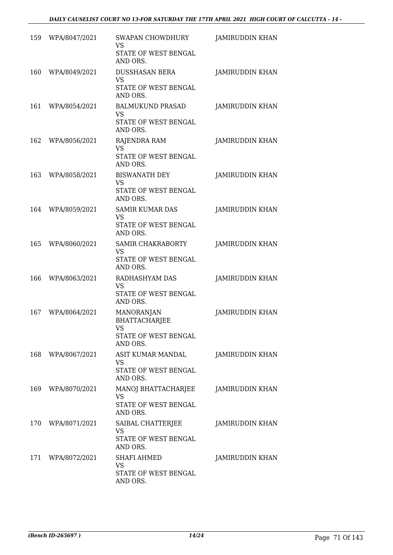| 159 | WPA/8047/2021 | SWAPAN CHOWDHURY<br><b>VS</b><br>STATE OF WEST BENGAL<br>AND ORS.                   | <b>JAMIRUDDIN KHAN</b> |
|-----|---------------|-------------------------------------------------------------------------------------|------------------------|
| 160 | WPA/8049/2021 | <b>DUSSHASAN BERA</b><br><b>VS</b><br>STATE OF WEST BENGAL<br>AND ORS.              | <b>JAMIRUDDIN KHAN</b> |
| 161 | WPA/8054/2021 | <b>BALMUKUND PRASAD</b><br>VS<br>STATE OF WEST BENGAL<br>AND ORS.                   | JAMIRUDDIN KHAN        |
| 162 | WPA/8056/2021 | RAJENDRA RAM<br><b>VS</b><br>STATE OF WEST BENGAL<br>AND ORS.                       | JAMIRUDDIN KHAN        |
| 163 | WPA/8058/2021 | <b>BISWANATH DEY</b><br><b>VS</b><br>STATE OF WEST BENGAL<br>AND ORS.               | <b>JAMIRUDDIN KHAN</b> |
| 164 | WPA/8059/2021 | <b>SAMIR KUMAR DAS</b><br>VS<br>STATE OF WEST BENGAL<br>AND ORS.                    | JAMIRUDDIN KHAN        |
| 165 | WPA/8060/2021 | SAMIR CHAKRABORTY<br><b>VS</b><br>STATE OF WEST BENGAL<br>AND ORS.                  | JAMIRUDDIN KHAN        |
| 166 | WPA/8063/2021 | RADHASHYAM DAS<br><b>VS</b><br>STATE OF WEST BENGAL<br>AND ORS.                     | JAMIRUDDIN KHAN        |
| 167 | WPA/8064/2021 | <b>MANORANJAN</b><br><b>BHATTACHARJEE</b><br>VS<br>STATE OF WEST BENGAL<br>AND ORS. | JAMIRUDDIN KHAN        |
| 168 | WPA/8067/2021 | ASIT KUMAR MANDAL<br>VS<br>STATE OF WEST BENGAL<br>AND ORS.                         | <b>JAMIRUDDIN KHAN</b> |
| 169 | WPA/8070/2021 | MANOJ BHATTACHARJEE<br><b>VS</b><br>STATE OF WEST BENGAL<br>AND ORS.                | JAMIRUDDIN KHAN        |
| 170 | WPA/8071/2021 | SAIBAL CHATTERJEE<br>VS<br>STATE OF WEST BENGAL<br>AND ORS.                         | JAMIRUDDIN KHAN        |
| 171 | WPA/8072/2021 | <b>SHAFI AHMED</b><br><b>VS</b><br>STATE OF WEST BENGAL<br>AND ORS.                 | JAMIRUDDIN KHAN        |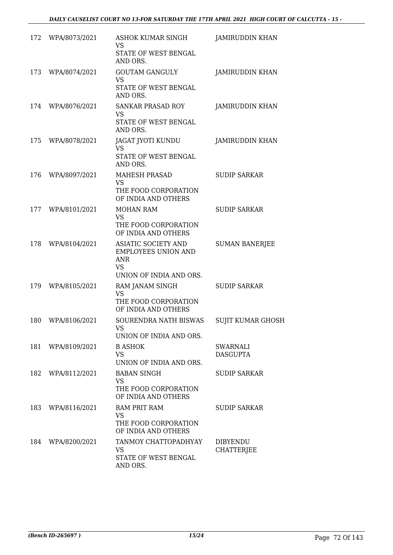| 172 | WPA/8073/2021 | ASHOK KUMAR SINGH<br>VS                                                        | JAMIRUDDIN KHAN               |
|-----|---------------|--------------------------------------------------------------------------------|-------------------------------|
|     |               | STATE OF WEST BENGAL<br>AND ORS.                                               |                               |
| 173 | WPA/8074/2021 | <b>GOUTAM GANGULY</b><br><b>VS</b><br>STATE OF WEST BENGAL                     | <b>JAMIRUDDIN KHAN</b>        |
|     |               | AND ORS.                                                                       |                               |
| 174 | WPA/8076/2021 | <b>SANKAR PRASAD ROY</b><br>VS<br>STATE OF WEST BENGAL                         | JAMIRUDDIN KHAN               |
| 175 | WPA/8078/2021 | AND ORS.<br>JAGAT JYOTI KUNDU                                                  | JAMIRUDDIN KHAN               |
|     |               | VS.<br>STATE OF WEST BENGAL<br>AND ORS.                                        |                               |
| 176 | WPA/8097/2021 | MAHESH PRASAD<br><b>VS</b>                                                     | <b>SUDIP SARKAR</b>           |
|     |               | THE FOOD CORPORATION<br>OF INDIA AND OTHERS                                    |                               |
| 177 | WPA/8101/2021 | <b>MOHAN RAM</b><br>VS<br>THE FOOD CORPORATION                                 | <b>SUDIP SARKAR</b>           |
| 178 | WPA/8104/2021 | OF INDIA AND OTHERS<br>ASIATIC SOCIETY AND                                     | <b>SUMAN BANERJEE</b>         |
|     |               | <b>EMPLOYEES UNION AND</b><br><b>ANR</b><br><b>VS</b>                          |                               |
| 179 | WPA/8105/2021 | UNION OF INDIA AND ORS.<br>RAM JANAM SINGH                                     | <b>SUDIP SARKAR</b>           |
|     |               | <b>VS</b><br>THE FOOD CORPORATION<br>OF INDIA AND OTHERS                       |                               |
| 180 | WPA/8106/2021 | SOURENDRA NATH BISWAS<br>VS<br>UNION OF INDIA AND ORS.                         | SUJIT KUMAR GHOSH             |
| 181 | WPA/8109/2021 | <b>B ASHOK</b><br><b>VS</b><br>UNION OF INDIA AND ORS.                         | SWARNALI<br><b>DASGUPTA</b>   |
| 182 | WPA/8112/2021 | <b>BABAN SINGH</b><br><b>VS</b><br>THE FOOD CORPORATION<br>OF INDIA AND OTHERS | <b>SUDIP SARKAR</b>           |
| 183 | WPA/8116/2021 | <b>RAM PRIT RAM</b><br>VS<br>THE FOOD CORPORATION<br>OF INDIA AND OTHERS       | <b>SUDIP SARKAR</b>           |
| 184 | WPA/8200/2021 | TANMOY CHATTOPADHYAY<br>VS<br>STATE OF WEST BENGAL<br>AND ORS.                 | <b>DIBYENDU</b><br>CHATTERJEE |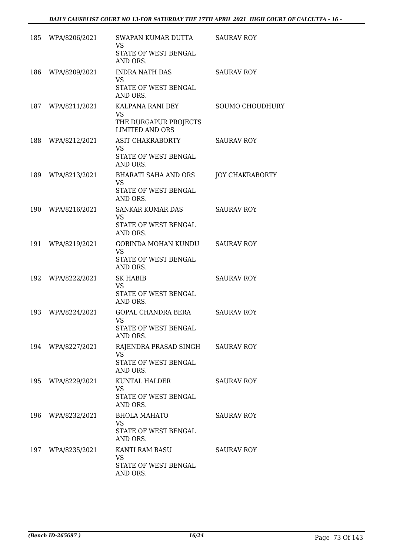| 185 | WPA/8206/2021 | SWAPAN KUMAR DUTTA<br><b>VS</b><br>STATE OF WEST BENGAL<br>AND ORS.               | <b>SAURAV ROY</b>      |
|-----|---------------|-----------------------------------------------------------------------------------|------------------------|
| 186 | WPA/8209/2021 | <b>INDRA NATH DAS</b><br><b>VS</b><br>STATE OF WEST BENGAL<br>AND ORS.            | <b>SAURAV ROY</b>      |
| 187 | WPA/8211/2021 | KALPANA RANI DEY<br><b>VS</b><br>THE DURGAPUR PROJECTS<br><b>LIMITED AND ORS</b>  | <b>SOUMO CHOUDHURY</b> |
| 188 | WPA/8212/2021 | ASIT CHAKRABORTY<br>VS<br>STATE OF WEST BENGAL<br>AND ORS.                        | <b>SAURAV ROY</b>      |
| 189 | WPA/8213/2021 | <b>BHARATI SAHA AND ORS</b><br><b>VS</b><br>STATE OF WEST BENGAL<br>AND ORS.      | JOY CHAKRABORTY        |
| 190 | WPA/8216/2021 | <b>SANKAR KUMAR DAS</b><br><b>VS</b><br>STATE OF WEST BENGAL<br>AND ORS.          | <b>SAURAV ROY</b>      |
| 191 | WPA/8219/2021 | GOBINDA MOHAN KUNDU<br><b>VS</b><br>STATE OF WEST BENGAL<br>AND ORS.              | <b>SAURAV ROY</b>      |
| 192 | WPA/8222/2021 | <b>SK HABIB</b><br><b>VS</b><br><b>STATE OF WEST BENGAL</b><br>AND ORS.           | <b>SAURAV ROY</b>      |
| 193 | WPA/8224/2021 | GOPAL CHANDRA BERA<br><b>VS</b><br>STATE OF WEST BENGAL<br>AND ORS.               | <b>SAURAV ROY</b>      |
| 194 | WPA/8227/2021 | RAJENDRA PRASAD SINGH SAURAV ROY<br><b>VS</b><br>STATE OF WEST BENGAL<br>AND ORS. |                        |
| 195 | WPA/8229/2021 | KUNTAL HALDER<br><b>VS</b><br>STATE OF WEST BENGAL<br>AND ORS.                    | <b>SAURAV ROY</b>      |
| 196 | WPA/8232/2021 | <b>BHOLA MAHATO</b><br>VS.<br>STATE OF WEST BENGAL<br>AND ORS.                    | <b>SAURAV ROY</b>      |
| 197 | WPA/8235/2021 | KANTI RAM BASU<br><b>VS</b><br>STATE OF WEST BENGAL<br>AND ORS.                   | <b>SAURAV ROY</b>      |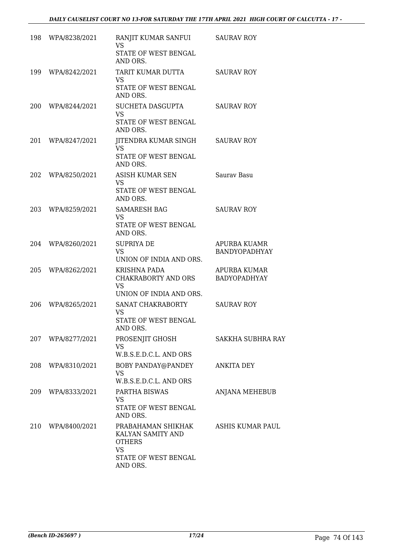| 198 | WPA/8238/2021 | RANJIT KUMAR SANFUI<br><b>VS</b><br>STATE OF WEST BENGAL<br>AND ORS.                                      | <b>SAURAV ROY</b>                          |
|-----|---------------|-----------------------------------------------------------------------------------------------------------|--------------------------------------------|
| 199 | WPA/8242/2021 | TARIT KUMAR DUTTA<br><b>VS</b><br>STATE OF WEST BENGAL<br>AND ORS.                                        | <b>SAURAV ROY</b>                          |
| 200 | WPA/8244/2021 | SUCHETA DASGUPTA<br><b>VS</b><br>STATE OF WEST BENGAL<br>AND ORS.                                         | <b>SAURAV ROY</b>                          |
| 201 | WPA/8247/2021 | JITENDRA KUMAR SINGH<br><b>VS</b><br>STATE OF WEST BENGAL<br>AND ORS.                                     | <b>SAURAV ROY</b>                          |
| 202 | WPA/8250/2021 | ASISH KUMAR SEN<br><b>VS</b><br>STATE OF WEST BENGAL<br>AND ORS.                                          | Saurav Basu                                |
| 203 | WPA/8259/2021 | <b>SAMARESH BAG</b><br>VS<br>STATE OF WEST BENGAL<br>AND ORS.                                             | <b>SAURAV ROY</b>                          |
| 204 | WPA/8260/2021 | <b>SUPRIYA DE</b><br><b>VS</b><br>UNION OF INDIA AND ORS.                                                 | APURBA KUAMR<br>BANDYOPADHYAY              |
| 205 | WPA/8262/2021 | KRISHNA PADA<br>CHAKRABORTY AND ORS<br><b>VS</b><br>UNION OF INDIA AND ORS.                               | <b>APURBA KUMAR</b><br><b>BADYOPADHYAY</b> |
| 206 | WPA/8265/2021 | SANAT CHAKRABORTY<br>VS<br>STATE OF WEST BENGAL<br>AND ORS.                                               | <b>SAURAV ROY</b>                          |
| 207 | WPA/8277/2021 | PROSENJIT GHOSH<br><b>VS</b><br>W.B.S.E.D.C.L. AND ORS                                                    | SAKKHA SUBHRA RAY                          |
| 208 | WPA/8310/2021 | BOBY PANDAY@PANDEY<br><b>VS</b><br>W.B.S.E.D.C.L. AND ORS                                                 | <b>ANKITA DEY</b>                          |
| 209 | WPA/8333/2021 | PARTHA BISWAS<br><b>VS</b><br>STATE OF WEST BENGAL<br>AND ORS.                                            | <b>ANJANA MEHEBUB</b>                      |
| 210 | WPA/8400/2021 | PRABAHAMAN SHIKHAK<br>KALYAN SAMITY AND<br><b>OTHERS</b><br><b>VS</b><br>STATE OF WEST BENGAL<br>AND ORS. | ASHIS KUMAR PAUL                           |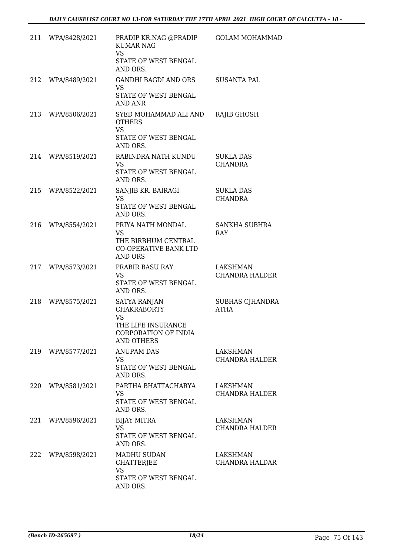| 211 | WPA/8428/2021     | PRADIP KR.NAG @PRADIP<br><b>KUMAR NAG</b><br><b>VS</b><br>STATE OF WEST BENGAL<br>AND ORS.                         | <b>GOLAM MOHAMMAD</b>              |
|-----|-------------------|--------------------------------------------------------------------------------------------------------------------|------------------------------------|
| 212 | WPA/8489/2021     | GANDHI BAGDI AND ORS<br>VS<br>STATE OF WEST BENGAL<br><b>AND ANR</b>                                               | SUSANTA PAL                        |
| 213 | WPA/8506/2021     | SYED MOHAMMAD ALI AND<br><b>OTHERS</b><br><b>VS</b><br>STATE OF WEST BENGAL<br>AND ORS.                            | RAJIB GHOSH                        |
|     | 214 WPA/8519/2021 | RABINDRA NATH KUNDU<br><b>VS</b><br>STATE OF WEST BENGAL<br>AND ORS.                                               | <b>SUKLA DAS</b><br><b>CHANDRA</b> |
| 215 | WPA/8522/2021     | SANJIB KR. BAIRAGI<br>VS<br>STATE OF WEST BENGAL<br>AND ORS.                                                       | <b>SUKLA DAS</b><br><b>CHANDRA</b> |
| 216 | WPA/8554/2021     | PRIYA NATH MONDAL<br><b>VS</b><br>THE BIRBHUM CENTRAL<br><b>CO-OPERATIVE BANK LTD</b><br><b>AND ORS</b>            | SANKHA SUBHRA<br>RAY               |
|     | 217 WPA/8573/2021 | PRABIR BASU RAY<br><b>VS</b><br>STATE OF WEST BENGAL<br>AND ORS.                                                   | LAKSHMAN<br><b>CHANDRA HALDER</b>  |
| 218 | WPA/8575/2021     | SATYA RANJAN<br><b>CHAKRABORTY</b><br><b>VS</b><br>THE LIFE INSURANCE<br>CORPORATION OF INDIA<br><b>AND OTHERS</b> | SUBHAS CJHANDRA<br><b>ATHA</b>     |
|     | 219 WPA/8577/2021 | <b>ANUPAM DAS</b><br>VS<br>STATE OF WEST BENGAL<br>AND ORS.                                                        | LAKSHMAN<br>CHANDRA HALDER         |
| 220 | WPA/8581/2021     | PARTHA BHATTACHARYA<br><b>VS</b><br>STATE OF WEST BENGAL<br>AND ORS.                                               | LAKSHMAN<br><b>CHANDRA HALDER</b>  |
| 221 | WPA/8596/2021     | <b>BIJAY MITRA</b><br><b>VS</b><br>STATE OF WEST BENGAL<br>AND ORS.                                                | LAKSHMAN<br><b>CHANDRA HALDER</b>  |
| 222 | WPA/8598/2021     | <b>MADHU SUDAN</b><br><b>CHATTERJEE</b><br><b>VS</b><br>STATE OF WEST BENGAL<br>AND ORS.                           | LAKSHMAN<br>CHANDRA HALDAR         |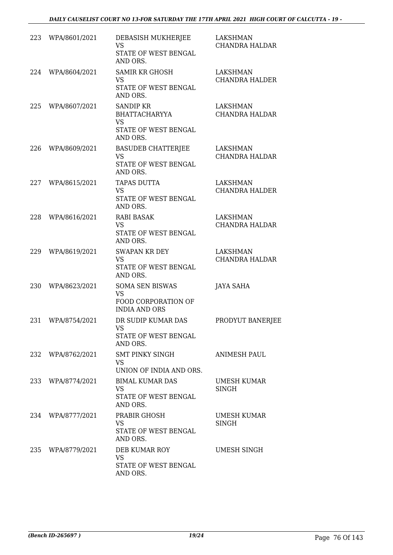| 223 | WPA/8601/2021 | DEBASISH MUKHERJEE<br><b>VS</b><br>STATE OF WEST BENGAL<br>AND ORS.                       | LAKSHMAN<br><b>CHANDRA HALDAR</b>        |
|-----|---------------|-------------------------------------------------------------------------------------------|------------------------------------------|
| 224 | WPA/8604/2021 | <b>SAMIR KR GHOSH</b><br><b>VS</b><br>STATE OF WEST BENGAL<br>AND ORS.                    | <b>LAKSHMAN</b><br><b>CHANDRA HALDER</b> |
| 225 | WPA/8607/2021 | <b>SANDIP KR</b><br><b>BHATTACHARYYA</b><br><b>VS</b><br>STATE OF WEST BENGAL<br>AND ORS. | LAKSHMAN<br><b>CHANDRA HALDAR</b>        |
| 226 | WPA/8609/2021 | <b>BASUDEB CHATTERJEE</b><br><b>VS</b><br>STATE OF WEST BENGAL<br>AND ORS.                | LAKSHMAN<br><b>CHANDRA HALDAR</b>        |
| 227 | WPA/8615/2021 | <b>TAPAS DUTTA</b><br><b>VS</b><br>STATE OF WEST BENGAL<br>AND ORS.                       | LAKSHMAN<br><b>CHANDRA HALDER</b>        |
| 228 | WPA/8616/2021 | <b>RABI BASAK</b><br><b>VS</b><br>STATE OF WEST BENGAL<br>AND ORS.                        | <b>LAKSHMAN</b><br><b>CHANDRA HALDAR</b> |
| 229 | WPA/8619/2021 | <b>SWAPAN KR DEY</b><br><b>VS</b><br>STATE OF WEST BENGAL<br>AND ORS.                     | <b>LAKSHMAN</b><br><b>CHANDRA HALDAR</b> |
| 230 | WPA/8623/2021 | <b>SOMA SEN BISWAS</b><br><b>VS</b><br>FOOD CORPORATION OF<br><b>INDIA AND ORS</b>        | <b>JAYA SAHA</b>                         |
| 231 | WPA/8754/2021 | DR SUDIP KUMAR DAS<br>VS<br>STATE OF WEST BENGAL<br>AND ORS.                              | PRODYUT BANERJEE                         |
| 232 | WPA/8762/2021 | SMT PINKY SINGH<br><b>VS</b><br>UNION OF INDIA AND ORS.                                   | <b>ANIMESH PAUL</b>                      |
| 233 | WPA/8774/2021 | <b>BIMAL KUMAR DAS</b><br>VS<br>STATE OF WEST BENGAL<br>AND ORS.                          | UMESH KUMAR<br>SINGH                     |
| 234 | WPA/8777/2021 | PRABIR GHOSH<br><b>VS</b><br>STATE OF WEST BENGAL<br>AND ORS.                             | UMESH KUMAR<br><b>SINGH</b>              |
| 235 | WPA/8779/2021 | DEB KUMAR ROY<br><b>VS</b><br>STATE OF WEST BENGAL<br>AND ORS.                            | UMESH SINGH                              |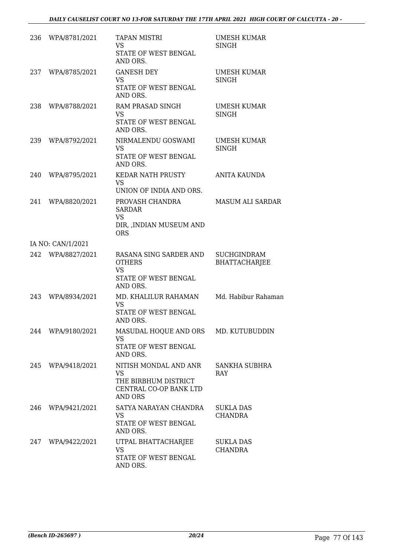| 236 | WPA/8781/2021     | <b>TAPAN MISTRI</b><br><b>VS</b><br>STATE OF WEST BENGAL<br>AND ORS.                            | UMESH KUMAR<br>SINGH                       |
|-----|-------------------|-------------------------------------------------------------------------------------------------|--------------------------------------------|
| 237 | WPA/8785/2021     | <b>GANESH DEY</b><br><b>VS</b><br>STATE OF WEST BENGAL<br>AND ORS.                              | <b>UMESH KUMAR</b><br><b>SINGH</b>         |
| 238 | WPA/8788/2021     | RAM PRASAD SINGH<br>VS<br>STATE OF WEST BENGAL<br>AND ORS.                                      | UMESH KUMAR<br><b>SINGH</b>                |
| 239 | WPA/8792/2021     | NIRMALENDU GOSWAMI<br><b>VS</b><br>STATE OF WEST BENGAL<br>AND ORS.                             | UMESH KUMAR<br>SINGH                       |
| 240 | WPA/8795/2021     | KEDAR NATH PRUSTY<br><b>VS</b><br>UNION OF INDIA AND ORS.                                       | <b>ANITA KAUNDA</b>                        |
| 241 | WPA/8820/2021     | PROVASH CHANDRA<br><b>SARDAR</b><br><b>VS</b><br>DIR, , INDIAN MUSEUM AND<br><b>ORS</b>         | MASUM ALI SARDAR                           |
|     | IA NO: CAN/1/2021 |                                                                                                 |                                            |
|     | 242 WPA/8827/2021 | RASANA SING SARDER AND<br><b>OTHERS</b><br><b>VS</b><br>STATE OF WEST BENGAL<br>AND ORS.        | <b>SUCHGINDRAM</b><br><b>BHATTACHARJEE</b> |
| 243 | WPA/8934/2021     | MD. KHALILUR RAHAMAN<br><b>VS</b><br>STATE OF WEST BENGAL<br>AND ORS.                           | Md. Habibur Rahaman                        |
| 244 | WPA/9180/2021     | MASUDAL HOQUE AND ORS<br><b>VS</b><br>STATE OF WEST BENGAL<br>AND ORS.                          | MD. KUTUBUDDIN                             |
| 245 | WPA/9418/2021     | NITISH MONDAL AND ANR<br>VS<br>THE BIRBHUM DISTRICT<br>CENTRAL CO-OP BANK LTD<br><b>AND ORS</b> | SANKHA SUBHRA<br>RAY                       |
| 246 | WPA/9421/2021     | SATYA NARAYAN CHANDRA<br><b>VS</b><br>STATE OF WEST BENGAL<br>AND ORS.                          | <b>SUKLA DAS</b><br><b>CHANDRA</b>         |
| 247 | WPA/9422/2021     | UTPAL BHATTACHARJEE<br><b>VS</b><br>STATE OF WEST BENGAL<br>AND ORS.                            | <b>SUKLA DAS</b><br><b>CHANDRA</b>         |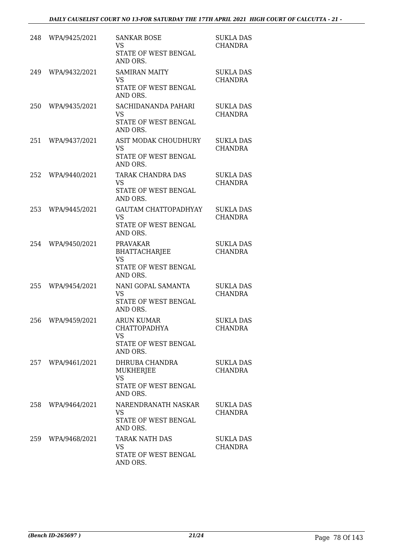| 248 | WPA/9425/2021     | <b>SANKAR BOSE</b><br><b>VS</b><br>STATE OF WEST BENGAL<br>AND ORS.                       | <b>SUKLA DAS</b><br><b>CHANDRA</b> |
|-----|-------------------|-------------------------------------------------------------------------------------------|------------------------------------|
| 249 | WPA/9432/2021     | <b>SAMIRAN MAITY</b><br><b>VS</b><br>STATE OF WEST BENGAL<br>AND ORS.                     | <b>SUKLA DAS</b><br><b>CHANDRA</b> |
| 250 | WPA/9435/2021     | SACHIDANANDA PAHARI<br><b>VS</b><br>STATE OF WEST BENGAL<br>AND ORS.                      | <b>SUKLA DAS</b><br><b>CHANDRA</b> |
| 251 | WPA/9437/2021     | <b>ASIT MODAK CHOUDHURY</b><br><b>VS</b><br>STATE OF WEST BENGAL<br>AND ORS.              | <b>SUKLA DAS</b><br><b>CHANDRA</b> |
| 252 | WPA/9440/2021     | TARAK CHANDRA DAS<br><b>VS</b><br>STATE OF WEST BENGAL<br>AND ORS.                        | <b>SUKLA DAS</b><br><b>CHANDRA</b> |
| 253 | WPA/9445/2021     | <b>GAUTAM CHATTOPADHYAY</b><br><b>VS</b><br>STATE OF WEST BENGAL<br>AND ORS.              | <b>SUKLA DAS</b><br><b>CHANDRA</b> |
| 254 | WPA/9450/2021     | <b>PRAVAKAR</b><br><b>BHATTACHARJEE</b><br><b>VS</b><br>STATE OF WEST BENGAL<br>AND ORS.  | <b>SUKLA DAS</b><br><b>CHANDRA</b> |
| 255 | WPA/9454/2021     | NANI GOPAL SAMANTA<br><b>VS</b><br>STATE OF WEST BENGAL<br>AND ORS.                       | <b>SUKLA DAS</b><br><b>CHANDRA</b> |
| 256 | WPA/9459/2021     | <b>ARUN KUMAR</b><br><b>CHATTOPADHYA</b><br><b>VS</b><br>STATE OF WEST BENGAL<br>AND ORS. | <b>SUKLA DAS</b><br>CHANDRA        |
|     | 257 WPA/9461/2021 | DHRUBA CHANDRA<br>MUKHERJEE<br><b>VS</b><br>STATE OF WEST BENGAL<br>AND ORS.              | <b>SUKLA DAS</b><br><b>CHANDRA</b> |
| 258 | WPA/9464/2021     | NARENDRANATH NASKAR<br>VS<br>STATE OF WEST BENGAL<br>AND ORS.                             | <b>SUKLA DAS</b><br><b>CHANDRA</b> |
| 259 | WPA/9468/2021     | TARAK NATH DAS<br><b>VS</b><br>STATE OF WEST BENGAL<br>AND ORS.                           | <b>SUKLA DAS</b><br><b>CHANDRA</b> |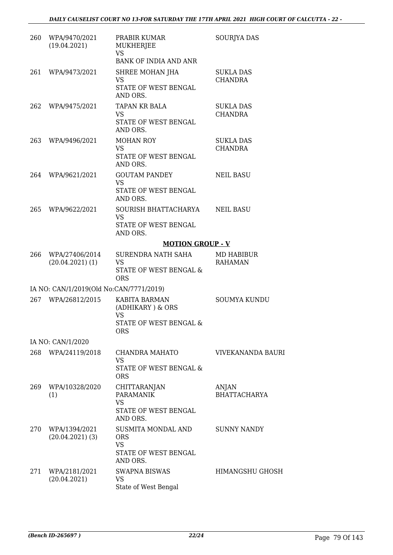| 260 | WPA/9470/2021<br>(19.04.2021)           | PRABIR KUMAR<br><b>MUKHERJEE</b><br><b>VS</b><br><b>BANK OF INDIA AND ANR</b>          | SOURJYA DAS                        |
|-----|-----------------------------------------|----------------------------------------------------------------------------------------|------------------------------------|
| 261 | WPA/9473/2021                           | SHREE MOHAN JHA<br><b>VS</b><br>STATE OF WEST BENGAL<br>AND ORS.                       | SUKLA DAS<br><b>CHANDRA</b>        |
| 262 | WPA/9475/2021                           | TAPAN KR BALA<br><b>VS</b><br>STATE OF WEST BENGAL<br>AND ORS.                         | <b>SUKLA DAS</b><br><b>CHANDRA</b> |
| 263 | WPA/9496/2021                           | <b>MOHAN ROY</b><br><b>VS</b><br>STATE OF WEST BENGAL<br>AND ORS.                      | <b>SUKLA DAS</b><br><b>CHANDRA</b> |
| 264 | WPA/9621/2021                           | <b>GOUTAM PANDEY</b><br><b>VS</b><br>STATE OF WEST BENGAL<br>AND ORS.                  | <b>NEIL BASU</b>                   |
| 265 | WPA/9622/2021                           | SOURISH BHATTACHARYA<br><b>VS</b><br>STATE OF WEST BENGAL<br>AND ORS.                  | <b>NEIL BASU</b>                   |
|     |                                         | <b>MOTION GROUP - V</b>                                                                |                                    |
| 266 | WPA/27406/2014<br>$(20.04.2021)$ (1)    | SURENDRA NATH SAHA<br>VS<br>STATE OF WEST BENGAL &<br><b>ORS</b>                       | MD HABIBUR<br><b>RAHAMAN</b>       |
|     | IA NO: CAN/1/2019(Old No:CAN/7771/2019) |                                                                                        |                                    |
| 267 | WPA/26812/2015                          | KABITA BARMAN<br>(ADHIKARY) & ORS<br><b>VS</b><br>STATE OF WEST BENGAL &<br><b>ORS</b> | <b>SOUMYA KUNDU</b>                |
|     | IA NO: CAN/1/2020                       |                                                                                        |                                    |
| 268 | WPA/24119/2018                          | CHANDRA MAHATO<br><b>VS</b><br>STATE OF WEST BENGAL &<br><b>ORS</b>                    | <b>VIVEKANANDA BAURI</b>           |
| 269 | WPA/10328/2020<br>(1)                   | CHITTARANJAN<br><b>PARAMANIK</b><br><b>VS</b><br>STATE OF WEST BENGAL<br>AND ORS.      | ANJAN<br><b>BHATTACHARYA</b>       |
| 270 | WPA/1394/2021<br>$(20.04.2021)$ (3)     | SUSMITA MONDAL AND<br><b>ORS</b><br><b>VS</b><br>STATE OF WEST BENGAL<br>AND ORS.      | <b>SUNNY NANDY</b>                 |
| 271 | WPA/2181/2021<br>(20.04.2021)           | <b>SWAPNA BISWAS</b><br>VS<br>State of West Bengal                                     | HIMANGSHU GHOSH                    |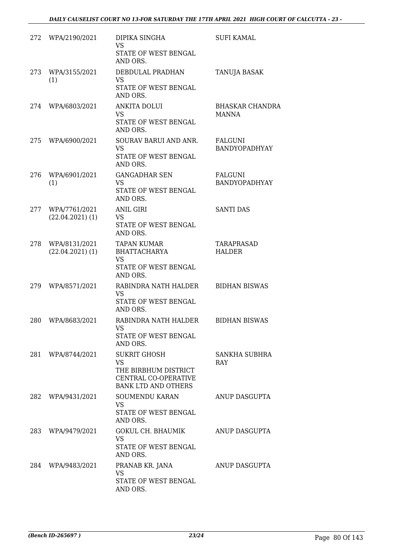| 272 | WPA/2190/2021                       | DIPIKA SINGHA<br><b>VS</b><br>STATE OF WEST BENGAL<br>AND ORS.                                                 | <b>SUFI KAMAL</b>                      |
|-----|-------------------------------------|----------------------------------------------------------------------------------------------------------------|----------------------------------------|
| 273 | WPA/3155/2021<br>(1)                | DEBDULAL PRADHAN<br><b>VS</b><br>STATE OF WEST BENGAL<br>AND ORS.                                              | TANUJA BASAK                           |
| 274 | WPA/6803/2021                       | ANKITA DOLUI<br><b>VS</b><br>STATE OF WEST BENGAL<br>AND ORS.                                                  | <b>BHASKAR CHANDRA</b><br><b>MANNA</b> |
| 275 | WPA/6900/2021                       | SOURAV BARUI AND ANR.<br>VS<br>STATE OF WEST BENGAL<br>AND ORS.                                                | FALGUNI<br>BANDYOPADHYAY               |
| 276 | WPA/6901/2021<br>(1)                | <b>GANGADHAR SEN</b><br><b>VS</b><br>STATE OF WEST BENGAL<br>AND ORS.                                          | FALGUNI<br>BANDYOPADHYAY               |
| 277 | WPA/7761/2021<br>$(22.04.2021)$ (1) | <b>ANIL GIRI</b><br><b>VS</b><br>STATE OF WEST BENGAL<br>AND ORS.                                              | <b>SANTI DAS</b>                       |
| 278 | WPA/8131/2021<br>$(22.04.2021)$ (1) | <b>TAPAN KUMAR</b><br><b>BHATTACHARYA</b><br><b>VS</b><br>STATE OF WEST BENGAL<br>AND ORS.                     | TARAPRASAD<br><b>HALDER</b>            |
| 279 | WPA/8571/2021                       | RABINDRA NATH HALDER<br>VS.<br>STATE OF WEST BENGAL<br>AND ORS.                                                | <b>BIDHAN BISWAS</b>                   |
| 280 | WPA/8683/2021                       | RABINDRA NATH HALDER<br>VS<br>STATE OF WEST BENGAL<br>AND ORS.                                                 | <b>BIDHAN BISWAS</b>                   |
| 281 | WPA/8744/2021                       | <b>SUKRIT GHOSH</b><br><b>VS</b><br>THE BIRBHUM DISTRICT<br>CENTRAL CO-OPERATIVE<br><b>BANK LTD AND OTHERS</b> | SANKHA SUBHRA<br><b>RAY</b>            |
| 282 | WPA/9431/2021                       | <b>SOUMENDU KARAN</b><br>VS<br>STATE OF WEST BENGAL<br>AND ORS.                                                | ANUP DASGUPTA                          |
| 283 | WPA/9479/2021                       | GOKUL CH. BHAUMIK<br><b>VS</b><br>STATE OF WEST BENGAL<br>AND ORS.                                             | ANUP DASGUPTA                          |
| 284 | WPA/9483/2021                       | PRANAB KR. JANA<br><b>VS</b><br>STATE OF WEST BENGAL<br>AND ORS.                                               | ANUP DASGUPTA                          |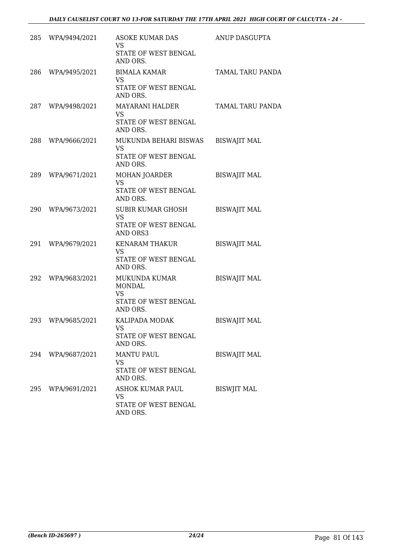|     | 285 WPA/9494/2021 | ASOKE KUMAR DAS<br>VS<br>STATE OF WEST BENGAL<br>AND ORS.                       | ANUP DASGUPTA           |
|-----|-------------------|---------------------------------------------------------------------------------|-------------------------|
| 286 | WPA/9495/2021     | <b>BIMALA KAMAR</b><br><b>VS</b><br>STATE OF WEST BENGAL<br>AND ORS.            | <b>TAMAL TARU PANDA</b> |
|     | 287 WPA/9498/2021 | MAYARANI HALDER<br><b>VS</b><br>STATE OF WEST BENGAL<br>AND ORS.                | <b>TAMAL TARU PANDA</b> |
| 288 | WPA/9666/2021     | MUKUNDA BEHARI BISWAS<br><b>VS</b><br>STATE OF WEST BENGAL<br>AND ORS.          | <b>BISWAJIT MAL</b>     |
| 289 | WPA/9671/2021     | <b>MOHAN JOARDER</b><br><b>VS</b><br>STATE OF WEST BENGAL<br>AND ORS.           | <b>BISWAJIT MAL</b>     |
| 290 | WPA/9673/2021     | <b>SUBIR KUMAR GHOSH</b><br><b>VS</b><br>STATE OF WEST BENGAL<br>AND ORS3       | <b>BISWAJIT MAL</b>     |
| 291 | WPA/9679/2021     | KENARAM THAKUR<br><b>VS</b><br>STATE OF WEST BENGAL<br>AND ORS.                 | <b>BISWAJIT MAL</b>     |
| 292 | WPA/9683/2021     | MUKUNDA KUMAR<br><b>MONDAL</b><br><b>VS</b><br>STATE OF WEST BENGAL<br>AND ORS. | <b>BISWAJIT MAL</b>     |
| 293 | WPA/9685/2021     | KALIPADA MODAK<br><b>VS</b><br>STATE OF WEST BENGAL<br>AND ORS.                 | <b>BISWAJIT MAL</b>     |
|     | 294 WPA/9687/2021 | <b>MANTU PAUL</b><br><b>VS</b><br>STATE OF WEST BENGAL<br>AND ORS.              | <b>BISWAJIT MAL</b>     |
| 295 | WPA/9691/2021     | ASHOK KUMAR PAUL<br>VS<br>STATE OF WEST BENGAL<br>AND ORS.                      | <b>BISWJIT MAL</b>      |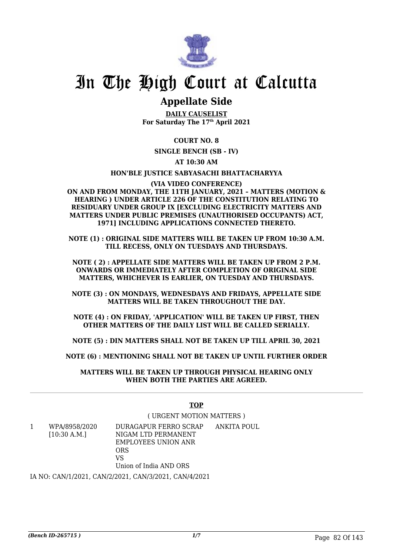

### **Appellate Side**

**DAILY CAUSELIST For Saturday The 17th April 2021**

#### **COURT NO. 8**

**SINGLE BENCH (SB - IV)**

#### **AT 10:30 AM**

#### **HON'BLE JUSTICE SABYASACHI BHATTACHARYYA**

**(VIA VIDEO CONFERENCE) ON AND FROM MONDAY, THE 11TH JANUARY, 2021 – MATTERS (MOTION & HEARING ) UNDER ARTICLE 226 OF THE CONSTITUTION RELATING TO RESIDUARY UNDER GROUP IX [EXCLUDING ELECTRICITY MATTERS AND MATTERS UNDER PUBLIC PREMISES (UNAUTHORISED OCCUPANTS) ACT, 1971] INCLUDING APPLICATIONS CONNECTED THERETO.**

**NOTE (1) : ORIGINAL SIDE MATTERS WILL BE TAKEN UP FROM 10:30 A.M. TILL RECESS, ONLY ON TUESDAYS AND THURSDAYS.**

**NOTE ( 2) : APPELLATE SIDE MATTERS WILL BE TAKEN UP FROM 2 P.M. ONWARDS OR IMMEDIATELY AFTER COMPLETION OF ORIGINAL SIDE MATTERS, WHICHEVER IS EARLIER, ON TUESDAY AND THURSDAYS.**

**NOTE (3) : ON MONDAYS, WEDNESDAYS AND FRIDAYS, APPELLATE SIDE MATTERS WILL BE TAKEN THROUGHOUT THE DAY.**

**NOTE (4) : ON FRIDAY, 'APPLICATION' WILL BE TAKEN UP FIRST, THEN OTHER MATTERS OF THE DAILY LIST WILL BE CALLED SERIALLY.**

**NOTE (5) : DIN MATTERS SHALL NOT BE TAKEN UP TILL APRIL 30, 2021**

**NOTE (6) : MENTIONING SHALL NOT BE TAKEN UP UNTIL FURTHER ORDER**

**MATTERS WILL BE TAKEN UP THROUGH PHYSICAL HEARING ONLY WHEN BOTH THE PARTIES ARE AGREED.**

#### **TOP**

#### ( URGENT MOTION MATTERS )

1 WPA/8958/2020 [10:30 A.M.] DURAGAPUR FERRO SCRAP NIGAM LTD PERMANENT EMPLOYEES UNION ANR ORS  $V<sup>Q</sup>$ Union of India AND ORS ANKITA POUL

IA NO: CAN/1/2021, CAN/2/2021, CAN/3/2021, CAN/4/2021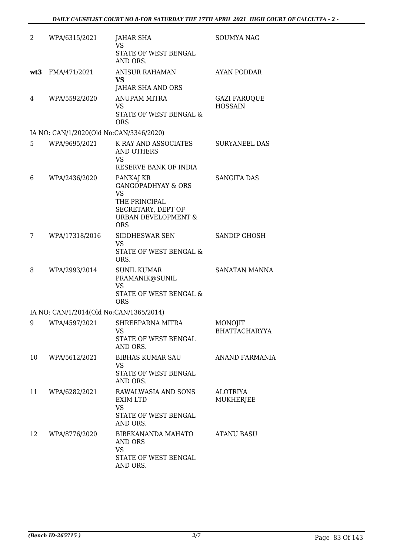| $\overline{2}$ | WPA/6315/2021                           | JAHAR SHA<br><b>VS</b><br>STATE OF WEST BENGAL<br>AND ORS.                                                                                     | <b>SOUMYA NAG</b>                     |
|----------------|-----------------------------------------|------------------------------------------------------------------------------------------------------------------------------------------------|---------------------------------------|
| wt3            | FMA/471/2021                            | <b>ANISUR RAHAMAN</b><br><b>VS</b><br>JAHAR SHA AND ORS                                                                                        | <b>AYAN PODDAR</b>                    |
| 4              | WPA/5592/2020                           | <b>ANUPAM MITRA</b><br><b>VS</b><br>STATE OF WEST BENGAL &<br><b>ORS</b>                                                                       | <b>GAZI FARUQUE</b><br><b>HOSSAIN</b> |
|                | IA NO: CAN/1/2020(Old No:CAN/3346/2020) |                                                                                                                                                |                                       |
| 5              | WPA/9695/2021                           | K RAY AND ASSOCIATES<br><b>AND OTHERS</b><br>VS<br>RESERVE BANK OF INDIA                                                                       | <b>SURYANEEL DAS</b>                  |
| 6              | WPA/2436/2020                           | PANKAJ KR<br><b>GANGOPADHYAY &amp; ORS</b><br><b>VS</b><br>THE PRINCIPAL<br>SECRETARY, DEPT OF<br><b>URBAN DEVELOPMENT &amp;</b><br><b>ORS</b> | <b>SANGITA DAS</b>                    |
| 7              | WPA/17318/2016                          | SIDDHESWAR SEN<br><b>VS</b><br>STATE OF WEST BENGAL &<br>ORS.                                                                                  | <b>SANDIP GHOSH</b>                   |
| 8              | WPA/2993/2014                           | <b>SUNIL KUMAR</b><br>PRAMANIK@SUNIL<br><b>VS</b><br>STATE OF WEST BENGAL &<br><b>ORS</b>                                                      | SANATAN MANNA                         |
|                | IA NO: CAN/1/2014(Old No:CAN/1365/2014) |                                                                                                                                                |                                       |
| 9              | WPA/4597/2021                           | SHREEPARNA MITRA<br>VS<br>STATE OF WEST BENGAL<br>AND ORS.                                                                                     | MONOJIT<br>BHATTACHARYYA              |
| 10             | WPA/5612/2021                           | <b>BIBHAS KUMAR SAU</b><br><b>VS</b><br>STATE OF WEST BENGAL<br>AND ORS.                                                                       | <b>ANAND FARMANIA</b>                 |
| 11             | WPA/6282/2021                           | RAWALWASIA AND SONS<br><b>EXIM LTD</b><br>VS<br>STATE OF WEST BENGAL<br>AND ORS.                                                               | <b>ALOTRIYA</b><br><b>MUKHERJEE</b>   |
| 12             | WPA/8776/2020                           | BIBEKANANDA MAHATO<br>AND ORS<br><b>VS</b><br>STATE OF WEST BENGAL<br>AND ORS.                                                                 | <b>ATANU BASU</b>                     |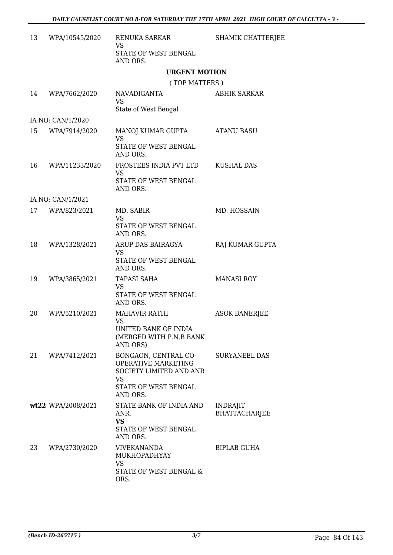| 13 | WPA/10545/2020     | RENUKA SARKAR<br>VS<br>STATE OF WEST BENGAL                                                                        | SHAMIK CHATTERJEE                       |
|----|--------------------|--------------------------------------------------------------------------------------------------------------------|-----------------------------------------|
|    |                    | AND ORS.                                                                                                           |                                         |
|    |                    | <b>URGENT MOTION</b>                                                                                               |                                         |
|    |                    | (TOP MATTERS)                                                                                                      |                                         |
| 14 | WPA/7662/2020      | NAVADIGANTA<br><b>VS</b><br>State of West Bengal                                                                   | <b>ABHIK SARKAR</b>                     |
|    | IA NO: CAN/1/2020  |                                                                                                                    |                                         |
| 15 | WPA/7914/2020      | MANOJ KUMAR GUPTA<br><b>VS</b><br>STATE OF WEST BENGAL<br>AND ORS.                                                 | <b>ATANU BASU</b>                       |
| 16 | WPA/11233/2020     | FROSTEES INDIA PVT LTD<br><b>VS</b><br>STATE OF WEST BENGAL<br>AND ORS.                                            | <b>KUSHAL DAS</b>                       |
|    | IA NO: CAN/1/2021  |                                                                                                                    |                                         |
| 17 | WPA/823/2021       | MD. SABIR<br><b>VS</b><br>STATE OF WEST BENGAL                                                                     | MD. HOSSAIN                             |
| 18 | WPA/1328/2021      | AND ORS.<br>ARUP DAS BAIRAGYA<br>VS<br>STATE OF WEST BENGAL<br>AND ORS.                                            | RAJ KUMAR GUPTA                         |
| 19 | WPA/3865/2021      | <b>TAPASI SAHA</b><br>VS<br>STATE OF WEST BENGAL<br>AND ORS.                                                       | <b>MANASI ROY</b>                       |
| 20 | WPA/5210/2021      | <b>MAHAVIR RATHI</b><br>VS<br>UNITED BANK OF INDIA<br>(MERGED WITH P.N.B BANK<br>AND ORS)                          | <b>ASOK BANERJEE</b>                    |
| 21 | WPA/7412/2021      | BONGAON, CENTRAL CO-<br><b>OPERATIVE MARKETING</b><br>SOCIETY LIMITED AND ANR<br><b>VS</b><br>STATE OF WEST BENGAL | <b>SURYANEEL DAS</b>                    |
|    |                    | AND ORS.                                                                                                           |                                         |
|    | wt22 WPA/2008/2021 | STATE BANK OF INDIA AND<br>ANR.<br><b>VS</b><br>STATE OF WEST BENGAL<br>AND ORS.                                   | <b>INDRAJIT</b><br><b>BHATTACHARJEE</b> |
| 23 | WPA/2730/2020      | <b>VIVEKANANDA</b><br>MUKHOPADHYAY<br><b>VS</b><br>STATE OF WEST BENGAL &<br>ORS.                                  | BIPLAB GUHA                             |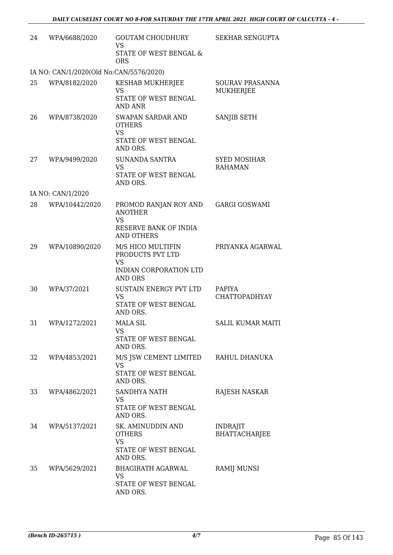| 24 | WPA/6688/2020                           | <b>GOUTAM CHOUDHURY</b><br><b>VS</b><br>STATE OF WEST BENGAL &<br><b>ORS</b>                       | <b>SEKHAR SENGUPTA</b>                  |
|----|-----------------------------------------|----------------------------------------------------------------------------------------------------|-----------------------------------------|
|    | IA NO: CAN/1/2020(Old No:CAN/5576/2020) |                                                                                                    |                                         |
| 25 | WPA/8182/2020                           | KESHAB MUKHERJEE<br><b>VS</b><br>STATE OF WEST BENGAL<br><b>AND ANR</b>                            | SOURAV PRASANNA<br>MUKHERJEE            |
| 26 | WPA/8738/2020                           | SWAPAN SARDAR AND<br><b>OTHERS</b><br><b>VS</b><br>STATE OF WEST BENGAL<br>AND ORS.                | SANJIB SETH                             |
| 27 | WPA/9499/2020                           | <b>SUNANDA SANTRA</b><br><b>VS</b><br>STATE OF WEST BENGAL<br>AND ORS.                             | <b>SYED MOSIHAR</b><br><b>RAHAMAN</b>   |
|    | IA NO: CAN/1/2020                       |                                                                                                    |                                         |
| 28 | WPA/10442/2020                          | PROMOD RANJAN ROY AND<br><b>ANOTHER</b><br><b>VS</b><br>RESERVE BANK OF INDIA<br><b>AND OTHERS</b> | <b>GARGI GOSWAMI</b>                    |
| 29 | WPA/10890/2020                          | M/S HICO MULTIFIN<br>PRODUCTS PVT LTD<br><b>VS</b><br>INDIAN CORPORATION LTD<br><b>AND ORS</b>     | PRIYANKA AGARWAL                        |
| 30 | WPA/37/2021                             | SUSTAIN ENERGY PVT LTD<br><b>VS</b><br>STATE OF WEST BENGAL<br>AND ORS.                            | PAPIYA<br><b>CHATTOPADHYAY</b>          |
| 31 | WPA/1272/2021                           | <b>MALA SIL</b><br><b>VS</b><br>STATE OF WEST BENGAL<br>AND ORS.                                   | <b>SALIL KUMAR MAITI</b>                |
| 32 | WPA/4853/2021                           | M/S JSW CEMENT LIMITED<br>VS<br>STATE OF WEST BENGAL<br>AND ORS.                                   | RAHUL DHANUKA                           |
| 33 | WPA/4862/2021                           | SANDHYA NATH<br>VS<br>STATE OF WEST BENGAL<br>AND ORS.                                             | RAJESH NASKAR                           |
| 34 | WPA/5137/2021                           | SK. AMINUDDIN AND<br><b>OTHERS</b><br><b>VS</b><br>STATE OF WEST BENGAL<br>AND ORS.                | <b>INDRAJIT</b><br><b>BHATTACHARJEE</b> |
| 35 | WPA/5629/2021                           | <b>BHAGIRATH AGARWAL</b><br><b>VS</b><br>STATE OF WEST BENGAL<br>AND ORS.                          | RAMIJ MUNSI                             |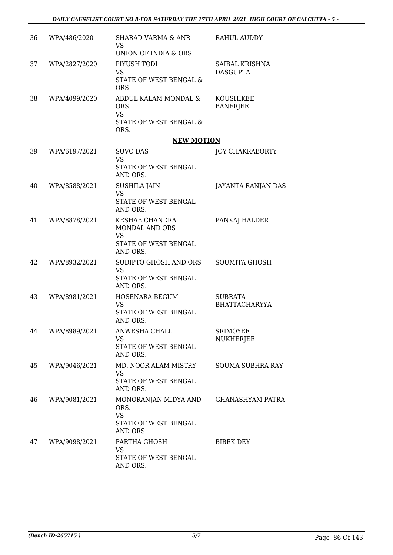| 36 | WPA/486/2020  | <b>SHARAD VARMA &amp; ANR</b><br><b>VS</b><br>UNION OF INDIA & ORS                              | <b>RAHUL AUDDY</b>                     |
|----|---------------|-------------------------------------------------------------------------------------------------|----------------------------------------|
| 37 | WPA/2827/2020 | PIYUSH TODI<br><b>VS</b><br><b>STATE OF WEST BENGAL &amp;</b><br><b>ORS</b>                     | SAIBAL KRISHNA<br><b>DASGUPTA</b>      |
| 38 | WPA/4099/2020 | ABDUL KALAM MONDAL &<br>ORS.<br><b>VS</b><br>STATE OF WEST BENGAL &<br>ORS.                     | <b>KOUSHIKEE</b><br><b>BANERJEE</b>    |
|    |               | <b>NEW MOTION</b>                                                                               |                                        |
| 39 | WPA/6197/2021 | <b>SUVO DAS</b><br><b>VS</b><br>STATE OF WEST BENGAL<br>AND ORS.                                | <b>JOY CHAKRABORTY</b>                 |
| 40 | WPA/8588/2021 | <b>SUSHILA JAIN</b><br><b>VS</b><br>STATE OF WEST BENGAL<br>AND ORS.                            | <b>JAYANTA RANJAN DAS</b>              |
| 41 | WPA/8878/2021 | <b>KESHAB CHANDRA</b><br><b>MONDAL AND ORS</b><br><b>VS</b><br>STATE OF WEST BENGAL<br>AND ORS. | PANKAJ HALDER                          |
| 42 | WPA/8932/2021 | SUDIPTO GHOSH AND ORS<br><b>VS</b><br>STATE OF WEST BENGAL<br>AND ORS.                          | <b>SOUMITA GHOSH</b>                   |
| 43 | WPA/8981/2021 | HOSENARA BEGUM<br><b>VS</b><br>STATE OF WEST BENGAL<br>AND ORS.                                 | <b>SUBRATA</b><br><b>BHATTACHARYYA</b> |
| 44 | WPA/8989/2021 | ANWESHA CHALL<br><b>VS</b><br>STATE OF WEST BENGAL<br>AND ORS.                                  | <b>SRIMOYEE</b><br>NUKHERJEE           |
| 45 | WPA/9046/2021 | MD. NOOR ALAM MISTRY<br><b>VS</b><br>STATE OF WEST BENGAL<br>AND ORS.                           | <b>SOUMA SUBHRA RAY</b>                |
| 46 | WPA/9081/2021 | MONORANJAN MIDYA AND<br>ORS.<br><b>VS</b><br>STATE OF WEST BENGAL<br>AND ORS.                   | <b>GHANASHYAM PATRA</b>                |
| 47 | WPA/9098/2021 | PARTHA GHOSH<br><b>VS</b><br>STATE OF WEST BENGAL<br>AND ORS.                                   | <b>BIBEK DEY</b>                       |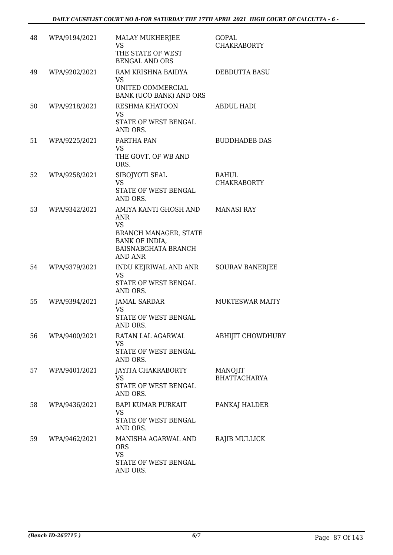| 48 | WPA/9194/2021 | <b>MALAY MUKHERJEE</b><br>VS<br>THE STATE OF WEST<br><b>BENGAL AND ORS</b>                                                                         | GOPAL<br><b>CHAKRABORTY</b>    |
|----|---------------|----------------------------------------------------------------------------------------------------------------------------------------------------|--------------------------------|
| 49 | WPA/9202/2021 | RAM KRISHNA BAIDYA<br><b>VS</b><br>UNITED COMMERCIAL<br>BANK (UCO BANK) AND ORS                                                                    | DEBDUTTA BASU                  |
| 50 | WPA/9218/2021 | RESHMA KHATOON<br><b>VS</b><br>STATE OF WEST BENGAL<br>AND ORS.                                                                                    | <b>ABDUL HADI</b>              |
| 51 | WPA/9225/2021 | PARTHA PAN<br><b>VS</b><br>THE GOVT. OF WB AND<br>ORS.                                                                                             | <b>BUDDHADEB DAS</b>           |
| 52 | WPA/9258/2021 | SIBOJYOTI SEAL<br><b>VS</b><br>STATE OF WEST BENGAL<br>AND ORS.                                                                                    | RAHUL<br><b>CHAKRABORTY</b>    |
| 53 | WPA/9342/2021 | AMIYA KANTI GHOSH AND<br><b>ANR</b><br><b>VS</b><br><b>BRANCH MANAGER, STATE</b><br>BANK OF INDIA,<br><b>BAISNABGHATA BRANCH</b><br><b>AND ANR</b> | <b>MANASI RAY</b>              |
| 54 | WPA/9379/2021 | INDU KEJRIWAL AND ANR<br><b>VS</b><br>STATE OF WEST BENGAL<br>AND ORS.                                                                             | <b>SOURAV BANERJEE</b>         |
| 55 | WPA/9394/2021 | <b>JAMAL SARDAR</b><br>VS<br>STATE OF WEST BENGAL<br>AND ORS.                                                                                      | <b>MUKTESWAR MAITY</b>         |
| 56 | WPA/9400/2021 | RATAN LAL AGARWAL<br><b>VS</b><br>STATE OF WEST BENGAL<br>AND ORS.                                                                                 | ABHIJIT CHOWDHURY              |
| 57 | WPA/9401/2021 | JAYITA CHAKRABORTY<br><b>VS</b><br>STATE OF WEST BENGAL<br>AND ORS.                                                                                | MANOJIT<br><b>BHATTACHARYA</b> |
| 58 | WPA/9436/2021 | <b>BAPI KUMAR PURKAIT</b><br>VS<br>STATE OF WEST BENGAL<br>AND ORS.                                                                                | PANKAJ HALDER                  |
| 59 | WPA/9462/2021 | MANISHA AGARWAL AND<br><b>ORS</b><br><b>VS</b><br>STATE OF WEST BENGAL<br>AND ORS.                                                                 | RAJIB MULLICK                  |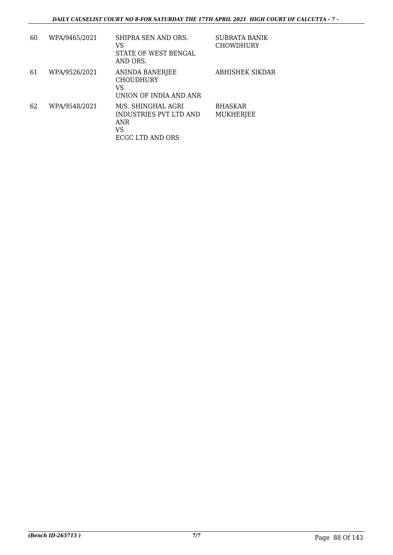| 60 | WPA/9465/2021 | SHIPRA SEN AND ORS.<br>VS<br>STATE OF WEST BENGAL<br>AND ORS.                        | <b>SUBRATA BANIK</b><br><b>CHOWDHURY</b> |
|----|---------------|--------------------------------------------------------------------------------------|------------------------------------------|
| 61 | WPA/9526/2021 | <b>ANINDA BANERJEE</b><br><b>CHOUDHURY</b><br>VS<br>UNION OF INDIA AND ANR           | ABHISHEK SIKDAR                          |
| 62 | WPA/9548/2021 | M/S. SHINGHAL AGRI<br>INDUSTRIES PVT LTD AND<br><b>ANR</b><br>VS<br>ECGC LTD AND ORS | <b>BHASKAR</b><br><b>MUKHERJEE</b>       |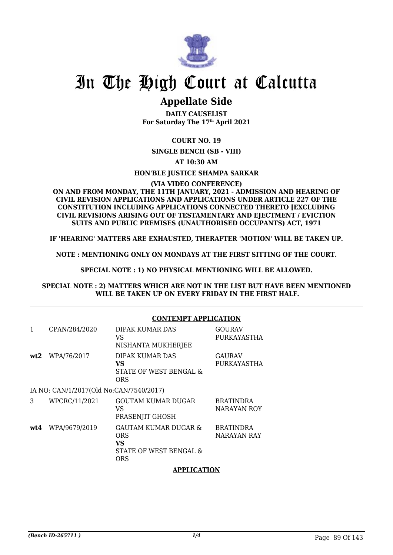

### **Appellate Side**

**DAILY CAUSELIST For Saturday The 17th April 2021**

#### **COURT NO. 19**

**SINGLE BENCH (SB - VIII)**

**AT 10:30 AM**

#### **HON'BLE JUSTICE SHAMPA SARKAR**

#### **(VIA VIDEO CONFERENCE)**

#### **ON AND FROM MONDAY, THE 11TH JANUARY, 2021 - ADMISSION AND HEARING OF CIVIL REVISION APPLICATIONS AND APPLICATIONS UNDER ARTICLE 227 OF THE CONSTITUTION INCLUDING APPLICATIONS CONNECTED THERETO [EXCLUDING CIVIL REVISIONS ARISING OUT OF TESTAMENTARY AND EJECTMENT / EVICTION SUITS AND PUBLIC PREMISES (UNAUTHORISED OCCUPANTS) ACT, 1971**

#### **IF 'HEARING' MATTERS ARE EXHAUSTED, THERAFTER 'MOTION' WILL BE TAKEN UP.**

**NOTE : MENTIONING ONLY ON MONDAYS AT THE FIRST SITTING OF THE COURT.**

#### **SPECIAL NOTE : 1) NO PHYSICAL MENTIONING WILL BE ALLOWED.**

#### **SPECIAL NOTE : 2) MATTERS WHICH ARE NOT IN THE LIST BUT HAVE BEEN MENTIONED WILL BE TAKEN UP ON EVERY FRIDAY IN THE FIRST HALF.**

|     |                                         | <b>CONTEMPT APPLICATION</b>                                               |                                 |
|-----|-----------------------------------------|---------------------------------------------------------------------------|---------------------------------|
| 1   | CPAN/284/2020                           | DIPAK KUMAR DAS<br>VS<br>NISHANTA MUKHERJEE                               | <b>GOURAV</b><br>PURKAYASTHA    |
| wt2 | WPA/76/2017                             | DIPAK KUMAR DAS<br>VS<br>STATE OF WEST BENGAL &<br>ORS                    | <b>GAURAV</b><br>PURKAYASTHA    |
|     | IA NO: CAN/1/2017(Old No:CAN/7540/2017) |                                                                           |                                 |
| 3   | WPCRC/11/2021                           | GOUTAM KUMAR DUGAR<br>VS<br>PRASENJIT GHOSH                               | <b>BRATINDRA</b><br>NARAYAN ROY |
| wt4 | WPA/9679/2019                           | GAUTAM KUMAR DUGAR &<br><b>ORS</b><br>VS<br>STATE OF WEST BENGAL &<br>ORS | <b>BRATINDRA</b><br>NARAYAN RAY |

#### **APPLICATION**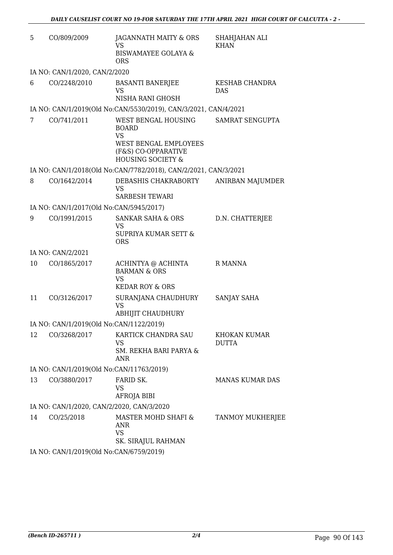| 5  | CO/809/2009                               | JAGANNATH MAITY & ORS<br>VS                                                                      | SHAHJAHAN ALI<br><b>KHAN</b>        |
|----|-------------------------------------------|--------------------------------------------------------------------------------------------------|-------------------------------------|
|    |                                           | <b>BISWAMAYEE GOLAYA &amp;</b><br><b>ORS</b>                                                     |                                     |
|    | IA NO: CAN/1/2020, CAN/2/2020             |                                                                                                  |                                     |
| 6  | CO/2248/2010                              | <b>BASANTI BANERJEE</b><br>VS                                                                    | KESHAB CHANDRA<br>DAS               |
|    |                                           | NISHA RANI GHOSH                                                                                 |                                     |
|    |                                           | IA NO: CAN/1/2019(Old No:CAN/5530/2019), CAN/3/2021, CAN/4/2021                                  |                                     |
| 7  | CO/741/2011                               | WEST BENGAL HOUSING<br><b>BOARD</b><br><b>VS</b><br>WEST BENGAL EMPLOYEES<br>(F&S) CO-OPPARATIVE | SAMRAT SENGUPTA                     |
|    |                                           | <b>HOUSING SOCIETY &amp;</b>                                                                     |                                     |
|    |                                           | IA NO: CAN/1/2018(Old No:CAN/7782/2018), CAN/2/2021, CAN/3/2021                                  |                                     |
| 8  | CO/1642/2014                              | DEBASHIS CHAKRABORTY<br><b>VS</b><br><b>SARBESH TEWARI</b>                                       | ANIRBAN MAJUMDER                    |
|    | IA NO: CAN/1/2017(Old No:CAN/5945/2017)   |                                                                                                  |                                     |
| 9  | CO/1991/2015                              | <b>SANKAR SAHA &amp; ORS</b>                                                                     | D.N. CHATTERJEE                     |
|    |                                           | <b>VS</b><br>SUPRIYA KUMAR SETT &<br><b>ORS</b>                                                  |                                     |
|    | IA NO: CAN/2/2021                         |                                                                                                  |                                     |
| 10 | CO/1865/2017                              | ACHINTYA @ ACHINTA<br><b>BARMAN &amp; ORS</b><br><b>VS</b><br><b>KEDAR ROY &amp; ORS</b>         | R MANNA                             |
| 11 | CO/3126/2017                              |                                                                                                  | SANJAY SAHA                         |
|    |                                           | SURANJANA CHAUDHURY<br><b>VS</b><br>ABHIJIT CHAUDHURY                                            |                                     |
|    | IA NO: CAN/1/2019(Old No:CAN/1122/2019)   |                                                                                                  |                                     |
| 12 | CO/3268/2017                              | KARTICK CHANDRA SAU<br>VS<br><b>SM. REKHA BARI PARYA &amp;</b><br><b>ANR</b>                     | <b>KHOKAN KUMAR</b><br><b>DUTTA</b> |
|    | IA NO: CAN/1/2019(Old No:CAN/11763/2019)  |                                                                                                  |                                     |
| 13 | CO/3880/2017                              | FARID SK.                                                                                        | <b>MANAS KUMAR DAS</b>              |
|    |                                           | <b>VS</b><br>AFROJA BIBI                                                                         |                                     |
|    | IA NO: CAN/1/2020, CAN/2/2020, CAN/3/2020 |                                                                                                  |                                     |
| 14 | CO/25/2018                                | MASTER MOHD SHAFI &<br>ANR<br><b>VS</b><br>SK. SIRAJUL RAHMAN                                    | <b>TANMOY MUKHERJEE</b>             |
|    | IA NO: CAN/1/2019(Old No:CAN/6759/2019)   |                                                                                                  |                                     |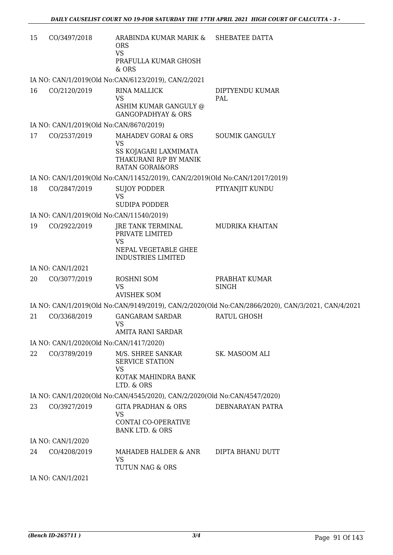| 15 | CO/3497/2018                             | ARABINDA KUMAR MARIK & SHEBATEE DATTA<br><b>ORS</b><br><b>VS</b><br>PRAFULLA KUMAR GHOSH<br>& ORS          |                                                                                                   |
|----|------------------------------------------|------------------------------------------------------------------------------------------------------------|---------------------------------------------------------------------------------------------------|
|    |                                          | IA NO: CAN/1/2019(Old No:CAN/6123/2019), CAN/2/2021                                                        |                                                                                                   |
| 16 | CO/2120/2019                             | <b>RINA MALLICK</b><br><b>VS</b><br>ASHIM KUMAR GANGULY @<br><b>GANGOPADHYAY &amp; ORS</b>                 | DIPTYENDU KUMAR<br>PAL                                                                            |
|    | IA NO: CAN/1/2019(Old No:CAN/8670/2019)  |                                                                                                            |                                                                                                   |
| 17 | CO/2537/2019                             | MAHADEV GORAI & ORS<br>VS<br>SS KOJAGARI LAXMIMATA<br>THAKURANI R/P BY MANIK<br><b>RATAN GORAI&amp;ORS</b> | <b>SOUMIK GANGULY</b>                                                                             |
|    |                                          | IA NO: CAN/1/2019(Old No:CAN/11452/2019), CAN/2/2019(Old No:CAN/12017/2019)                                |                                                                                                   |
| 18 | CO/2847/2019                             | <b>SUJOY PODDER</b><br><b>VS</b><br>SUDIPA PODDER                                                          | PTIYANJIT KUNDU                                                                                   |
|    | IA NO: CAN/1/2019(Old No:CAN/11540/2019) |                                                                                                            |                                                                                                   |
| 19 | CO/2922/2019                             | JRE TANK TERMINAL<br>PRIVATE LIMITED<br><b>VS</b><br>NEPAL VEGETABLE GHEE<br><b>INDUSTRIES LIMITED</b>     | MUDRIKA KHAITAN                                                                                   |
|    | IA NO: CAN/1/2021                        |                                                                                                            |                                                                                                   |
| 20 | CO/3077/2019                             | ROSHNI SOM<br><b>VS</b><br><b>AVISHEK SOM</b>                                                              | PRABHAT KUMAR<br><b>SINGH</b>                                                                     |
|    |                                          |                                                                                                            | IA NO: CAN/1/2019(Old No:CAN/9149/2019), CAN/2/2020(Old No:CAN/2866/2020), CAN/3/2021, CAN/4/2021 |
| 21 | CO/3368/2019                             | <b>GANGARAM SARDAR</b><br><b>VS</b><br><b>AMITA RANI SARDAR</b>                                            | <b>RATUL GHOSH</b>                                                                                |
|    | IA NO: CAN/1/2020(Old No:CAN/1417/2020)  |                                                                                                            |                                                                                                   |
| 22 | CO/3789/2019                             | M/S. SHREE SANKAR<br><b>SERVICE STATION</b><br><b>VS</b><br>KOTAK MAHINDRA BANK<br>LTD. & ORS              | SK. MASOOM ALI                                                                                    |
|    |                                          | IA NO: CAN/1/2020(Old No:CAN/4545/2020), CAN/2/2020(Old No:CAN/4547/2020)                                  |                                                                                                   |
| 23 | CO/3927/2019                             | <b>GITA PRADHAN &amp; ORS</b><br>VS<br>CONTAI CO-OPERATIVE<br><b>BANK LTD. &amp; ORS</b>                   | DEBNARAYAN PATRA                                                                                  |
|    | IA NO: CAN/1/2020                        |                                                                                                            |                                                                                                   |
| 24 | CO/4208/2019                             | MAHADEB HALDER & ANR<br>VS<br>TUTUN NAG & ORS                                                              | DIPTA BHANU DUTT                                                                                  |
|    | IA NO: CAN/1/2021                        |                                                                                                            |                                                                                                   |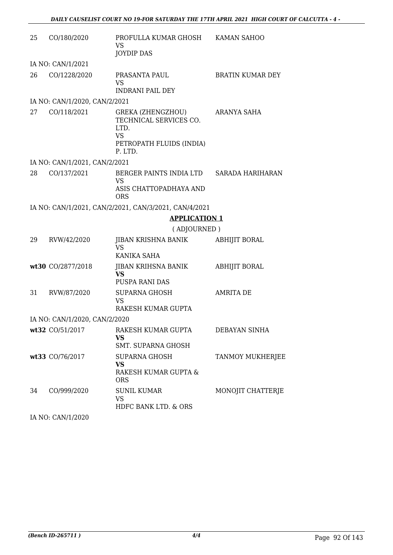| 25 | CO/180/2020                   | PROFULLA KUMAR GHOSH<br>VS<br>JOYDIP DAS                                                                       | KAMAN SAHOO             |
|----|-------------------------------|----------------------------------------------------------------------------------------------------------------|-------------------------|
|    | IA NO: CAN/1/2021             |                                                                                                                |                         |
| 26 | CO/1228/2020                  | PRASANTA PAUL<br>VS<br><b>INDRANI PAIL DEY</b>                                                                 | <b>BRATIN KUMAR DEY</b> |
|    | IA NO: CAN/1/2020, CAN/2/2021 |                                                                                                                |                         |
| 27 | CO/118/2021                   | <b>GREKA (ZHENGZHOU)</b><br>TECHNICAL SERVICES CO.<br>LTD.<br><b>VS</b><br>PETROPATH FLUIDS (INDIA)<br>P. LTD. | ARANYA SAHA             |
|    | IA NO: CAN/1/2021, CAN/2/2021 |                                                                                                                |                         |
| 28 | CO/137/2021                   | BERGER PAINTS INDIA LTD SARADA HARIHARAN<br><b>VS</b><br>ASIS CHATTOPADHAYA AND<br><b>ORS</b>                  |                         |
|    |                               | IA NO: CAN/1/2021, CAN/2/2021, CAN/3/2021, CAN/4/2021                                                          |                         |
|    |                               | <b>APPLICATION 1</b>                                                                                           |                         |
|    |                               | (ADJOURNED)                                                                                                    |                         |
| 29 | RVW/42/2020                   | JIBAN KRISHNA BANIK<br><b>VS</b><br>KANIKA SAHA                                                                | ABHIJIT BORAL           |
|    | wt30 CO/2877/2018             | JIBAN KRIHSNA BANIK<br><b>VS</b><br>PUSPA RANI DAS                                                             | <b>ABHIJIT BORAL</b>    |
| 31 | RVW/87/2020                   | <b>SUPARNA GHOSH</b><br><b>VS</b><br>RAKESH KUMAR GUPTA                                                        | <b>AMRITA DE</b>        |
|    | IA NO: CAN/1/2020, CAN/2/2020 |                                                                                                                |                         |
|    | wt32 CO/51/2017               | RAKESH KUMAR GUPTA<br>VS<br><b>SMT. SUPARNA GHOSH</b>                                                          | DEBAYAN SINHA           |
|    | wt33 CO/76/2017               | <b>SUPARNA GHOSH</b><br>VS<br>RAKESH KUMAR GUPTA &<br><b>ORS</b>                                               | <b>TANMOY MUKHERJEE</b> |
| 34 | CO/999/2020                   | <b>SUNIL KUMAR</b><br><b>VS</b><br>HDFC BANK LTD. & ORS                                                        | MONOJIT CHATTERJE       |

IA NO: CAN/1/2020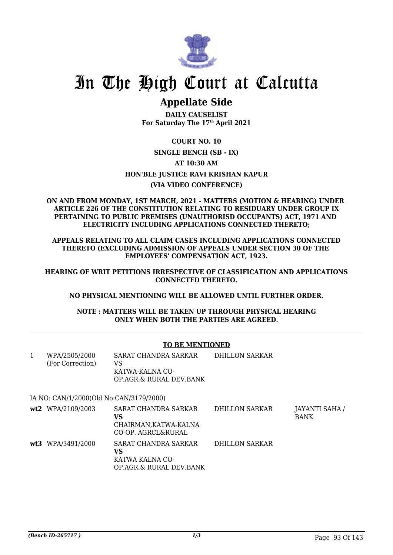

## **Appellate Side**

**DAILY CAUSELIST For Saturday The 17th April 2021**

### **COURT NO. 10 SINGLE BENCH (SB - IX) AT 10:30 AM HON'BLE JUSTICE RAVI KRISHAN KAPUR (VIA VIDEO CONFERENCE)**

#### **ON AND FROM MONDAY, 1ST MARCH, 2021 - MATTERS (MOTION & HEARING) UNDER ARTICLE 226 OF THE CONSTITUTION RELATING TO RESIDUARY UNDER GROUP IX PERTAINING TO PUBLIC PREMISES (UNAUTHORISD OCCUPANTS) ACT, 1971 AND ELECTRICITY INCLUDING APPLICATIONS CONNECTED THERETO;**

**APPEALS RELATING TO ALL CLAIM CASES INCLUDING APPLICATIONS CONNECTED THERETO (EXCLUDING ADMISSION OF APPEALS UNDER SECTION 30 OF THE EMPLOYEES' COMPENSATION ACT, 1923.**

**HEARING OF WRIT PETITIONS IRRESPECTIVE OF CLASSIFICATION AND APPLICATIONS CONNECTED THERETO.**

**NO PHYSICAL MENTIONING WILL BE ALLOWED UNTIL FURTHER ORDER.**

**NOTE : MATTERS WILL BE TAKEN UP THROUGH PHYSICAL HEARING ONLY WHEN BOTH THE PARTIES ARE AGREED.**

#### **TO BE MENTIONED**

| 1 | WPA/2505/2000<br>(For Correction)       | SARAT CHANDRA SARKAR<br>VS<br>KATWA-KALNA CO-<br>OP.AGR.& RURAL DEV.BANK | DHILLON SARKAR |                             |
|---|-----------------------------------------|--------------------------------------------------------------------------|----------------|-----------------------------|
|   | IA NO: CAN/1/2000(Old No:CAN/3179/2000) |                                                                          |                |                             |
|   | wt2 WPA/2109/2003                       | SARAT CHANDRA SARKAR<br>VS<br>CHAIRMAN, KATWA-KALNA                      | DHILLON SARKAR | JAYANTI SAHA<br><b>BANK</b> |

CO-OP. AGRCL&RURAL **wt3** WPA/3491/2000 SARAT CHANDRA SARKAR **VS** KATWA KALNA CO-OP.AGR.& RURAL DEV.BANK DHILLON SARKAR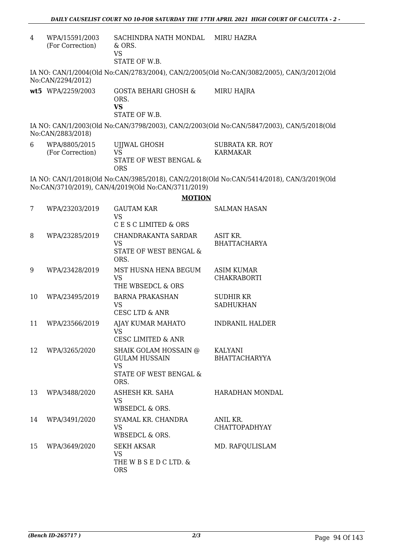4 WPA/15591/2003 (For Correction) SACHINDRA NATH MONDAL & ORS. VS MIRU HAZRA

STATE OF W.B.

IA NO: CAN/1/2004(Old No:CAN/2783/2004), CAN/2/2005(Old No:CAN/3082/2005), CAN/3/2012(Old No:CAN/2294/2012)

**wt5** WPA/2259/2003 GOSTA BEHARI GHOSH & ORS. **VS** STATE OF W.B. MIRU HAJRA

IA NO: CAN/1/2003(Old No:CAN/3798/2003), CAN/2/2003(Old No:CAN/5847/2003), CAN/5/2018(Old No:CAN/2883/2018)

6 WPA/8805/2015 (For Correction) UJJWAL GHOSH VS STATE OF WEST BENGAL & ORS SUBRATA KR. ROY KARMAKAR

IA NO: CAN/1/2018(Old No:CAN/3985/2018), CAN/2/2018(Old No:CAN/5414/2018), CAN/3/2019(Old No:CAN/3710/2019), CAN/4/2019(Old No:CAN/3711/2019)

**MOTION**

| 7  | WPA/23203/2019 | <b>GAUTAM KAR</b><br><b>VS</b><br>C E S C LIMITED & ORS                                      | <b>SALMAN HASAN</b>                    |
|----|----------------|----------------------------------------------------------------------------------------------|----------------------------------------|
| 8  | WPA/23285/2019 | CHANDRAKANTA SARDAR<br>VS.<br>STATE OF WEST BENGAL &<br>ORS.                                 | ASIT KR.<br><b>BHATTACHARYA</b>        |
| 9  | WPA/23428/2019 | MST HUSNA HENA BEGUM<br><b>VS</b><br>THE WBSEDCL & ORS                                       | ASIM KUMAR<br><b>CHAKRABORTI</b>       |
| 10 | WPA/23495/2019 | <b>BARNA PRAKASHAN</b><br><b>VS</b><br><b>CESC LTD &amp; ANR</b>                             | SUDHIR KR<br><b>SADHUKHAN</b>          |
| 11 | WPA/23566/2019 | AJAY KUMAR MAHATO<br><b>VS</b><br><b>CESC LIMITED &amp; ANR</b>                              | <b>INDRANIL HALDER</b>                 |
| 12 | WPA/3265/2020  | SHAIK GOLAM HOSSAIN @<br><b>GULAM HUSSAIN</b><br><b>VS</b><br>STATE OF WEST BENGAL &<br>ORS. | <b>KALYANI</b><br><b>BHATTACHARYYA</b> |
| 13 | WPA/3488/2020  | <b>ASHESH KR. SAHA</b><br><b>VS</b><br>WBSEDCL & ORS.                                        | <b>HARADHAN MONDAL</b>                 |
| 14 | WPA/3491/2020  | SYAMAL KR. CHANDRA<br><b>VS</b><br>WBSEDCL & ORS.                                            | ANIL KR.<br><b>CHATTOPADHYAY</b>       |
| 15 | WPA/3649/2020  | <b>SEKH AKSAR</b><br><b>VS</b><br>THE W B S E D C LTD. &<br><b>ORS</b>                       | MD. RAFQULISLAM                        |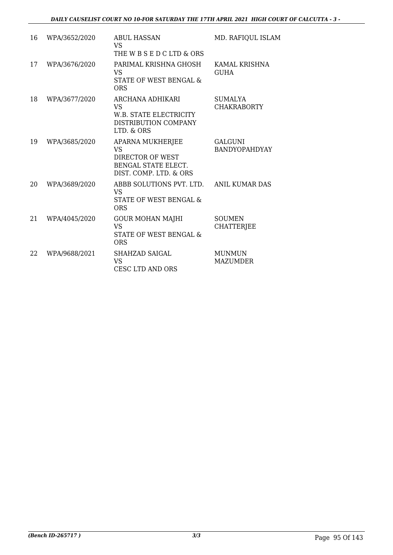| 16 | WPA/3652/2020 | ABUL HASSAN<br><b>VS</b><br>THE W B S E D C LTD & ORS                                                     | MD. RAFIQUL ISLAM                      |
|----|---------------|-----------------------------------------------------------------------------------------------------------|----------------------------------------|
| 17 | WPA/3676/2020 | PARIMAL KRISHNA GHOSH<br><b>VS</b><br>STATE OF WEST BENGAL &<br>ORS                                       | KAMAL KRISHNA<br><b>GUHA</b>           |
| 18 | WPA/3677/2020 | ARCHANA ADHIKARI<br><b>VS</b><br>W.B. STATE ELECTRICITY<br>DISTRIBUTION COMPANY<br>LTD. & ORS             | <b>SUMALYA</b><br><b>CHAKRABORTY</b>   |
| 19 | WPA/3685/2020 | APARNA MUKHERJEE<br><b>VS</b><br>DIRECTOR OF WEST<br><b>BENGAL STATE ELECT.</b><br>DIST. COMP. LTD. & ORS | <b>GALGUNI</b><br><b>BANDYOPAHDYAY</b> |
| 20 | WPA/3689/2020 | ABBB SOLUTIONS PVT. LTD.<br><b>VS</b><br>STATE OF WEST BENGAL &<br><b>ORS</b>                             | <b>ANIL KUMAR DAS</b>                  |
| 21 | WPA/4045/2020 | <b>GOUR MOHAN MAJHI</b><br><b>VS</b><br>STATE OF WEST BENGAL &<br><b>ORS</b>                              | <b>SOUMEN</b><br><b>CHATTERJEE</b>     |
| 22 | WPA/9688/2021 | SHAHZAD SAIGAL<br><b>VS</b><br><b>CESC LTD AND ORS</b>                                                    | <b>MUNMUN</b><br><b>MAZUMDER</b>       |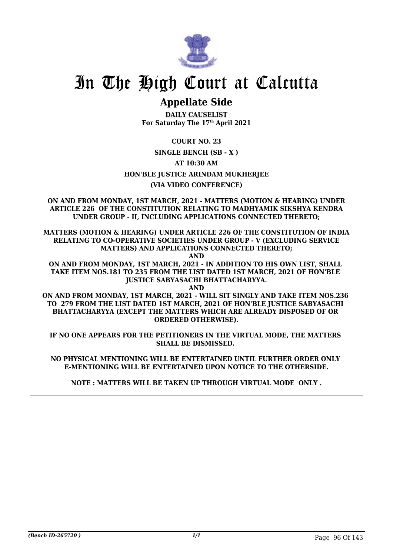

## **Appellate Side**

**DAILY CAUSELIST For Saturday The 17th April 2021**

**COURT NO. 23**

**SINGLE BENCH (SB - X )**

**AT 10:30 AM**

**HON'BLE JUSTICE ARINDAM MUKHERJEE**

#### **(VIA VIDEO CONFERENCE)**

**ON AND FROM MONDAY, 1ST MARCH, 2021 - MATTERS (MOTION & HEARING) UNDER ARTICLE 226 OF THE CONSTITUTION RELATING TO MADHYAMIK SIKSHYA KENDRA UNDER GROUP - II, INCLUDING APPLICATIONS CONNECTED THERETO;**

**MATTERS (MOTION & HEARING) UNDER ARTICLE 226 OF THE CONSTITUTION OF INDIA RELATING TO CO-OPERATIVE SOCIETIES UNDER GROUP - V (EXCLUDING SERVICE MATTERS) AND APPLICATIONS CONNECTED THERETO;**

**AND**

**ON AND FROM MONDAY, 1ST MARCH, 2021 - IN ADDITION TO HIS OWN LIST, SHALL TAKE ITEM NOS.181 TO 235 FROM THE LIST DATED 1ST MARCH, 2021 OF HON'BLE JUSTICE SABYASACHI BHATTACHARYYA.**

**AND ON AND FROM MONDAY, 1ST MARCH, 2021 - WILL SIT SINGLY AND TAKE ITEM NOS.236 TO 279 FROM THE LIST DATED 1ST MARCH, 2021 OF HON'BLE JUSTICE SABYASACHI BHATTACHARYYA (EXCEPT THE MATTERS WHICH ARE ALREADY DISPOSED OF OR ORDERED OTHERWISE).**

**IF NO ONE APPEARS FOR THE PETITIONERS IN THE VIRTUAL MODE, THE MATTERS SHALL BE DISMISSED.** 

**NO PHYSICAL MENTIONING WILL BE ENTERTAINED UNTIL FURTHER ORDER ONLY E-MENTIONING WILL BE ENTERTAINED UPON NOTICE TO THE OTHERSIDE.**

**NOTE : MATTERS WILL BE TAKEN UP THROUGH VIRTUAL MODE ONLY .**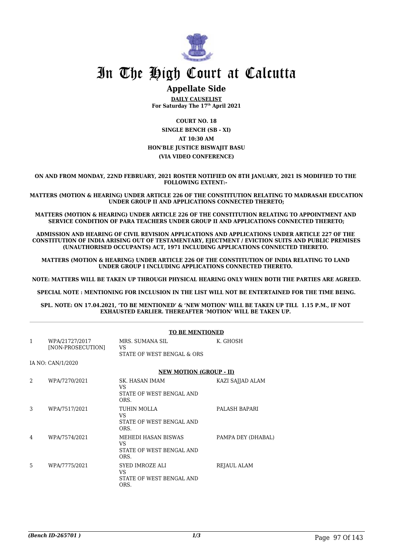

#### **Appellate Side**

**DAILY CAUSELIST For Saturday The 17th April 2021**

**COURT NO. 18 SINGLE BENCH (SB - XI) AT 10:30 AM HON'BLE JUSTICE BISWAJIT BASU (VIA VIDEO CONFERENCE)**

**ON AND FROM MONDAY, 22ND FEBRUARY, 2021 ROSTER NOTIFIED ON 8TH JANUARY, 2021 IS MODIFIED TO THE FOLLOWING EXTENT:-** 

**MATTERS (MOTION & HEARING) UNDER ARTICLE 226 OF THE CONSTITUTION RELATING TO MADRASAH EDUCATION UNDER GROUP II AND APPLICATIONS CONNECTED THERETO;**

**MATTERS (MOTION & HEARING) UNDER ARTICLE 226 OF THE CONSTITUTION RELATING TO APPOINTMENT AND SERVICE CONDITION OF PARA TEACHERS UNDER GROUP II AND APPLICATIONS CONNECTED THERETO;**

**ADMISSION AND HEARING OF CIVIL REVISION APPLICATIONS AND APPLICATIONS UNDER ARTICLE 227 OF THE CONSTITUTION OF INDIA ARISING OUT OF TESTAMENTARY, EJECTMENT / EVICTION SUITS AND PUBLIC PREMISES (UNAUTHORISED OCCUPANTS) ACT, 1971 INCLUDING APPLICATIONS CONNECTED THERETO.** 

**MATTERS (MOTION & HEARING) UNDER ARTICLE 226 OF THE CONSTITUTION OF INDIA RELATING TO LAND UNDER GROUP I INCLUDING APPLICATIONS CONNECTED THERETO.** 

**NOTE: MATTERS WILL BE TAKEN UP THROUGH PHYSICAL HEARING ONLY WHEN BOTH THE PARTIES ARE AGREED.**

**SPECIAL NOTE : MENTIONING FOR INCLUSION IN THE LIST WILL NOT BE ENTERTAINED FOR THE TIME BEING.**

**SPL. NOTE: ON 17.04.2021, 'TO BE MENTIONED' & 'NEW MOTION' WILL BE TAKEN UP TILL 1.15 P.M., IF NOT EXHAUSTED EARLIER. THEREAFTER 'MOTION' WILL BE TAKEN UP.** 

|   |                                     | <b>TO BE MENTIONED</b>                                            |                    |
|---|-------------------------------------|-------------------------------------------------------------------|--------------------|
| 1 | WPA/21727/2017<br>[NON-PROSECUTION] | MRS. SUMANA SIL<br>VS.<br>STATE OF WEST BENGAL & ORS              | K. GHOSH           |
|   | IA NO: CAN/1/2020                   |                                                                   |                    |
|   |                                     | <b>NEW MOTION (GROUP - II)</b>                                    |                    |
| 2 | WPA/7270/2021                       | SK. HASAN IMAM<br>VS<br>STATE OF WEST BENGAL AND<br>ORS.          | KAZI SAJJAD ALAM   |
| 3 | WPA/7517/2021                       | TUHIN MOLLA<br>VS.<br>STATE OF WEST BENGAL AND<br>ORS.            | PALASH BAPARI      |
| 4 | WPA/7574/2021                       | MEHEDI HASAN BISWAS<br>VS<br>STATE OF WEST BENGAL AND<br>ORS.     | PAMPA DEY (DHABAL) |
| 5 | WPA/7775/2021                       | <b>SYED IMROZE ALI</b><br>VS.<br>STATE OF WEST BENGAL AND<br>ORS. | REJAUL ALAM        |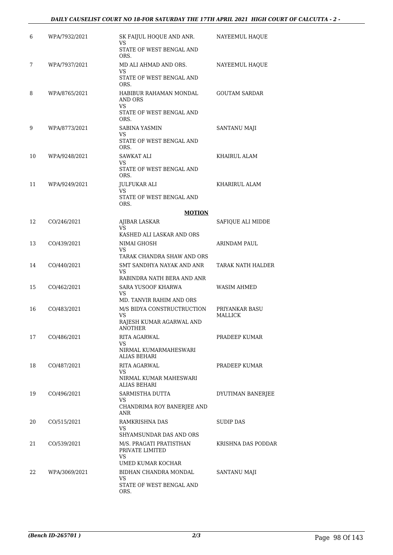#### *DAILY CAUSELIST COURT NO 18-FOR SATURDAY THE 17TH APRIL 2021 HIGH COURT OF CALCUTTA - 2 -*

| 6  | WPA/7932/2021 | SK FAIJUL HOQUE AND ANR.<br>VS                       | NAYEEMUL HAOUE                   |
|----|---------------|------------------------------------------------------|----------------------------------|
|    |               | STATE OF WEST BENGAL AND<br>ORS.                     |                                  |
| 7  | WPA/7937/2021 | MD ALI AHMAD AND ORS.                                | NAYEEMUL HAOUE                   |
|    |               | VS<br>STATE OF WEST BENGAL AND<br>ORS.               |                                  |
| 8  | WPA/8765/2021 | HABIBUR RAHAMAN MONDAL<br>AND ORS<br><b>VS</b>       | <b>GOUTAM SARDAR</b>             |
|    |               | STATE OF WEST BENGAL AND<br>ORS.                     |                                  |
| 9  | WPA/8773/2021 | SABINA YASMIN<br>VS                                  | <b>SANTANU MAJI</b>              |
|    |               | STATE OF WEST BENGAL AND<br>ORS.                     |                                  |
| 10 | WPA/9248/2021 | SAWKAT ALI<br>VS                                     | KHAIRUL ALAM                     |
|    |               | STATE OF WEST BENGAL AND<br>ORS.                     |                                  |
| 11 | WPA/9249/2021 | <b>JULFUKAR ALI</b><br>VS                            | KHARIRUL ALAM                    |
|    |               | STATE OF WEST BENGAL AND<br>ORS.                     |                                  |
|    |               | <b>MOTION</b>                                        |                                  |
| 12 | CO/246/2021   | AJIBAR LASKAR<br>VS<br>KASHED ALI LASKAR AND ORS     | SAFIOUE ALI MIDDE                |
| 13 | CO/439/2021   | NIMAI GHOSH<br>VS                                    | ARINDAM PAUL                     |
|    |               | TARAK CHANDRA SHAW AND ORS                           |                                  |
| 14 | CO/440/2021   | SMT SANDHYA NAYAK AND ANR<br>VS                      | TARAK NATH HALDER                |
|    |               | RABINDRA NATH BERA AND ANR                           |                                  |
| 15 | CO/462/2021   | SARA YUSOOF KHARWA<br>VS<br>MD. TANVIR RAHIM AND ORS | WASIM AHMED                      |
| 16 | CO/483/2021   | M/S BIDYA CONSTRUCTRUCTION<br>VS                     | PRIYANKAR BASU<br><b>MALLICK</b> |
|    |               | RAJESH KUMAR AGARWAL AND<br>ANOTHER                  |                                  |
| 17 | CO/486/2021   | RITA AGARWAL<br>VS                                   | PRADEEP KUMAR                    |
|    |               | NIRMAL KUMARMAHESWARI<br>ALIAS BEHARI                |                                  |
| 18 | CO/487/2021   | RITA AGARWAL<br>VS                                   | PRADEEP KUMAR                    |
|    |               | NIRMAL KUMAR MAHESWARI<br>ALIAS BEHARI               |                                  |
| 19 | CO/496/2021   | SARMISTHA DUTTA<br>VS                                | DYUTIMAN BANERJEE                |
|    |               | CHANDRIMA ROY BANERJEE AND<br>ANR                    |                                  |
| 20 | CO/515/2021   | RAMKRISHNA DAS<br>VS                                 | <b>SUDIP DAS</b>                 |
|    |               | SHYAMSUNDAR DAS AND ORS                              |                                  |
| 21 | CO/539/2021   | M/S. PRAGATI PRATISTHAN<br>PRIVATE LIMITED<br>VS     | KRISHNA DAS PODDAR               |
|    |               | UMED KUMAR KOCHAR                                    |                                  |
| 22 | WPA/3069/2021 | BIDHAN CHANDRA MONDAL<br>VS                          | <b>SANTANU MAJI</b>              |
|    |               | STATE OF WEST BENGAL AND<br>ORS.                     |                                  |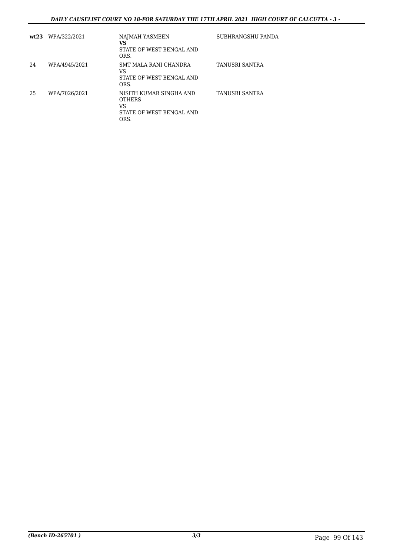#### *DAILY CAUSELIST COURT NO 18-FOR SATURDAY THE 17TH APRIL 2021 HIGH COURT OF CALCUTTA - 3 -*

| wt23 | WPA/322/2021  | NAJMAH YASMEEN<br>VS<br>STATE OF WEST BENGAL AND<br>ORS.                           | SUBHRANGSHU PANDA |
|------|---------------|------------------------------------------------------------------------------------|-------------------|
| 24   | WPA/4945/2021 | SMT MALA RANI CHANDRA<br>VS<br>STATE OF WEST BENGAL AND<br>ORS.                    | TANUSRI SANTRA    |
| 25   | WPA/7026/2021 | NISITH KUMAR SINGHA AND<br><b>OTHERS</b><br>VS<br>STATE OF WEST BENGAL AND<br>ORS. | TANUSRI SANTRA    |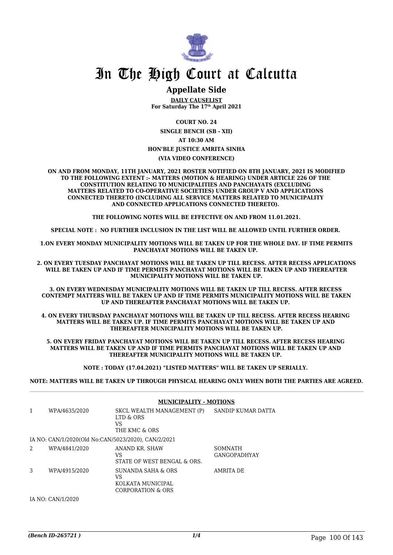

### **Appellate Side**

**DAILY CAUSELIST For Saturday The 17th April 2021**

**COURT NO. 24**

**SINGLE BENCH (SB - XII) AT 10:30 AM HON'BLE JUSTICE AMRITA SINHA**

#### **(VIA VIDEO CONFERENCE)**

**ON AND FROM MONDAY, 11TH JANUARY, 2021 ROSTER NOTIFIED ON 8TH JANUARY, 2021 IS MODIFIED TO THE FOLLOWING EXTENT :- MATTERS (MOTION & HEARING) UNDER ARTICLE 226 OF THE CONSTITUTION RELATING TO MUNICIPALITIES AND PANCHAYATS (EXCLUDING MATTERS RELATED TO CO-OPERATIVE SOCIETIES) UNDER GROUP V AND APPLICATIONS CONNECTED THERETO (INCLUDING ALL SERVICE MATTERS RELATED TO MUNICIPALITY AND CONNECTED APPLICATIONS CONNECTED THERETO).** 

**THE FOLLOWING NOTES WILL BE EFFECTIVE ON AND FROM 11.01.2021.**

**SPECIAL NOTE : NO FURTHER INCLUSION IN THE LIST WILL BE ALLOWED UNTIL FURTHER ORDER.** 

**1.ON EVERY MONDAY MUNICIPALITY MOTIONS WILL BE TAKEN UP FOR THE WHOLE DAY. IF TIME PERMITS PANCHAYAT MOTIONS WILL BE TAKEN UP.** 

**2. ON EVERY TUESDAY PANCHAYAT MOTIONS WILL BE TAKEN UP TILL RECESS. AFTER RECESS APPLICATIONS WILL BE TAKEN UP AND IF TIME PERMITS PANCHAYAT MOTIONS WILL BE TAKEN UP AND THEREAFTER MUNICIPALITY MOTIONS WILL BE TAKEN UP.**

**3. ON EVERY WEDNESDAY MUNICIPALITY MOTIONS WILL BE TAKEN UP TILL RECESS. AFTER RECESS CONTEMPT MATTERS WILL BE TAKEN UP AND IF TIME PERMITS MUNICIPALITY MOTIONS WILL BE TAKEN UP AND THEREAFTER PANCHAYAT MOTIONS WILL BE TAKEN UP.** 

**4. ON EVERY THURSDAY PANCHAYAT MOTIONS WILL BE TAKEN UP TILL RECESS. AFTER RECESS HEARING MATTERS WILL BE TAKEN UP. IF TIME PERMITS PANCHAYAT MOTIONS WILL BE TAKEN UP AND THEREAFTER MUNICIPALITY MOTIONS WILL BE TAKEN UP.**

**5. ON EVERY FRIDAY PANCHAYAT MOTIONS WILL BE TAKEN UP TILL RECESS. AFTER RECESS HEARING MATTERS WILL BE TAKEN UP AND IF TIME PERMITS PANCHAYAT MOTIONS WILL BE TAKEN UP AND THEREAFTER MUNICIPALITY MOTIONS WILL BE TAKEN UP.** 

**NOTE : TODAY (17.04.2021) "LISTED MATTERS" WILL BE TAKEN UP SERIALLY.** 

**NOTE: MATTERS WILL BE TAKEN UP THROUGH PHYSICAL HEARING ONLY WHEN BOTH THE PARTIES ARE AGREED.**

|   |                                                     | <b>MUNICIPALITY - MOTIONS</b>                                      |                                       |
|---|-----------------------------------------------------|--------------------------------------------------------------------|---------------------------------------|
| 1 | WPA/4635/2020                                       | SKCL WEALTH MANAGEMENT (P)<br>LTD & ORS<br>VS<br>THE KMC & ORS     | SANDIP KUMAR DATTA                    |
|   | IA NO: CAN/1/2020(Old No:CAN/5023/2020). CAN/2/2021 |                                                                    |                                       |
| 2 | WPA/4841/2020                                       | ANAND KR. SHAW<br>VS<br>STATE OF WEST BENGAL & ORS.                | <b>SOMNATH</b><br><b>GANGOPADHYAY</b> |
| 3 | WPA/4915/2020                                       | SUNANDA SAHA & ORS<br>VS<br>KOLKATA MUNICIPAL<br>CORPORATION & ORS | AMRITA DE                             |

IA NO: CAN/1/2020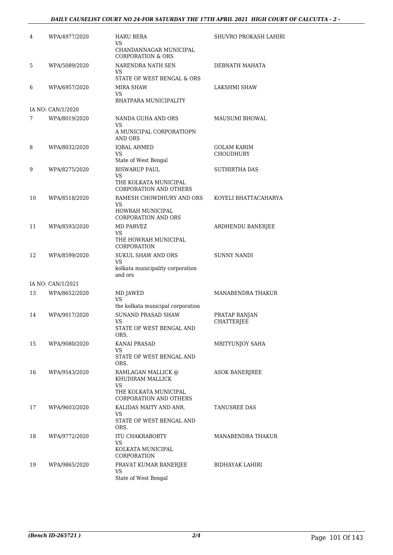#### *DAILY CAUSELIST COURT NO 24-FOR SATURDAY THE 17TH APRIL 2021 HIGH COURT OF CALCUTTA - 2 -*

| 4  | WPA/4977/2020     | HARU BERA<br><b>VS</b><br>CHANDANNAGAR MUNICIPAL<br><b>CORPORATION &amp; ORS</b>     | SHUVRO PROKASH LAHIRI              |
|----|-------------------|--------------------------------------------------------------------------------------|------------------------------------|
| 5  | WPA/5089/2020     | NARENDRA NATH SEN<br>VS<br>STATE OF WEST BENGAL & ORS                                | DEBNATH MAHATA                     |
| 6  | WPA/6957/2020     | <b>MIRA SHAW</b><br>VS<br>BHATPARA MUNICIPALITY                                      | LAKSHMI SHAW                       |
|    | IA NO: CAN/1/2020 |                                                                                      |                                    |
| 7  | WPA/8019/2020     | NANDA GUHA AND ORS<br>VS<br>A MUNICIPAL CORPORATIOPN                                 | MAUSUMI BHOWAL                     |
| 8  | WPA/8032/2020     | AND ORS<br><b>IQBAL AHMED</b><br>VS<br>State of West Bengal                          | GOLAM KARIM<br><b>CHOUDHURY</b>    |
| 9  | WPA/8275/2020     | <b>BISWARUP PAUL</b><br>VS.<br>THE KOLKATA MUNICIPAL                                 | SUTHIRTHA DAS                      |
| 10 | WPA/8518/2020     | <b>CORPORATION AND OTHERS</b><br>RAMESH CHOWDHURY AND ORS<br>VS.<br>HOWRAH MUNICIPAL | KOYELI BHATTACAHARYA               |
| 11 | WPA/8593/2020     | <b>CORPORATION AND ORS</b><br>MD PARVEZ<br>VS<br>THE HOWRAH MUNICIPAL<br>CORPORATION | ARDHENDU BANERJEE                  |
| 12 | WPA/8599/2020     | <b>SUKUL SHAW AND ORS</b><br>VS<br>kolkata municipality corporation<br>and ors       | <b>SUNNY NANDI</b>                 |
|    | IA NO: CAN/1/2021 |                                                                                      |                                    |
| 13 | WPA/8652/2020     | MD JAWED<br><b>VS</b><br>the kolkata municipal corporation                           | MANABENDRA THAKUR                  |
| 14 | WPA/9017/2020     | <b>SUNAND PRASAD SHAW</b><br>VS<br>STATE OF WEST BENGAL AND<br>ORS.                  | PRATAP RANJAN<br><b>CHATTERJEE</b> |
| 15 | WPA/9080/2020     | <b>KANAI PRASAD</b><br>VS<br>STATE OF WEST BENGAL AND                                | <b>MRITYUNJOY SAHA</b>             |
| 16 | WPA/9543/2020     | ORS.<br>RAMLAGAN MALLICK @<br>KHUDIRAM MALLICK<br>VS                                 | <b>ASOK BANERIREE</b>              |
|    |                   | THE KOLKATA MUNICIPAL<br><b>CORPORATION AND OTHERS</b><br>KALIDAS MAITY AND ANR.     | TANUSREE DAS                       |
| 17 | WPA/9603/2020     | VS<br>STATE OF WEST BENGAL AND<br>ORS.                                               |                                    |
| 18 | WPA/9772/2020     | ITU CHAKRABORTY<br>VS<br>KOLKATA MUNICIPAL<br>CORPORATION                            | MANABENDRA THAKUR                  |
| 19 | WPA/9865/2020     | PRAVAT KUMAR BANERJEE<br>VS<br>State of West Bengal                                  | BIDHAYAK LAHIRI                    |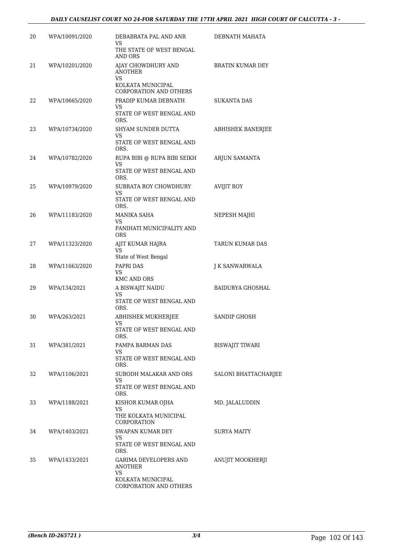#### *DAILY CAUSELIST COURT NO 24-FOR SATURDAY THE 17TH APRIL 2021 HIGH COURT OF CALCUTTA - 3 -*

| 20 | WPA/10091/2020 | DEBABRATA PAL AND ANR<br>VS                                                                   | DEBNATH MAHATA              |
|----|----------------|-----------------------------------------------------------------------------------------------|-----------------------------|
|    |                | THE STATE OF WEST BENGAL<br>AND ORS                                                           |                             |
| 21 | WPA/10201/2020 | AJAY CHOWDHURY AND<br><b>ANOTHER</b><br><b>VS</b><br>KOLKATA MUNICIPAL                        | <b>BRATIN KUMAR DEY</b>     |
|    |                | <b>CORPORATION AND OTHERS</b>                                                                 |                             |
| 22 | WPA/10665/2020 | PRADIP KUMAR DEBNATH<br>VS<br>STATE OF WEST BENGAL AND                                        | SUKANTA DAS                 |
|    |                | ORS.                                                                                          |                             |
| 23 | WPA/10734/2020 | SHYAM SUNDER DUTTA<br>VS<br>STATE OF WEST BENGAL AND                                          | ABHISHEK BANERJEE           |
| 24 | WPA/10782/2020 | ORS.<br>RUPA BIBI @ RUPA BIBI SEIKH                                                           | ARJUN SAMANTA               |
|    |                | <b>VS</b><br>STATE OF WEST BENGAL AND<br>ORS.                                                 |                             |
| 25 | WPA/10979/2020 | SUBRATA ROY CHOWDHURY<br>VS                                                                   | <b>AVIJIT ROY</b>           |
|    |                | STATE OF WEST BENGAL AND<br>ORS.                                                              |                             |
| 26 | WPA/11183/2020 | MANIKA SAHA<br>VS                                                                             | NEPESH MAJHI                |
|    |                | PANIHATI MUNICIPALITY AND<br>ORS                                                              |                             |
| 27 | WPA/11323/2020 | AJIT KUMAR HAJRA<br>VS                                                                        | TARUN KUMAR DAS             |
| 28 | WPA/11663/2020 | State of West Bengal<br>PAPRI DAS                                                             | J K SANWARWALA              |
|    |                | <b>VS</b><br>KMC AND ORS                                                                      |                             |
| 29 | WPA/134/2021   | A BISWAJIT NAIDU<br>VS<br>STATE OF WEST BENGAL AND                                            | <b>BAIDURYA GHOSHAL</b>     |
| 30 | WPA/263/2021   | ORS.<br>ABHISHEK MUKHERJEE<br>VS<br>STATE OF WEST BENGAL AND                                  | <b>SANDIP GHOSH</b>         |
|    |                | ORS.                                                                                          |                             |
| 31 | WPA/381/2021   | PAMPA BARMAN DAS<br>VS<br>STATE OF WEST BENGAL AND                                            | BISWAJIT TIWARI             |
| 32 | WPA/1106/2021  | ORS.<br>SUBODH MALAKAR AND ORS<br>VS                                                          | <b>SALONI BHATTACHARJEE</b> |
|    |                | STATE OF WEST BENGAL AND<br>ORS.                                                              |                             |
| 33 | WPA/1188/2021  | KISHOR KUMAR OJHA<br>VS<br>THE KOLKATA MUNICIPAL                                              | MD. JALALUDDIN              |
|    |                | CORPORATION                                                                                   |                             |
| 34 | WPA/1403/2021  | SWAPAN KUMAR DEY<br>VS<br>STATE OF WEST BENGAL AND                                            | SURYA MAITY                 |
| 35 | WPA/1433/2021  | ORS.<br>GARIMA DEVELOPERS AND<br>ANOTHER<br>VS<br>KOLKATA MUNICIPAL<br>CORPORATION AND OTHERS | ANUJIT MOOKHERJI            |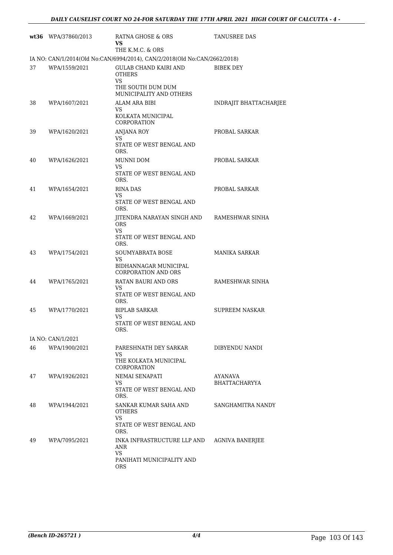|    | wt36 WPA/37860/2013 | RATNA GHOSE & ORS<br>VS.<br>THE K.M.C. & ORS                                                        | TANUSREE DAS                    |
|----|---------------------|-----------------------------------------------------------------------------------------------------|---------------------------------|
|    |                     | IA NO: CAN/1/2014(Old No:CAN/6994/2014), CAN/2/2018(Old No:CAN/2662/2018)                           |                                 |
| 37 | WPA/1559/2021       | <b>GULAB CHAND KAIRI AND</b><br><b>OTHERS</b><br>VS<br>THE SOUTH DUM DUM<br>MUNICIPALITY AND OTHERS | <b>BIBEK DEY</b>                |
| 38 | WPA/1607/2021       | ALAM ARA BIBI<br>VS<br>KOLKATA MUNICIPAL<br>CORPORATION                                             | INDRAJIT BHATTACHARJEE          |
| 39 | WPA/1620/2021       | <b>ANJANA ROY</b><br>VS<br>STATE OF WEST BENGAL AND<br>ORS.                                         | PROBAL SARKAR                   |
| 40 | WPA/1626/2021       | <b>MUNNI DOM</b><br>VS<br>STATE OF WEST BENGAL AND<br>ORS.                                          | PROBAL SARKAR                   |
| 41 | WPA/1654/2021       | <b>RINA DAS</b><br>VS.<br>STATE OF WEST BENGAL AND<br>ORS.                                          | PROBAL SARKAR                   |
| 42 | WPA/1669/2021       | JITENDRA NARAYAN SINGH AND<br><b>ORS</b><br>VS.<br>STATE OF WEST BENGAL AND<br>ORS.                 | RAMESHWAR SINHA                 |
| 43 | WPA/1754/2021       | SOUMYABRATA BOSE<br>VS.<br>BIDHANNAGAR MUNICIPAL<br><b>CORPORATION AND ORS</b>                      | MANIKA SARKAR                   |
| 44 | WPA/1765/2021       | RATAN BAURI AND ORS<br>VS.<br>STATE OF WEST BENGAL AND<br>ORS.                                      | RAMESHWAR SINHA                 |
| 45 | WPA/1770/2021       | <b>BIPLAB SARKAR</b><br>VS<br>STATE OF WEST BENGAL AND<br>ORS.                                      | <b>SUPREEM NASKAR</b>           |
|    | IA NO: CAN/1/2021   |                                                                                                     |                                 |
| 46 | WPA/1900/2021       | PARESHNATH DEY SARKAR<br>VS<br>THE KOLKATA MUNICIPAL<br><b>CORPORATION</b>                          | DIBYENDU NANDI                  |
| 47 | WPA/1926/2021       | NEMAI SENAPATI<br>VS<br>STATE OF WEST BENGAL AND<br>ORS.                                            | AYANAVA<br><b>BHATTACHARYYA</b> |
| 48 | WPA/1944/2021       | SANKAR KUMAR SAHA AND<br><b>OTHERS</b><br><b>VS</b><br>STATE OF WEST BENGAL AND<br>ORS.             | SANGHAMITRA NANDY               |
| 49 | WPA/7095/2021       | INKA INFRASTRUCTURE LLP AND<br>ANR<br><b>VS</b><br>PANIHATI MUNICIPALITY AND<br><b>ORS</b>          | <b>AGNIVA BANERJEE</b>          |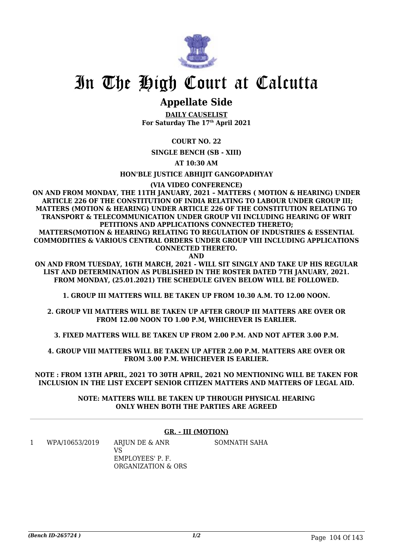

## **Appellate Side**

**DAILY CAUSELIST For Saturday The 17th April 2021**

**COURT NO. 22**

**SINGLE BENCH (SB - XIII)**

**AT 10:30 AM**

**HON'BLE JUSTICE ABHIJIT GANGOPADHYAY**

**(VIA VIDEO CONFERENCE)**

**ON AND FROM MONDAY, THE 11TH JANUARY, 2021 – MATTERS ( MOTION & HEARING) UNDER ARTICLE 226 OF THE CONSTITUTION OF INDIA RELATING TO LABOUR UNDER GROUP III; MATTERS (MOTION & HEARING) UNDER ARTICLE 226 OF THE CONSTITUTION RELATING TO TRANSPORT & TELECOMMUNICATION UNDER GROUP VII INCLUDING HEARING OF WRIT PETITIONS AND APPLICATIONS CONNECTED THERETO;**

**MATTERS(MOTION & HEARING) RELATING TO REGULATION OF INDUSTRIES & ESSENTIAL COMMODITIES & VARIOUS CENTRAL ORDERS UNDER GROUP VIII INCLUDING APPLICATIONS CONNECTED THERETO.**

**AND**

**ON AND FROM TUESDAY, 16TH MARCH, 2021 - WILL SIT SINGLY AND TAKE UP HIS REGULAR LIST AND DETERMINATION AS PUBLISHED IN THE ROSTER DATED 7TH JANUARY, 2021. FROM MONDAY, (25.01.2021) THE SCHEDULE GIVEN BELOW WILL BE FOLLOWED.**

**1. GROUP III MATTERS WILL BE TAKEN UP FROM 10.30 A.M. TO 12.00 NOON.**

**2. GROUP VII MATTERS WILL BE TAKEN UP AFTER GROUP III MATTERS ARE OVER OR FROM 12.00 NOON TO 1.00 P.M, WHICHEVER IS EARLIER.**

**3. FIXED MATTERS WILL BE TAKEN UP FROM 2.00 P.M. AND NOT AFTER 3.00 P.M.**

**4. GROUP VIII MATTERS WILL BE TAKEN UP AFTER 2.00 P.M. MATTERS ARE OVER OR FROM 3.00 P.M. WHICHEVER IS EARLIER.**

**NOTE : FROM 13TH APRIL, 2021 TO 30TH APRIL, 2021 NO MENTIONING WILL BE TAKEN FOR INCLUSION IN THE LIST EXCEPT SENIOR CITIZEN MATTERS AND MATTERS OF LEGAL AID.**

> **NOTE: MATTERS WILL BE TAKEN UP THROUGH PHYSICAL HEARING ONLY WHEN BOTH THE PARTIES ARE AGREED**

#### **GR. - III (MOTION)**

1 WPA/10653/2019 ARJUN DE & ANR  $V<sup>Q</sup>$ EMPLOYEES' P. F. ORGANIZATION & ORS SOMNATH SAHA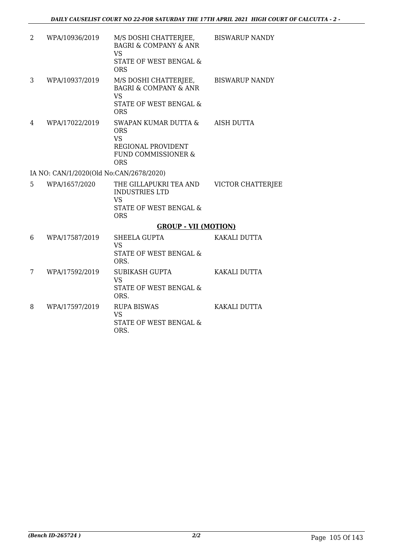| 2  | WPA/10936/2019                          | M/S DOSHI CHATTERJEE,<br><b>BAGRI &amp; COMPANY &amp; ANR</b><br><b>VS</b><br>STATE OF WEST BENGAL &<br><b>ORS</b> | <b>BISWARUP NANDY</b> |
|----|-----------------------------------------|--------------------------------------------------------------------------------------------------------------------|-----------------------|
| 3  | WPA/10937/2019                          | M/S DOSHI CHATTERJEE,<br><b>BAGRI &amp; COMPANY &amp; ANR</b><br><b>VS</b><br>STATE OF WEST BENGAL &<br><b>ORS</b> | <b>BISWARUP NANDY</b> |
| 4  | WPA/17022/2019                          | SWAPAN KUMAR DUTTA &<br><b>ORS</b><br><b>VS</b><br>REGIONAL PROVIDENT<br>FUND COMMISSIONER &<br><b>ORS</b>         | <b>AISH DUTTA</b>     |
|    | IA NO: CAN/1/2020(Old No:CAN/2678/2020) |                                                                                                                    |                       |
| 5. | WPA/1657/2020                           | THE GILLAPUKRI TEA AND<br><b>INDUSTRIES LTD</b><br><b>VS</b><br>STATE OF WEST BENGAL &<br><b>ORS</b>               | VICTOR CHATTERJEE     |
|    |                                         | <b>GROUP - VII (MOTION)</b>                                                                                        |                       |
| 6  | WPA/17587/2019                          | <b>SHEELA GUPTA</b><br><b>VS</b><br>STATE OF WEST BENGAL &<br>ORS.                                                 | KAKALI DUTTA          |
| 7  | WPA/17592/2019                          | <b>SUBIKASH GUPTA</b><br><b>VS</b><br>STATE OF WEST BENGAL &<br>ORS.                                               | KAKALI DUTTA          |
| 8  | WPA/17597/2019                          | <b>RUPA BISWAS</b><br><b>VS</b><br>STATE OF WEST BENGAL &<br>ORS.                                                  | KAKALI DUTTA          |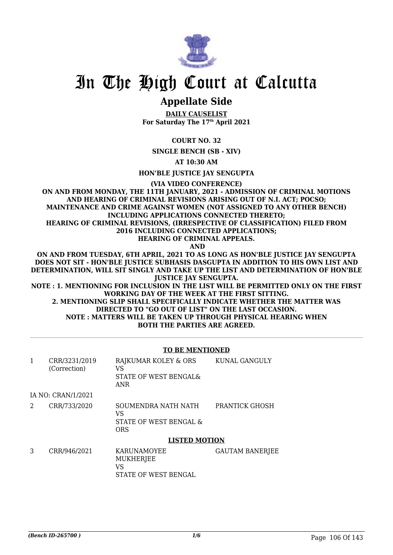

### **Appellate Side**

**DAILY CAUSELIST For Saturday The 17th April 2021**

**COURT NO. 32**

**SINGLE BENCH (SB - XIV)**

**AT 10:30 AM**

**HON'BLE JUSTICE JAY SENGUPTA**

**(VIA VIDEO CONFERENCE)**

**ON AND FROM MONDAY, THE 11TH JANUARY, 2021 - ADMISSION OF CRIMINAL MOTIONS AND HEARING OF CRIMINAL REVISIONS ARISING OUT OF N.I. ACT; POCSO; MAINTENANCE AND CRIME AGAINST WOMEN (NOT ASSIGNED TO ANY OTHER BENCH) INCLUDING APPLICATIONS CONNECTED THERETO; HEARING OF CRIMINAL REVISIONS, (IRRESPECTIVE OF CLASSIFICATION) FILED FROM 2016 INCLUDING CONNECTED APPLICATIONS;**

**HEARING OF CRIMINAL APPEALS.**

 **AND**

**ON AND FROM TUESDAY, 6TH APRIL, 2021 TO AS LONG AS HON'BLE JUSTICE JAY SENGUPTA DOES NOT SIT - HON'BLE JUSTICE SUBHASIS DASGUPTA IN ADDITION TO HIS OWN LIST AND DETERMINATION, WILL SIT SINGLY AND TAKE UP THE LIST AND DETERMINATION OF HON'BLE JUSTICE JAY SENGUPTA.**

**NOTE : 1. MENTIONING FOR INCLUSION IN THE LIST WILL BE PERMITTED ONLY ON THE FIRST WORKING DAY OF THE WEEK AT THE FIRST SITTING.**

**2. MENTIONING SLIP SHALL SPECIFICALLY INDICATE WHETHER THE MATTER WAS DIRECTED TO "GO OUT OF LIST" ON THE LAST OCCASION. NOTE : MATTERS WILL BE TAKEN UP THROUGH PHYSICAL HEARING WHEN BOTH THE PARTIES ARE AGREED.**

#### **TO BE MENTIONED**

|   | CRR/3231/2019<br>(Correction) | RAJKUMAR KOLEY & ORS<br>VS<br>STATE OF WEST BENGAL&<br><b>ANR</b> | KUNAL GANGULY          |
|---|-------------------------------|-------------------------------------------------------------------|------------------------|
|   | IA NO: CRAN/1/2021            |                                                                   |                        |
| 2 | CRR/733/2020                  | SOUMENDRA NATH NATH<br>VS<br>STATE OF WEST BENGAL &<br><b>ORS</b> | PRANTICK GHOSH         |
|   |                               | <b>LISTED MOTION</b>                                              |                        |
| 3 | CRR/946/2021                  | <b>KARUNAMOYEE</b><br>MUKHERJEE<br>VS<br>STATE OF WEST BENGAL     | <b>GAUTAM BANERJEE</b> |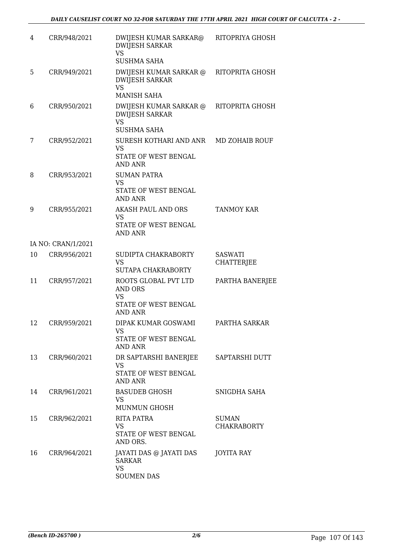| 4  | CRR/948/2021       | DWIJESH KUMAR SARKAR@<br><b>DWIJESH SARKAR</b><br><b>VS</b><br><b>SUSHMA SAHA</b>      | RITOPRIYA GHOSH                     |
|----|--------------------|----------------------------------------------------------------------------------------|-------------------------------------|
| 5  | CRR/949/2021       | DWIJESH KUMAR SARKAR @<br><b>DWIJESH SARKAR</b><br><b>VS</b><br><b>MANISH SAHA</b>     | RITOPRITA GHOSH                     |
| 6  | CRR/950/2021       | DWIJESH KUMAR SARKAR @<br><b>DWIJESH SARKAR</b><br><b>VS</b><br><b>SUSHMA SAHA</b>     | RITOPRITA GHOSH                     |
| 7  | CRR/952/2021       | SURESH KOTHARI AND ANR<br><b>VS</b><br>STATE OF WEST BENGAL<br><b>AND ANR</b>          | MD ZOHAIB ROUF                      |
| 8  | CRR/953/2021       | <b>SUMAN PATRA</b><br><b>VS</b><br>STATE OF WEST BENGAL<br><b>AND ANR</b>              |                                     |
| 9  | CRR/955/2021       | AKASH PAUL AND ORS<br>VS<br>STATE OF WEST BENGAL<br><b>AND ANR</b>                     | <b>TANMOY KAR</b>                   |
|    | IA NO: CRAN/1/2021 |                                                                                        |                                     |
| 10 | CRR/956/2021       | SUDIPTA CHAKRABORTY<br><b>VS</b><br>SUTAPA CHAKRABORTY                                 | <b>SASWATI</b><br><b>CHATTERJEE</b> |
| 11 | CRR/957/2021       | ROOTS GLOBAL PVT LTD<br>AND ORS<br><b>VS</b><br>STATE OF WEST BENGAL<br><b>AND ANR</b> | PARTHA BANERJEE                     |
| 12 | CRR/959/2021       | DIPAK KUMAR GOSWAMI<br>VS<br>STATE OF WEST BENGAL<br><b>AND ANR</b>                    | PARTHA SARKAR                       |
| 13 | CRR/960/2021       | DR SAPTARSHI BANERJEE<br>VS<br>STATE OF WEST BENGAL<br><b>AND ANR</b>                  | SAPTARSHI DUTT                      |
| 14 | CRR/961/2021       | <b>BASUDEB GHOSH</b><br><b>VS</b><br><b>MUNMUN GHOSH</b>                               | SNIGDHA SAHA                        |
| 15 | CRR/962/2021       | RITA PATRA<br><b>VS</b><br>STATE OF WEST BENGAL<br>AND ORS.                            | <b>SUMAN</b><br><b>CHAKRABORTY</b>  |
| 16 | CRR/964/2021       | JAYATI DAS @ JAYATI DAS<br><b>SARKAR</b><br>VS<br><b>SOUMEN DAS</b>                    | <b>JOYITA RAY</b>                   |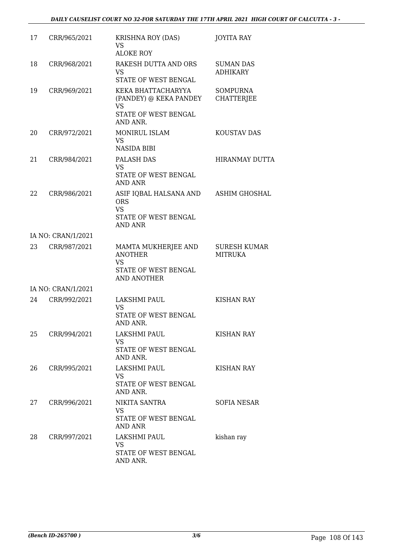| 17 | CRR/965/2021       | <b>KRISHNA ROY (DAS)</b><br><b>VS</b><br><b>ALOKE ROY</b>                                        | <b>JOYITA RAY</b>                     |
|----|--------------------|--------------------------------------------------------------------------------------------------|---------------------------------------|
| 18 | CRR/968/2021       | RAKESH DUTTA AND ORS<br>VS.<br>STATE OF WEST BENGAL                                              | <b>SUMAN DAS</b><br><b>ADHIKARY</b>   |
| 19 | CRR/969/2021       | KEKA BHATTACHARYYA<br>(PANDEY) @ KEKA PANDEY<br><b>VS</b><br>STATE OF WEST BENGAL<br>AND ANR.    | <b>SOMPURNA</b><br><b>CHATTERJEE</b>  |
| 20 | CRR/972/2021       | MONIRUL ISLAM<br>VS.<br><b>NASIDA BIBI</b>                                                       | KOUSTAV DAS                           |
| 21 | CRR/984/2021       | PALASH DAS<br><b>VS</b><br>STATE OF WEST BENGAL<br><b>AND ANR</b>                                | <b>HIRANMAY DUTTA</b>                 |
| 22 | CRR/986/2021       | ASIF IQBAL HALSANA AND<br><b>ORS</b><br><b>VS</b><br>STATE OF WEST BENGAL<br><b>AND ANR</b>      | ASHIM GHOSHAL                         |
|    | IA NO: CRAN/1/2021 |                                                                                                  |                                       |
| 23 | CRR/987/2021       | MAMTA MUKHERJEE AND<br><b>ANOTHER</b><br><b>VS</b><br>STATE OF WEST BENGAL<br><b>AND ANOTHER</b> | <b>SURESH KUMAR</b><br><b>MITRUKA</b> |
|    | IA NO: CRAN/1/2021 |                                                                                                  |                                       |
| 24 | CRR/992/2021       | LAKSHMI PAUL<br><b>VS</b><br>STATE OF WEST BENGAL<br>AND ANR.                                    | <b>KISHAN RAY</b>                     |
| 25 | CRR/994/2021       | LAKSHMI PAUL<br>VS.<br>STATE OF WEST BENGAL<br>AND ANR.                                          | <b>KISHAN RAY</b>                     |
| 26 | CRR/995/2021       | LAKSHMI PAUL<br>VS.<br>STATE OF WEST BENGAL<br>AND ANR.                                          | KISHAN RAY                            |
| 27 | CRR/996/2021       | NIKITA SANTRA<br>VS.<br>STATE OF WEST BENGAL<br>AND ANR                                          | <b>SOFIA NESAR</b>                    |
| 28 | CRR/997/2021       | LAKSHMI PAUL<br>VS<br>STATE OF WEST BENGAL<br>AND ANR.                                           | kishan ray                            |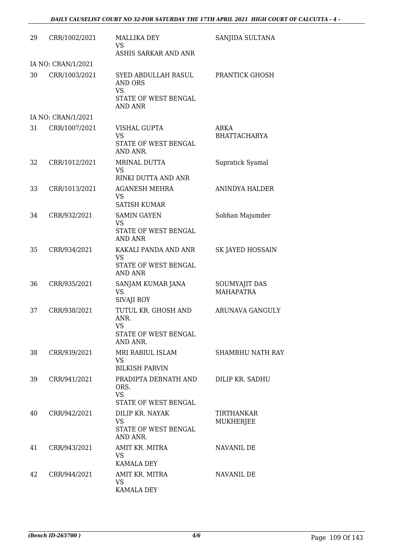| 29 | CRR/1002/2021      | <b>MALLIKA DEY</b><br>VS                                                                     | SANJIDA SULTANA                   |
|----|--------------------|----------------------------------------------------------------------------------------------|-----------------------------------|
|    |                    | ASHIS SARKAR AND ANR                                                                         |                                   |
|    | IA NO: CRAN/1/2021 |                                                                                              |                                   |
| 30 | CRR/1003/2021      | SYED ABDULLAH RASUL<br><b>AND ORS</b><br><b>VS</b><br>STATE OF WEST BENGAL<br><b>AND ANR</b> | PRANTICK GHOSH                    |
|    | IA NO: CRAN/1/2021 |                                                                                              |                                   |
| 31 | CRR/1007/2021      | <b>VISHAL GUPTA</b><br><b>VS</b><br>STATE OF WEST BENGAL<br>AND ANR.                         | ARKA<br><b>BHATTACHARYA</b>       |
| 32 | CRR/1012/2021      | MRINAL DUTTA<br>VS                                                                           | Supratick Syamal                  |
|    |                    | RINKI DUTTA AND ANR                                                                          |                                   |
| 33 | CRR/1013/2021      | <b>AGANESH MEHRA</b><br>VS<br><b>SATISH KUMAR</b>                                            | ANINDYA HALDER                    |
| 34 | CRR/932/2021       | <b>SAMIN GAYEN</b><br><b>VS</b><br>STATE OF WEST BENGAL<br><b>AND ANR</b>                    | Sobhan Majumder                   |
| 35 | CRR/934/2021       | KAKALI PANDA AND ANR<br><b>VS</b><br>STATE OF WEST BENGAL<br><b>AND ANR</b>                  | SK JAYED HOSSAIN                  |
| 36 | CRR/935/2021       | SANJAM KUMAR JANA<br>VS<br><b>SIVAJI ROY</b>                                                 | SOUMYAJIT DAS<br><b>MAHAPATRA</b> |
| 37 | CRR/938/2021       | TUTUL KR. GHOSH AND<br>ANR.<br><b>VS</b><br>STATE OF WEST BENGAL<br>AND ANR.                 | ARUNAVA GANGULY                   |
| 38 | CRR/939/2021       | MRI RABIUL ISLAM<br><b>VS</b><br><b>BILKISH PARVIN</b>                                       | <b>SHAMBHU NATH RAY</b>           |
| 39 | CRR/941/2021       | PRADIPTA DEBNATH AND<br>ORS.<br><b>VS</b><br>STATE OF WEST BENGAL                            | DILIP KR. SADHU                   |
| 40 | CRR/942/2021       | DILIP KR. NAYAK<br>VS<br>STATE OF WEST BENGAL<br>AND ANR.                                    | TIRTHANKAR<br>MUKHERJEE           |
| 41 | CRR/943/2021       | AMIT KR. MITRA<br><b>VS</b><br><b>KAMALA DEY</b>                                             | NAVANIL DE                        |
| 42 | CRR/944/2021       | AMIT KR. MITRA<br>VS.<br><b>KAMALA DEY</b>                                                   | NAVANIL DE                        |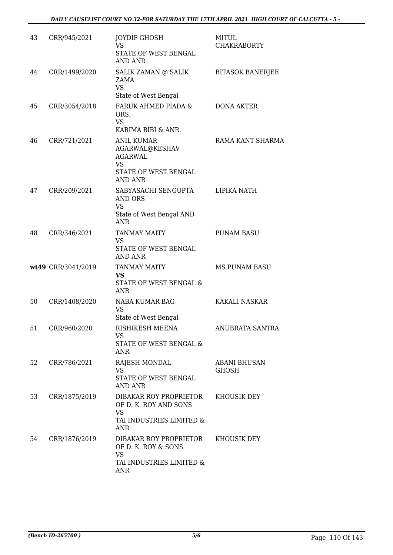| 43 | CRR/945/2021       | <b>JOYDIP GHOSH</b><br><b>VS</b><br>STATE OF WEST BENGAL<br><b>AND ANR</b>                             | <b>MITUL</b><br><b>CHAKRABORTY</b> |
|----|--------------------|--------------------------------------------------------------------------------------------------------|------------------------------------|
| 44 | CRR/1499/2020      | SALIK ZAMAN @ SALIK<br>ZAMA<br><b>VS</b><br>State of West Bengal                                       | <b>BITASOK BANERJEE</b>            |
| 45 | CRR/3054/2018      | FARUK AHMED PIADA &<br>ORS.<br><b>VS</b><br>KARIMA BIBI & ANR.                                         | <b>DONA AKTER</b>                  |
| 46 | CRR/721/2021       | <b>ANIL KUMAR</b><br>AGARWAL@KESHAV<br><b>AGARWAL</b><br><b>VS</b><br>STATE OF WEST BENGAL<br>AND ANR  | RAMA KANT SHARMA                   |
| 47 | CRR/209/2021       | SABYASACHI SENGUPTA<br>AND ORS<br><b>VS</b><br>State of West Bengal AND<br><b>ANR</b>                  | LIPIKA NATH                        |
| 48 | CRR/346/2021       | <b>TANMAY MAITY</b><br>VS<br>STATE OF WEST BENGAL<br><b>AND ANR</b>                                    | <b>PUNAM BASU</b>                  |
|    | wt49 CRR/3041/2019 | <b>TANMAY MAITY</b><br><b>VS</b><br>STATE OF WEST BENGAL &<br><b>ANR</b>                               | <b>MS PUNAM BASU</b>               |
| 50 | CRR/1408/2020      | NABA KUMAR BAG<br><b>VS</b><br>State of West Bengal                                                    | <b>KAKALI NASKAR</b>               |
| 51 | CRR/960/2020       | RISHIKESH MEENA<br>VS<br>STATE OF WEST BENGAL &<br>ANR                                                 | ANUBRATA SANTRA                    |
| 52 | CRR/786/2021       | RAJESH MONDAL<br><b>VS</b><br>STATE OF WEST BENGAL<br><b>AND ANR</b>                                   | <b>ABANI BHUSAN</b><br>GHOSH       |
| 53 | CRR/1875/2019      | DIBAKAR ROY PROPRIETOR<br>OF D. K. ROY AND SONS<br><b>VS</b><br>TAI INDUSTRIES LIMITED &<br><b>ANR</b> | KHOUSIK DEY                        |
| 54 | CRR/1876/2019      | DIBAKAR ROY PROPRIETOR<br>OF D. K. ROY & SONS<br><b>VS</b><br>TAI INDUSTRIES LIMITED &<br><b>ANR</b>   | KHOUSIK DEY                        |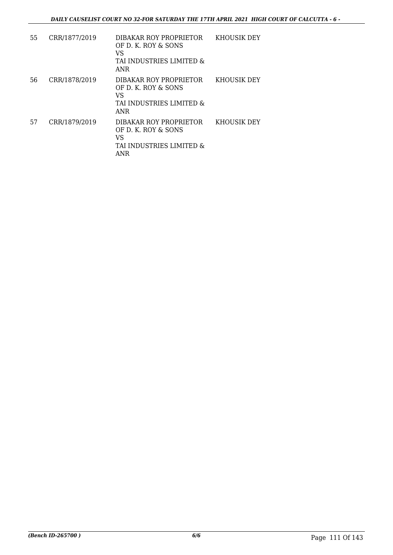| 55 | CRR/1877/2019 | DIBAKAR ROY PROPRIETOR<br>OF D. K. ROY & SONS<br>VS<br>TAI INDUSTRIES LIMITED &<br>ANR        | KHOUSIK DEY |
|----|---------------|-----------------------------------------------------------------------------------------------|-------------|
| 56 | CRR/1878/2019 | DIBAKAR ROY PROPRIETOR<br>OF D. K. ROY & SONS<br>VS<br>TAI INDUSTRIES LIMITED &<br><b>ANR</b> | KHOUSIK DEY |
| 57 | CRR/1879/2019 | DIBAKAR ROY PROPRIETOR<br>OF D. K. ROY & SONS<br>VS<br>TAI INDUSTRIES LIMITED &<br><b>ANR</b> | KHOUSIK DEY |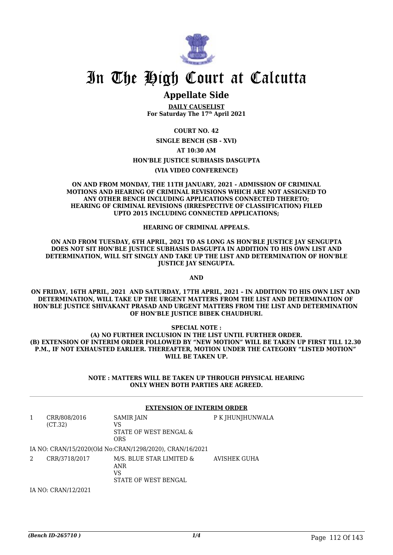

# **Appellate Side**

**DAILY CAUSELIST For Saturday The 17th April 2021**

**COURT NO. 42 SINGLE BENCH (SB - XVI) AT 10:30 AM HON'BLE JUSTICE SUBHASIS DASGUPTA (VIA VIDEO CONFERENCE)**

#### **ON AND FROM MONDAY, THE 11TH JANUARY, 2021 - ADMISSION OF CRIMINAL MOTIONS AND HEARING OF CRIMINAL REVISIONS WHICH ARE NOT ASSIGNED TO ANY OTHER BENCH INCLUDING APPLICATIONS CONNECTED THERETO; HEARING OF CRIMINAL REVISIONS (IRRESPECTIVE OF CLASSIFICATION) FILED UPTO 2015 INCLUDING CONNECTED APPLICATIONS;**

### **HEARING OF CRIMINAL APPEALS.**

**ON AND FROM TUESDAY, 6TH APRIL, 2021 TO AS LONG AS HON'BLE JUSTICE JAY SENGUPTA DOES NOT SIT HON'BLE JUSTICE SUBHASIS DASGUPTA IN ADDITION TO HIS OWN LIST AND DETERMINATION, WILL SIT SINGLY AND TAKE UP THE LIST AND DETERMINATION OF HON'BLE JUSTICE JAY SENGUPTA.**

**AND**

**ON FRIDAY, 16TH APRIL, 2021 AND SATURDAY, 17TH APRIL, 2021 – IN ADDITION TO HIS OWN LIST AND DETERMINATION, WILL TAKE UP THE URGENT MATTERS FROM THE LIST AND DETERMINATION OF HON'BLE JUSTICE SHIVAKANT PRASAD AND URGENT MATTERS FROM THE LIST AND DETERMINATION OF HON'BLE JUSTICE BIBEK CHAUDHURI.**

### **SPECIAL NOTE :**

**(A) NO FURTHER INCLUSION IN THE LIST UNTIL FURTHER ORDER. (B) EXTENSION OF INTERIM ORDER FOLLOWED BY "NEW MOTION" WILL BE TAKEN UP FIRST TILL 12.30 P.M., IF NOT EXHAUSTED EARLIER. THEREAFTER, MOTION UNDER THE CATEGORY "LISTED MOTION" WILL BE TAKEN UP.**

> **NOTE : MATTERS WILL BE TAKEN UP THROUGH PHYSICAL HEARING ONLY WHEN BOTH PARTIES ARE AGREED.**

|   |                         | <b>EXTENSION OF INTERIM ORDER</b>                                    |                  |  |
|---|-------------------------|----------------------------------------------------------------------|------------------|--|
| 1 | CRR/808/2016<br>(CT.32) | SAMIR JAIN<br>VS<br>STATE OF WEST BENGAL &<br><b>ORS</b>             | P K JHUNJHUNWALA |  |
|   |                         | IA NO: CRAN/15/2020(Old No:CRAN/1298/2020), CRAN/16/2021             |                  |  |
| 2 | CRR/3718/2017           | M/S. BLUE STAR LIMITED &<br><b>ANR</b><br>VS<br>STATE OF WEST BENGAL | AVISHEK GUHA     |  |

IA NO: CRAN/12/2021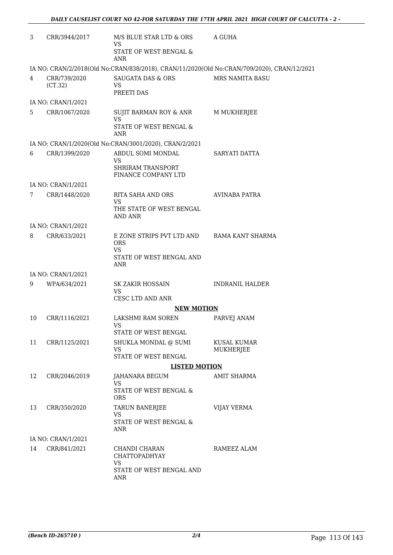| 3              | CRR/3944/2017           | M/S BLUE STAR LTD & ORS<br><b>VS</b>                                                              | A GUHA                                                                                     |
|----------------|-------------------------|---------------------------------------------------------------------------------------------------|--------------------------------------------------------------------------------------------|
|                |                         | STATE OF WEST BENGAL &<br><b>ANR</b>                                                              |                                                                                            |
|                |                         |                                                                                                   | IA NO: CRAN/2/2018(Old No:CRAN/838/2018), CRAN/11/2020(Old No:CRAN/709/2020), CRAN/12/2021 |
| 4              | CRR/739/2020<br>(CT.32) | <b>SAUGATA DAS &amp; ORS</b><br>VS.<br>PREETI DAS                                                 | MRS NAMITA BASU                                                                            |
|                | IA NO: CRAN/1/2021      |                                                                                                   |                                                                                            |
| 5.             | CRR/1067/2020           | SUJIT BARMAN ROY & ANR<br><b>VS</b>                                                               | M MUKHERJEE                                                                                |
|                |                         | STATE OF WEST BENGAL &<br><b>ANR</b>                                                              |                                                                                            |
|                |                         | IA NO: CRAN/1/2020(Old No:CRAN/3001/2020), CRAN/2/2021                                            |                                                                                            |
| 6              | CRR/1399/2020           | ABDUL SOMI MONDAL<br>VS                                                                           | SARYATI DATTA                                                                              |
|                |                         | <b>SHRIRAM TRANSPORT</b><br>FINANCE COMPANY LTD                                                   |                                                                                            |
|                | IA NO: CRAN/1/2021      |                                                                                                   |                                                                                            |
| $7\phantom{.}$ | CRR/1448/2020           | RITA SAHA AND ORS                                                                                 | <b>AVINABA PATRA</b>                                                                       |
|                |                         | <b>VS</b><br>THE STATE OF WEST BENGAL<br><b>AND ANR</b>                                           |                                                                                            |
|                | IA NO: CRAN/1/2021      |                                                                                                   |                                                                                            |
| 8              | CRR/633/2021            | E ZONE STRIPS PVT LTD AND RAMA KANT SHARMA<br><b>ORS</b><br><b>VS</b><br>STATE OF WEST BENGAL AND |                                                                                            |
|                |                         | ANR                                                                                               |                                                                                            |
|                | IA NO: CRAN/1/2021      |                                                                                                   |                                                                                            |
| 9              | WPA/634/2021            | SK ZAKIR HOSSAIN<br><b>VS</b><br>CESC LTD AND ANR                                                 | <b>INDRANIL HALDER</b>                                                                     |
|                |                         | <b>NEW MOTION</b>                                                                                 |                                                                                            |
| 10             | CRR/1116/2021           | LAKSHMI RAM SOREN<br>VS                                                                           | PARVEJ ANAM                                                                                |
|                |                         | STATE OF WEST BENGAL                                                                              |                                                                                            |
| 11             | CRR/1125/2021           | SHUKLA MONDAL @ SUMI<br>VS                                                                        | KUSAL KUMAR<br>MUKHERJEE                                                                   |
|                |                         | STATE OF WEST BENGAL                                                                              |                                                                                            |
|                |                         | <b>LISTED MOTION</b>                                                                              |                                                                                            |
| 12             | CRR/2046/2019           | JAHANARA BEGUM<br><b>VS</b>                                                                       | AMIT SHARMA                                                                                |
|                |                         | STATE OF WEST BENGAL &<br><b>ORS</b>                                                              |                                                                                            |
| 13             | CRR/350/2020            | TARUN BANERJEE<br><b>VS</b>                                                                       | <b>VIJAY VERMA</b>                                                                         |
|                |                         | STATE OF WEST BENGAL &<br>ANR                                                                     |                                                                                            |
|                | IA NO: CRAN/1/2021      |                                                                                                   |                                                                                            |
| 14             | CRR/841/2021            | CHANDI CHARAN<br><b>CHATTOPADHYAY</b>                                                             | RAMEEZ ALAM                                                                                |
|                |                         | <b>VS</b><br>STATE OF WEST BENGAL AND<br>ANR                                                      |                                                                                            |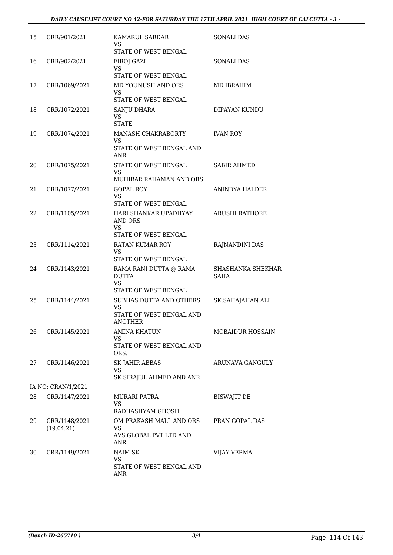| 15 | CRR/901/2021                | KAMARUL SARDAR<br>VS.<br>STATE OF WEST BENGAL                                      | <b>SONALI DAS</b>                |
|----|-----------------------------|------------------------------------------------------------------------------------|----------------------------------|
| 16 | CRR/902/2021                | FIROJ GAZI<br><b>VS</b><br>STATE OF WEST BENGAL                                    | SONALI DAS                       |
| 17 | CRR/1069/2021               | MD YOUNUSH AND ORS<br>VS.<br>STATE OF WEST BENGAL                                  | MD IBRAHIM                       |
| 18 | CRR/1072/2021               | <b>SANJU DHARA</b><br><b>VS</b><br><b>STATE</b>                                    | DIPAYAN KUNDU                    |
| 19 | CRR/1074/2021               | <b>MANASH CHAKRABORTY</b><br>VS<br>STATE OF WEST BENGAL AND<br><b>ANR</b>          | <b>IVAN ROY</b>                  |
| 20 | CRR/1075/2021               | <b>STATE OF WEST BENGAL</b><br><b>VS</b><br>MUHIBAR RAHAMAN AND ORS                | <b>SABIR AHMED</b>               |
| 21 | CRR/1077/2021               | <b>GOPAL ROY</b><br><b>VS</b><br>STATE OF WEST BENGAL                              | <b>ANINDYA HALDER</b>            |
| 22 | CRR/1105/2021               | HARI SHANKAR UPADHYAY<br><b>AND ORS</b><br><b>VS</b><br>STATE OF WEST BENGAL       | <b>ARUSHI RATHORE</b>            |
| 23 | CRR/1114/2021               | <b>RATAN KUMAR ROY</b><br>VS<br>STATE OF WEST BENGAL                               | RAJNANDINI DAS                   |
| 24 | CRR/1143/2021               | RAMA RANI DUTTA @ RAMA<br><b>DUTTA</b><br><b>VS</b><br><b>STATE OF WEST BENGAL</b> | SHASHANKA SHEKHAR<br><b>SAHA</b> |
| 25 | CRR/1144/2021               | SUBHAS DUTTA AND OTHERS<br><b>VS</b><br>STATE OF WEST BENGAL AND<br><b>ANOTHER</b> | SK.SAHAJAHAN ALI                 |
| 26 | CRR/1145/2021               | <b>AMINA KHATUN</b><br><b>VS</b><br>STATE OF WEST BENGAL AND<br>ORS.               | <b>MOBAIDUR HOSSAIN</b>          |
| 27 | CRR/1146/2021               | <b>SK JAHIR ABBAS</b><br><b>VS</b><br>SK SIRAJUL AHMED AND ANR                     | ARUNAVA GANGULY                  |
|    | IA NO: CRAN/1/2021          |                                                                                    |                                  |
| 28 | CRR/1147/2021               | MURARI PATRA<br>VS<br>RADHASHYAM GHOSH                                             | <b>BISWAJIT DE</b>               |
| 29 | CRR/1148/2021<br>(19.04.21) | OM PRAKASH MALL AND ORS<br><b>VS</b><br>AVS GLOBAL PVT LTD AND<br>ANR              | PRAN GOPAL DAS                   |
| 30 | CRR/1149/2021               | NAIM SK<br>VS.<br>STATE OF WEST BENGAL AND<br>$\operatorname{ANR}$                 | VIJAY VERMA                      |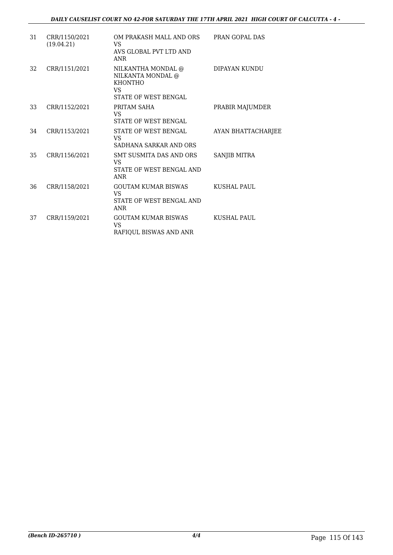| 31 | CRR/1150/2021<br>(19.04.21) | OM PRAKASH MALL AND ORS<br><b>VS</b><br>AVS GLOBAL PVT LTD AND<br><b>ANR</b>                    | PRAN GOPAL DAS            |
|----|-----------------------------|-------------------------------------------------------------------------------------------------|---------------------------|
| 32 | CRR/1151/2021               | NILKANTHA MONDAL @<br>NILKANTA MONDAL @<br><b>KHONTHO</b><br>VS.<br><b>STATE OF WEST BENGAL</b> | DIPAYAN KUNDU             |
| 33 | CRR/1152/2021               | PRITAM SAHA<br>VS<br>STATE OF WEST BENGAL                                                       | PRABIR MAJUMDER           |
| 34 | CRR/1153/2021               | <b>STATE OF WEST BENGAL</b><br>VS.<br>SADHANA SARKAR AND ORS                                    | <b>AYAN BHATTACHARJEE</b> |
| 35 | CRR/1156/2021               | <b>SMT SUSMITA DAS AND ORS</b><br>VS<br>STATE OF WEST BENGAL AND<br><b>ANR</b>                  | <b>SANJIB MITRA</b>       |
| 36 | CRR/1158/2021               | <b>GOUTAM KUMAR BISWAS</b><br>VS.<br>STATE OF WEST BENGAL AND<br><b>ANR</b>                     | KUSHAL PAUL               |
| 37 | CRR/1159/2021               | <b>GOUTAM KUMAR BISWAS</b><br>VS<br>RAFIQUL BISWAS AND ANR                                      | KUSHAL PAUL               |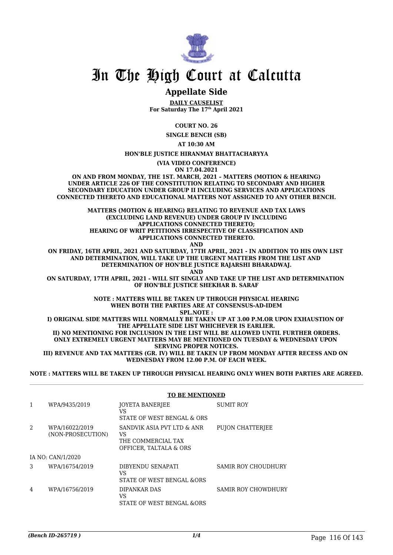

## **Appellate Side**

**DAILY CAUSELIST For Saturday The 17th April 2021**

**COURT NO. 26**

**SINGLE BENCH (SB)**

**AT 10:30 AM**

**HON'BLE JUSTICE HIRANMAY BHATTACHARYYA**

**(VIA VIDEO CONFERENCE) ON 17.04.2021**

**ON AND FROM MONDAY, THE 1ST. MARCH, 2021 – MATTERS (MOTION & HEARING) UNDER ARTICLE 226 OF THE CONSTITUTION RELATING TO SECONDARY AND HIGHER SECONDARY EDUCATION UNDER GROUP II INCLUDING SERVICES AND APPLICATIONS CONNECTED THERETO AND EDUCATIONAL MATTERS NOT ASSIGNED TO ANY OTHER BENCH.**

> **MATTERS (MOTION & HEARING) RELATING TO REVENUE AND TAX LAWS (EXCLUDING LAND REVENUE) UNDER GROUP IV INCLUDING APPLICATIONS CONNECTED THERETO; HEARING OF WRIT PETITIONS IRRESPECTIVE OF CLASSIFICATION AND APPLICATIONS CONNECTED THERETO.**

**AND**

**ON FRIDAY, 16TH APRIL, 2021 AND SATURDAY, 17TH APRIL, 2021 - IN ADDITION TO HIS OWN LIST AND DETERMINATION, WILL TAKE UP THE URGENT MATTERS FROM THE LIST AND DETERMINATION OF HON'BLE JUSTICE RAJARSHI BHARADWAJ. AND**

**ON SATURDAY, 17TH APRIL, 2021 - WILL SIT SINGLY AND TAKE UP THE LIST AND DETERMINATION OF HON'BLE JUSTICE SHEKHAR B. SARAF**

> **NOTE : MATTERS WILL BE TAKEN UP THROUGH PHYSICAL HEARING WHEN BOTH THE PARTIES ARE AT CONSENSUS-AD-IDEM**

**SPL.NOTE :**

**I) ORIGINAL SIDE MATTERS WILL NORMALLY BE TAKEN UP AT 3.00 P.M.OR UPON EXHAUSTION OF THE APPELLATE SIDE LIST WHICHEVER IS EARLIER. II) NO MENTIONING FOR INCLUSION IN THE LIST WILL BE ALLOWED UNTIL FURTHER ORDERS. ONLY EXTREMELY URGENT MATTERS MAY BE MENTIONED ON TUESDAY & WEDNESDAY UPON SERVING PROPER NOTICES. III) REVENUE AND TAX MATTERS (GR. IV) WILL BE TAKEN UP FROM MONDAY AFTER RECESS AND ON** 

**WEDNESDAY FROM 12.00 P.M. OF EACH WEEK.**

**NOTE : MATTERS WILL BE TAKEN UP THROUGH PHYSICAL HEARING ONLY WHEN BOTH PARTIES ARE AGREED.**

|   |                                     | <b>TO BE MENTIONED</b>                                                           |                            |  |
|---|-------------------------------------|----------------------------------------------------------------------------------|----------------------------|--|
| 1 | WPA/9435/2019                       | JOYETA BANERJEE<br>VS<br>STATE OF WEST BENGAL & ORS                              | <b>SUMIT ROY</b>           |  |
| 2 | WPA/16022/2019<br>(NON-PROSECUTION) | SANDVIK ASIA PVT LTD & ANR<br>VS<br>THE COMMERCIAL TAX<br>OFFICER, TALTALA & ORS | <b>PUJON CHATTERJEE</b>    |  |
|   | IA NO: CAN/1/2020                   |                                                                                  |                            |  |
| 3 | WPA/16754/2019                      | DIBYENDU SENAPATI<br>VS.<br>STATE OF WEST BENGAL & ORS                           | <b>SAMIR ROY CHOUDHURY</b> |  |
| 4 | WPA/16756/2019                      | DIPANKAR DAS<br>VS<br>STATE OF WEST BENGAL &ORS                                  | <b>SAMIR ROY CHOWDHURY</b> |  |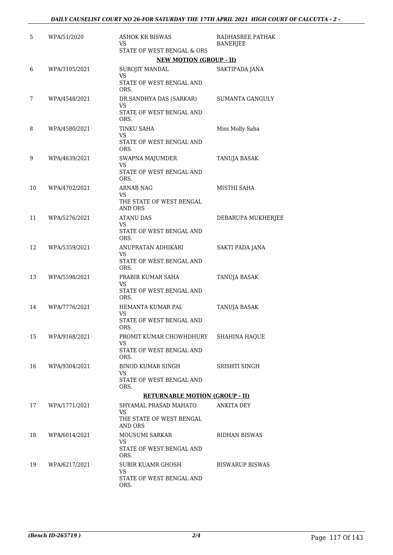| 5  | WPA/51/2020   | <b>ASHOK KR BISWAS</b><br>VS                     | RADHASREE PATHAK<br><b>BANERJEE</b> |
|----|---------------|--------------------------------------------------|-------------------------------------|
|    |               | STATE OF WEST BENGAL & ORS                       |                                     |
|    |               | <b>NEW MOTION (GROUP - II)</b>                   |                                     |
| 6  | WPA/3105/2021 | SUROJIT MANDAL<br>VS<br>STATE OF WEST BENGAL AND | SAKTIPADA JANA                      |
|    |               | ORS.                                             |                                     |
| 7  | WPA/4548/2021 | DR.SANDHYA DAS (SARKAR)<br>VS                    | <b>SUMANTA GANGULY</b>              |
|    |               | STATE OF WEST BENGAL AND<br>ORS.                 |                                     |
| 8  | WPA/4580/2021 | <b>TINKU SAHA</b><br>VS                          | Miss Molly Saha                     |
|    |               | STATE OF WEST BENGAL AND<br>ORS.                 |                                     |
| 9  | WPA/4639/2021 | SWAPNA MAJUMDER<br>VS                            | TANUJA BASAK                        |
|    |               | STATE OF WEST BENGAL AND<br>ORS.                 |                                     |
| 10 | WPA/4702/2021 | <b>ARNAB NAG</b><br>VS                           | MISTHI SAHA                         |
|    |               | THE STATE OF WEST BENGAL<br>AND ORS              |                                     |
| 11 | WPA/5276/2021 | <b>ATANU DAS</b><br>VS                           | DEBARUPA MUKHERJEE                  |
|    |               | STATE OF WEST BENGAL AND<br>ORS.                 |                                     |
| 12 | WPA/5359/2021 | ANUPRATAN ADHIKARI<br>VS.                        | SAKTI PADA JANA                     |
|    |               | STATE OF WEST BENGAL AND<br>ORS.                 |                                     |
| 13 | WPA/5598/2021 | PRABIR KUMAR SAHA                                | TANUJA BASAK                        |
|    |               | VS<br>STATE OF WEST BENGAL AND<br>ORS.           |                                     |
| 14 | WPA/7776/2021 | HEMANTA KUMAR PAL                                | TANUJA BASAK                        |
|    |               | VS<br>STATE OF WEST BENGAL AND<br>ORS.           |                                     |
| 15 | WPA/9168/2021 | PROMIT KUMAR CHOWHDHURY SHAHINA HAQUE<br>VS.     |                                     |
|    |               | STATE OF WEST BENGAL AND<br>ORS.                 |                                     |
| 16 | WPA/9304/2021 | BINOD KUMAR SINGH<br>VS.                         | SRISHTI SINGH                       |
|    |               | STATE OF WEST BENGAL AND<br>ORS.                 |                                     |
|    |               | <b>RETURNABLE MOTION (GROUP - II)</b>            |                                     |
| 17 | WPA/1771/2021 | SHYAMAL PRASAD MAHATO<br>VS.                     | ANKITA DEY                          |
|    |               | THE STATE OF WEST BENGAL<br>AND ORS              |                                     |
| 18 | WPA/6014/2021 | MOUSUMI SARKAR                                   | <b>BIDHAN BISWAS</b>                |
|    |               | VS.<br>STATE OF WEST BENGAL AND<br>ORS.          |                                     |
| 19 | WPA/6217/2021 | SUBIR KUAMR GHOSH                                | <b>BISWARUP BISWAS</b>              |
|    |               | VS<br>STATE OF WEST BENGAL AND<br>ORS.           |                                     |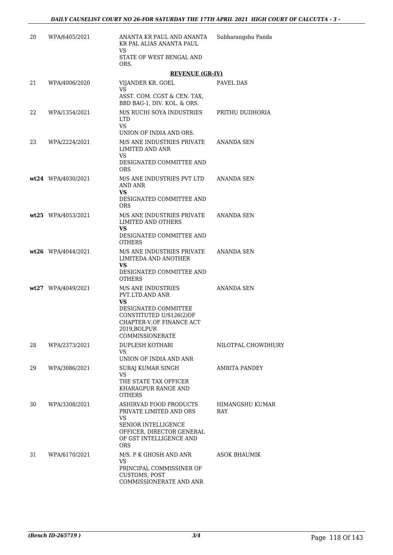| 20  | WPA/6405/2021        | ANANTA KR PAUL AND ANANTA<br>KR PAL ALIAS ANANTA PAUL                                                                                                                                | Subharangshu Panda     |
|-----|----------------------|--------------------------------------------------------------------------------------------------------------------------------------------------------------------------------------|------------------------|
|     |                      | VS.<br>STATE OF WEST BENGAL AND<br>ORS.                                                                                                                                              |                        |
|     |                      | <b>REVENUE (GR-IV)</b>                                                                                                                                                               |                        |
| 21  | WPA/4006/2020        | VIJANDER KR. GOEL<br>VS.                                                                                                                                                             | PAVEL DAS              |
|     |                      | ASST. COM. CGST & CEN. TAX,<br>BBD BAG-1, DIV. KOL. & ORS.                                                                                                                           |                        |
| 22. | WPA/1354/2021        | M/S RUCHI SOYA INDUSTRIES<br><b>LTD</b><br><b>VS</b>                                                                                                                                 | PRITHU DUDHORIA        |
|     |                      | UNION OF INDIA AND ORS.                                                                                                                                                              |                        |
| 23  | WPA/2224/2021        | M/S ANE INDUSTRIES PRIVATE<br>LIMITED AND ANR<br>VS.                                                                                                                                 | ANANDA SEN             |
|     |                      | DESIGNATED COMMITTEE AND<br><b>ORS</b>                                                                                                                                               |                        |
|     | wt24 WPA/4030/2021   | M/S ANE INDUSTRIES PVT LTD<br>AND ANR<br><b>VS</b>                                                                                                                                   | ANANDA SEN             |
|     |                      | DESIGNATED COMMITTEE AND<br><b>ORS</b>                                                                                                                                               |                        |
|     | wt25 WPA/4053/2021   | M/S ANE INDUSTRIES PRIVATE<br>LIMITED AND OTHERS                                                                                                                                     | ANANDA SEN             |
|     |                      | VS.<br>DESIGNATED COMMITTEE AND<br><b>OTHERS</b>                                                                                                                                     |                        |
|     | $wt26$ WPA/4044/2021 | M/S ANE INDUSTRIES PRIVATE<br>LIMITEDA AND ANOTHER<br>VS.<br>DESIGNATED COMMITTEE AND<br><b>OTHERS</b>                                                                               | ANANDA SEN             |
|     | wt27 WPA/4049/2021   | M/S ANE INDUSTRIES<br>PVT.LTD.AND ANR<br><b>VS</b><br>DESIGNATED COMMITTEE<br>CONSTITUTED U/S126(2)OF<br>CHAPTER-V, OF FINANCE ACT<br>2019, BOLPUR<br>COMMISSIONERATE                | <b>ANANDA SEN</b>      |
| 28  | WPA/2373/2021        | DUPLESH KOTHARI<br>VS.                                                                                                                                                               | NILOTPAL CHOWDHURY     |
| 29. | WPA/3086/2021        | UNION OF INDIA AND ANR<br>SURAJ KUMAR SINGH<br>VS.<br>THE STATE TAX OFFICER<br>KHARAGPUR RANGE AND                                                                                   | AMRITA PANDEY          |
| 30  | WPA/3308/2021        | <b>OTHERS</b><br><b>ASHIRVAD FOOD PRODUCTS</b><br>PRIVATE LIMITED AND ORS<br>VS.<br><b>SENIOR INTELLIGENCE</b><br>OFFICER, DIRECTOR GENERAL<br>OF GST INTELLIGENCE AND<br><b>ORS</b> | HIMANGSHU KUMAR<br>RAY |
| 31  | WPA/6170/2021        | M/S. P K GHOSH AND ANR<br>VS.<br>PRINCIPAL COMMISSINER OF<br>CUSTOMS, POST<br>COMMISSIONERATE AND ANR                                                                                | ASOK BHAUMIK           |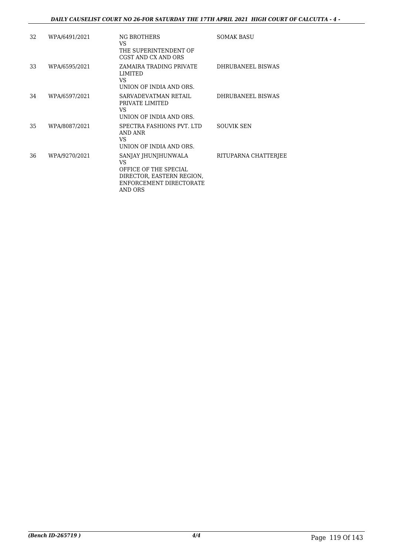| 32 | WPA/6491/2021 | NG BROTHERS<br>VS.<br>THE SUPERINTENDENT OF<br>CGST AND CX AND ORS                                                     | <b>SOMAK BASU</b>    |
|----|---------------|------------------------------------------------------------------------------------------------------------------------|----------------------|
| 33 | WPA/6595/2021 | ZAMAIRA TRADING PRIVATE<br>LIMITED<br>VS.<br>UNION OF INDIA AND ORS.                                                   | DHRUBANEEL BISWAS    |
| 34 | WPA/6597/2021 | SARVADEVATMAN RETAIL<br>PRIVATE LIMITED<br>VS.<br>UNION OF INDIA AND ORS.                                              | DHRUBANEEL BISWAS    |
| 35 | WPA/8087/2021 | SPECTRA FASHIONS PVT. LTD<br>AND ANR<br>VS.<br>UNION OF INDIA AND ORS.                                                 | <b>SOUVIK SEN</b>    |
| 36 | WPA/9270/2021 | SANJAY JHUNJHUNWALA<br>VS.<br>OFFICE OF THE SPECIAL<br>DIRECTOR, EASTERN REGION,<br>ENFORCEMENT DIRECTORATE<br>AND ORS | RITUPARNA CHATTERJEE |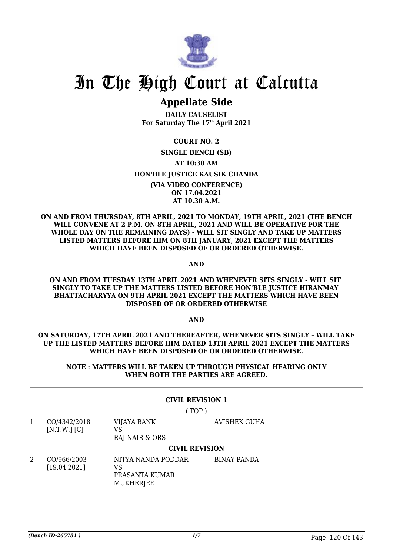

# **Appellate Side**

**DAILY CAUSELIST For Saturday The 17th April 2021**

**COURT NO. 2 SINGLE BENCH (SB) AT 10:30 AM HON'BLE JUSTICE KAUSIK CHANDA (VIA VIDEO CONFERENCE) ON 17.04.2021 AT 10.30 A.M.**

**ON AND FROM THURSDAY, 8TH APRIL, 2021 TO MONDAY, 19TH APRIL, 2021 (THE BENCH WILL CONVENE AT 2 P.M. ON 8TH APRIL, 2021 AND WILL BE OPERATIVE FOR THE WHOLE DAY ON THE REMAINING DAYS) - WILL SIT SINGLY AND TAKE UP MATTERS LISTED MATTERS BEFORE HIM ON 8TH JANUARY, 2021 EXCEPT THE MATTERS WHICH HAVE BEEN DISPOSED OF OR ORDERED OTHERWISE.**

**AND**

**ON AND FROM TUESDAY 13TH APRIL 2021 AND WHENEVER SITS SINGLY - WILL SIT SINGLY TO TAKE UP THE MATTERS LISTED BEFORE HON'BLE JUSTICE HIRANMAY BHATTACHARYYA ON 9TH APRIL 2021 EXCEPT THE MATTERS WHICH HAVE BEEN DISPOSED OF OR ORDERED OTHERWISE**

**AND**

**ON SATURDAY, 17TH APRIL 2021 AND THEREAFTER, WHENEVER SITS SINGLY – WILL TAKE UP THE LISTED MATTERS BEFORE HIM DATED 13TH APRIL 2021 EXCEPT THE MATTERS WHICH HAVE BEEN DISPOSED OF OR ORDERED OTHERWISE.**

**NOTE : MATTERS WILL BE TAKEN UP THROUGH PHYSICAL HEARING ONLY WHEN BOTH THE PARTIES ARE AGREED.**

## **CIVIL REVISION 1**

( TOP )

1 CO/4342/2018  $[N.T.W.]$  $[Cl]$ VIJAYA BANK VS RAJ NAIR & ORS

AVISHEK GUHA

## **CIVIL REVISION**

2 CO/966/2003 [19.04.2021] NITYA NANDA PODDAR  $V<sub>S</sub>$ PRASANTA KUMAR **MUKHERIEE** BINAY PANDA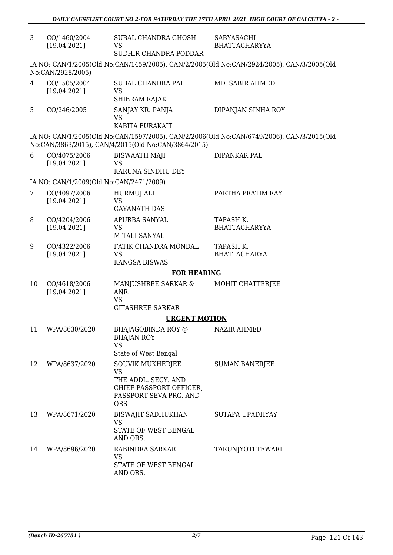| 3  | CO/1460/2004<br>[19.04.2021]            | SUBAL CHANDRA GHOSH<br>VS<br>SUDHIR CHANDRA PODDAR  | SABYASACHI<br><b>BHATTACHARYYA</b>                                                        |
|----|-----------------------------------------|-----------------------------------------------------|-------------------------------------------------------------------------------------------|
|    |                                         |                                                     |                                                                                           |
|    | No:CAN/2928/2005)                       |                                                     | IA NO: CAN/1/2005(Old No:CAN/1459/2005), CAN/2/2005(Old No:CAN/2924/2005), CAN/3/2005(Old |
| 4  | CO/1505/2004                            | SUBAL CHANDRA PAL                                   | MD. SABIR AHMED                                                                           |
|    | [19.04.2021]                            | <b>VS</b><br>SHIBRAM RAJAK                          |                                                                                           |
|    |                                         |                                                     |                                                                                           |
| 5  | CO/246/2005                             | SANJAY KR. PANJA<br><b>VS</b>                       | DIPANJAN SINHA ROY                                                                        |
|    |                                         | KABITA PURAKAIT                                     |                                                                                           |
|    |                                         | No:CAN/3863/2015), CAN/4/2015(Old No:CAN/3864/2015) | IA NO: CAN/1/2005(Old No:CAN/1597/2005), CAN/2/2006(Old No:CAN/6749/2006), CAN/3/2015(Old |
| 6  | CO/4075/2006                            | <b>BISWAATH MAJI</b>                                | DIPANKAR PAL                                                                              |
|    | [19.04.2021]                            | <b>VS</b>                                           |                                                                                           |
|    |                                         | KARUNA SINDHU DEY                                   |                                                                                           |
|    | IA NO: CAN/1/2009(Old No:CAN/2471/2009) |                                                     |                                                                                           |
| 7  | CO/4097/2006                            | HURMUJ ALI                                          | PARTHA PRATIM RAY                                                                         |
|    | [19.04.2021]                            | <b>VS</b><br><b>GAYANATH DAS</b>                    |                                                                                           |
| 8  | CO/4204/2006                            | APURBA SANYAL                                       | TAPASH K.                                                                                 |
|    | [19.04.2021]                            | <b>VS</b>                                           | <b>BHATTACHARYYA</b>                                                                      |
|    |                                         | MITALI SANYAL                                       |                                                                                           |
| 9  | CO/4322/2006                            | FATIK CHANDRA MONDAL                                | TAPASH K.                                                                                 |
|    | [19.04.2021]                            | <b>VS</b><br><b>KANGSA BISWAS</b>                   | <b>BHATTACHARYA</b>                                                                       |
|    |                                         |                                                     |                                                                                           |
|    |                                         | <b>FOR HEARING</b>                                  |                                                                                           |
| 10 | CO/4618/2006<br>[19.04.2021]            | MANJUSHREE SARKAR &<br>ANR.                         | MOHIT CHATTERJEE                                                                          |
|    |                                         | <b>VS</b>                                           |                                                                                           |
|    |                                         | <b>GITASHREE SARKAR</b>                             |                                                                                           |
|    |                                         | <b>URGENT MOTION</b>                                |                                                                                           |
| 11 | WPA/8630/2020                           | BHAJAGOBINDA ROY @                                  | <b>NAZIR AHMED</b>                                                                        |
|    |                                         | <b>BHAJAN ROY</b><br><b>VS</b>                      |                                                                                           |
|    |                                         | State of West Bengal                                |                                                                                           |
| 12 | WPA/8637/2020                           | <b>SOUVIK MUKHERJEE</b>                             | <b>SUMAN BANERJEE</b>                                                                     |
|    |                                         | <b>VS</b>                                           |                                                                                           |
|    |                                         | THE ADDL. SECY. AND<br>CHIEF PASSPORT OFFICER,      |                                                                                           |
|    |                                         | PASSPORT SEVA PRG. AND                              |                                                                                           |
|    |                                         | <b>ORS</b>                                          |                                                                                           |
| 13 | WPA/8671/2020                           | <b>BISWAJIT SADHUKHAN</b>                           | SUTAPA UPADHYAY                                                                           |
|    |                                         | <b>VS</b>                                           |                                                                                           |
|    |                                         | STATE OF WEST BENGAL<br>AND ORS.                    |                                                                                           |
| 14 | WPA/8696/2020                           | RABINDRA SARKAR                                     | TARUNJYOTI TEWARI                                                                         |
|    |                                         | VS                                                  |                                                                                           |
|    |                                         | STATE OF WEST BENGAL                                |                                                                                           |
|    |                                         | AND ORS.                                            |                                                                                           |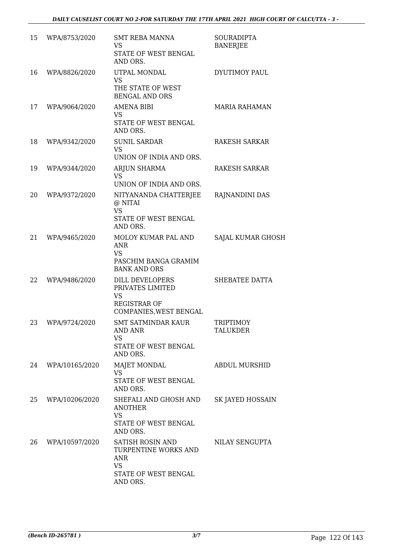| 15 | WPA/8753/2020  | <b>SMT REBA MANNA</b><br>VS<br>STATE OF WEST BENGAL<br>AND ORS.                                                | <b>SOURADIPTA</b><br><b>BANERJEE</b> |
|----|----------------|----------------------------------------------------------------------------------------------------------------|--------------------------------------|
| 16 | WPA/8826/2020  | UTPAL MONDAL<br><b>VS</b><br>THE STATE OF WEST<br><b>BENGAL AND ORS</b>                                        | DYUTIMOY PAUL                        |
| 17 | WPA/9064/2020  | AMENA BIBI<br><b>VS</b><br>STATE OF WEST BENGAL<br>AND ORS.                                                    | <b>MARIA RAHAMAN</b>                 |
| 18 | WPA/9342/2020  | <b>SUNIL SARDAR</b><br><b>VS</b><br>UNION OF INDIA AND ORS.                                                    | <b>RAKESH SARKAR</b>                 |
| 19 | WPA/9344/2020  | <b>ARJUN SHARMA</b><br><b>VS</b><br>UNION OF INDIA AND ORS.                                                    | RAKESH SARKAR                        |
| 20 | WPA/9372/2020  | NITYANANDA CHATTERJEE<br>@ NITAI<br><b>VS</b><br>STATE OF WEST BENGAL<br>AND ORS.                              | RAJNANDINI DAS                       |
| 21 | WPA/9465/2020  | MOLOY KUMAR PAL AND<br><b>ANR</b><br><b>VS</b><br>PASCHIM BANGA GRAMIM<br><b>BANK AND ORS</b>                  | SAJAL KUMAR GHOSH                    |
| 22 | WPA/9486/2020  | <b>DILL DEVELOPERS</b><br>PRIVATES LIMITED<br><b>VS</b><br><b>REGISTRAR OF</b><br>COMPANIES, WEST BENGAL       | SHEBATEE DATTA                       |
| 23 | WPA/9724/2020  | <b>SMT SATMINDAR KAUR</b><br><b>AND ANR</b><br><b>VS</b><br>STATE OF WEST BENGAL<br>AND ORS.                   | <b>TRIPTIMOY</b><br><b>TALUKDER</b>  |
| 24 | WPA/10165/2020 | <b>MAJET MONDAL</b><br><b>VS</b><br>STATE OF WEST BENGAL<br>AND ORS.                                           | <b>ABDUL MURSHID</b>                 |
| 25 | WPA/10206/2020 | SHEFALI AND GHOSH AND<br><b>ANOTHER</b><br><b>VS</b><br>STATE OF WEST BENGAL<br>AND ORS.                       | SK JAYED HOSSAIN                     |
| 26 | WPA/10597/2020 | <b>SATISH ROSIN AND</b><br>TURPENTINE WORKS AND<br><b>ANR</b><br><b>VS</b><br>STATE OF WEST BENGAL<br>AND ORS. | NILAY SENGUPTA                       |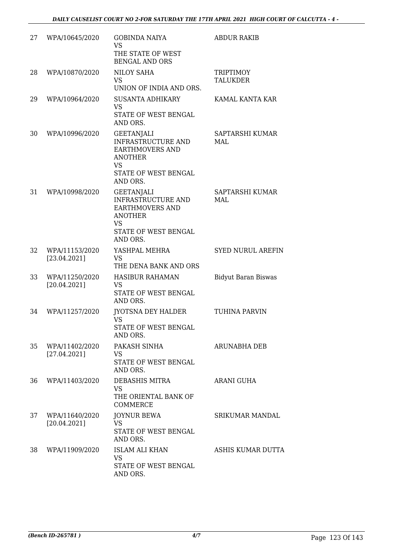| 27 | WPA/10645/2020                 | <b>GOBINDA NAIYA</b><br><b>VS</b><br>THE STATE OF WEST<br><b>BENGAL AND ORS</b>                                                             | <b>ABDUR RAKIB</b>                  |
|----|--------------------------------|---------------------------------------------------------------------------------------------------------------------------------------------|-------------------------------------|
| 28 | WPA/10870/2020                 | <b>NILOY SAHA</b><br><b>VS</b><br>UNION OF INDIA AND ORS.                                                                                   | <b>TRIPTIMOY</b><br><b>TALUKDER</b> |
| 29 | WPA/10964/2020                 | <b>SUSANTA ADHIKARY</b><br><b>VS</b><br>STATE OF WEST BENGAL<br>AND ORS.                                                                    | KAMAL KANTA KAR                     |
| 30 | WPA/10996/2020                 | <b>GEETANJALI</b><br>INFRASTRUCTURE AND<br><b>EARTHMOVERS AND</b><br><b>ANOTHER</b><br><b>VS</b><br>STATE OF WEST BENGAL<br>AND ORS.        | SAPTARSHI KUMAR<br>MAL              |
| 31 | WPA/10998/2020                 | <b>GEETANJALI</b><br><b>INFRASTRUCTURE AND</b><br><b>EARTHMOVERS AND</b><br><b>ANOTHER</b><br><b>VS</b><br>STATE OF WEST BENGAL<br>AND ORS. | SAPTARSHI KUMAR<br>MAL              |
| 32 | WPA/11153/2020<br>[23.04.2021] | YASHPAL MEHRA<br><b>VS</b><br>THE DENA BANK AND ORS                                                                                         | <b>SYED NURUL AREFIN</b>            |
| 33 | WPA/11250/2020<br>[20.04.2021] | <b>HASIBUR RAHAMAN</b><br><b>VS</b><br>STATE OF WEST BENGAL<br>AND ORS.                                                                     | <b>Bidyut Baran Biswas</b>          |
| 34 | WPA/11257/2020                 | <b>IYOTSNA DEY HALDER</b><br>VS<br>STATE OF WEST BENGAL<br>AND ORS.                                                                         | <b>TUHINA PARVIN</b>                |
| 35 | WPA/11402/2020<br>[27.04.2021] | PAKASH SINHA<br><b>VS</b><br>STATE OF WEST BENGAL<br>AND ORS.                                                                               | <b>ARUNABHA DEB</b>                 |
| 36 | WPA/11403/2020                 | DEBASHIS MITRA<br><b>VS</b><br>THE ORIENTAL BANK OF<br><b>COMMERCE</b>                                                                      | ARANI GUHA                          |
| 37 | WPA/11640/2020<br>[20.04.2021] | <b>JOYNUR BEWA</b><br><b>VS</b><br>STATE OF WEST BENGAL<br>AND ORS.                                                                         | <b>SRIKUMAR MANDAL</b>              |
| 38 | WPA/11909/2020                 | ISLAM ALI KHAN<br><b>VS</b><br>STATE OF WEST BENGAL<br>AND ORS.                                                                             | ASHIS KUMAR DUTTA                   |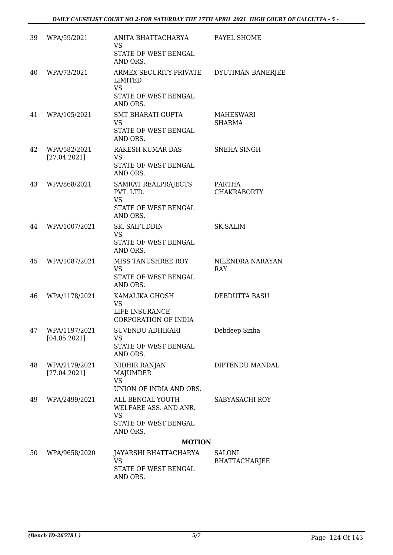| 39 | WPA/59/2021                   | ANITA BHATTACHARYA<br><b>VS</b><br>STATE OF WEST BENGAL<br>AND ORS.                        | PAYEL SHOME                           |
|----|-------------------------------|--------------------------------------------------------------------------------------------|---------------------------------------|
| 40 | WPA/73/2021                   | ARMEX SECURITY PRIVATE<br><b>LIMITED</b><br><b>VS</b><br>STATE OF WEST BENGAL<br>AND ORS.  | DYUTIMAN BANERJEE                     |
| 41 | WPA/105/2021                  | <b>SMT BHARATI GUPTA</b><br><b>VS</b><br>STATE OF WEST BENGAL<br>AND ORS.                  | <b>MAHESWARI</b><br><b>SHARMA</b>     |
| 42 | WPA/582/2021<br>[27.04.2021]  | RAKESH KUMAR DAS<br><b>VS</b><br><b>STATE OF WEST BENGAL</b><br>AND ORS.                   | <b>SNEHA SINGH</b>                    |
| 43 | WPA/868/2021                  | SAMRAT REALPRAJECTS<br>PVT. LTD.<br><b>VS</b><br>STATE OF WEST BENGAL<br>AND ORS.          | PARTHA<br><b>CHAKRABORTY</b>          |
| 44 | WPA/1007/2021                 | SK. SAIFUDDIN<br><b>VS</b><br>STATE OF WEST BENGAL<br>AND ORS.                             | <b>SK.SALIM</b>                       |
| 45 | WPA/1087/2021                 | MISS TANUSHREE ROY<br><b>VS</b><br>STATE OF WEST BENGAL<br>AND ORS.                        | NILENDRA NARAYAN<br>RAY               |
| 46 | WPA/1178/2021                 | KAMALIKA GHOSH<br><b>VS</b><br>LIFE INSURANCE<br><b>CORPORATION OF INDIA</b>               | DEBDUTTA BASU                         |
| 47 | WPA/1197/2021<br>[04.05.2021] | SUVENDU ADHIKARI<br><b>VS</b><br>STATE OF WEST BENGAL<br>AND ORS.                          | Debdeep Sinha                         |
| 48 | WPA/2179/2021<br>[27.04.2021] | NIDHIR RANJAN<br><b>MAJUMDER</b><br><b>VS</b><br>UNION OF INDIA AND ORS.                   | DIPTENDU MANDAL                       |
| 49 | WPA/2499/2021                 | ALL BENGAL YOUTH<br>WELFARE ASS. AND ANR.<br><b>VS</b><br>STATE OF WEST BENGAL<br>AND ORS. | SABYASACHI ROY                        |
|    |                               | <b>MOTION</b>                                                                              |                                       |
| 50 | WPA/9658/2020                 | JAYARSHI BHATTACHARYA<br><b>VS</b><br>STATE OF WEST BENGAL<br>AND ORS.                     | <b>SALONI</b><br><b>BHATTACHARJEE</b> |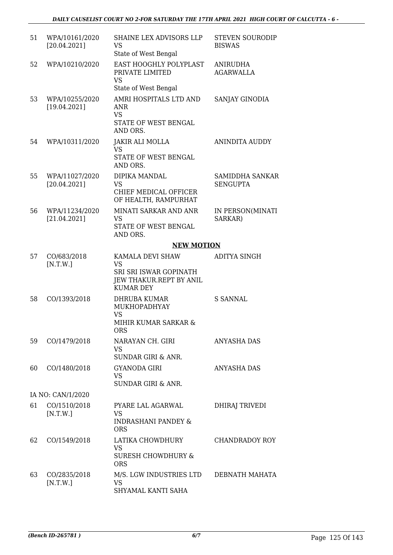| 51 | WPA/10161/2020<br>[20.04.2021] | SHAINE LEX ADVISORS LLP<br><b>VS</b><br>State of West Bengal                                           | <b>STEVEN SOURODIP</b><br><b>BISWAS</b>   |
|----|--------------------------------|--------------------------------------------------------------------------------------------------------|-------------------------------------------|
| 52 | WPA/10210/2020                 | EAST HOOGHLY POLYPLAST<br>PRIVATE LIMITED<br><b>VS</b><br>State of West Bengal                         | <b>ANIRUDHA</b><br><b>AGARWALLA</b>       |
| 53 | WPA/10255/2020<br>[19.04.2021] | AMRI HOSPITALS LTD AND<br><b>ANR</b><br><b>VS</b><br>STATE OF WEST BENGAL                              | SANJAY GINODIA                            |
|    |                                | AND ORS.                                                                                               |                                           |
| 54 | WPA/10311/2020                 | JAKIR ALI MOLLA<br>VS<br>STATE OF WEST BENGAL<br>AND ORS.                                              | <b>ANINDITA AUDDY</b>                     |
| 55 | WPA/11027/2020<br>[20.04.2021] | DIPIKA MANDAL<br><b>VS</b><br>CHIEF MEDICAL OFFICER                                                    | <b>SAMIDDHA SANKAR</b><br><b>SENGUPTA</b> |
|    |                                | OF HEALTH, RAMPURHAT                                                                                   |                                           |
| 56 | WPA/11234/2020<br>[21.04.2021] | MINATI SARKAR AND ANR<br><b>VS</b><br>STATE OF WEST BENGAL<br>AND ORS.                                 | IN PERSON(MINATI<br>SARKAR)               |
|    |                                | <b>NEW MOTION</b>                                                                                      |                                           |
| 57 | CO/683/2018<br>[N.T.W.]        | KAMALA DEVI SHAW<br><b>VS</b><br>SRI SRI ISWAR GOPINATH<br>JEW THAKUR.REPT BY ANIL<br><b>KUMAR DEY</b> | <b>ADITYA SINGH</b>                       |
| 58 | CO/1393/2018                   | <b>DHRUBA KUMAR</b><br><b>MUKHOPADHYAY</b><br><b>VS</b><br>MIHIR KUMAR SARKAR &<br><b>ORS</b>          | S SANNAL                                  |
| 59 | CO/1479/2018                   | NARAYAN CH. GIRI<br><b>VS</b><br>SUNDAR GIRI & ANR.                                                    | <b>ANYASHA DAS</b>                        |
| 60 | CO/1480/2018                   | <b>GYANODA GIRI</b><br>VS<br>SUNDAR GIRI & ANR.                                                        | ANYASHA DAS                               |
|    | IA NO: CAN/1/2020              |                                                                                                        |                                           |
| 61 | CO/1510/2018<br>[N.T.W.]       | PYARE LAL AGARWAL<br>VS<br>INDRASHANI PANDEY &<br><b>ORS</b>                                           | <b>DHIRAJ TRIVEDI</b>                     |
| 62 | CO/1549/2018                   | LATIKA CHOWDHURY<br><b>VS</b><br><b>SURESH CHOWDHURY &amp;</b><br><b>ORS</b>                           | <b>CHANDRADOY ROY</b>                     |
| 63 | CO/2835/2018<br>[N.T.W.]       | M/S. LGW INDUSTRIES LTD<br>VS<br>SHYAMAL KANTI SAHA                                                    | DEBNATH MAHATA                            |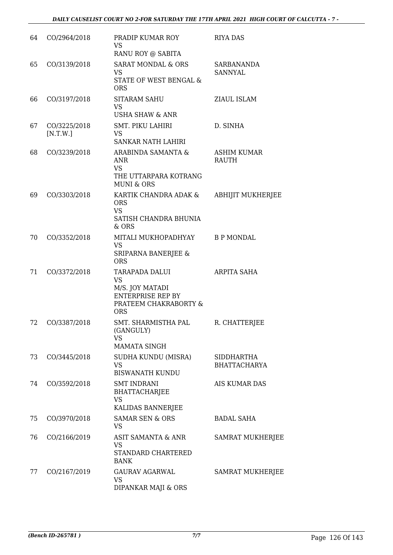| 64 | CO/2964/2018             | PRADIP KUMAR ROY<br><b>VS</b><br>RANU ROY @ SABITA                                                         | <b>RIYA DAS</b>                          |
|----|--------------------------|------------------------------------------------------------------------------------------------------------|------------------------------------------|
| 65 | CO/3139/2018             | <b>SARAT MONDAL &amp; ORS</b><br><b>VS</b><br>STATE OF WEST BENGAL &<br><b>ORS</b>                         | <b>SARBANANDA</b><br><b>SANNYAL</b>      |
| 66 | CO/3197/2018             | <b>SITARAM SAHU</b><br><b>VS</b><br><b>USHA SHAW &amp; ANR</b>                                             | ZIAUL ISLAM                              |
| 67 | CO/3225/2018<br>[N.T.W.] | <b>SMT. PIKU LAHIRI</b><br><b>VS</b><br>SANKAR NATH LAHIRI                                                 | D. SINHA                                 |
| 68 | CO/3239/2018             | ARABINDA SAMANTA &<br><b>ANR</b><br><b>VS</b><br>THE UTTARPARA KOTRANG<br><b>MUNI &amp; ORS</b>            | ASHIM KUMAR<br><b>RAUTH</b>              |
| 69 | CO/3303/2018             | KARTIK CHANDRA ADAK &<br><b>ORS</b><br><b>VS</b><br>SATISH CHANDRA BHUNIA<br>& ORS                         | <b>ABHIJIT MUKHERJEE</b>                 |
| 70 | CO/3352/2018             | MITALI MUKHOPADHYAY<br><b>VS</b><br>SRIPARNA BANERJEE &<br><b>ORS</b>                                      | <b>B P MONDAL</b>                        |
| 71 | CO/3372/2018             | TARAPADA DALUI<br><b>VS</b><br>M/S. JOY MATADI<br><b>ENTERPRISE REP BY</b><br>PRATEEM CHAKRABORTY &<br>ORS | <b>ARPITA SAHA</b>                       |
| 72 | CO/3387/2018             | SMT. SHARMISTHA PAL<br>(GANGULY)<br><b>VS</b><br><b>MAMATA SINGH</b>                                       | R. CHATTERJEE                            |
| 73 | CO/3445/2018             | SUDHA KUNDU (MISRA)<br>VS<br><b>BISWANATH KUNDU</b>                                                        | <b>SIDDHARTHA</b><br><b>BHATTACHARYA</b> |
| 74 | CO/3592/2018             | <b>SMT INDRANI</b><br><b>BHATTACHARJEE</b><br><b>VS</b><br>KALIDAS BANNERJEE                               | <b>AIS KUMAR DAS</b>                     |
| 75 | CO/3970/2018             | <b>SAMAR SEN &amp; ORS</b><br><b>VS</b>                                                                    | <b>BADAL SAHA</b>                        |
| 76 | CO/2166/2019             | ASIT SAMANTA & ANR<br><b>VS</b><br>STANDARD CHARTERED<br><b>BANK</b>                                       | <b>SAMRAT MUKHERJEE</b>                  |
| 77 | CO/2167/2019             | <b>GAURAV AGARWAL</b><br><b>VS</b><br>DIPANKAR MAJI & ORS                                                  | <b>SAMRAT MUKHERJEE</b>                  |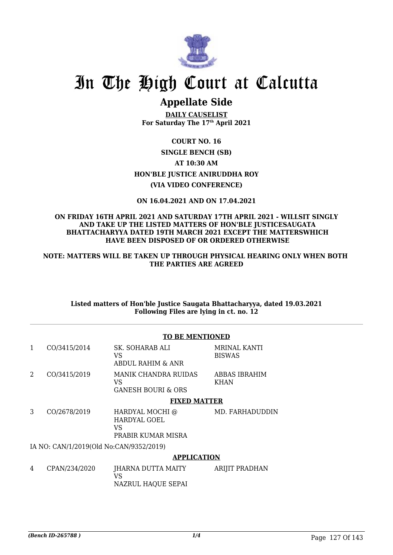

# **Appellate Side**

**DAILY CAUSELIST For Saturday The 17th April 2021**

**COURT NO. 16 SINGLE BENCH (SB) AT 10:30 AM HON'BLE JUSTICE ANIRUDDHA ROY (VIA VIDEO CONFERENCE)**

**ON 16.04.2021 AND ON 17.04.2021**

## **ON FRIDAY 16TH APRIL 2021 AND SATURDAY 17TH APRIL 2021 - WILLSIT SINGLY AND TAKE UP THE LISTED MATTERS OF HON'BLE JUSTICESAUGATA BHATTACHARYYA DATED 19TH MARCH 2021 EXCEPT THE MATTERSWHICH HAVE BEEN DISPOSED OF OR ORDERED OTHERWISE**

**NOTE: MATTERS WILL BE TAKEN UP THROUGH PHYSICAL HEARING ONLY WHEN BOTH THE PARTIES ARE AGREED**

**Listed matters of Hon'ble Justice Saugata Bhattacharyya, dated 19.03.2021 Following Files are lying in ct. no. 12**

|   |                                         | <b>TO BE MENTIONED</b>                                             |                                      |  |
|---|-----------------------------------------|--------------------------------------------------------------------|--------------------------------------|--|
| 1 | CO/3415/2014                            | SK. SOHARAB ALI<br>VS<br>ABDUL RAHIM & ANR                         | <b>MRINAL KANTI</b><br><b>BISWAS</b> |  |
| 2 | CO/3415/2019                            | <b>MANIK CHANDRA RUIDAS</b><br>VS<br><b>GANESH BOURI &amp; ORS</b> | ABBAS IBRAHIM<br>KHAN                |  |
|   |                                         | <b>FIXED MATTER</b>                                                |                                      |  |
| 3 | CO/2678/2019                            | HARDYAL MOCHI @<br>HARDYAL GOEL<br>VS<br>PRABIR KUMAR MISRA        | MD. FARHADUDDIN                      |  |
|   | IA NO: CAN/1/2019(Old No:CAN/9352/2019) |                                                                    |                                      |  |
|   |                                         | <b>APPLICATION</b>                                                 |                                      |  |
| 4 | CPAN/234/2020                           | JHARNA DUTTA MAITY<br>VS<br>NAZRUL HAQUE SEPAI                     | <b>ARIJIT PRADHAN</b>                |  |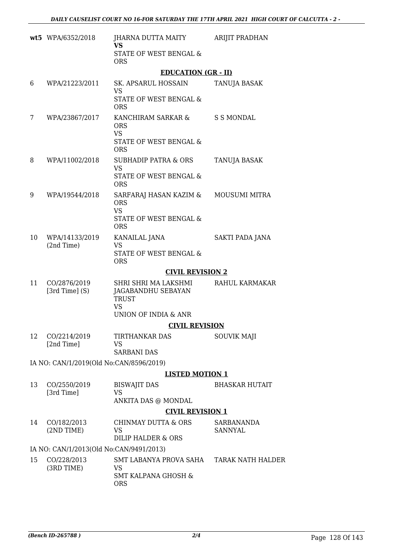|    | wt5 WPA/6352/2018                       | JHARNA DUTTA MAITY<br>VS.                                    | ARIJIT PRADHAN           |
|----|-----------------------------------------|--------------------------------------------------------------|--------------------------|
|    |                                         | STATE OF WEST BENGAL &<br><b>ORS</b>                         |                          |
|    |                                         | <b>EDUCATION (GR - II)</b>                                   |                          |
| 6  | WPA/21223/2011                          | SK. APSARUL HOSSAIN                                          | TANUJA BASAK             |
|    |                                         | <b>VS</b><br><b>STATE OF WEST BENGAL &amp;</b><br><b>ORS</b> |                          |
| 7  | WPA/23867/2017                          | KANCHIRAM SARKAR &<br><b>ORS</b>                             | <b>S S MONDAL</b>        |
|    |                                         | <b>VS</b><br>STATE OF WEST BENGAL &<br><b>ORS</b>            |                          |
| 8  | WPA/11002/2018                          | <b>SUBHADIP PATRA &amp; ORS</b><br><b>VS</b>                 | <b>TANUJA BASAK</b>      |
|    |                                         | STATE OF WEST BENGAL &<br><b>ORS</b>                         |                          |
| 9  | WPA/19544/2018                          | SARFARAJ HASAN KAZIM &<br><b>ORS</b>                         | <b>MOUSUMI MITRA</b>     |
|    |                                         | <b>VS</b><br><b>STATE OF WEST BENGAL &amp;</b><br><b>ORS</b> |                          |
| 10 | WPA/14133/2019                          | KANAILAL JANA                                                | SAKTI PADA JANA          |
|    | (2nd Time)                              | <b>VS</b><br>STATE OF WEST BENGAL &<br><b>ORS</b>            |                          |
|    |                                         | <b>CIVIL REVISION 2</b>                                      |                          |
| 11 | CO/2876/2019<br>$[3rd Time]$ (S)        | SHRI SHRI MA LAKSHMI<br>JAGABANDHU SEBAYAN<br><b>TRUST</b>   | RAHUL KARMAKAR           |
|    |                                         | <b>VS</b><br><b>UNION OF INDIA &amp; ANR</b>                 |                          |
|    |                                         | <b>CIVIL REVISION</b>                                        |                          |
| 12 | CO/2214/2019                            | TIRTHANKAR DAS                                               | <b>SOUVIK MAJI</b>       |
|    | [2nd Time]                              | <b>VS</b><br><b>SARBANI DAS</b>                              |                          |
|    | IA NO: CAN/1/2019(Old No:CAN/8596/2019) |                                                              |                          |
|    |                                         | <b>LISTED MOTION 1</b>                                       |                          |
| 13 | CO/2550/2019                            | <b>BISWAJIT DAS</b>                                          | <b>BHASKAR HUTAIT</b>    |
|    | [3rd Time]                              | <b>VS</b><br>ANKITA DAS @ MONDAL                             |                          |
|    |                                         | <b>CIVIL REVISION 1</b>                                      |                          |
| 14 | CO/182/2013                             | <b>CHINMAY DUTTA &amp; ORS</b>                               | SARBANANDA               |
|    | (2ND TIME)                              | <b>VS</b><br><b>DILIP HALDER &amp; ORS</b>                   | <b>SANNYAL</b>           |
|    | IA NO: CAN/1/2013(Old No:CAN/9491/2013) |                                                              |                          |
| 15 | CO/228/2013<br>(3RD TIME)               | SMT LABANYA PROVA SAHA<br>VS                                 | <b>TARAK NATH HALDER</b> |
|    |                                         | SMT KALPANA GHOSH &<br><b>ORS</b>                            |                          |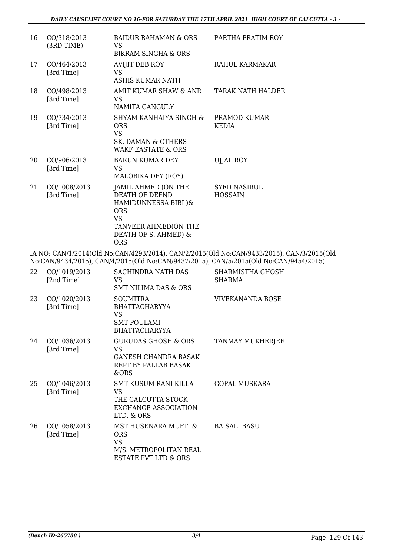| 16 | CO/318/2013<br>(3RD TIME)  | BAIDUR RAHAMAN & ORS<br>VS.<br><b>BIKRAM SINGHA &amp; ORS</b>                                                                                          | PARTHA PRATIM ROY                     |
|----|----------------------------|--------------------------------------------------------------------------------------------------------------------------------------------------------|---------------------------------------|
| 17 | CO/464/2013<br>[3rd Time]  | AVIJIT DEB ROY<br>VS.<br>ASHIS KUMAR NATH                                                                                                              | RAHUL KARMAKAR                        |
| 18 | CO/498/2013<br>[3rd Time]  | AMIT KUMAR SHAW & ANR<br>VS<br>NAMITA GANGULY                                                                                                          | TARAK NATH HALDER                     |
| 19 | CO/734/2013<br>[3rd Time]  | SHYAM KANHAIYA SINGH &<br><b>ORS</b><br><b>VS</b><br>SK. DAMAN & OTHERS<br><b>WAKF EASTATE &amp; ORS</b>                                               | PRAMOD KUMAR<br><b>KEDIA</b>          |
| 20 | CO/906/2013<br>[3rd Time]  | <b>BARUN KUMAR DEY</b><br>VS.<br>MALOBIKA DEY (ROY)                                                                                                    | <b>UJJAL ROY</b>                      |
| 21 | CO/1008/2013<br>[3rd Time] | JAMIL AHMED (ON THE<br><b>DEATH OF DEFND</b><br>HAMIDUNNESSA BIBI )&<br><b>ORS</b><br><b>VS</b><br>TANVEER AHMED(ON THE<br>DEATH OF S. AHMED) &<br>ORS | <b>SYED NASIRUL</b><br><b>HOSSAIN</b> |

IA NO: CAN/1/2014(Old No:CAN/4293/2014), CAN/2/2015(Old No:CAN/9433/2015), CAN/3/2015(Old No:CAN/9434/2015), CAN/4/2015(Old No:CAN/9437/2015), CAN/5/2015(Old No:CAN/9454/2015)

| 22 | CO/1019/2013<br>[2nd Time] | <b>SACHINDRA NATH DAS</b><br>VS.<br><b>SMT NILIMA DAS &amp; ORS</b>                                   | <b>SHARMISTHA GHOSH</b><br><b>SHARMA</b> |
|----|----------------------------|-------------------------------------------------------------------------------------------------------|------------------------------------------|
| 23 | CO/1020/2013<br>[3rd Time] | <b>SOUMITRA</b><br>BHATTACHARYYA<br>VS.<br><b>SMT POULAMI</b><br><b>BHATTACHARYYA</b>                 | VIVEKANANDA BOSE                         |
| 24 | CO/1036/2013<br>[3rd Time] | <b>GURUDAS GHOSH &amp; ORS</b><br>VS.<br><b>GANESH CHANDRA BASAK</b><br>REPT BY PALLAB BASAK<br>&ORS  | TANMAY MUKHERJEE                         |
| 25 | CO/1046/2013<br>[3rd Time] | SMT KUSUM RANI KILLA<br>VS<br>THE CALCUTTA STOCK<br>EXCHANGE ASSOCIATION<br>LTD. & ORS                | <b>GOPAL MUSKARA</b>                     |
| 26 | CO/1058/2013<br>[3rd Time] | MST HUSENARA MUFTI &<br>ORS<br><b>VS</b><br>M/S. METROPOLITAN REAL<br><b>ESTATE PVT LTD &amp; ORS</b> | <b>BAISALI BASU</b>                      |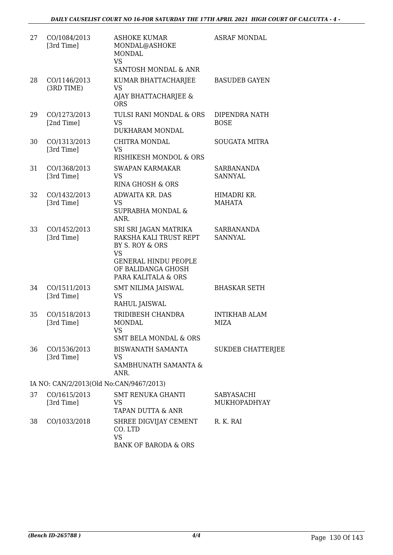| 27 | CO/1084/2013<br>[3rd Time]              | <b>ASHOKE KUMAR</b><br>MONDAL@ASHOKE<br><b>MONDAL</b><br><b>VS</b><br>SANTOSH MONDAL & ANR                                                                  | <b>ASRAF MONDAL</b>                 |
|----|-----------------------------------------|-------------------------------------------------------------------------------------------------------------------------------------------------------------|-------------------------------------|
| 28 | CO/1146/2013<br>(3RD TIME)              | KUMAR BHATTACHARJEE<br><b>VS</b><br>AJAY BHATTACHARJEE &<br><b>ORS</b>                                                                                      | <b>BASUDEB GAYEN</b>                |
| 29 | CO/1273/2013<br>[2nd Time]              | TULSI RANI MONDAL & ORS<br><b>VS</b><br>DUKHARAM MONDAL                                                                                                     | DIPENDRA NATH<br><b>BOSE</b>        |
| 30 | CO/1313/2013<br>[3rd Time]              | CHITRA MONDAL<br>VS<br>RISHIKESH MONDOL & ORS                                                                                                               | <b>SOUGATA MITRA</b>                |
| 31 | CO/1368/2013<br>[3rd Time]              | <b>SWAPAN KARMAKAR</b><br><b>VS</b><br><b>RINA GHOSH &amp; ORS</b>                                                                                          | <b>SARBANANDA</b><br><b>SANNYAL</b> |
| 32 | CO/1432/2013<br>[3rd Time]              | <b>ADWAITA KR. DAS</b><br>VS.<br><b>SUPRABHA MONDAL &amp;</b><br>ANR.                                                                                       | HIMADRI KR.<br><b>MAHATA</b>        |
| 33 | CO/1452/2013<br>[3rd Time]              | SRI SRI JAGAN MATRIKA<br>RAKSHA KALI TRUST REPT<br>BY S. ROY & ORS<br><b>VS</b><br><b>GENERAL HINDU PEOPLE</b><br>OF BALIDANGA GHOSH<br>PARA KALITALA & ORS | <b>SARBANANDA</b><br><b>SANNYAL</b> |
| 34 | CO/1511/2013<br>[3rd Time]              | <b>SMT NILIMA JAISWAL</b><br><b>VS</b><br>RAHUL JAISWAL                                                                                                     | <b>BHASKAR SETH</b>                 |
| 35 | CO/1518/2013<br>[3rd Time]              | TRIDIBESH CHANDRA<br><b>MONDAL</b><br>VS<br><b>SMT BELA MONDAL &amp; ORS</b>                                                                                | <b>INTIKHAB ALAM</b><br>MIZA        |
| 36 | CO/1536/2013<br>[3rd Time]              | <b>BISWANATH SAMANTA</b><br>VS<br>SAMBHUNATH SAMANTA &<br>ANR.                                                                                              | <b>SUKDEB CHATTERJEE</b>            |
|    | IA NO: CAN/2/2013(Old No:CAN/9467/2013) |                                                                                                                                                             |                                     |
| 37 | CO/1615/2013<br>[3rd Time]              | <b>SMT RENUKA GHANTI</b><br>VS<br><b>TAPAN DUTTA &amp; ANR</b>                                                                                              | SABYASACHI<br>MUKHOPADHYAY          |
| 38 | CO/1033/2018                            | SHREE DIGVIJAY CEMENT<br>CO. LTD<br><b>VS</b><br>BANK OF BARODA & ORS                                                                                       | R. K. RAI                           |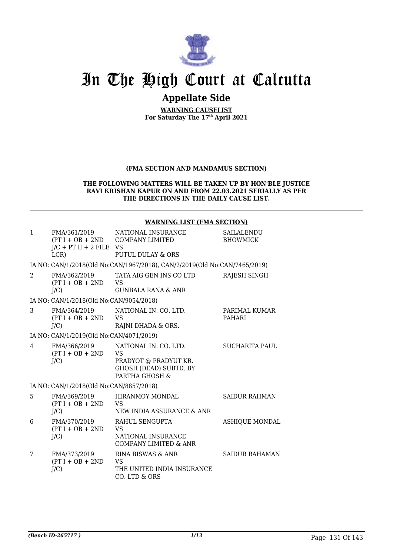

# **Appellate Side**

**WARNING CAUSELIST For Saturday The 17th April 2021**

### **(FMA SECTION AND MANDAMUS SECTION)**

#### **THE FOLLOWING MATTERS WILL BE TAKEN UP BY HON'BLE JUSTICE RAVI KRISHAN KAPUR ON AND FROM 22.03.2021 SERIALLY AS PER THE DIRECTIONS IN THE DAILY CAUSE LIST.**

### **WARNING LIST (FMA SECTION)**

| $\mathbf{1}$   | FMA/361/2019<br>$J/C$ + PT II + 2 FILE VS<br>LCR | NATIONAL INSURANCE<br>$(PT I + OB + 2ND$ COMPANY LIMITED<br><b>PUTUL DULAY &amp; ORS</b>                       | SAILALENDU<br><b>BHOWMICK</b>  |
|----------------|--------------------------------------------------|----------------------------------------------------------------------------------------------------------------|--------------------------------|
|                |                                                  | IA NO: CAN/1/2018(Old No:CAN/1967/2018), CAN/2/2019(Old No:CAN/7465/2019)                                      |                                |
| $\mathcal{L}$  | FMA/362/2019<br>$(PT I + OB + 2ND$<br>$J/C$ )    | TATA AIG GEN INS CO LTD<br><b>VS</b><br><b>GUNBALA RANA &amp; ANR</b>                                          | RAJESH SINGH                   |
|                | IA NO: CAN/1/2018(Old No:CAN/9054/2018)          |                                                                                                                |                                |
| 3              | FMA/364/2019<br>$(PT I + OB + 2ND$<br>$J/C$ )    | NATIONAL IN. CO. LTD.<br><b>VS</b><br>RAJNI DHADA & ORS.                                                       | PARIMAL KUMAR<br><b>PAHARI</b> |
|                | IA NO: CAN/1/2019(Old No:CAN/4071/2019)          |                                                                                                                |                                |
| $\overline{4}$ | FMA/366/2019<br>$(PT I + OB + 2ND$<br>J/C        | NATIONAL IN. CO. LTD.<br><b>VS</b><br>PRADYOT @ PRADYUT KR.<br><b>GHOSH (DEAD) SUBTD. BY</b><br>PARTHA GHOSH & | SUCHARITA PAUL                 |
|                | IA NO: CAN/1/2018(Old No:CAN/8857/2018)          |                                                                                                                |                                |
| 5              | FMA/369/2019<br>$(PT I + OB + 2ND$<br>J/C        | <b>HIRANMOY MONDAL</b><br><b>VS</b><br>NEW INDIA ASSURANCE & ANR                                               | <b>SAIDUR RAHMAN</b>           |
| 6              | FMA/370/2019<br>$(PT I + OB + 2ND$<br>$J/C$ )    | RAHUL SENGUPTA<br><b>VS</b><br>NATIONAL INSURANCE<br><b>COMPANY LIMITED &amp; ANR</b>                          | <b>ASHIQUE MONDAL</b>          |
| 7              | FMA/373/2019<br>$(PT I + OB + 2ND$<br>$J/C$ )    | RINA BISWAS & ANR<br>VS<br>THE UNITED INDIA INSURANCE<br>CO. LTD & ORS                                         | <b>SAIDUR RAHAMAN</b>          |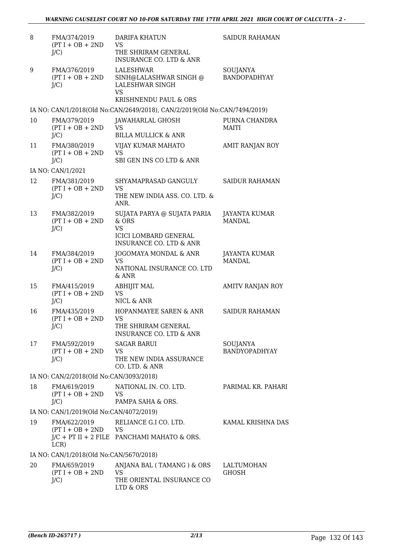| 8  | FMA/374/2019<br>$(PT I + OB + 2ND$<br>$J/C$ ) | <b>DARIFA KHATUN</b><br><b>VS</b><br>THE SHRIRAM GENERAL<br><b>INSURANCE CO. LTD &amp; ANR</b>                                  | <b>SAIDUR RAHAMAN</b>            |
|----|-----------------------------------------------|---------------------------------------------------------------------------------------------------------------------------------|----------------------------------|
| 9  | FMA/376/2019<br>$(PT I + OB + 2ND$<br>$J/C$ ) | LALESHWAR<br>SINH@LALASHWAR SINGH @<br>LALESHWAR SINGH<br><b>VS</b><br>KRISHNENDU PAUL & ORS                                    | SOUJANYA<br><b>BANDOPADHYAY</b>  |
|    |                                               | IA NO: CAN/1/2018(Old No:CAN/2649/2018), CAN/2/2019(Old No:CAN/7494/2019)                                                       |                                  |
| 10 | FMA/379/2019<br>$(PT I + OB + 2ND$<br>$J/C$ ) | JAWAHARLAL GHOSH<br><b>VS</b><br><b>BILLA MULLICK &amp; ANR</b>                                                                 | PURNA CHANDRA<br><b>MAITI</b>    |
| 11 | FMA/380/2019<br>$(PT I + OB + 2ND$<br>$J/C$ ) | VIJAY KUMAR MAHATO<br><b>VS</b><br>SBI GEN INS CO LTD & ANR                                                                     | AMIT RANJAN ROY                  |
|    | IA NO: CAN/1/2021                             |                                                                                                                                 |                                  |
| 12 | FMA/381/2019<br>$(PT I + OB + 2ND$<br>$J/C$ ) | SHYAMAPRASAD GANGULY<br><b>VS</b><br>THE NEW INDIA ASS. CO. LTD. &                                                              | <b>SAIDUR RAHAMAN</b>            |
| 13 | FMA/382/2019<br>$(PT I + OB + 2ND$<br>$J/C$ ) | ANR.<br>SUJATA PARYA @ SUJATA PARIA<br>& ORS<br><b>VS</b><br><b>ICICI LOMBARD GENERAL</b><br><b>INSURANCE CO. LTD &amp; ANR</b> | JAYANTA KUMAR<br><b>MANDAL</b>   |
| 14 | FMA/384/2019<br>$(PT I + OB + 2ND$<br>$J/C$ ) | JOGOMAYA MONDAL & ANR<br><b>VS</b><br>NATIONAL INSURANCE CO. LTD<br>& ANR                                                       | JAYANTA KUMAR<br><b>MANDAL</b>   |
| 15 | FMA/415/2019<br>$(PT I + OB + 2ND$<br>$J/C$ ) | <b>ABHIJIT MAL</b><br><b>VS</b><br>NICL & ANR                                                                                   | AMITV RANJAN ROY                 |
| 16 | FMA/435/2019<br>$(PT I + OB + 2ND$<br>$J/C$ ) | <b>HOPANMAYEE SAREN &amp; ANR</b><br><b>VS</b><br>THE SHRIRAM GENERAL<br><b>INSURANCE CO. LTD &amp; ANR</b>                     | <b>SAIDUR RAHAMAN</b>            |
| 17 | FMA/592/2019<br>$(PT I + OB + 2ND$<br>$J/C$ ) | <b>SAGAR BARUI</b><br><b>VS</b><br>THE NEW INDIA ASSURANCE<br>CO. LTD. & ANR                                                    | SOUJANYA<br><b>BANDYOPADHYAY</b> |
|    | IA NO: CAN/2/2018(Old No:CAN/3093/2018)       |                                                                                                                                 |                                  |
| 18 | FMA/619/2019<br>$(PT I + OB + 2ND$<br>$J/C$ ) | NATIONAL IN. CO. LTD.<br><b>VS</b><br>PAMPA SAHA & ORS.                                                                         | PARIMAL KR. PAHARI               |
|    | IA NO: CAN/1/2019(Old No:CAN/4072/2019)       |                                                                                                                                 |                                  |
| 19 | FMA/622/2019<br>$(PT I + OB + 2ND$ VS<br>LCR) | RELIANCE G.I CO. LTD.<br>$J/C$ + PT II + 2 FILE PANCHAMI MAHATO & ORS.                                                          | KAMAL KRISHNA DAS                |
|    | IA NO: CAN/1/2018(Old No:CAN/5670/2018)       |                                                                                                                                 |                                  |
| 20 | FMA/659/2019<br>$(PT I + OB + 2ND$<br>$J/C$ ) | ANJANA BAL (TAMANG) & ORS<br><b>VS</b><br>THE ORIENTAL INSURANCE CO<br>LTD & ORS                                                | LALTUMOHAN<br><b>GHOSH</b>       |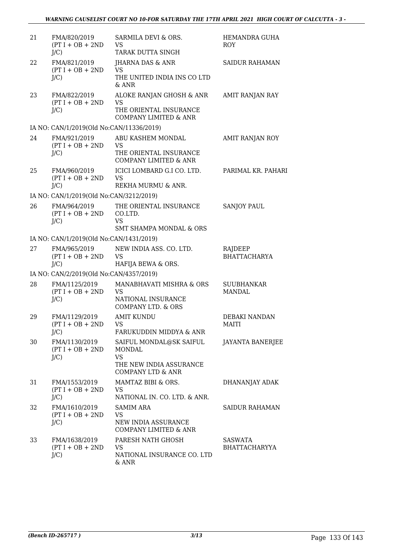| 21 | FMA/820/2019<br>$(PT I + OB + 2ND$<br>$J/C$ )  | SARMILA DEVI & ORS.<br><b>VS</b><br>TARAK DUTTA SINGH                                                     | HEMANDRA GUHA<br><b>ROY</b>            |
|----|------------------------------------------------|-----------------------------------------------------------------------------------------------------------|----------------------------------------|
| 22 | FMA/821/2019<br>$(PT I + OB + 2ND$<br>$J/C$ )  | JHARNA DAS & ANR<br><b>VS</b><br>THE UNITED INDIA INS CO LTD<br>& ANR                                     | <b>SAIDUR RAHAMAN</b>                  |
| 23 | FMA/822/2019<br>$(PT I + OB + 2ND$<br>$J/C$ )  | ALOKE RANJAN GHOSH & ANR<br><b>VS</b><br>THE ORIENTAL INSURANCE<br><b>COMPANY LIMITED &amp; ANR</b>       | AMIT RANJAN RAY                        |
|    | IA NO: CAN/1/2019(Old No:CAN/11336/2019)       |                                                                                                           |                                        |
| 24 | FMA/921/2019<br>$(PT I + OB + 2ND$<br>$J/C$ )  | ABU KASHEM MONDAL<br><b>VS</b><br>THE ORIENTAL INSURANCE<br><b>COMPANY LIMITED &amp; ANR</b>              | AMIT RANJAN ROY                        |
| 25 | FMA/960/2019<br>$(PT I + OB + 2ND$<br>$J/C$ )  | ICICI LOMBARD G.I CO. LTD.<br><b>VS</b><br>REKHA MURMU & ANR.                                             | PARIMAL KR. PAHARI                     |
|    | IA NO: CAN/1/2019(Old No:CAN/3212/2019)        |                                                                                                           |                                        |
| 26 | FMA/964/2019<br>$(PT I + OB + 2ND$<br>$J/C$ )  | THE ORIENTAL INSURANCE<br>CO.LTD.<br><b>VS</b>                                                            | <b>SANJOY PAUL</b>                     |
|    |                                                | <b>SMT SHAMPA MONDAL &amp; ORS</b>                                                                        |                                        |
|    | IA NO: CAN/1/2019(Old No:CAN/1431/2019)        |                                                                                                           |                                        |
| 27 | FMA/965/2019<br>$(PT I + OB + 2ND$<br>$J/C$ )  | NEW INDIA ASS. CO. LTD.<br>VS<br>HAFIJA BEWA & ORS.                                                       | RAJDEEP<br><b>BHATTACHARYA</b>         |
|    | IA NO: CAN/2/2019(Old No:CAN/4357/2019)        |                                                                                                           |                                        |
| 28 | FMA/1125/2019<br>$(PT I + OB + 2ND$<br>$J/C$ ) | MANABHAVATI MISHRA & ORS<br><b>VS</b><br>NATIONAL INSURANCE<br><b>COMPANY LTD. &amp; ORS</b>              | <b>SUUBHANKAR</b><br><b>MANDAL</b>     |
| 29 | FMA/1129/2019<br>$(PT I + OB + 2ND$<br>$J/C$ ) | <b>AMIT KUNDU</b><br>VS<br>FARUKUDDIN MIDDYA & ANR                                                        | <b>DEBAKI NANDAN</b><br>MAITI          |
| 30 | FMA/1130/2019<br>$(PT I + OB + 2ND$<br>$J/C$ ) | SAIFUL MONDAL@SK SAIFUL<br>MONDAL<br><b>VS</b><br>THE NEW INDIA ASSURANCE<br><b>COMPANY LTD &amp; ANR</b> | JAYANTA BANERJEE                       |
| 31 | FMA/1553/2019<br>$(PT I + OB + 2ND$<br>$J/C$ ) | MAMTAZ BIBI & ORS.<br>VS.<br>NATIONAL IN. CO. LTD. & ANR.                                                 | DHANANJAY ADAK                         |
| 32 | FMA/1610/2019<br>$(PT I + OB + 2ND$<br>$J/C$ ) | <b>SAMIM ARA</b><br>VS<br>NEW INDIA ASSURANCE<br><b>COMPANY LIMITED &amp; ANR</b>                         | <b>SAIDUR RAHAMAN</b>                  |
| 33 | FMA/1638/2019<br>$(PT I + OB + 2ND$<br>$J/C$ ) | PARESH NATH GHOSH<br><b>VS</b><br>NATIONAL INSURANCE CO. LTD<br>& ANR                                     | <b>SASWATA</b><br><b>BHATTACHARYYA</b> |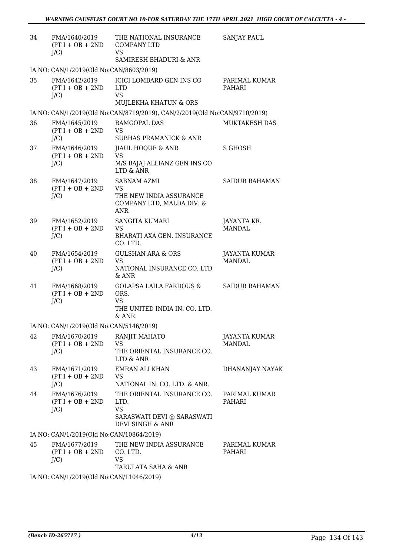| 34 | FMA/1640/2019<br>$(PT I + OB + 2ND$<br>$J/C$ )           | THE NATIONAL INSURANCE<br><b>COMPANY LTD</b><br><b>VS</b>                                             | <b>SANJAY PAUL</b>                    |
|----|----------------------------------------------------------|-------------------------------------------------------------------------------------------------------|---------------------------------------|
|    |                                                          | <b>SAMIRESH BHADURI &amp; ANR</b>                                                                     |                                       |
| 35 | IA NO: CAN/1/2019(Old No:CAN/8603/2019)<br>FMA/1642/2019 | ICICI LOMBARD GEN INS CO                                                                              | PARIMAL KUMAR                         |
|    | $(PT I + OB + 2ND$<br>$J/C$ )                            | <b>LTD</b><br><b>VS</b><br>MUJLEKHA KHATUN & ORS                                                      | PAHARI                                |
|    |                                                          | IA NO: CAN/1/2019(Old No:CAN/8719/2019), CAN/2/2019(Old No:CAN/9710/2019)                             |                                       |
| 36 | FMA/1645/2019<br>$(PT I + OB + 2ND$<br>$J/C$ )           | RAMGOPAL DAS<br><b>VS</b><br><b>SUBHAS PRAMANICK &amp; ANR</b>                                        | MUKTAKESH DAS                         |
| 37 | FMA/1646/2019                                            | JIAUL HOQUE & ANR                                                                                     | <b>S GHOSH</b>                        |
|    | $(PT I + OB + 2ND$<br>$J/C$ )                            | <b>VS</b><br>M/S BAJAJ ALLIANZ GEN INS CO<br>LTD & ANR                                                |                                       |
| 38 | FMA/1647/2019<br>$(PT I + OB + 2ND$<br>$J/C$ )           | <b>SABNAM AZMI</b><br><b>VS</b><br>THE NEW INDIA ASSURANCE<br>COMPANY LTD, MALDA DIV. &<br><b>ANR</b> | <b>SAIDUR RAHAMAN</b>                 |
| 39 | FMA/1652/2019<br>$(PT I + OB + 2ND$<br>J/C               | <b>SANGITA KUMARI</b><br><b>VS</b><br>BHARATI AXA GEN. INSURANCE<br>CO. LTD.                          | JAYANTA KR.<br><b>MANDAL</b>          |
| 40 | FMA/1654/2019<br>$(PT I + OB + 2ND$<br>$J/C$ )           | <b>GULSHAN ARA &amp; ORS</b><br><b>VS</b><br>NATIONAL INSURANCE CO. LTD<br>& ANR                      | JAYANTA KUMAR<br><b>MANDAL</b>        |
| 41 | FMA/1668/2019<br>$(PT I + OB + 2ND$<br>J/C               | <b>GOLAPSA LAILA FARDOUS &amp;</b><br>ORS.<br><b>VS</b><br>THE UNITED INDIA IN. CO. LTD.<br>& ANR.    | <b>SAIDUR RAHAMAN</b>                 |
|    | IA NO: CAN/1/2019(Old No:CAN/5146/2019)                  |                                                                                                       |                                       |
| 42 | FMA/1670/2019<br>$(PT I + OB + 2ND$<br>J/C               | RANJIT MAHATO<br><b>VS</b><br>THE ORIENTAL INSURANCE CO.<br>LTD & ANR                                 | <b>JAYANTA KUMAR</b><br><b>MANDAL</b> |
| 43 | FMA/1671/2019<br>$(PT I + OB + 2ND$<br>$J/C$ )           | <b>EMRAN ALI KHAN</b><br><b>VS</b><br>NATIONAL IN. CO. LTD. & ANR.                                    | DHANANJAY NAYAK                       |
| 44 | FMA/1676/2019<br>$(PT I + OB + 2ND$<br>$J/C$ )           | THE ORIENTAL INSURANCE CO.<br>LTD.<br><b>VS</b><br>SARASWATI DEVI @ SARASWATI<br>DEVI SINGH & ANR     | PARIMAL KUMAR<br>PAHARI               |
|    | IA NO: CAN/1/2019(Old No:CAN/10864/2019)                 |                                                                                                       |                                       |
| 45 | FMA/1677/2019<br>$(PT I + OB + 2ND$<br>$J/C$ )           | THE NEW INDIA ASSURANCE<br>CO. LTD.<br><b>VS</b><br>TARULATA SAHA & ANR                               | PARIMAL KUMAR<br>PAHARI               |
|    | IA NO: CAN/1/2019(Old No:CAN/11046/2019)                 |                                                                                                       |                                       |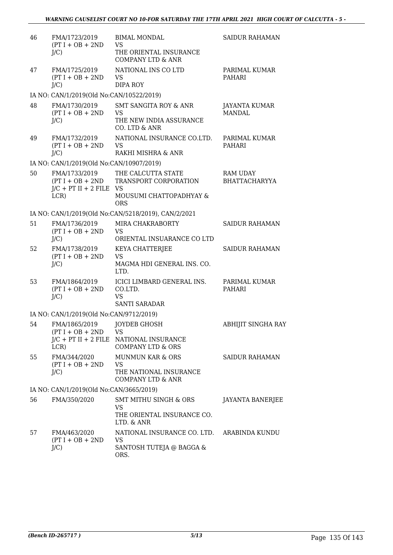| 46 | FMA/1723/2019<br>$(PT I + OB + 2ND$<br>$J/C$ )                           | <b>BIMAL MONDAL</b><br><b>VS</b><br>THE ORIENTAL INSURANCE<br><b>COMPANY LTD &amp; ANR</b>         | <b>SAIDUR RAHAMAN</b>                   |
|----|--------------------------------------------------------------------------|----------------------------------------------------------------------------------------------------|-----------------------------------------|
| 47 | FMA/1725/2019<br>$(PT I + OB + 2ND$<br>$J/C$ )                           | NATIONAL INS CO LTD<br><b>VS</b><br>DIPA ROY                                                       | PARIMAL KUMAR<br><b>PAHARI</b>          |
|    | IA NO: CAN/1/2019(Old No:CAN/10522/2019)                                 |                                                                                                    |                                         |
| 48 | FMA/1730/2019<br>$(PT I + OB + 2ND$<br>$J/C$ )                           | <b>SMT SANGITA ROY &amp; ANR</b><br><b>VS</b><br>THE NEW INDIA ASSURANCE<br>CO. LTD & ANR          | JAYANTA KUMAR<br><b>MANDAL</b>          |
| 49 | FMA/1732/2019<br>$(PT I + OB + 2ND$<br>$J/C$ )                           | NATIONAL INSURANCE CO.LTD.<br><b>VS</b><br>RAKHI MISHRA & ANR                                      | PARIMAL KUMAR<br>PAHARI                 |
|    | IA NO: CAN/1/2019(Old No:CAN/10907/2019)                                 |                                                                                                    |                                         |
| 50 | FMA/1733/2019<br>$(PT I + OB + 2ND$<br>$J/C$ + PT II + 2 FILE VS<br>LCR) | THE CALCUTTA STATE<br>TRANSPORT CORPORATION<br>MOUSUMI CHATTOPADHYAY &<br><b>ORS</b>               | <b>RAM UDAY</b><br><b>BHATTACHARYYA</b> |
|    |                                                                          | IA NO: CAN/1/2019(Old No:CAN/5218/2019), CAN/2/2021                                                |                                         |
| 51 | FMA/1736/2019<br>$(PT I + OB + 2ND$<br>$J/C$ )                           | MIRA CHAKRABORTY<br><b>VS</b><br>ORIENTAL INSUARANCE CO LTD                                        | <b>SAIDUR RAHAMAN</b>                   |
| 52 | FMA/1738/2019<br>$(PT I + OB + 2ND$<br>$J/C$ )                           | KEYA CHATTERJEE<br><b>VS</b><br>MAGMA HDI GENERAL INS. CO.<br>LTD.                                 | <b>SAIDUR RAHAMAN</b>                   |
| 53 | FMA/1864/2019<br>$(PT I + OB + 2ND$<br>$J/C$ )                           | ICICI LIMBARD GENERAL INS.<br>CO.LTD.<br><b>VS</b><br><b>SANTI SARADAR</b>                         | PARIMAL KUMAR<br><b>PAHARI</b>          |
|    | IA NO: CAN/1/2019(Old No:CAN/9712/2019)                                  |                                                                                                    |                                         |
| 54 | FMA/1865/2019 JOYDEB GHOSH<br>$(PT I + OB + 2ND$ VS<br>LCR)              | $J/C$ + PT II + 2 FILE NATIONAL INSURANCE<br><b>COMPANY LTD &amp; ORS</b>                          | ABHIJIT SINGHA RAY                      |
| 55 | FMA/344/2020<br>$(PT I + OB + 2ND$<br>$J/C$ )                            | <b>MUNMUN KAR &amp; ORS</b><br><b>VS</b><br>THE NATIONAL INSURANCE<br><b>COMPANY LTD &amp; ANR</b> | SAIDUR RAHAMAN                          |
|    | IA NO: CAN/1/2019(Old No:CAN/3665/2019)                                  |                                                                                                    |                                         |
| 56 | FMA/350/2020                                                             | <b>SMT MITHU SINGH &amp; ORS</b><br><b>VS</b><br>THE ORIENTAL INSURANCE CO.<br>LTD. & ANR          | <b>JAYANTA BANERJEE</b>                 |
| 57 | FMA/463/2020<br>$(PT I + OB + 2ND$<br>$J/C$ )                            | NATIONAL INSURANCE CO. LTD. ARABINDA KUNDU<br><b>VS</b><br>SANTOSH TUTEJA @ BAGGA &<br>ORS.        |                                         |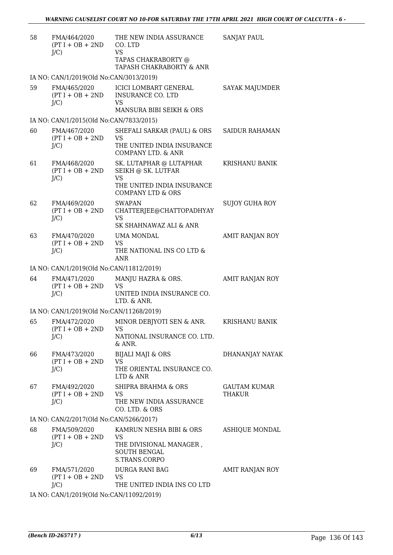| 58 | FMA/464/2020<br>$(PT I + OB + 2ND$<br>$J/C$ )    | THE NEW INDIA ASSURANCE<br>CO. LTD<br><b>VS</b><br>TAPAS CHAKRABORTY @                                                                                                                                                                                                                                                                                                | <b>SANJAY PAUL</b>                   |
|----|--------------------------------------------------|-----------------------------------------------------------------------------------------------------------------------------------------------------------------------------------------------------------------------------------------------------------------------------------------------------------------------------------------------------------------------|--------------------------------------|
|    |                                                  | TAPASH CHAKRABORTY & ANR                                                                                                                                                                                                                                                                                                                                              |                                      |
|    | IA NO: CAN/1/2019(Old No:CAN/3013/2019)          |                                                                                                                                                                                                                                                                                                                                                                       |                                      |
| 59 | FMA/465/2020<br>$(PT I + OB + 2ND$<br>$J/C$ )    | <b>ICICI LOMBART GENERAL</b><br><b>INSURANCE CO. LTD</b><br><b>VS</b><br>MANSURA BIBI SEIKH & ORS                                                                                                                                                                                                                                                                     | SAYAK MAJUMDER                       |
|    | IA NO: CAN/1/2015(Old No:CAN/7833/2015)          |                                                                                                                                                                                                                                                                                                                                                                       |                                      |
| 60 | FMA/467/2020                                     | SHEFALI SARKAR (PAUL) & ORS                                                                                                                                                                                                                                                                                                                                           | SAIDUR RAHAMAN                       |
|    | $(PT I + OB + 2ND$<br>$J/C$ )                    | <b>VS</b><br>THE UNITED INDIA INSURANCE<br>COMPANY LTD. & ANR                                                                                                                                                                                                                                                                                                         |                                      |
| 61 | FMA/468/2020<br>$(PT I + OB + 2ND$<br>$J/C$ )    | SK. LUTAPHAR @ LUTAPHAR<br>SEIKH @ SK. LUTFAR<br><b>VS</b>                                                                                                                                                                                                                                                                                                            | KRISHANU BANIK                       |
|    |                                                  | THE UNITED INDIA INSURANCE<br><b>COMPANY LTD &amp; ORS</b>                                                                                                                                                                                                                                                                                                            |                                      |
| 62 | FMA/469/2020<br>$(PT I + OB + 2ND$<br>$J/C$ )    | <b>SWAPAN</b><br>CHATTERJEE@CHATTOPADHYAY<br><b>VS</b><br>SK SHAHNAWAZ ALI & ANR                                                                                                                                                                                                                                                                                      | SUJOY GUHA ROY                       |
| 63 | FMA/470/2020                                     | UMA MONDAL                                                                                                                                                                                                                                                                                                                                                            | AMIT RANJAN ROY                      |
|    | $(PT I + OB + 2ND$<br>$J/C$ )                    | <b>VS</b><br>THE NATIONAL INS CO LTD &<br><b>ANR</b>                                                                                                                                                                                                                                                                                                                  |                                      |
|    | IA NO: CAN/1/2019(Old No:CAN/11812/2019)         |                                                                                                                                                                                                                                                                                                                                                                       |                                      |
| 64 | FMA/471/2020<br>$(PT I + OB + 2ND$<br>$J/C$ )    | MANJU HAZRA & ORS.<br><b>VS</b><br>UNITED INDIA INSURANCE CO.<br>LTD. & ANR.                                                                                                                                                                                                                                                                                          | AMIT RANJAN ROY                      |
|    | IA NO: CAN/1/2019(Old No:CAN/11268/2019)         |                                                                                                                                                                                                                                                                                                                                                                       |                                      |
| 65 | FMA/472/2020<br>$(PT I + OB + 2ND$ VS<br>$J/C$ ) | MINOR DEBJYOTI SEN & ANR.<br>NATIONAL INSURANCE CO. LTD.<br>$&$ ANR.                                                                                                                                                                                                                                                                                                  | KRISHANU BANIK                       |
| 66 | FMA/473/2020<br>$(PT I + OB + 2ND$<br>$J/C$ )    | <b>BIJALI MAJI &amp; ORS</b><br><b>VS</b><br>THE ORIENTAL INSURANCE CO.<br>LTD & ANR                                                                                                                                                                                                                                                                                  | DHANANJAY NAYAK                      |
| 67 | FMA/492/2020<br>$(PT I + OB + 2ND$<br>$J/C$ )    | SHIPRA BRAHMA & ORS<br><b>VS</b><br>THE NEW INDIA ASSURANCE<br>CO. LTD. & ORS                                                                                                                                                                                                                                                                                         | <b>GAUTAM KUMAR</b><br><b>THAKUR</b> |
|    | IA NO: CAN/2/2017(Old No:CAN/5266/2017)          |                                                                                                                                                                                                                                                                                                                                                                       |                                      |
| 68 | FMA/509/2020<br>$(PT I + OB + 2ND$<br>$J/C$ )    | KAMRUN NESHA BIBI & ORS<br>VS<br>THE DIVISIONAL MANAGER,<br><b>SOUTH BENGAL</b><br>S.TRANS.CORPO                                                                                                                                                                                                                                                                      | ASHIQUE MONDAL                       |
| 69 | FMA/571/2020<br>$(PT I + OB + 2ND$<br>J/C        | DURGA RANI BAG<br><b>VS</b><br>THE UNITED INDIA INS CO LTD                                                                                                                                                                                                                                                                                                            | AMIT RANJAN ROY                      |
|    |                                                  | $0.10(01.1)$ $\overline{M}$ $\overline{M}$ $\overline{M}$ $\overline{M}$ $\overline{M}$ $\overline{M}$ $\overline{M}$ $\overline{M}$ $\overline{M}$ $\overline{M}$ $\overline{M}$ $\overline{M}$ $\overline{M}$ $\overline{M}$ $\overline{M}$ $\overline{M}$ $\overline{M}$ $\overline{M}$ $\overline{M}$ $\overline{M}$ $\overline{M}$ $\overline{M}$ $\overline{M}$ |                                      |

IA NO: CAN/1/2019(Old No:CAN/11092/2019)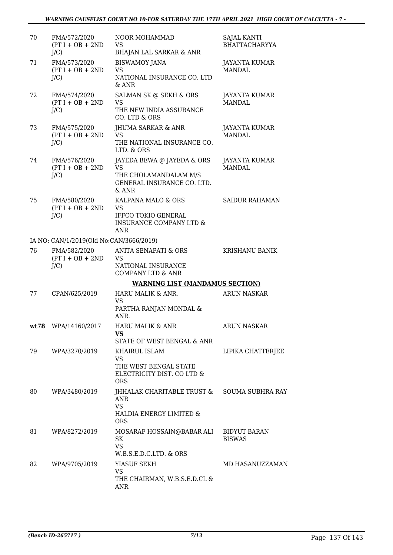| 70 | FMA/572/2020<br>$(PT I + OB + 2ND$<br>$J/C$ ) | NOOR MOHAMMAD<br><b>VS</b><br><b>BHAJAN LAL SARKAR &amp; ANR</b>                                                  | <b>SAJAL KANTI</b><br><b>BHATTACHARYYA</b> |
|----|-----------------------------------------------|-------------------------------------------------------------------------------------------------------------------|--------------------------------------------|
| 71 | FMA/573/2020<br>$(PT I + OB + 2ND$<br>$J/C$ ) | <b>BISWAMOY JANA</b><br><b>VS</b><br>NATIONAL INSURANCE CO. LTD<br>& ANR                                          | JAYANTA KUMAR<br><b>MANDAL</b>             |
| 72 | FMA/574/2020<br>$(PT I + OB + 2ND$<br>$J/C$ ) | SALMAN SK @ SEKH & ORS<br><b>VS</b><br>THE NEW INDIA ASSURANCE<br>CO. LTD & ORS                                   | JAYANTA KUMAR<br><b>MANDAL</b>             |
| 73 | FMA/575/2020<br>$(PT I + OB + 2ND$<br>$J/C$ ) | JHUMA SARKAR & ANR<br><b>VS</b><br>THE NATIONAL INSURANCE CO.<br>LTD. & ORS                                       | JAYANTA KUMAR<br><b>MANDAL</b>             |
| 74 | FMA/576/2020<br>$(PT I + OB + 2ND$<br>$J/C$ ) | JAYEDA BEWA @ JAYEDA & ORS<br><b>VS</b><br>THE CHOLAMANDALAM M/S<br>GENERAL INSURANCE CO. LTD.<br>$&$ ANR         | <b>JAYANTA KUMAR</b><br><b>MANDAL</b>      |
| 75 | FMA/580/2020<br>$(PT I + OB + 2ND$<br>$J/C$ ) | KALPANA MALO & ORS<br><b>VS</b><br><b>IFFCO TOKIO GENERAL</b><br><b>INSURANCE COMPANY LTD &amp;</b><br><b>ANR</b> | <b>SAIDUR RAHAMAN</b>                      |
|    | IA NO: CAN/1/2019(Old No:CAN/3666/2019)       |                                                                                                                   |                                            |
| 76 | FMA/582/2020<br>$(PT I + OB + 2ND$<br>$J/C$ ) | <b>ANITA SENAPATI &amp; ORS</b><br><b>VS</b><br>NATIONAL INSURANCE<br><b>COMPANY LTD &amp; ANR</b>                | <b>KRISHANU BANIK</b>                      |
|    |                                               | <b>WARNING LIST (MANDAMUS SECTION)</b>                                                                            |                                            |
| 77 | CPAN/625/2019                                 | HARU MALIK & ANR.<br><b>VS</b><br>PARTHA RANJAN MONDAL &<br>ANR.                                                  | <b>ARUN NASKAR</b>                         |
|    | wt78 WPA/14160/2017                           | HARU MALIK & ANR<br>VS<br>STATE OF WEST BENGAL & ANR                                                              | <b>ARUN NASKAR</b>                         |
| 79 | WPA/3270/2019                                 | KHAIRUL ISLAM<br><b>VS</b><br>THE WEST BENGAL STATE<br>ELECTRICITY DIST. CO LTD &<br><b>ORS</b>                   | LIPIKA CHATTERJEE                          |
| 80 | WPA/3480/2019                                 | JHHALAK CHARITABLE TRUST &<br>ANR<br><b>VS</b><br>HALDIA ENERGY LIMITED &<br><b>ORS</b>                           | <b>SOUMA SUBHRA RAY</b>                    |
| 81 | WPA/8272/2019                                 | MOSARAF HOSSAIN@BABAR ALI<br>SK<br><b>VS</b><br>W.B.S.E.D.C.LTD. & ORS                                            | <b>BIDYUT BARAN</b><br><b>BISWAS</b>       |
| 82 | WPA/9705/2019                                 | YIASUF SEKH<br><b>VS</b><br>THE CHAIRMAN, W.B.S.E.D.CL &<br>ANR                                                   | MD HASANUZZAMAN                            |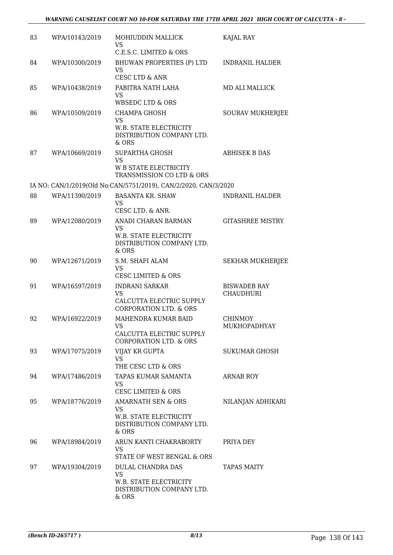| 83 | WPA/10143/2019 | MOHIUDDIN MALLICK<br><b>VS</b><br>C.E.S.C. LIMITED & ORS                                            | KAJAL RAY                               |
|----|----------------|-----------------------------------------------------------------------------------------------------|-----------------------------------------|
| 84 | WPA/10300/2019 | BHUWAN PROPERTIES (P) LTD<br>VS<br>CESC LTD & ANR                                                   | <b>INDRANIL HALDER</b>                  |
| 85 | WPA/10438/2019 | PABITRA NATH LAHA<br><b>VS</b><br><b>WBSEDC LTD &amp; ORS</b>                                       | <b>MD ALI MALLICK</b>                   |
| 86 | WPA/10509/2019 | <b>CHAMPA GHOSH</b><br><b>VS</b><br>W.B. STATE ELECTRICITY<br>DISTRIBUTION COMPANY LTD.<br>$&$ ORS  | <b>SOURAV MUKHERJEE</b>                 |
| 87 | WPA/10669/2019 | SUPARTHA GHOSH<br><b>VS</b><br><b>W B STATE ELECTRICITY</b><br>TRANSMISSION CO LTD & ORS            | <b>ABHISEK B DAS</b>                    |
|    |                | IA NO: CAN/1/2019(Old No:CAN/5751/2019), CAN/2/2020, CAN/3/2020                                     |                                         |
| 88 | WPA/11390/2019 | <b>BASANTA KR. SHAW</b><br><b>VS</b><br>CESC LTD. & ANR.                                            | <b>INDRANIL HALDER</b>                  |
| 89 | WPA/12080/2019 | ANADI CHARAN BARMAN<br>VS<br>W.B. STATE ELECTRICITY<br>DISTRIBUTION COMPANY LTD.<br>& ORS           | <b>GITASHREE MISTRY</b>                 |
| 90 | WPA/12671/2019 | S.M. SHAFI ALAM<br><b>VS</b><br><b>CESC LIMITED &amp; ORS</b>                                       | <b>SEKHAR MUKHERJEE</b>                 |
| 91 | WPA/16597/2019 | <b>INDRANI SARKAR</b><br><b>VS</b><br>CALCUTTA ELECTRIC SUPPLY<br><b>CORPORATION LTD. &amp; ORS</b> | <b>BISWADEB RAY</b><br><b>CHAUDHURI</b> |
| 92 | WPA/16922/2019 | MAHENDRA KUMAR BAID<br>VS<br>CALCUTTA ELECTRIC SUPPLY<br><b>CORPORATION LTD. &amp; ORS</b>          | <b>CHINMOY</b><br>MUKHOPADHYAY          |
| 93 | WPA/17075/2019 | VIJAY KR GUPTA<br><b>VS</b><br>THE CESC LTD & ORS                                                   | <b>SUKUMAR GHOSH</b>                    |
| 94 | WPA/17486/2019 | TAPAS KUMAR SAMANTA<br><b>VS</b><br><b>CESC LIMITED &amp; ORS</b>                                   | <b>ARNAB ROY</b>                        |
| 95 | WPA/18776/2019 | AMARNATH SEN & ORS<br><b>VS</b><br>W.B. STATE ELECTRICITY<br>DISTRIBUTION COMPANY LTD.<br>& ORS     | NILANJAN ADHIKARI                       |
| 96 | WPA/18984/2019 | ARUN KANTI CHAKRABORTY<br><b>VS</b><br>STATE OF WEST BENGAL & ORS                                   | PRIYA DEY                               |
| 97 | WPA/19304/2019 | DULAL CHANDRA DAS<br><b>VS</b><br>W.B. STATE ELECTRICITY<br>DISTRIBUTION COMPANY LTD.<br>& ORS      | <b>TAPAS MAITY</b>                      |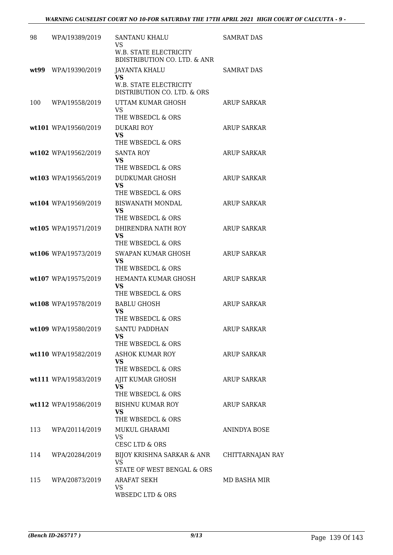| 98   | WPA/19389/2019       | <b>SANTANU KHALU</b><br><b>VS</b><br>W.B. STATE ELECTRICITY  | <b>SAMRAT DAS</b>  |
|------|----------------------|--------------------------------------------------------------|--------------------|
|      |                      | <b>BDISTRIBUTION CO. LTD. &amp; ANR</b>                      |                    |
| wt99 | WPA/19390/2019       | <b>JAYANTA KHALU</b><br>VS                                   | <b>SAMRAT DAS</b>  |
|      |                      | <b>W.B. STATE ELECTRICITY</b><br>DISTRIBUTION CO. LTD. & ORS |                    |
| 100  | WPA/19558/2019       | UTTAM KUMAR GHOSH<br><b>VS</b><br>THE WBSEDCL & ORS          | <b>ARUP SARKAR</b> |
|      | wt101 WPA/19560/2019 | <b>DUKARI ROY</b>                                            | ARUP SARKAR        |
|      |                      | <b>VS</b><br>THE WBSEDCL & ORS                               |                    |
|      | wt102 WPA/19562/2019 | <b>SANTA ROY</b><br>VS<br>THE WBSEDCL & ORS                  | <b>ARUP SARKAR</b> |
|      | wt103 WPA/19565/2019 | DUDKUMAR GHOSH                                               | <b>ARUP SARKAR</b> |
|      |                      | <b>VS</b><br>THE WBSEDCL & ORS                               |                    |
|      | wt104 WPA/19569/2019 | <b>BISWANATH MONDAL</b>                                      | <b>ARUP SARKAR</b> |
|      |                      | VS<br>THE WBSEDCL & ORS                                      |                    |
|      | wt105 WPA/19571/2019 | DHIRENDRA NATH ROY                                           | <b>ARUP SARKAR</b> |
|      |                      | <b>VS</b><br>THE WBSEDCL & ORS                               |                    |
|      | wt106 WPA/19573/2019 | SWAPAN KUMAR GHOSH<br>VS<br>THE WBSEDCL & ORS                | <b>ARUP SARKAR</b> |
|      | wt107 WPA/19575/2019 | HEMANTA KUMAR GHOSH                                          | <b>ARUP SARKAR</b> |
|      |                      | VS<br>THE WBSEDCL & ORS                                      |                    |
|      | wt108 WPA/19578/2019 | <b>BABLU GHOSH</b>                                           | <b>ARUP SARKAR</b> |
|      |                      | VS<br>THE WBSEDCL & ORS                                      |                    |
|      | wt109 WPA/19580/2019 | <b>SANTU PADDHAN</b>                                         | <b>ARUP SARKAR</b> |
|      |                      | <b>VS</b><br>THE WBSEDCL & ORS                               |                    |
|      | wt110 WPA/19582/2019 | <b>ASHOK KUMAR ROY</b>                                       | ARUP SARKAR        |
|      |                      | <b>VS</b><br>THE WBSEDCL & ORS                               |                    |
|      | wt111 WPA/19583/2019 | AJIT KUMAR GHOSH<br><b>VS</b>                                | ARUP SARKAR        |
|      | wt112 WPA/19586/2019 | THE WBSEDCL & ORS<br><b>BISHNU KUMAR ROY</b>                 | ARUP SARKAR        |
|      |                      | <b>VS</b><br>THE WBSEDCL & ORS                               |                    |
| 113  | WPA/20114/2019       | MUKUL GHARAMI<br><b>VS</b><br><b>CESC LTD &amp; ORS</b>      | ANINDYA BOSE       |
| 114  | WPA/20284/2019       | BIJOY KRISHNA SARKAR & ANR<br><b>VS</b>                      | CHITTARNAJAN RAY   |
| 115  | WPA/20873/2019       | STATE OF WEST BENGAL & ORS<br>ARAFAT SEKH                    | MD BASHA MIR       |
|      |                      | <b>VS</b><br>WBSEDC LTD & ORS                                |                    |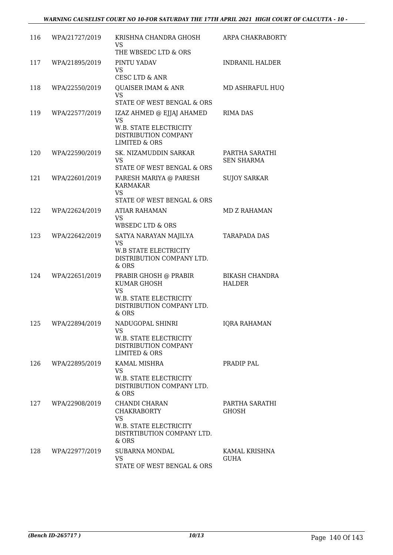| 116 | WPA/21727/2019 | KRISHNA CHANDRA GHOSH<br><b>VS</b><br>THE WBSEDC LTD & ORS                                                          | ARPA CHAKRABORTY                       |
|-----|----------------|---------------------------------------------------------------------------------------------------------------------|----------------------------------------|
| 117 | WPA/21895/2019 | PINTU YADAV<br><b>VS</b>                                                                                            | <b>INDRANIL HALDER</b>                 |
|     |                | CESC LTD & ANR                                                                                                      |                                        |
| 118 | WPA/22550/2019 | <b>QUAISER IMAM &amp; ANR</b><br><b>VS</b><br>STATE OF WEST BENGAL & ORS                                            | MD ASHRAFUL HUQ                        |
| 119 | WPA/22577/2019 | IZAZ AHMED @ EJJAJ AHAMED                                                                                           | <b>RIMA DAS</b>                        |
|     |                | <b>VS</b><br>W.B. STATE ELECTRICITY<br>DISTRIBUTION COMPANY<br>LIMITED & ORS                                        |                                        |
| 120 | WPA/22590/2019 | SK. NIZAMUDDIN SARKAR<br>VS.<br>STATE OF WEST BENGAL & ORS                                                          | PARTHA SARATHI<br><b>SEN SHARMA</b>    |
| 121 | WPA/22601/2019 | PARESH MARIYA @ PARESH<br><b>KARMAKAR</b><br><b>VS</b>                                                              | <b>SUJOY SARKAR</b>                    |
|     |                | STATE OF WEST BENGAL & ORS                                                                                          |                                        |
| 122 | WPA/22624/2019 | <b>ATIAR RAHAMAN</b><br><b>VS</b><br>WBSEDC LTD & ORS                                                               | <b>MD Z RAHAMAN</b>                    |
| 123 | WPA/22642/2019 | SATYA NARAYAN MAJILYA<br><b>VS</b><br><b>W.B STATE ELECTRICITY</b><br>DISTRIBUTION COMPANY LTD.<br>& ORS            | <b>TARAPADA DAS</b>                    |
| 124 | WPA/22651/2019 | PRABIR GHOSH @ PRABIR<br>KUMAR GHOSH<br><b>VS</b><br>W.B. STATE ELECTRICITY<br>DISTRIBUTION COMPANY LTD.<br>$&$ ORS | <b>BIKASH CHANDRA</b><br><b>HALDER</b> |
| 125 | WPA/22894/2019 | NADUGOPAL SHINRI<br><b>VS</b><br><b>W.B. STATE ELECTRICITY</b><br>DISTRIBUTION COMPANY<br>LIMITED & ORS             | <b>IORA RAHAMAN</b>                    |
| 126 | WPA/22895/2019 | <b>KAMAL MISHRA</b><br><b>VS</b><br>W.B. STATE ELECTRICITY<br>DISTRIBUTION COMPANY LTD.<br>& ORS                    | PRADIP PAL                             |
| 127 | WPA/22908/2019 | CHANDI CHARAN<br><b>CHAKRABORTY</b><br><b>VS</b><br>W.B. STATE ELECTRICITY<br>DISTRTIBUTION COMPANY LTD.<br>& ORS   | PARTHA SARATHI<br><b>GHOSH</b>         |
| 128 | WPA/22977/2019 | <b>SUBARNA MONDAL</b><br><b>VS</b><br>STATE OF WEST BENGAL & ORS                                                    | KAMAL KRISHNA<br>GUHA                  |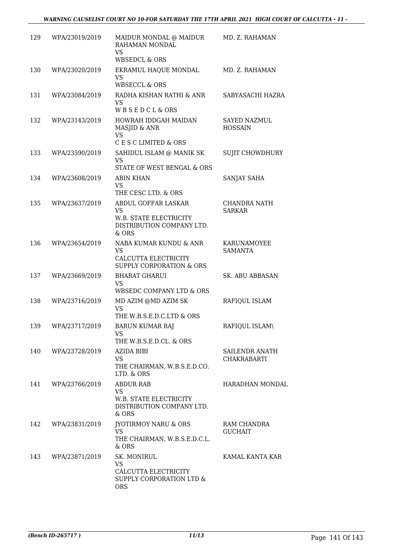| 129 | WPA/23019/2019     | MAIDUR MONDAL @ MAIDUR<br>RAHAMAN MONDAL<br><b>VS</b>                                              | MD. Z. RAHAMAN                        |
|-----|--------------------|----------------------------------------------------------------------------------------------------|---------------------------------------|
| 130 | WPA/23020/2019     | <b>WBSEDCL &amp; ORS</b><br>EKRAMUL HAQUE MONDAL<br><b>VS</b><br><b>WBSECCL &amp; ORS</b>          | MD. Z. RAHAMAN                        |
| 131 | WPA/23084/2019     | RADHA KISHAN RATHI & ANR<br><b>VS</b><br>WBSEDCL&ORS                                               | SABYASACHI HAZRA                      |
| 132 | WPA/23143/2019     | HOWRAH IDDGAH MAIDAN<br>MASJID & ANR<br><b>VS</b>                                                  | <b>SAYED NAZMUL</b><br><b>HOSSAIN</b> |
|     |                    | C E S C LIMITED & ORS                                                                              |                                       |
| 133 | WPA/23590/2019     | SAHIDUL ISLAM @ MANIK SK<br><b>VS</b><br>STATE OF WEST BENGAL & ORS                                | <b>SUJIT CHOWDHURY</b>                |
| 134 | WPA/23608/2019     | <b>ABIN KHAN</b><br><b>VS</b><br>THE CESC LTD. & ORS                                               | SANJAY SAHA                           |
| 135 | WPA/23637/2019     | ABDUL GOFFAR LASKAR<br><b>VS</b><br>W.B. STATE ELECTRICITY<br>DISTRIBUTION COMPANY LTD.<br>& ORS   | CHANDRA NATH<br><b>SARKAR</b>         |
| 136 | WPA/23654/2019     | NABA KUMAR KUNDU & ANR<br><b>VS</b><br>CALCUTTA ELECTRICITY<br><b>SUPPLY CORPORATION &amp; ORS</b> | KARUNAMOYEE<br><b>SAMANTA</b>         |
| 137 | WPA/23669/2019     | <b>BHARAT GHARUI</b><br><b>VS</b><br>WBSEDC COMPANY LTD & ORS                                      | <b>SK. ABU ABBASAN</b>                |
| 138 | WPA/23716/2019     | MD AZIM @MD AZIM SK<br><b>VS</b><br>THE W.B.S.E.D.C.LTD & ORS                                      | RAFIQUL ISLAM                         |
| 139 | WPA/23717/2019     | <b>BARUN KUMAR RAJ</b><br>VS<br>THE W.B.S.E.D.CL. & ORS                                            | RAFIQUL ISLAM\                        |
| 140 | WPA/23728/2019     | AZIDA BIBI<br><b>VS</b><br>THE CHAIRMAN, W.B.S.E.D.CO.<br>LTD. & ORS                               | SAILENDR ANATH<br><b>CHAKRABARTI</b>  |
|     | 141 WPA/23766/2019 | <b>ABDUR RAB</b><br><b>VS</b><br>W.B. STATE ELECTRICITY<br>DISTRIBUTION COMPANY LTD.<br>$&$ ORS    | HARADHAN MONDAL                       |
| 142 | WPA/23831/2019     | JYOTIRMOY NARU & ORS<br><b>VS</b><br>THE CHAIRMAN, W.B.S.E.D.C.L.<br>$&$ ORS                       | RAM CHANDRA<br><b>GUCHAIT</b>         |
| 143 | WPA/23871/2019     | SK. MONIRUL<br><b>VS</b><br>CALCUTTA ELECTRICITY<br>SUPPLY CORPORATION LTD &<br><b>ORS</b>         | KAMAL KANTA KAR                       |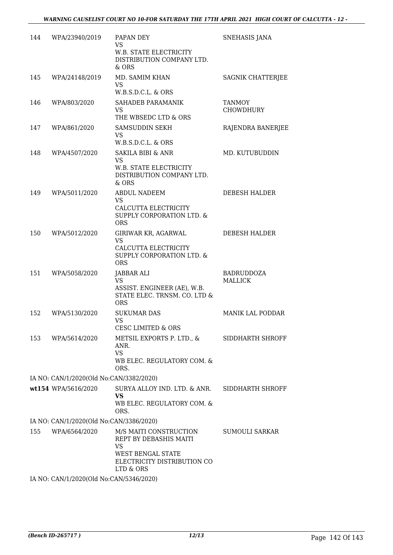| 144 | WPA/23940/2019                          | PAPAN DEY<br><b>VS</b><br>W.B. STATE ELECTRICITY<br>DISTRIBUTION COMPANY LTD.<br>& ORS                                         | SNEHASIS JANA                       |
|-----|-----------------------------------------|--------------------------------------------------------------------------------------------------------------------------------|-------------------------------------|
| 145 | WPA/24148/2019                          | MD. SAMIM KHAN<br>VS.<br>W.B.S.D.C.L. & ORS                                                                                    | SAGNIK CHATTERJEE                   |
| 146 | WPA/803/2020                            | SAHADEB PARAMANIK<br><b>VS</b><br>THE WBSEDC LTD & ORS                                                                         | <b>TANMOY</b><br><b>CHOWDHURY</b>   |
| 147 | WPA/861/2020                            | <b>SAMSUDDIN SEKH</b><br><b>VS</b><br>W.B.S.D.C.L. & ORS                                                                       | RAJENDRA BANERJEE                   |
| 148 | WPA/4507/2020                           | <b>SAKILA BIBI &amp; ANR</b><br>VS.<br><b>W.B. STATE ELECTRICITY</b><br>DISTRIBUTION COMPANY LTD.<br>& ORS                     | MD. KUTUBUDDIN                      |
| 149 | WPA/5011/2020                           | <b>ABDUL NADEEM</b><br>VS.<br>CALCUTTA ELECTRICITY<br>SUPPLY CORPORATION LTD. &<br><b>ORS</b>                                  | DEBESH HALDER                       |
| 150 | WPA/5012/2020                           | GIRIWAR KR, AGARWAL<br><b>VS</b><br>CALCUTTA ELECTRICITY<br>SUPPLY CORPORATION LTD. &<br><b>ORS</b>                            | DEBESH HALDER                       |
| 151 | WPA/5058/2020                           | JABBAR ALI<br><b>VS</b><br>ASSIST. ENGINEER (AE), W.B.<br>STATE ELEC. TRNSM. CO. LTD &<br><b>ORS</b>                           | <b>BADRUDDOZA</b><br><b>MALLICK</b> |
| 152 | WPA/5130/2020                           | <b>SUKUMAR DAS</b><br><b>VS</b><br><b>CESC LIMITED &amp; ORS</b>                                                               | <b>MANIK LAL PODDAR</b>             |
| 153 | WPA/5614/2020                           | METSIL EXPORTS P. LTD., &<br>ANR.<br><b>VS</b><br>WB ELEC. REGULATORY COM. &<br>ORS.                                           | SIDDHARTH SHROFF                    |
|     | IA NO: CAN/1/2020(Old No:CAN/3382/2020) |                                                                                                                                |                                     |
|     | wt154 WPA/5616/2020                     | SURYA ALLOY IND. LTD. & ANR.<br><b>VS</b><br>WB ELEC. REGULATORY COM. &<br>ORS.                                                | SIDDHARTH SHROFF                    |
|     | IA NO: CAN/1/2020(Old No:CAN/3386/2020) |                                                                                                                                |                                     |
| 155 | WPA/6564/2020                           | M/S MAITI CONSTRUCTION<br>REPT BY DEBASHIS MAITI<br>VS<br><b>WEST BENGAL STATE</b><br>ELECTRICITY DISTRIBUTION CO<br>LTD & ORS | SUMOULI SARKAR                      |
|     | IA NO: CAN/1/2020(Old No:CAN/5346/2020) |                                                                                                                                |                                     |